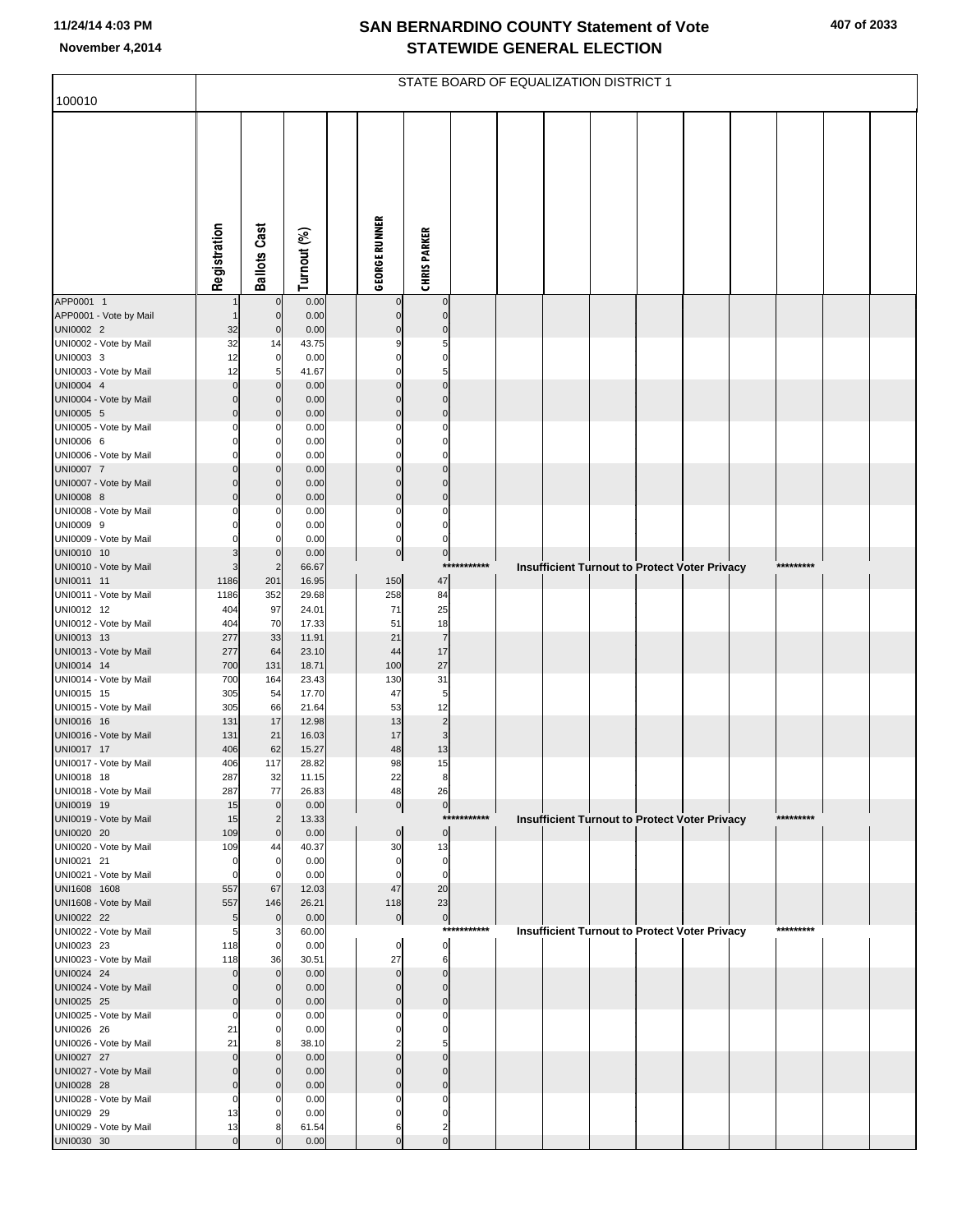| 407 of 2033 |  |
|-------------|--|
|-------------|--|

| 100010                               |              |                                  |                |                         |                                  |             | STATE BOARD OF EQUALIZATION DISTRICT 1 |  |                                                      |           |  |
|--------------------------------------|--------------|----------------------------------|----------------|-------------------------|----------------------------------|-------------|----------------------------------------|--|------------------------------------------------------|-----------|--|
|                                      |              |                                  |                |                         |                                  |             |                                        |  |                                                      |           |  |
|                                      | Registration | <b>Ballots Cast</b>              | Turnout (%)    | <b>GEORGE RUNNER</b>    | <b>CHRIS PARKER</b>              |             |                                        |  |                                                      |           |  |
| APP0001 1                            |              | 0                                | 0.00           | 0                       | $\overline{0}$                   |             |                                        |  |                                                      |           |  |
| APP0001 - Vote by Mail<br>UNI0002 2  | 32           | $\overline{0}$<br>$\mathbf 0$    | 0.00<br>0.00   | $\mathbf 0$<br>$\Omega$ | $\overline{0}$<br>$\overline{0}$ |             |                                        |  |                                                      |           |  |
| UNI0002 - Vote by Mail               | 32           | 14                               | 43.75          | 9<br>ი                  | $5 \mid$                         |             |                                        |  |                                                      |           |  |
| UNI0003 3<br>UNI0003 - Vote by Mail  | 12<br>12     | $\overline{0}$<br>5              | 0.00<br>41.67  | O                       | 0<br>5                           |             |                                        |  |                                                      |           |  |
| UNI0004 4                            | $\Omega$     | $\pmb{0}$                        | 0.00           | $\Omega$                | $\overline{0}$                   |             |                                        |  |                                                      |           |  |
| UNI0004 - Vote by Mail<br>UNI0005 5  | 0            | $\mathbf 0$<br>$\pmb{0}$         | 0.00<br>0.00   | $\Omega$<br>$\Omega$    | $\mathbf 0$<br>$\mathbf{0}$      |             |                                        |  |                                                      |           |  |
| UNI0005 - Vote by Mail               |              | $\mathbf 0$                      | 0.00           | ი                       | 0                                |             |                                        |  |                                                      |           |  |
| UNI0006 6<br>UNI0006 - Vote by Mail  |              | $\pmb{0}$<br>$\mathbf 0$         | 0.00<br>0.00   | ი<br>O                  | 0<br>$\Omega$                    |             |                                        |  |                                                      |           |  |
| UNI0007 7<br>UNI0007 - Vote by Mail  |              | $\pmb{0}$<br>$\mathbf 0$         | 0.00           | $\Omega$<br>$\Omega$    | $\overline{0}$<br>$\overline{0}$ |             |                                        |  |                                                      |           |  |
| UNI0008 8                            |              | $\pmb{0}$                        | 0.00<br>0.00   | $\Omega$                | $\overline{0}$                   |             |                                        |  |                                                      |           |  |
| UNI0008 - Vote by Mail<br>UNI0009 9  |              | $\mathbf 0$<br>$\mathbf 0$       | 0.00           | 0<br>$\Omega$           | 0<br>0                           |             |                                        |  |                                                      |           |  |
| UNI0009 - Vote by Mail               |              | $\mathbf 0$                      | 0.00<br>0.00   | 0                       | $\Omega$                         |             |                                        |  |                                                      |           |  |
| UNI0010 10                           |              | $\pmb{0}$                        | 0.00           | $\overline{0}$          | $\overline{0}$                   | *********** |                                        |  |                                                      | ********* |  |
| UNI0010 - Vote by Mail<br>UNI0011 11 | 1186         | $\overline{2}$<br>201            | 66.67<br>16.95 | 150                     | 47                               |             |                                        |  | <b>Insufficient Turnout to Protect Voter Privacy</b> |           |  |
| UNI0011 - Vote by Mail               | 1186         | 352                              | 29.68          | 258                     | 84                               |             |                                        |  |                                                      |           |  |
| UNI0012 12<br>UNI0012 - Vote by Mail | 404<br>404   | 97<br>70                         | 24.01<br>17.33 | 71<br>51                | 25<br>18                         |             |                                        |  |                                                      |           |  |
| UNI0013 13<br>UNI0013 - Vote by Mail | 277<br>277   | 33<br>64                         | 11.91<br>23.10 | 21                      | $\overline{7}$<br>17             |             |                                        |  |                                                      |           |  |
| UNI0014 14                           | 700          | 131                              | 18.71          | 44<br>100               | 27                               |             |                                        |  |                                                      |           |  |
| UNI0014 - Vote by Mail               | 700          | 164                              | 23.43          | 130                     | 31                               |             |                                        |  |                                                      |           |  |
| UNI0015 15<br>UNI0015 - Vote by Mail | 305<br>305   | 54<br>66                         | 17.70<br>21.64 | 47<br>53                | 5<br>12                          |             |                                        |  |                                                      |           |  |
| UNI0016 16                           | 131          | 17                               | 12.98          | 13                      | $\overline{2}$                   |             |                                        |  |                                                      |           |  |
| UNI0016 - Vote by Mail<br>UNI0017 17 | 131<br>406   | 21<br>62                         | 16.03<br>15.27 | 17<br>48                | $\overline{3}$<br>13             |             |                                        |  |                                                      |           |  |
| UNI0017 - Vote by Mail               | 406          | 117                              | 28.82          | 98                      | 15                               |             |                                        |  |                                                      |           |  |
| UNI0018 18<br>UNI0018 - Vote by Mail | 287<br>287   | 32<br>77                         | 11.15<br>26.83 | 22<br>48                | 8<br>26                          |             |                                        |  |                                                      |           |  |
| UNI0019 19                           | 15           | $\overline{0}$                   | 0.00           | $\overline{0}$          | $\overline{0}$                   | *********** |                                        |  |                                                      | ********* |  |
| UNI0019 - Vote by Mail<br>UNI0020 20 | 15<br>109    | $\overline{c}$<br>$\overline{0}$ | 13.33<br>0.00  | $\mathbf 0$             | $\overline{0}$                   |             |                                        |  | <b>Insufficient Turnout to Protect Voter Privacy</b> |           |  |
| UNI0020 - Vote by Mail               | 109          | 44                               | 40.37          | 30                      | 13                               |             |                                        |  |                                                      |           |  |
| UNI0021 21<br>UNI0021 - Vote by Mail | 0            | $\overline{0}$<br>$\mathbf 0$    | 0.00<br>0.00   | $\Omega$<br>0           | $\overline{0}$<br>$\overline{0}$ |             |                                        |  |                                                      |           |  |
| UNI1608 1608                         | 557          | 67                               | 12.03          | 47                      | 20                               |             |                                        |  |                                                      |           |  |
| UNI1608 - Vote by Mail<br>UNI0022 22 | 557<br>5     | 146<br>$\pmb{0}$                 | 26.21<br>0.00  | 118<br>$\overline{0}$   | 23<br>$\overline{0}$             |             |                                        |  |                                                      |           |  |
| UNI0022 - Vote by Mail               | 5            | 3<br>$\overline{0}$              | 60.00          |                         | $\overline{0}$                   | *********** |                                        |  | Insufficient Turnout to Protect Voter Privacy        | ********* |  |
| UNI0023 23<br>UNI0023 - Vote by Mail | 118<br>118   | 36                               | 0.00<br>30.51  | 0<br>27                 | 6                                |             |                                        |  |                                                      |           |  |
| UNI0024 24<br>UNI0024 - Vote by Mail | $\Omega$     | $\overline{0}$<br>$\mathbf 0$    | 0.00<br>0.00   | $\Omega$<br>0           | $\Omega$<br>$\Omega$             |             |                                        |  |                                                      |           |  |
| UNI0025 25                           |              | $\mathbf 0$                      | 0.00           | 0                       | $\overline{0}$                   |             |                                        |  |                                                      |           |  |
| UNI0025 - Vote by Mail<br>UNI0026 26 | 21           | 0<br>$\mathbf 0$                 | 0.00<br>0.00   |                         | 0<br>0                           |             |                                        |  |                                                      |           |  |
| UNI0026 - Vote by Mail               | 21           | 8                                | 38.10          |                         |                                  |             |                                        |  |                                                      |           |  |
| UNI0027 27<br>UNI0027 - Vote by Mail |              | $\mathbf 0$<br>$\mathbf 0$       | 0.00<br>0.00   |                         | $\Omega$<br>$\Omega$             |             |                                        |  |                                                      |           |  |
| UNI0028 28                           |              | $\mathbf 0$                      | 0.00           |                         | $\Omega$                         |             |                                        |  |                                                      |           |  |
| UNI0028 - Vote by Mail               |              | 0                                | 0.00           | ი                       | 0<br>$\Omega$                    |             |                                        |  |                                                      |           |  |
| UNI0029 29<br>UNI0029 - Vote by Mail | 13<br>13     | $\mathbf 0$<br>8                 | 0.00<br>61.54  | 6                       | $\overline{2}$                   |             |                                        |  |                                                      |           |  |
| UNI0030 30                           | $\Omega$     | $\mathbf 0$                      | 0.00           | $\Omega$                | $\mathbf{0}$                     |             |                                        |  |                                                      |           |  |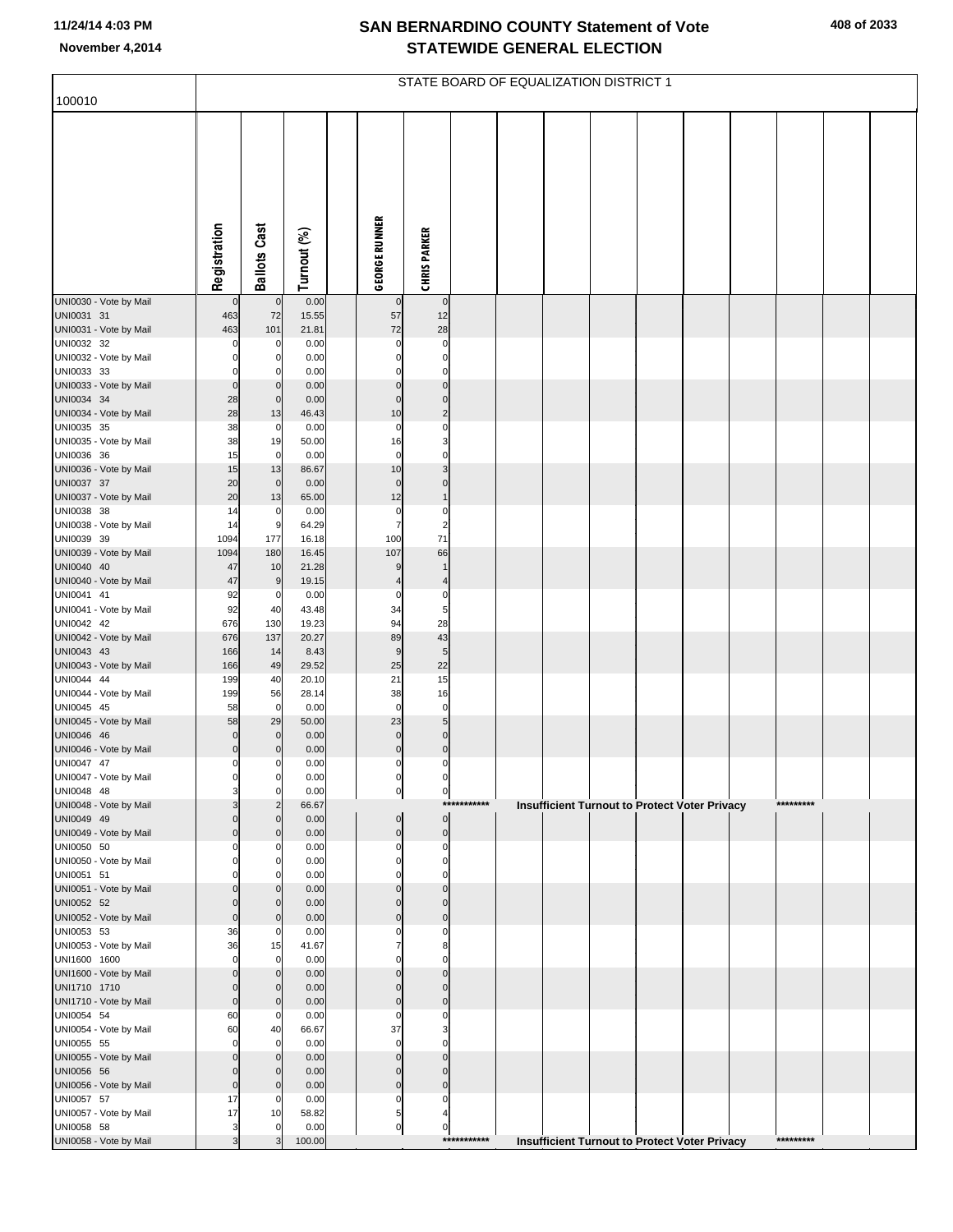| 100010                                 |                                |                               |                |                               |                                  |             | STATE BOARD OF EQUALIZATION DISTRICT 1 |  |                                                      |           |  |
|----------------------------------------|--------------------------------|-------------------------------|----------------|-------------------------------|----------------------------------|-------------|----------------------------------------|--|------------------------------------------------------|-----------|--|
|                                        |                                |                               |                |                               |                                  |             |                                        |  |                                                      |           |  |
|                                        | Registration                   | <b>Ballots Cast</b>           | Turnout (%)    | <b>GEORGE RUNNER</b>          | <b>CHRIS PARKER</b>              |             |                                        |  |                                                      |           |  |
| UNI0030 - Vote by Mail                 | $\overline{0}$                 | $\mathbf 0$                   | 0.00           | $\mathbf 0$                   | $\overline{0}$                   |             |                                        |  |                                                      |           |  |
| UNI0031 31<br>UNI0031 - Vote by Mail   | 463<br>463                     | 72<br>101                     | 15.55          | 57<br>72                      | 12<br>28                         |             |                                        |  |                                                      |           |  |
| UNI0032 32                             |                                | 0                             | 21.81<br>0.00  | 0                             | 0                                |             |                                        |  |                                                      |           |  |
| UNI0032 - Vote by Mail                 |                                | 0                             | 0.00           | $\Omega$                      | $\overline{0}$                   |             |                                        |  |                                                      |           |  |
| UNI0033 33<br>UNI0033 - Vote by Mail   | 0                              | 0                             | 0.00           | $\mathbf 0$                   | $\mathbf{0}$<br>$\overline{0}$   |             |                                        |  |                                                      |           |  |
| UNI0034 34                             | $\overline{0}$<br>28           | $\mathbf 0$<br>$\mathbf 0$    | 0.00<br>0.00   | $\pmb{0}$<br>$\pmb{0}$        | $\overline{0}$                   |             |                                        |  |                                                      |           |  |
| UNI0034 - Vote by Mail                 | 28                             | 13                            | 46.43          | 10                            | $\mathbf{2}$                     |             |                                        |  |                                                      |           |  |
| UNI0035 35                             | 38                             | 0                             | 0.00           | $\mathbf 0$                   | $\mathbf 0$                      |             |                                        |  |                                                      |           |  |
| UNI0035 - Vote by Mail<br>UNI0036 36   | 38<br>15                       | 19<br>$\mathbf 0$             | 50.00<br>0.00  | 16<br>$\mathbf 0$             | 3<br>$\mathbf 0$                 |             |                                        |  |                                                      |           |  |
| UNI0036 - Vote by Mail                 | 15                             | 13                            | 86.67          | 10                            | $\overline{\mathbf{3}}$          |             |                                        |  |                                                      |           |  |
| UNI0037 37                             | 20                             | $\mathbf 0$                   | 0.00           | $\mathbf 0$                   | $\mathbf 0$                      |             |                                        |  |                                                      |           |  |
| UNI0037 - Vote by Mail                 | 20                             | 13                            | 65.00          | 12                            | $\mathbf{1}$                     |             |                                        |  |                                                      |           |  |
| UNI0038 38<br>UNI0038 - Vote by Mail   | 14<br>14                       | 0<br>9                        | 0.00<br>64.29  | $\mathbf 0$<br>7              | 0<br>$\overline{\mathbf{c}}$     |             |                                        |  |                                                      |           |  |
| UNI0039 39                             | 1094                           | 177                           | 16.18          | 100                           | 71                               |             |                                        |  |                                                      |           |  |
| UNI0039 - Vote by Mail                 | 1094                           | 180                           | 16.45          | 107                           | 66                               |             |                                        |  |                                                      |           |  |
| UNI0040 40<br>UNI0040 - Vote by Mail   | 47<br>47                       | 10<br>9                       | 21.28<br>19.15 | 9                             | 4                                |             |                                        |  |                                                      |           |  |
| UNI0041 41                             | 92                             | 0                             | 0.00           | $\mathbf 0$                   | 0                                |             |                                        |  |                                                      |           |  |
| UNI0041 - Vote by Mail                 | 92                             | 40                            | 43.48          | 34                            | 5 <sub>5</sub>                   |             |                                        |  |                                                      |           |  |
| UNI0042 42<br>UNI0042 - Vote by Mail   | 676<br>676                     | 130<br>137                    | 19.23<br>20.27 | 94<br>89                      | 28<br>43                         |             |                                        |  |                                                      |           |  |
| UNI0043 43                             | 166                            | 14                            | 8.43           | 9                             | 5                                |             |                                        |  |                                                      |           |  |
| UNI0043 - Vote by Mail                 | 166                            | 49                            | 29.52          | 25                            | 22                               |             |                                        |  |                                                      |           |  |
| UNI0044 44<br>UNI0044 - Vote by Mail   | 199                            | 40                            | 20.10          | 21<br>38                      | 15<br>16                         |             |                                        |  |                                                      |           |  |
| UNI0045 45                             | 199<br>58                      | 56<br>$\mathbf 0$             | 28.14<br>0.00  | $\mathbf 0$                   | $\overline{0}$                   |             |                                        |  |                                                      |           |  |
| UNI0045 - Vote by Mail                 | 58                             | 29                            | 50.00          | 23                            | 5 <sub>5</sub>                   |             |                                        |  |                                                      |           |  |
| UNI0046 46                             | $\mathbf 0$                    | $\mathbf 0$                   | 0.00           | $\mathbf 0$                   | $\overline{0}$                   |             |                                        |  |                                                      |           |  |
| UNI0046 - Vote by Mail<br>UNI0047 47   | $\overline{0}$<br>$\mathbf{0}$ | 0<br>C                        | 0.00<br>0.00   | $\overline{0}$<br>$\mathbf 0$ | $\overline{0}$<br>$\overline{0}$ |             |                                        |  |                                                      |           |  |
| UNI0047 - Vote by Mail                 |                                | 0                             | 0.00           | 0                             | $\mathbf{0}$                     |             |                                        |  |                                                      |           |  |
| UNI0048 48                             | 3                              | 0                             | 0.00           | $\mathbf{0}$                  | $\overline{0}$                   |             |                                        |  |                                                      | ********* |  |
| UNI0048 - Vote by Mail<br>UNI0049 49   | 3<br>$\Omega$                  | $\overline{2}$<br>$\mathbf 0$ | 66.67<br>0.00  | $\mathbf 0$                   | $\overline{0}$                   | *********** |                                        |  | Insufficient Turnout to Protect Voter Privacy        |           |  |
| UNI0049 - Vote by Mail                 | $\overline{0}$                 | $\mathbf 0$                   | 0.00           | $\overline{0}$                | $\overline{0}$                   |             |                                        |  |                                                      |           |  |
| UNI0050 50                             | 0                              | 0                             | 0.00           | $\mathbf 0$                   | 0                                |             |                                        |  |                                                      |           |  |
| UNI0050 - Vote by Mail<br>UNI0051 51   | 0                              | 0<br>$\Omega$                 | 0.00<br>0.00   | 0<br>$\Omega$                 | $\overline{0}$<br>$\mathbf 0$    |             |                                        |  |                                                      |           |  |
| UNI0051 - Vote by Mail                 | $\Omega$                       | $\mathbf 0$                   | 0.00           | $\pmb{0}$                     | $\overline{0}$                   |             |                                        |  |                                                      |           |  |
| UNI0052 52                             | $\Omega$                       | $\mathbf 0$                   | 0.00           | $\mathbf 0$                   | $\mathbf 0$                      |             |                                        |  |                                                      |           |  |
| UNI0052 - Vote by Mail<br>UNI0053 53   | $\overline{0}$<br>36           | $\mathbf 0$<br>0              | 0.00<br>0.00   | $\mathbf 0$<br>$\Omega$       | $\overline{0}$<br>0              |             |                                        |  |                                                      |           |  |
| UNI0053 - Vote by Mail                 | 36                             | 15                            | 41.67          | 7                             | 8 <sup>1</sup>                   |             |                                        |  |                                                      |           |  |
| UNI1600 1600                           | $\Omega$                       | 0                             | 0.00           | $\Omega$                      | $\mathbf 0$                      |             |                                        |  |                                                      |           |  |
| UNI1600 - Vote by Mail                 | $\mathbf 0$<br>$\Omega$        | $\mathbf 0$                   | 0.00           | $\pmb{0}$<br>$\mathbf 0$      | $\overline{0}$<br>$\mathbf 0$    |             |                                        |  |                                                      |           |  |
| UNI1710 1710<br>UNI1710 - Vote by Mail | $\overline{0}$                 | $\mathbf 0$<br>$\mathbf 0$    | 0.00<br>0.00   | $\overline{0}$                | $\overline{0}$                   |             |                                        |  |                                                      |           |  |
| UNI0054 54                             | 60                             | 0                             | 0.00           | $\mathbf 0$                   | $\Omega$                         |             |                                        |  |                                                      |           |  |
| UNI0054 - Vote by Mail                 | 60                             | 40                            | 66.67          | 37                            | 3                                |             |                                        |  |                                                      |           |  |
| UNI0055 55<br>UNI0055 - Vote by Mail   | $\Omega$<br>$\overline{0}$     | $\mathbf 0$<br>$\mathbf 0$    | 0.00<br>0.00   | $\mathbf 0$<br>$\pmb{0}$      | $\mathbf 0$<br>$\overline{0}$    |             |                                        |  |                                                      |           |  |
| UNI0056 56                             | $\Omega$                       | $\mathbf 0$                   | 0.00           | $\mathbf 0$                   | $\overline{0}$                   |             |                                        |  |                                                      |           |  |
| UNI0056 - Vote by Mail                 | $\overline{0}$                 | $\mathbf 0$                   | 0.00           | $\overline{0}$                | $\overline{0}$                   |             |                                        |  |                                                      |           |  |
| UNI0057 57<br>UNI0057 - Vote by Mail   | 17<br>17                       | 0<br>10                       | 0.00<br>58.82  | $\mathbf 0$<br>5 <sub>5</sub> | 0                                |             |                                        |  |                                                      |           |  |
| UNI0058 58                             | 3                              | 0                             | 0.00           | 이                             | $\overline{0}$                   |             |                                        |  |                                                      |           |  |
| UNI0058 - Vote by Mail                 | $\overline{\mathbf{3}}$        | 3                             | 100.00         |                               |                                  | *********** |                                        |  | <b>Insufficient Turnout to Protect Voter Privacy</b> | ********* |  |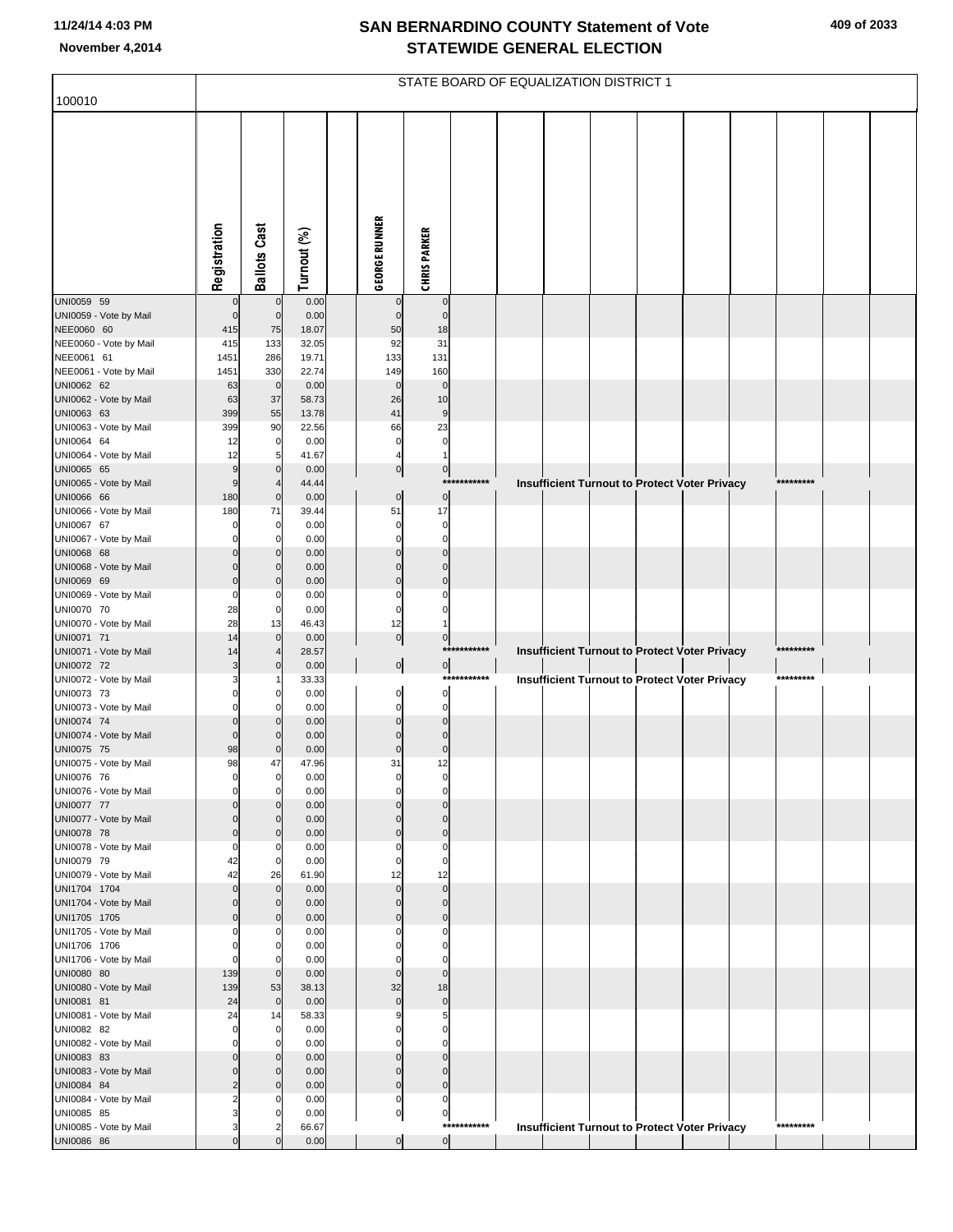| 100010                                 |                         |                     |                |                            |                            |             | STATE BOARD OF EQUALIZATION DISTRICT 1 |  |                                                      |           |  |
|----------------------------------------|-------------------------|---------------------|----------------|----------------------------|----------------------------|-------------|----------------------------------------|--|------------------------------------------------------|-----------|--|
|                                        |                         |                     |                |                            |                            |             |                                        |  |                                                      |           |  |
|                                        |                         |                     |                |                            |                            |             |                                        |  |                                                      |           |  |
|                                        |                         |                     |                |                            |                            |             |                                        |  |                                                      |           |  |
|                                        |                         |                     |                |                            |                            |             |                                        |  |                                                      |           |  |
|                                        |                         |                     |                |                            |                            |             |                                        |  |                                                      |           |  |
|                                        |                         |                     |                |                            |                            |             |                                        |  |                                                      |           |  |
|                                        |                         |                     |                |                            |                            |             |                                        |  |                                                      |           |  |
|                                        |                         |                     |                |                            |                            |             |                                        |  |                                                      |           |  |
|                                        | Registration            | <b>Ballots Cast</b> | Turnout (%)    | <b>GEORGE RUNNER</b>       | <b>CHRIS PARKER</b>        |             |                                        |  |                                                      |           |  |
| UNI0059 59                             | $\mathbf 0$             | 0                   | 0.00           | $\mathbf 0$                | $\mathbf 0$                |             |                                        |  |                                                      |           |  |
| UNI0059 - Vote by Mail                 | $\mathbf 0$             | $\mathbf 0$         | 0.00           | $\overline{0}$             | $\mathbf 0$                |             |                                        |  |                                                      |           |  |
| NEE0060 60<br>NEE0060 - Vote by Mail   | 415<br>415              | 75<br>133           | 18.07<br>32.05 | 50<br>92                   | 18<br>31                   |             |                                        |  |                                                      |           |  |
| NEE0061 61                             | 1451                    | 286                 | 19.71          | 133                        | 131                        |             |                                        |  |                                                      |           |  |
| NEE0061 - Vote by Mail                 | 1451                    | 330                 | 22.74          | 149                        | 160                        |             |                                        |  |                                                      |           |  |
| UNI0062 62<br>UNI0062 - Vote by Mail   | 63<br>63                | $\mathbf 0$<br>37   | 0.00<br>58.73  | $\mathbf 0$<br>26          | $\mathbf 0$<br>10          |             |                                        |  |                                                      |           |  |
| UNI0063 63                             | 399                     | 55                  | 13.78          | 41                         | 9                          |             |                                        |  |                                                      |           |  |
| UNI0063 - Vote by Mail                 | 399                     | 90                  | 22.56          | 66                         | 23                         |             |                                        |  |                                                      |           |  |
| UNI0064 64<br>UNI0064 - Vote by Mail   | 12<br>12                | 0<br>5              | 0.00<br>41.67  | $\mathbf 0$<br>4           | $\mathbf 0$                |             |                                        |  |                                                      |           |  |
| UNI0065 65                             | 9                       | $\mathbf 0$         | 0.00           | $\overline{0}$             | $\overline{0}$             |             |                                        |  |                                                      |           |  |
| UNI0065 - Vote by Mail<br>UNI0066 66   | 9<br>180                | $\mathbf 0$         | 44.44<br>0.00  | $\overline{0}$             | ***<br>$\overline{0}$      | *******     |                                        |  | Insufficient Turnout to Protect Voter Privacy        | ********* |  |
| UNI0066 - Vote by Mail                 | 180                     | 71                  | 39.44          | 51                         | 17                         |             |                                        |  |                                                      |           |  |
| UNI0067 67                             | O                       | 0                   | 0.00           | $\mathbf 0$                | $\mathbf 0$                |             |                                        |  |                                                      |           |  |
| UNI0067 - Vote by Mail<br>UNI0068 68   |                         | O<br>$\mathbf 0$    | 0.00<br>0.00   | $\Omega$<br>$\Omega$       | $\Omega$<br>$\mathbf 0$    |             |                                        |  |                                                      |           |  |
| UNI0068 - Vote by Mail                 |                         | $\Omega$            | 0.00           | $\Omega$                   | $\Omega$                   |             |                                        |  |                                                      |           |  |
| UNI0069 69<br>UNI0069 - Vote by Mail   | $\Omega$<br>$\Omega$    | $\Omega$<br>0       | 0.00<br>0.00   | $\mathbf 0$<br>$\Omega$    | $\mathbf 0$                |             |                                        |  |                                                      |           |  |
| UNI0070 70                             | 28                      | 0                   | 0.00           | $\mathbf 0$                | O                          |             |                                        |  |                                                      |           |  |
| UNI0070 - Vote by Mail                 | 28                      | 13                  | 46.43          | 12                         |                            |             |                                        |  |                                                      |           |  |
| UNI0071 71<br>UNI0071 - Vote by Mail   | 14<br>14                | $\mathbf 0$         | 0.00<br>28.57  | $\overline{0}$             | $\overline{0}$<br>***      | *******     |                                        |  | <b>Insufficient Turnout to Protect Voter Privacy</b> | ********* |  |
| UNI0072 72                             | 3                       | $\Omega$            | 0.00           | 0                          | $\overline{0}$             |             |                                        |  |                                                      |           |  |
| UNI0072 - Vote by Mail<br>UNI0073 73   |                         | 0                   | 33.33<br>0.00  | $\overline{0}$             | ***<br>$\overline{0}$      | *******     |                                        |  | <b>Insufficient Turnout to Protect Voter Privacy</b> | ********* |  |
| UNI0073 - Vote by Mail                 | O                       |                     | 0.00           | $\mathbf 0$                | $\mathbf 0$                |             |                                        |  |                                                      |           |  |
| UNI0074 74                             | $\Omega$                | 0                   | 0.00           | $\mathbf 0$                | $\mathbf 0$                |             |                                        |  |                                                      |           |  |
| UNI0074 - Vote by Mail<br>UNI0075 75   | $\Omega$<br>98          | $\Omega$            | 0.00<br>0.00   | $\mathbf 0$<br>$\mathbf 0$ | $\mathbf 0$<br>$\pmb{0}$   |             |                                        |  |                                                      |           |  |
| UNI0075 - Vote by Mail                 | 98                      | 47                  | 47.96          | 31                         | 12                         |             |                                        |  |                                                      |           |  |
| UNI0076 76<br>UNI0076 - Vote by Mail   | $\Omega$                | 0                   | 0.00<br>0.00   | $\Omega$                   | $\Omega$                   |             |                                        |  |                                                      |           |  |
| UNI0077 77                             | $\Omega$                | $\Omega$            | 0.00           | $\Omega$                   | $\mathbf 0$                |             |                                        |  |                                                      |           |  |
| UNI0077 - Vote by Mail                 | n                       | 0                   | 0.00           | $\Omega$                   | $\Omega$                   |             |                                        |  |                                                      |           |  |
| UNI0078 78<br>UNI0078 - Vote by Mail   | $\Omega$<br>$\Omega$    | $\mathbf 0$<br>0    | 0.00<br>0.00   | $\mathbf 0$<br>$\Omega$    | $\mathbf 0$<br>$\mathbf 0$ |             |                                        |  |                                                      |           |  |
| UNI0079 79                             | 42                      | 0                   | 0.00           | $\mathbf 0$                | $\mathbf 0$                |             |                                        |  |                                                      |           |  |
| UNI0079 - Vote by Mail<br>UNI1704 1704 | 42<br>$\overline{0}$    | 26<br>$\mathbf 0$   | 61.90<br>0.00  | 12<br>$\mathbf 0$          | 12<br>$\mathbf 0$          |             |                                        |  |                                                      |           |  |
| UNI1704 - Vote by Mail                 | $\Omega$                | $\mathbf 0$         | 0.00           | $\mathbf 0$                | $\mathbf 0$                |             |                                        |  |                                                      |           |  |
| UNI1705 1705                           | $\Omega$                | $\Omega$            | 0.00           | $\mathbf 0$                | $\mathbf 0$                |             |                                        |  |                                                      |           |  |
| UNI1705 - Vote by Mail<br>UNI1706 1706 | C<br>$\Omega$           | 0<br>0              | 0.00<br>0.00   | $\Omega$<br>$\Omega$       | 0<br>0                     |             |                                        |  |                                                      |           |  |
| UNI1706 - Vote by Mail                 | $\Omega$                |                     | 0.00           | $\Omega$                   | $\Omega$                   |             |                                        |  |                                                      |           |  |
| UNI0080 80                             | 139                     | $\mathbf 0$         | 0.00           | $\mathbf 0$                | $\overline{0}$             |             |                                        |  |                                                      |           |  |
| UNI0080 - Vote by Mail<br>UNI0081 81   | 139<br>24               | 53<br>$\mathbf 0$   | 38.13<br>0.00  | 32<br>$\mathbf 0$          | 18<br>$\pmb{0}$            |             |                                        |  |                                                      |           |  |
| UNI0081 - Vote by Mail                 | 24                      | 14                  | 58.33          | 9                          | 5                          |             |                                        |  |                                                      |           |  |
| UNI0082 82<br>UNI0082 - Vote by Mail   | $\mathbf 0$<br>$\Omega$ | 0                   | 0.00<br>0.00   | 0<br>$\Omega$              | $\Omega$<br>$\Omega$       |             |                                        |  |                                                      |           |  |
| UNI0083 83                             | $\Omega$                | 0                   | 0.00           | $\mathbf 0$                | $\mathbf 0$                |             |                                        |  |                                                      |           |  |
| UNI0083 - Vote by Mail                 | $\Omega$                | $\Omega$            | 0.00           | $\mathbf 0$                | $\mathbf 0$                |             |                                        |  |                                                      |           |  |
| UNI0084 84<br>UNI0084 - Vote by Mail   | $\overline{2}$          | $\Omega$            | 0.00<br>0.00   | $\mathbf 0$<br>$\mathbf 0$ | $\mathbf 0$<br>0           |             |                                        |  |                                                      |           |  |
| UNI0085 85                             | 3                       | O                   | 0.00           | $\overline{0}$             | $\overline{0}$             |             |                                        |  |                                                      |           |  |
| UNI0085 - Vote by Mail<br>UNI0086 86   | 3<br>$\Omega$           | 2                   | 66.67<br>0.00  | $\overline{0}$             | $\overline{0}$             | *********** |                                        |  | <b>Insufficient Turnout to Protect Voter Privacy</b> | ********* |  |
|                                        |                         |                     |                |                            |                            |             |                                        |  |                                                      |           |  |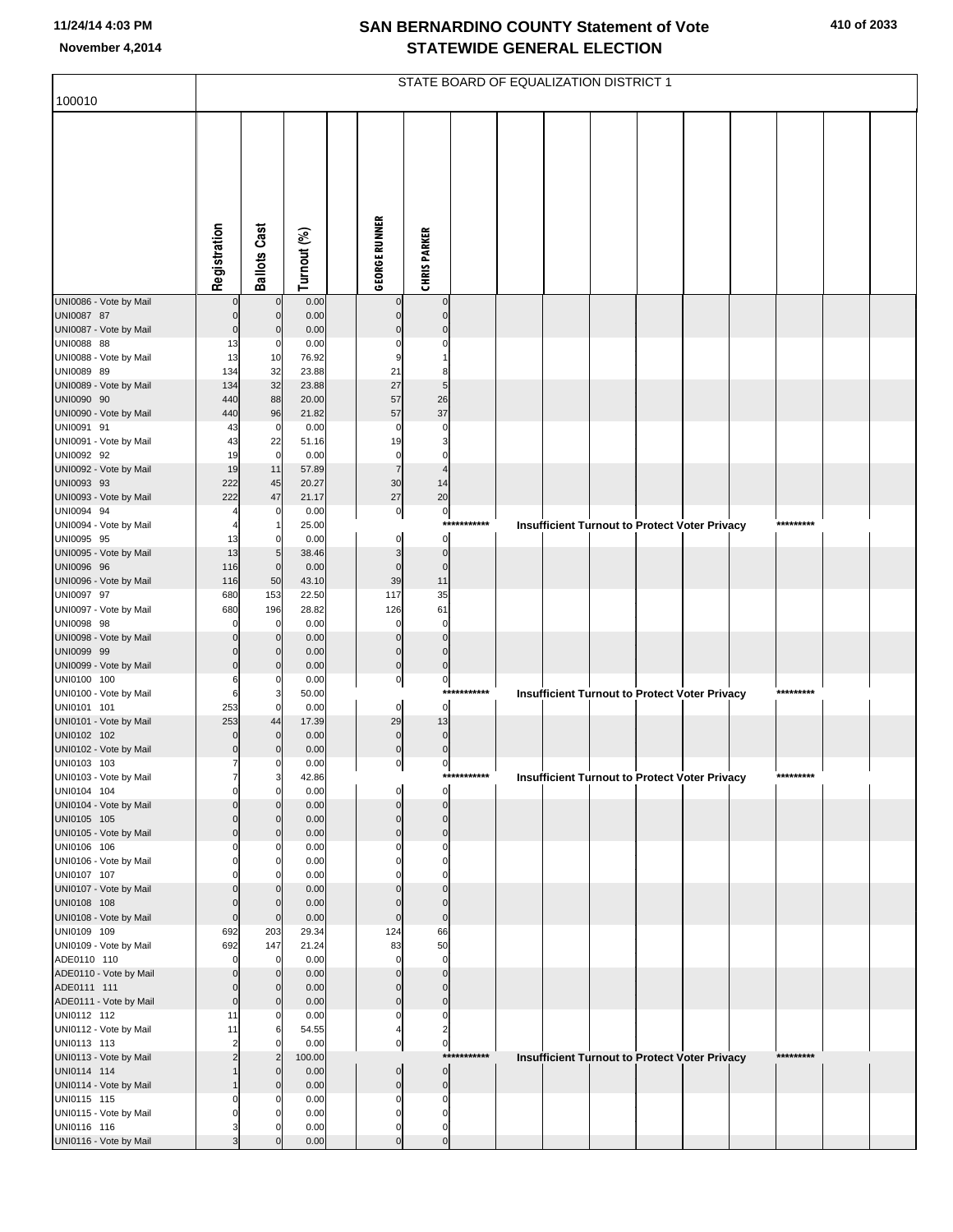|                                       |                      |                                  |                |                            |                         |             | STATE BOARD OF EQUALIZATION DISTRICT 1 |  |                                                      |           |  |
|---------------------------------------|----------------------|----------------------------------|----------------|----------------------------|-------------------------|-------------|----------------------------------------|--|------------------------------------------------------|-----------|--|
| 100010                                |                      |                                  |                |                            |                         |             |                                        |  |                                                      |           |  |
|                                       |                      |                                  |                |                            |                         |             |                                        |  |                                                      |           |  |
|                                       |                      |                                  |                |                            |                         |             |                                        |  |                                                      |           |  |
|                                       |                      |                                  |                |                            |                         |             |                                        |  |                                                      |           |  |
|                                       |                      |                                  |                |                            |                         |             |                                        |  |                                                      |           |  |
|                                       |                      |                                  |                |                            |                         |             |                                        |  |                                                      |           |  |
|                                       |                      |                                  |                |                            |                         |             |                                        |  |                                                      |           |  |
|                                       |                      |                                  |                |                            |                         |             |                                        |  |                                                      |           |  |
|                                       |                      |                                  |                |                            |                         |             |                                        |  |                                                      |           |  |
|                                       | Registration         | <b>Ballots Cast</b>              | Turnout (%)    | <b>GEORGE RUNNER</b>       | <b>CHRIS PARKER</b>     |             |                                        |  |                                                      |           |  |
| UNI0086 - Vote by Mail                |                      | $\mathbf 0$                      | 0.00           |                            | $\mathbf 0$             |             |                                        |  |                                                      |           |  |
| UNI0087 87                            |                      | $\overline{0}$                   | 0.00           | $\Omega$                   | $\Omega$                |             |                                        |  |                                                      |           |  |
| UNI0087 - Vote by Mail                | $\Omega$             | $\mathbf 0$                      | 0.00           | $\Omega$                   | $\mathcal{C}$           |             |                                        |  |                                                      |           |  |
| UNI0088 88                            | 13<br>13             | 0<br>10                          | 0.00<br>76.92  | C<br>9                     | C                       |             |                                        |  |                                                      |           |  |
| UNI0088 - Vote by Mail<br>UNI0089 89  | 134                  | 32                               | 23.88          | 21                         | 8                       |             |                                        |  |                                                      |           |  |
| UNI0089 - Vote by Mail                | 134                  | 32                               | 23.88          | 27                         | 5                       |             |                                        |  |                                                      |           |  |
| UNI0090 90                            | 440                  | 88                               | 20.00          | 57                         | 26                      |             |                                        |  |                                                      |           |  |
| UNI0090 - Vote by Mail<br>UNI0091 91  | 440<br>43            | 96<br>$\overline{0}$             | 21.82<br>0.00  | 57<br>$\mathbf 0$          | 37<br>$\mathsf{C}$      |             |                                        |  |                                                      |           |  |
| UNI0091 - Vote by Mail                | 43                   | 22                               | 51.16          | 19                         | 3                       |             |                                        |  |                                                      |           |  |
| UNI0092 92                            | 19                   | $\mathbf 0$                      | 0.00           | $\mathbf 0$                | $\sqrt{ }$              |             |                                        |  |                                                      |           |  |
| UNI0092 - Vote by Mail<br>UNI0093 93  | 19<br>222            | 11<br>45                         | 57.89<br>20.27 | $\overline{7}$<br>30       | $\overline{4}$<br>14    |             |                                        |  |                                                      |           |  |
| UNI0093 - Vote by Mail                | 222                  | 47                               | 21.17          | 27                         | 20                      |             |                                        |  |                                                      |           |  |
| UNI0094 94                            |                      | 0                                | 0.00           | $\pmb{0}$                  | $\mathbf 0$             |             |                                        |  |                                                      |           |  |
| UNI0094 - Vote by Mail                |                      |                                  | 25.00          |                            |                         | *********** |                                        |  | <b>Insufficient Turnout to Protect Voter Privacy</b> | ********* |  |
| UNI0095 95<br>UNI0095 - Vote by Mail  | 13<br>13             | $\mathbf 0$<br>$5\overline{a}$   | 0.00<br>38.46  | $\Omega$<br>3              | $\Omega$<br>$\mathbf 0$ |             |                                        |  |                                                      |           |  |
| UNI0096 96                            | 116                  | $\mathbf{0}$                     | 0.00           | $\mathbf 0$                | $\mathbf 0$             |             |                                        |  |                                                      |           |  |
| UNI0096 - Vote by Mail                | 116                  | 50                               | 43.10          | 39                         | 11                      |             |                                        |  |                                                      |           |  |
| UNI0097 97<br>UNI0097 - Vote by Mail  | 680<br>680           | 153<br>196                       | 22.50<br>28.82 | 117<br>126                 | 35<br>61                |             |                                        |  |                                                      |           |  |
| UNI0098 98                            | O                    | $\mathbf 0$                      | 0.00           | $\Omega$                   | $\mathsf{C}$            |             |                                        |  |                                                      |           |  |
| UNI0098 - Vote by Mail                |                      | $\mathbf 0$                      | 0.00           | $\Omega$                   | $\Omega$                |             |                                        |  |                                                      |           |  |
| UNI0099 99<br>UNI0099 - Vote by Mail  | $\Omega$             | $\overline{0}$<br>$\overline{0}$ | 0.00<br>0.00   | $\mathbf 0$<br>$\mathbf 0$ | $\Omega$<br>$\mathbf 0$ |             |                                        |  |                                                      |           |  |
| UNI0100 100                           | 6                    | 0                                | 0.00           | 0                          | 0                       |             |                                        |  |                                                      |           |  |
| UNI0100 - Vote by Mail                | 6                    | $\overline{\mathbf{3}}$          | 50.00          |                            |                         | *********** |                                        |  | <b>Insufficient Turnout to Protect Voter Privacy</b> | ********* |  |
| UNI0101 101<br>UNI0101 - Vote by Mail | 253<br>253           | $\mathbf 0$<br>44                | 0.00<br>17.39  | $\mathbf 0$<br>29          | $\Omega$<br>13          |             |                                        |  |                                                      |           |  |
| UNI0102 102                           | $\Omega$             | $\mathbf 0$                      | 0.00           | $\mathbf 0$                | $\mathbf 0$             |             |                                        |  |                                                      |           |  |
| UNI0102 - Vote by Mail                | O                    | $\mathbf 0$                      | 0.00           | $\mathbf 0$                | $\mathbf 0$             |             |                                        |  |                                                      |           |  |
| UNI0103 103<br>UNI0103 - Vote by Mail | 7                    | 0<br>3                           | 0.00           | 0                          | 0                       | *******     |                                        |  |                                                      | ********* |  |
| UNI0104 104                           |                      | $\Omega$                         | 42.86<br>0.00  | $\Omega$                   | $\mathbf 0$             |             |                                        |  | <b>Insufficient Turnout to Protect Voter Privacy</b> |           |  |
| UNI0104 - Vote by Mail                | $\Omega$             | $\overline{0}$                   | 0.00           | $\mathbf 0$                | $\Omega$                |             |                                        |  |                                                      |           |  |
| UNI0105 105<br>UNI0105 - Vote by Mail | $\Omega$<br>$\Omega$ | $\overline{0}$<br>$\overline{0}$ | 0.00<br>0.00   | $\Omega$<br>$\mathbf 0$    | $\Omega$<br>$\mathbf 0$ |             |                                        |  |                                                      |           |  |
| UNI0106 106                           |                      | $\mathbf 0$                      | 0.00           | C                          | C                       |             |                                        |  |                                                      |           |  |
| UNI0106 - Vote by Mail                | 0                    | $\Omega$                         | 0.00           | $\Omega$                   | $\Omega$                |             |                                        |  |                                                      |           |  |
| UNI0107 107                           | $\Omega$             | $\mathbf 0$<br>$\overline{0}$    | 0.00<br>0.00   | $\Omega$                   | $\Omega$                |             |                                        |  |                                                      |           |  |
| UNI0107 - Vote by Mail<br>UNI0108 108 | $\Omega$             | $\mathbf{0}$                     | 0.00           | $\Omega$                   | $\Omega$                |             |                                        |  |                                                      |           |  |
| UNI0108 - Vote by Mail                | $\Omega$             | $\overline{0}$                   | 0.00           | $\mathbf 0$                | $\mathbf 0$             |             |                                        |  |                                                      |           |  |
| UNI0109 109                           | 692                  | 203                              | 29.34          | 124                        | 66                      |             |                                        |  |                                                      |           |  |
| UNI0109 - Vote by Mail<br>ADE0110 110 | 692<br>$\Omega$      | 147<br>$\mathbf{0}$              | 21.24<br>0.00  | 83<br>$\mathbf 0$          | 50<br>$\mathbf 0$       |             |                                        |  |                                                      |           |  |
| ADE0110 - Vote by Mail                | $\Omega$             | $\mathbf{0}$                     | 0.00           | $\Omega$                   | $\Omega$                |             |                                        |  |                                                      |           |  |
| ADE0111 111                           | $\Omega$             | $\overline{0}$                   | 0.00           | $\Omega$                   | $\Omega$                |             |                                        |  |                                                      |           |  |
| ADE0111 - Vote by Mail<br>UNI0112 112 | $\mathbf 0$<br>11    | $\overline{0}$<br>$\mathbf 0$    | 0.00<br>0.00   | $\mathbf 0$<br>0           | $\mathbf 0$<br>0        |             |                                        |  |                                                      |           |  |
| UNI0112 - Vote by Mail                | 11                   | 6                                | 54.55          | $\overline{4}$             | $\overline{2}$          |             |                                        |  |                                                      |           |  |
| UNI0113 113                           | $\overline{2}$       | 0                                | 0.00           | $\pmb{0}$                  | 0                       | *********** |                                        |  |                                                      | ********* |  |
| UNI0113 - Vote by Mail<br>UNI0114 114 | $\overline{2}$       | $\overline{2}$<br>$\overline{0}$ | 100.00<br>0.00 | $\mathbf 0$                | $\mathbf 0$             |             |                                        |  | <b>Insufficient Turnout to Protect Voter Privacy</b> |           |  |
| UNI0114 - Vote by Mail                |                      | $\overline{0}$                   | 0.00           | $\mathbf 0$                | $\mathbf 0$             |             |                                        |  |                                                      |           |  |
| UNI0115 115                           |                      | $\mathbf 0$                      | 0.00           | $\Omega$                   | $\Omega$                |             |                                        |  |                                                      |           |  |
| UNI0115 - Vote by Mail<br>UNI0116 116 | 0<br>З               | $\mathbf{0}$<br>0                | 0.00<br>0.00   | $\Omega$<br>$\Omega$       | $\Omega$<br>$\Omega$    |             |                                        |  |                                                      |           |  |
| UNI0116 - Vote by Mail                |                      | $\Omega$                         | 0.00           | $\Omega$                   | $\Omega$                |             |                                        |  |                                                      |           |  |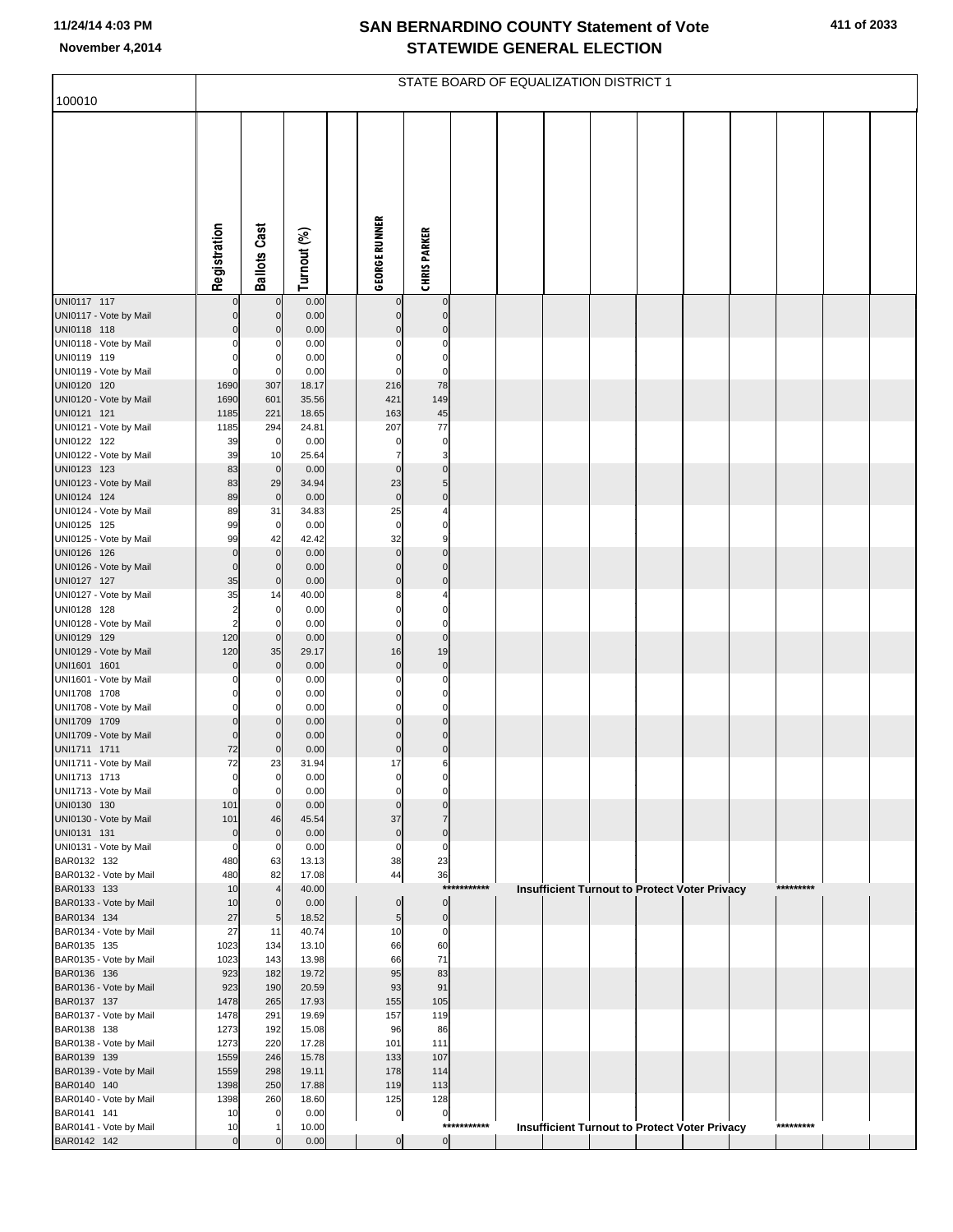|  |  | 411 of 2033 |
|--|--|-------------|
|--|--|-------------|

|                                        |                   |                            |                |                              |                                           |             | STATE BOARD OF EQUALIZATION DISTRICT 1 |  |                                                      |           |  |
|----------------------------------------|-------------------|----------------------------|----------------|------------------------------|-------------------------------------------|-------------|----------------------------------------|--|------------------------------------------------------|-----------|--|
| 100010                                 |                   |                            |                |                              |                                           |             |                                        |  |                                                      |           |  |
|                                        |                   |                            |                |                              |                                           |             |                                        |  |                                                      |           |  |
|                                        |                   |                            |                |                              |                                           |             |                                        |  |                                                      |           |  |
|                                        |                   |                            |                |                              |                                           |             |                                        |  |                                                      |           |  |
|                                        |                   |                            |                |                              |                                           |             |                                        |  |                                                      |           |  |
|                                        |                   |                            |                |                              |                                           |             |                                        |  |                                                      |           |  |
|                                        |                   |                            |                |                              |                                           |             |                                        |  |                                                      |           |  |
|                                        |                   |                            |                |                              |                                           |             |                                        |  |                                                      |           |  |
|                                        |                   |                            |                |                              |                                           |             |                                        |  |                                                      |           |  |
|                                        | Registration      | <b>Ballots Cast</b>        | Turnout (%)    | <b>GEORGE RUNNER</b>         | <b>CHRIS PARKER</b>                       |             |                                        |  |                                                      |           |  |
| UNI0117 117                            |                   | $\mathbf 0$                | 0.00           |                              | $\pmb{0}$                                 |             |                                        |  |                                                      |           |  |
| UNI0117 - Vote by Mail                 |                   | $\mathbf 0$                | 0.00           |                              | $\pmb{0}$                                 |             |                                        |  |                                                      |           |  |
| UNI0118 118<br>UNI0118 - Vote by Mail  |                   | $\mathbf 0$<br>0           | 0.00           |                              | $\pmb{0}$<br>$\pmb{0}$                    |             |                                        |  |                                                      |           |  |
| UNI0119 119                            |                   | 0                          | 0.00<br>0.00   |                              | $\pmb{0}$                                 |             |                                        |  |                                                      |           |  |
| UNI0119 - Vote by Mail                 |                   | $\mathbf 0$                | 0.00           | 0                            | $\mathbf 0$                               |             |                                        |  |                                                      |           |  |
| UNI0120 120<br>UNI0120 - Vote by Mail  | 1690              | 307                        | 18.17          | 216                          | 78                                        |             |                                        |  |                                                      |           |  |
| UNI0121 121                            | 1690<br>1185      | 601<br>221                 | 35.56<br>18.65 | 421<br>163                   | 149<br>$45\,$                             |             |                                        |  |                                                      |           |  |
| UNI0121 - Vote by Mail                 | 1185              | 294                        | 24.81          | 207                          | 77                                        |             |                                        |  |                                                      |           |  |
| UNI0122 122                            | 39                | $\pmb{0}$                  | 0.00           | 0                            | $\pmb{0}$                                 |             |                                        |  |                                                      |           |  |
| UNI0122 - Vote by Mail<br>UNI0123 123  | 39<br>83          | 10<br>$\pmb{0}$            | 25.64<br>0.00  | 7<br>$\Omega$                | $\overline{\mathbf{3}}$<br>$\overline{0}$ |             |                                        |  |                                                      |           |  |
| UNI0123 - Vote by Mail                 | 83                | 29                         | 34.94          | 23                           | 5 <sub>l</sub>                            |             |                                        |  |                                                      |           |  |
| UNI0124 124                            | 89                | $\pmb{0}$                  | 0.00           | $\pmb{0}$                    | $\overline{0}$                            |             |                                        |  |                                                      |           |  |
| UNI0124 - Vote by Mail<br>UNI0125 125  | 89<br>99          | 31<br>$\mathbf 0$          | 34.83<br>0.00  | 25<br>0                      | 4<br>0                                    |             |                                        |  |                                                      |           |  |
| UNI0125 - Vote by Mail                 | 99                | 42                         | 42.42          | 32                           | 9                                         |             |                                        |  |                                                      |           |  |
| UNI0126 126                            |                   | $\mathbf 0$                | 0.00           | 0                            | $\overline{0}$                            |             |                                        |  |                                                      |           |  |
| UNI0126 - Vote by Mail<br>UNI0127 127  | 0<br>35           | $\mathbf 0$<br>$\pmb{0}$   | 0.00<br>0.00   | $\mathbf{0}$<br>$\mathbf{0}$ | $\overline{0}$<br>$\overline{0}$          |             |                                        |  |                                                      |           |  |
| UNI0127 - Vote by Mail                 | 35                | 14                         | 40.00          | 8                            | 4                                         |             |                                        |  |                                                      |           |  |
| UNI0128 128                            |                   | $\mathbf 0$                | 0.00           |                              | 0                                         |             |                                        |  |                                                      |           |  |
| UNI0128 - Vote by Mail<br>UNI0129 129  | 2<br>120          | $\mathbf 0$<br>$\mathbf 0$ | 0.00<br>0.00   | 0<br>$\Omega$                | $\overline{0}$<br>$\overline{0}$          |             |                                        |  |                                                      |           |  |
| UNI0129 - Vote by Mail                 | 120               | 35                         | 29.17          | 16                           | 19                                        |             |                                        |  |                                                      |           |  |
| UNI1601 1601                           |                   | $\pmb{0}$                  | 0.00           | $\mathbf 0$                  | $\overline{0}$                            |             |                                        |  |                                                      |           |  |
| UNI1601 - Vote by Mail<br>UNI1708 1708 |                   | 0<br>0                     | 0.00<br>0.00   | 0                            | $\pmb{0}$<br>$\pmb{0}$                    |             |                                        |  |                                                      |           |  |
| UNI1708 - Vote by Mail                 |                   | $\Omega$                   | 0.00           | $\Omega$                     | $\overline{0}$                            |             |                                        |  |                                                      |           |  |
| UNI1709 1709                           |                   | $\mathbf 0$                | 0.00           |                              | $\overline{0}$                            |             |                                        |  |                                                      |           |  |
| UNI1709 - Vote by Mail<br>UNI1711 1711 | 72                | $\Omega$<br>0              | 0.00<br>0.00   | $\Omega$<br>$\mathbf 0$      | $\overline{0}$<br>$\overline{0}$          |             |                                        |  |                                                      |           |  |
| UNI1711 - Vote by Mail                 | 72                | 23                         | 31.94          | 17                           | 6                                         |             |                                        |  |                                                      |           |  |
| UNI1713 1713                           |                   | 0                          | 0.00           |                              | 0                                         |             |                                        |  |                                                      |           |  |
| UNI1713 - Vote by Mail<br>UNI0130 130  | C<br>101          | $\mathbf 0$<br>$\mathbf 0$ | 0.00<br>0.00   | $\Omega$<br>$\Omega$         | $\Omega$<br>$\mathbf 0$                   |             |                                        |  |                                                      |           |  |
| UNI0130 - Vote by Mail                 | 101               | 46                         | 45.54          | 37                           | $\overline{7}$                            |             |                                        |  |                                                      |           |  |
| UNI0131 131                            | $\mathbf 0$       | $\pmb{0}$                  | 0.00           | $\overline{0}$               | $\overline{0}$                            |             |                                        |  |                                                      |           |  |
| UNI0131 - Vote by Mail<br>BAR0132 132  | $\Omega$<br>480   | $\mathbf 0$<br>63          | 0.00<br>13.13  | 0<br>38                      | $\overline{0}$<br>23                      |             |                                        |  |                                                      |           |  |
| BAR0132 - Vote by Mail                 | 480               | 82                         | 17.08          | 44                           | 36                                        |             |                                        |  |                                                      |           |  |
| BAR0133 133                            | 10                | $\overline{4}$             | 40.00          |                              | $***$                                     | ***         |                                        |  | Insufficient Turnout to Protect Voter Privacy        | ********* |  |
| BAR0133 - Vote by Mail<br>BAR0134 134  | 10<br>27          | $\mathbf 0$<br>5           | 0.00<br>18.52  | $\mathbf 0$<br>5             | $\overline{0}$<br>$\overline{0}$          |             |                                        |  |                                                      |           |  |
| BAR0134 - Vote by Mail                 | 27                | 11                         | 40.74          | 10                           | $\overline{0}$                            |             |                                        |  |                                                      |           |  |
| BAR0135 135                            | 1023              | 134                        | 13.10          | 66                           | 60                                        |             |                                        |  |                                                      |           |  |
| BAR0135 - Vote by Mail<br>BAR0136 136  | 1023<br>923       | 143<br>182                 | 13.98<br>19.72 | 66<br>95                     | 71<br>83                                  |             |                                        |  |                                                      |           |  |
| BAR0136 - Vote by Mail                 | 923               | 190                        | 20.59          | 93                           | 91                                        |             |                                        |  |                                                      |           |  |
| BAR0137 137                            | 1478              | 265                        | 17.93          | 155                          | 105                                       |             |                                        |  |                                                      |           |  |
| BAR0137 - Vote by Mail<br>BAR0138 138  | 1478<br>1273      | 291<br>192                 | 19.69<br>15.08 | 157<br>96                    | 119<br>86                                 |             |                                        |  |                                                      |           |  |
| BAR0138 - Vote by Mail                 | 1273              | 220                        | 17.28          | 101                          | 111                                       |             |                                        |  |                                                      |           |  |
| BAR0139 139                            | 1559              | 246                        | 15.78          | 133                          | 107                                       |             |                                        |  |                                                      |           |  |
| BAR0139 - Vote by Mail<br>BAR0140 140  | 1559<br>1398      | 298<br>250                 | 19.11<br>17.88 | 178<br>119                   | 114<br>113                                |             |                                        |  |                                                      |           |  |
| BAR0140 - Vote by Mail                 | 1398              | 260                        | 18.60          | 125                          | 128                                       |             |                                        |  |                                                      |           |  |
| BAR0141 141                            | 10                | $\mathbf 0$                | 0.00           | $\overline{0}$               | 이                                         |             |                                        |  |                                                      |           |  |
| BAR0141 - Vote by Mail<br>BAR0142 142  | 10<br>$\mathbf 0$ | $\mathbf 0$                | 10.00<br>0.00  | $\overline{0}$               | $\overline{0}$                            | *********** |                                        |  | <b>Insufficient Turnout to Protect Voter Privacy</b> | ********* |  |
|                                        |                   |                            |                |                              |                                           |             |                                        |  |                                                      |           |  |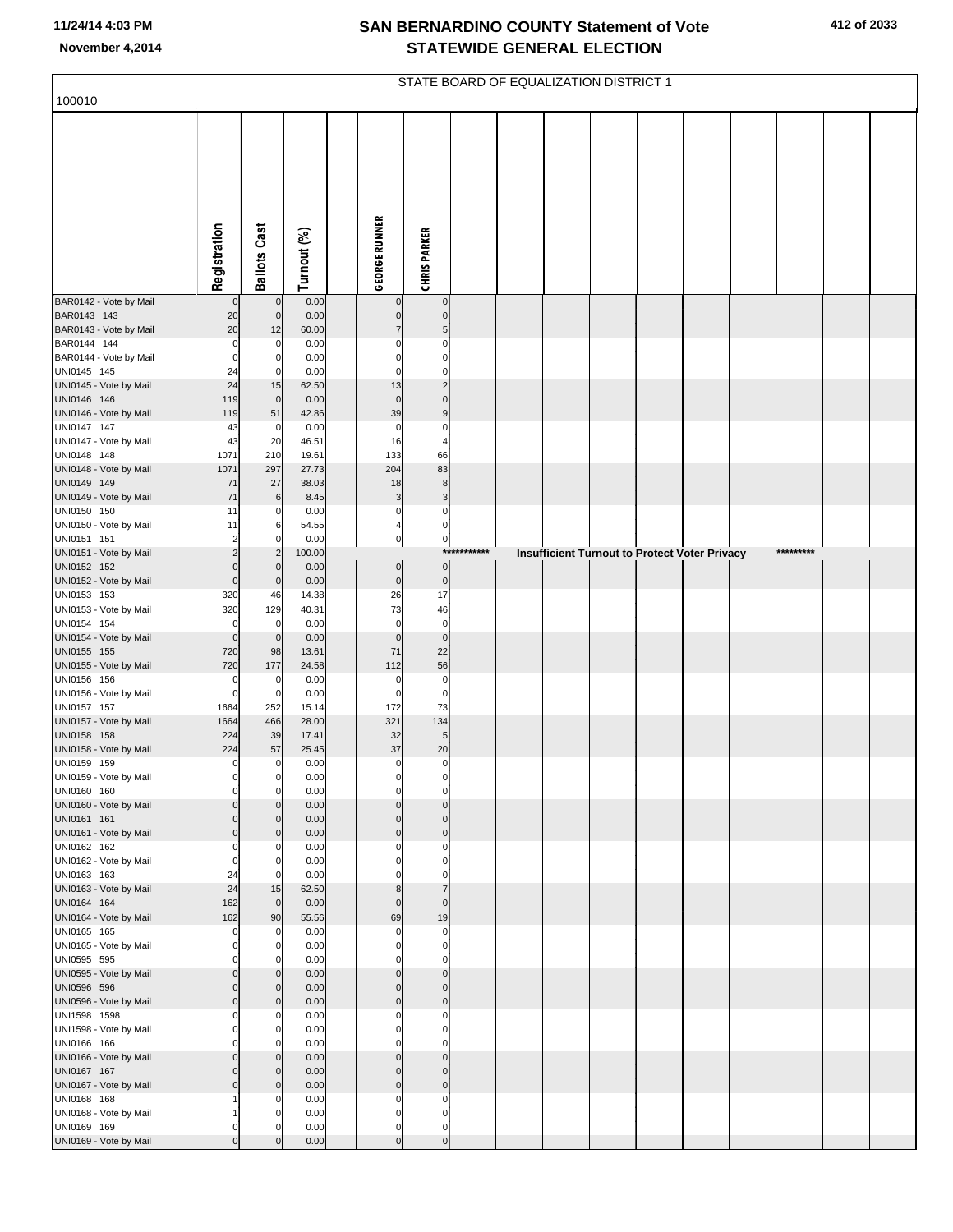| 100010                                |                 |                      |                |                      |                              |             | STATE BOARD OF EQUALIZATION DISTRICT 1 |  |                                               |           |  |
|---------------------------------------|-----------------|----------------------|----------------|----------------------|------------------------------|-------------|----------------------------------------|--|-----------------------------------------------|-----------|--|
|                                       |                 |                      |                |                      |                              |             |                                        |  |                                               |           |  |
|                                       |                 |                      |                |                      |                              |             |                                        |  |                                               |           |  |
|                                       |                 |                      |                |                      |                              |             |                                        |  |                                               |           |  |
|                                       |                 |                      |                |                      |                              |             |                                        |  |                                               |           |  |
|                                       |                 |                      |                |                      |                              |             |                                        |  |                                               |           |  |
|                                       |                 |                      |                |                      |                              |             |                                        |  |                                               |           |  |
|                                       |                 |                      |                |                      |                              |             |                                        |  |                                               |           |  |
|                                       |                 |                      |                |                      |                              |             |                                        |  |                                               |           |  |
|                                       |                 |                      |                |                      |                              |             |                                        |  |                                               |           |  |
|                                       | Registration    | <b>Ballots Cast</b>  | Turnout (%)    | <b>GEORGE RUNNER</b> | <b>CHRIS PARKER</b>          |             |                                        |  |                                               |           |  |
|                                       |                 |                      |                |                      |                              |             |                                        |  |                                               |           |  |
| BAR0142 - Vote by Mail<br>BAR0143 143 | 20              | 0<br>$\mathbf 0$     | 0.00<br>0.00   | O                    | $\mathbf 0$<br>$\mathbf 0$   |             |                                        |  |                                               |           |  |
| BAR0143 - Vote by Mail                | 20              | 12                   | 60.00          |                      | 5                            |             |                                        |  |                                               |           |  |
| BAR0144 144                           | $\Omega$        | 0                    | 0.00           |                      |                              |             |                                        |  |                                               |           |  |
| BAR0144 - Vote by Mail                | $\Omega$        | 0                    | 0.00           |                      | O                            |             |                                        |  |                                               |           |  |
| UNI0145 145<br>UNI0145 - Vote by Mail | 24<br>24        | 0<br>15              | 0.00<br>62.50  | C<br>13              | $\sqrt{ }$<br>$\overline{2}$ |             |                                        |  |                                               |           |  |
| UNI0146 146                           | 119             | $\mathbf 0$          | 0.00           | $\mathbf{0}$         | $\mathcal{C}$                |             |                                        |  |                                               |           |  |
| UNI0146 - Vote by Mail                | 119             | 51                   | 42.86          | 39                   | 9                            |             |                                        |  |                                               |           |  |
| UNI0147 147                           | 43              | $\mathbf 0$          | 0.00           | $\mathbf 0$          | $\sqrt{ }$                   |             |                                        |  |                                               |           |  |
| UNI0147 - Vote by Mail<br>UNI0148 148 | 43<br>1071      | 20<br>210            | 46.51<br>19.61 | 16<br>133            | 4<br>66                      |             |                                        |  |                                               |           |  |
| UNI0148 - Vote by Mail                | 1071            | 297                  | 27.73          | 204                  | 83                           |             |                                        |  |                                               |           |  |
| UNI0149 149                           | 71              | 27                   | 38.03          | 18                   | 8                            |             |                                        |  |                                               |           |  |
| UNI0149 - Vote by Mail                | 71              | 6                    | 8.45           | 3                    | 3                            |             |                                        |  |                                               |           |  |
| UNI0150 150<br>UNI0150 - Vote by Mail | 11<br>11        | $\Omega$<br>6        | 0.00<br>54.55  | 0                    | $\Omega$<br>$\mathbf 0$      |             |                                        |  |                                               |           |  |
| UNI0151 151                           | $\overline{2}$  | $\Omega$             | 0.00           | $\pmb{0}$            | $\overline{0}$               |             |                                        |  |                                               |           |  |
| UNI0151 - Vote by Mail                | $\overline{c}$  | $\overline{c}$       | 100.00         |                      |                              | *********** |                                        |  | Insufficient Turnout to Protect Voter Privacy | ********* |  |
| UNI0152 152                           | $\Omega$        | $\mathbf 0$          | 0.00           | $\pmb{0}$            | $\mathbf 0$                  |             |                                        |  |                                               |           |  |
| UNI0152 - Vote by Mail<br>UNI0153 153 | $\Omega$<br>320 | $\mathbf 0$<br>46    | 0.00<br>14.38  | $\pmb{0}$<br>26      | $\pmb{0}$<br>17              |             |                                        |  |                                               |           |  |
| UNI0153 - Vote by Mail                | 320             | 129                  | 40.31          | 73                   | 46                           |             |                                        |  |                                               |           |  |
| UNI0154 154                           | $\Omega$        | 0                    | 0.00           | $\Omega$             | $\mathbf 0$                  |             |                                        |  |                                               |           |  |
| UNI0154 - Vote by Mail                | $\Omega$        | $\mathbf 0$          | 0.00           | $\Omega$             | $\mathbf 0$                  |             |                                        |  |                                               |           |  |
| UNI0155 155<br>UNI0155 - Vote by Mail | 720<br>720      | 98<br>177            | 13.61<br>24.58 | 71<br>112            | 22<br>56                     |             |                                        |  |                                               |           |  |
| UNI0156 156                           | $\mathbf{0}$    | 0                    | 0.00           | $\Omega$             | $\Omega$                     |             |                                        |  |                                               |           |  |
| UNI0156 - Vote by Mail                | $\Omega$        | $\mathbf 0$          | 0.00           | $\Omega$             | 0                            |             |                                        |  |                                               |           |  |
| UNI0157 157                           | 1664            | 252                  | 15.14          | 172<br>321           | 73<br>134                    |             |                                        |  |                                               |           |  |
| UNI0157 - Vote by Mail<br>UNI0158 158 | 1664<br>224     | 466<br>39            | 28.00<br>17.41 | 32                   | $\overline{5}$               |             |                                        |  |                                               |           |  |
| UNI0158 - Vote by Mail                | 224             | 57                   | 25.45          | 37                   | 20                           |             |                                        |  |                                               |           |  |
| UNI0159 159                           | $\Omega$        | O                    | 0.00           | $\mathbf 0$          | $\mathbf 0$                  |             |                                        |  |                                               |           |  |
| UNI0159 - Vote by Mail<br>UNI0160 160 | $\Omega$        | 0                    | 0.00<br>0.00   | $\Omega$             | O                            |             |                                        |  |                                               |           |  |
| UNI0160 - Vote by Mail                |                 | U                    | 0.00           | O                    | $\Omega$                     |             |                                        |  |                                               |           |  |
| UNI0161 161                           |                 | $\Omega$             | 0.00           | O                    | $\mathsf{C}$                 |             |                                        |  |                                               |           |  |
| UNI0161 - Vote by Mail                |                 | $\Omega$             | 0.00           | $\Omega$             | $\Omega$                     |             |                                        |  |                                               |           |  |
| UNI0162 162<br>UNI0162 - Vote by Mail | $\Omega$        | 0                    | 0.00<br>0.00   |                      | ſ<br>0                       |             |                                        |  |                                               |           |  |
| UNI0163 163                           | 24              | $\Omega$             | 0.00           |                      | $\sqrt{ }$                   |             |                                        |  |                                               |           |  |
| UNI0163 - Vote by Mail                | 24              | 15                   | 62.50          | 8                    |                              |             |                                        |  |                                               |           |  |
| UNI0164 164                           | 162             | $\mathbf 0$          | 0.00           | $\mathbf 0$          | $\mathbf{0}$                 |             |                                        |  |                                               |           |  |
| UNI0164 - Vote by Mail<br>UNI0165 165 | 162<br>$\Omega$ | 90<br>$\Omega$       | 55.56<br>0.00  | 69<br>$\Omega$       | 19<br>$\Omega$               |             |                                        |  |                                               |           |  |
| UNI0165 - Vote by Mail                |                 | $\Omega$             | 0.00           |                      | $\Omega$                     |             |                                        |  |                                               |           |  |
| UNI0595 595                           |                 | n                    | 0.00           |                      | $\Omega$                     |             |                                        |  |                                               |           |  |
| UNI0595 - Vote by Mail                | $\Omega$        | $\mathbf 0$          | 0.00           | 0                    | $\Omega$                     |             |                                        |  |                                               |           |  |
| UNI0596 596<br>UNI0596 - Vote by Mail |                 | $\Omega$<br>$\Omega$ | 0.00<br>0.00   | $\Omega$<br>$\Omega$ | $\Omega$<br>$\mathbf 0$      |             |                                        |  |                                               |           |  |
| UNI1598 1598                          |                 |                      | 0.00           |                      | ſ                            |             |                                        |  |                                               |           |  |
| UNI1598 - Vote by Mail                |                 | $\Omega$             | 0.00           |                      | O                            |             |                                        |  |                                               |           |  |
| UNI0166 166                           |                 |                      | 0.00           |                      |                              |             |                                        |  |                                               |           |  |
| UNI0166 - Vote by Mail<br>UNI0167 167 |                 | $\Omega$<br>$\Omega$ | 0.00<br>0.00   | O<br>$\Omega$        | $\Omega$<br>$\Omega$         |             |                                        |  |                                               |           |  |
| UNI0167 - Vote by Mail                |                 | $\Omega$             | 0.00           | $\Omega$             | $\Omega$                     |             |                                        |  |                                               |           |  |
| UNI0168 168                           |                 |                      | 0.00           |                      | $\Omega$                     |             |                                        |  |                                               |           |  |
| UNI0168 - Vote by Mail<br>UNI0169 169 | C               | 0                    | 0.00<br>0.00   | 0<br>$\Omega$        | $\mathbf 0$<br>$\mathbf 0$   |             |                                        |  |                                               |           |  |
| UNI0169 - Vote by Mail                | $\Omega$        |                      | 0.00           | $\mathbf 0$          | $\pmb{0}$                    |             |                                        |  |                                               |           |  |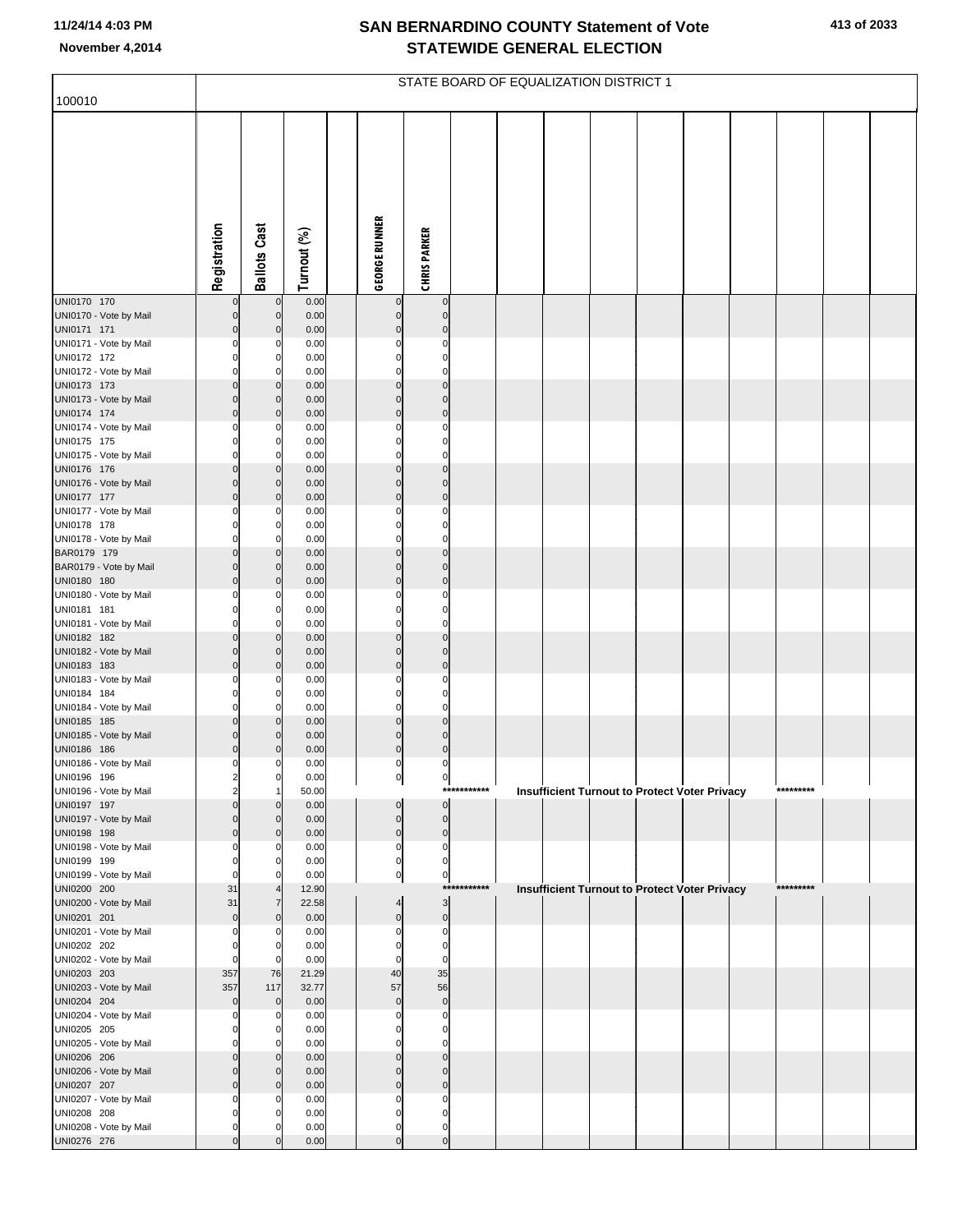| 100010                                |                                  |                              |               |                               |                            |             | STATE BOARD OF EQUALIZATION DISTRICT 1 |                                                      |  |  |           |  |
|---------------------------------------|----------------------------------|------------------------------|---------------|-------------------------------|----------------------------|-------------|----------------------------------------|------------------------------------------------------|--|--|-----------|--|
|                                       |                                  |                              |               |                               |                            |             |                                        |                                                      |  |  |           |  |
|                                       |                                  |                              |               |                               |                            |             |                                        |                                                      |  |  |           |  |
|                                       | Registration                     | <b>Ballots Cast</b>          | Turnout (%)   | <b>GEORGE RUNNER</b>          | <b>CHRIS PARKER</b>        |             |                                        |                                                      |  |  |           |  |
| UNI0170 170                           | $\mathbf 0$                      | $\mathbf 0$                  | 0.00          | 0                             | $\bf{0}$                   |             |                                        |                                                      |  |  |           |  |
| UNI0170 - Vote by Mail                | $\overline{0}$                   | $\mathbf 0$                  | 0.00          | $\overline{0}$                | $\mathbf 0$                |             |                                        |                                                      |  |  |           |  |
| UNI0171 171                           | $\overline{0}$                   | $\mathbf 0$                  | 0.00          | $\mathbf 0$                   | $\pmb{0}$                  |             |                                        |                                                      |  |  |           |  |
| UNI0171 - Vote by Mail                | 0                                | C                            | 0.00          | $\mathbf 0$                   | $\mathbf 0$                |             |                                        |                                                      |  |  |           |  |
| UNI0172 172                           | $\Omega$                         | 0                            | 0.00          | $\mathbf 0$                   | $\mathbf 0$                |             |                                        |                                                      |  |  |           |  |
| UNI0172 - Vote by Mail                | $\Omega$<br>$\overline{0}$       | C                            | 0.00          | $\mathbf 0$<br>$\mathbf 0$    | $\mathbf 0$<br>$\mathbf 0$ |             |                                        |                                                      |  |  |           |  |
| UNI0173 173<br>UNI0173 - Vote by Mail | $\overline{0}$                   | $\mathbf 0$<br>$\Omega$      | 0.00<br>0.00  | $\mathbf 0$                   | $\mathbf 0$                |             |                                        |                                                      |  |  |           |  |
| UNI0174 174                           | $\overline{0}$                   | $\Omega$                     | 0.00          | $\mathbf 0$                   | $\mathbf{0}$               |             |                                        |                                                      |  |  |           |  |
| UNI0174 - Vote by Mail                | $\Omega$                         | C                            | 0.00          | $\mathbf 0$                   | $\mathbf 0$                |             |                                        |                                                      |  |  |           |  |
| UNI0175 175                           | 0                                | 0                            | 0.00          | $\mathbf 0$                   | $\mathbf 0$                |             |                                        |                                                      |  |  |           |  |
| UNI0175 - Vote by Mail                | $\Omega$                         | C                            | 0.00          | $\mathbf 0$                   | $\mathbf 0$                |             |                                        |                                                      |  |  |           |  |
| UNI0176 176<br>UNI0176 - Vote by Mail | $\overline{0}$<br>$\Omega$       | $\mathbf 0$<br>$\Omega$      | 0.00<br>0.00  | $\mathbf 0$<br>$\mathbf 0$    | $\mathbf 0$<br>$\mathbf 0$ |             |                                        |                                                      |  |  |           |  |
| UNI0177 177                           | $\Omega$                         | $\Omega$                     | 0.00          | $\mathbf 0$                   | $\mathbf{0}$               |             |                                        |                                                      |  |  |           |  |
| UNI0177 - Vote by Mail                | $\Omega$                         | C                            | 0.00          | $\mathbf 0$                   | $\mathbf 0$                |             |                                        |                                                      |  |  |           |  |
| UNI0178 178                           | $\Omega$                         | 0                            | 0.00          | $\mathbf 0$                   | $\mathbf 0$                |             |                                        |                                                      |  |  |           |  |
| UNI0178 - Vote by Mail                | $\Omega$                         | $\mathsf{C}$                 | 0.00          | $\mathbf 0$                   | $\mathbf 0$                |             |                                        |                                                      |  |  |           |  |
| BAR0179 179<br>BAR0179 - Vote by Mail | $\overline{0}$<br>$\overline{0}$ | $\mathbf 0$<br>$\Omega$      | 0.00<br>0.00  | $\mathbf 0$<br>$\mathbf 0$    | $\mathbf 0$<br>$\mathbf 0$ |             |                                        |                                                      |  |  |           |  |
| UNI0180 180                           | $\overline{0}$                   | $\Omega$                     | 0.00          | $\mathbf 0$                   | $\mathbf{0}$               |             |                                        |                                                      |  |  |           |  |
| UNI0180 - Vote by Mail                | $\Omega$                         | C                            | 0.00          | $\mathbf 0$                   | $\mathbf 0$                |             |                                        |                                                      |  |  |           |  |
| UNI0181 181                           | 0                                | 0                            | 0.00          | $\mathbf 0$                   | $\mathbf 0$                |             |                                        |                                                      |  |  |           |  |
| UNI0181 - Vote by Mail                | $\Omega$                         | C                            | 0.00          | $\mathbf 0$                   | $\mathbf 0$                |             |                                        |                                                      |  |  |           |  |
| UNI0182 182<br>UNI0182 - Vote by Mail | $\overline{0}$<br>$\Omega$       | $\mathbf 0$<br>$\mathcal{C}$ | 0.00<br>0.00  | $\mathbf 0$<br>$\mathbf 0$    | $\mathbf 0$<br>$\mathbf 0$ |             |                                        |                                                      |  |  |           |  |
| UNI0183 183                           | $\overline{0}$                   | $\Omega$                     | 0.00          | $\mathbf 0$                   | $\mathbf{0}$               |             |                                        |                                                      |  |  |           |  |
| UNI0183 - Vote by Mail                | $\Omega$                         | C                            | 0.00          | $\mathbf 0$                   | $\mathbf 0$                |             |                                        |                                                      |  |  |           |  |
| UNI0184 184                           | $\Omega$                         | 0                            | 0.00          | $\mathbf 0$                   | $\mathbf 0$                |             |                                        |                                                      |  |  |           |  |
| UNI0184 - Vote by Mail                | $\Omega$<br>$\overline{0}$       | C<br>$\Omega$                | 0.00          | $\mathbf 0$<br>$\mathbf 0$    | $\mathbf 0$<br>$\mathbf 0$ |             |                                        |                                                      |  |  |           |  |
| UNI0185 185<br>UNI0185 - Vote by Mail | $\overline{0}$                   | C                            | 0.00<br>0.00  | $\mathbf 0$                   | $\mathbf 0$                |             |                                        |                                                      |  |  |           |  |
| UNI0186 186                           | $\overline{0}$                   | C                            | 0.00          | $\mathbf 0$                   | $\mathbf{0}$               |             |                                        |                                                      |  |  |           |  |
| UNI0186 - Vote by Mail                | 0                                | C                            | 0.00          | $\mathbf 0$                   | 0                          |             |                                        |                                                      |  |  |           |  |
| UNI0196 196                           |                                  |                              | 0.00          |                               | Ч                          |             |                                        |                                                      |  |  |           |  |
| UNI0196 - Vote by Mail<br>UNI0197 197 | $\overline{2}$<br>$\Omega$       | -1<br>$\Omega$               | 50.00<br>0.00 |                               | $\mathbf 0$                | *********** |                                        | <b>Insufficient Turnout to Protect Voter Privacy</b> |  |  | ********* |  |
| UNI0197 - Vote by Mail                | $\Omega$                         | C                            | 0.00          | $\pmb{0}$<br>$\mathbf 0$      | $\mathbf 0$                |             |                                        |                                                      |  |  |           |  |
| UNI0198 198                           | $\Omega$                         | $\mathcal{C}$                | 0.00          | $\overline{0}$                | $\mathbf 0$                |             |                                        |                                                      |  |  |           |  |
| UNI0198 - Vote by Mail                | $\Omega$                         |                              | 0.00          | $\mathbf 0$                   | $\mathbf 0$                |             |                                        |                                                      |  |  |           |  |
| UNI0199 199                           | $\Omega$<br>$\Omega$             | C                            | 0.00<br>0.00  | $\mathbf 0$<br>$\overline{0}$ | $\mathbf 0$<br>$\mathbf 0$ |             |                                        |                                                      |  |  |           |  |
| UNI0199 - Vote by Mail<br>UNI0200 200 | 31                               |                              | 12.90         |                               |                            | *********** |                                        | <b>Insufficient Turnout to Protect Voter Privacy</b> |  |  | ********* |  |
| UNI0200 - Vote by Mail                | 31                               | $\overline{7}$               | 22.58         | $\overline{4}$                | $\overline{\mathbf{3}}$    |             |                                        |                                                      |  |  |           |  |
| UNI0201 201                           | $\mathbf{0}$                     | $\Omega$                     | 0.00          | $\overline{0}$                | $\mathbf 0$                |             |                                        |                                                      |  |  |           |  |
| UNI0201 - Vote by Mail                | $\Omega$                         | C                            | 0.00          | $\mathbf 0$                   | 0                          |             |                                        |                                                      |  |  |           |  |
| UNI0202 202<br>UNI0202 - Vote by Mail | $\Omega$<br>$\Omega$             | C<br>C.                      | 0.00<br>0.00  | $\mathbf 0$<br>$\mathbf 0$    | $\mathbf 0$<br>$\mathbf 0$ |             |                                        |                                                      |  |  |           |  |
| UNI0203 203                           | 357                              | 76                           | 21.29         | 40                            | 35                         |             |                                        |                                                      |  |  |           |  |
| UNI0203 - Vote by Mail                | 357                              | 117                          | 32.77         | 57                            | 56                         |             |                                        |                                                      |  |  |           |  |
| UNI0204 204                           | $\Omega$                         | $\mathbf 0$                  | 0.00          | $\mathbf 0$                   | $\pmb{0}$                  |             |                                        |                                                      |  |  |           |  |
| UNI0204 - Vote by Mail                |                                  | C                            | 0.00          | $\mathbf 0$                   | 0                          |             |                                        |                                                      |  |  |           |  |
| UNI0205 205<br>UNI0205 - Vote by Mail | $\Omega$                         | 0                            | 0.00<br>0.00  | 0<br>$\mathbf 0$              | 0<br>$\mathbf 0$           |             |                                        |                                                      |  |  |           |  |
| UNI0206 206                           | $\Omega$                         | $\Omega$                     | 0.00          | $\pmb{0}$                     | $\mathbf 0$                |             |                                        |                                                      |  |  |           |  |
| UNI0206 - Vote by Mail                | $\Omega$                         | C                            | 0.00          | $\mathbf 0$                   | $\mathbf 0$                |             |                                        |                                                      |  |  |           |  |
| UNI0207 207                           | $\Omega$                         | C                            | 0.00          | $\mathbf 0$                   | $\mathbf 0$                |             |                                        |                                                      |  |  |           |  |
| UNI0207 - Vote by Mail                | $\Omega$                         |                              | 0.00          | $\mathbf 0$                   | $\mathbf 0$                |             |                                        |                                                      |  |  |           |  |
| UNI0208 208<br>UNI0208 - Vote by Mail | $\Omega$<br>0                    |                              | 0.00<br>0.00  | $\mathbf 0$<br>$\mathbf 0$    | 0<br>$\mathbf 0$           |             |                                        |                                                      |  |  |           |  |
| UNI0276 276                           | $\Omega$                         |                              | 0.00          | $\mathbf 0$                   | $\pmb{0}$                  |             |                                        |                                                      |  |  |           |  |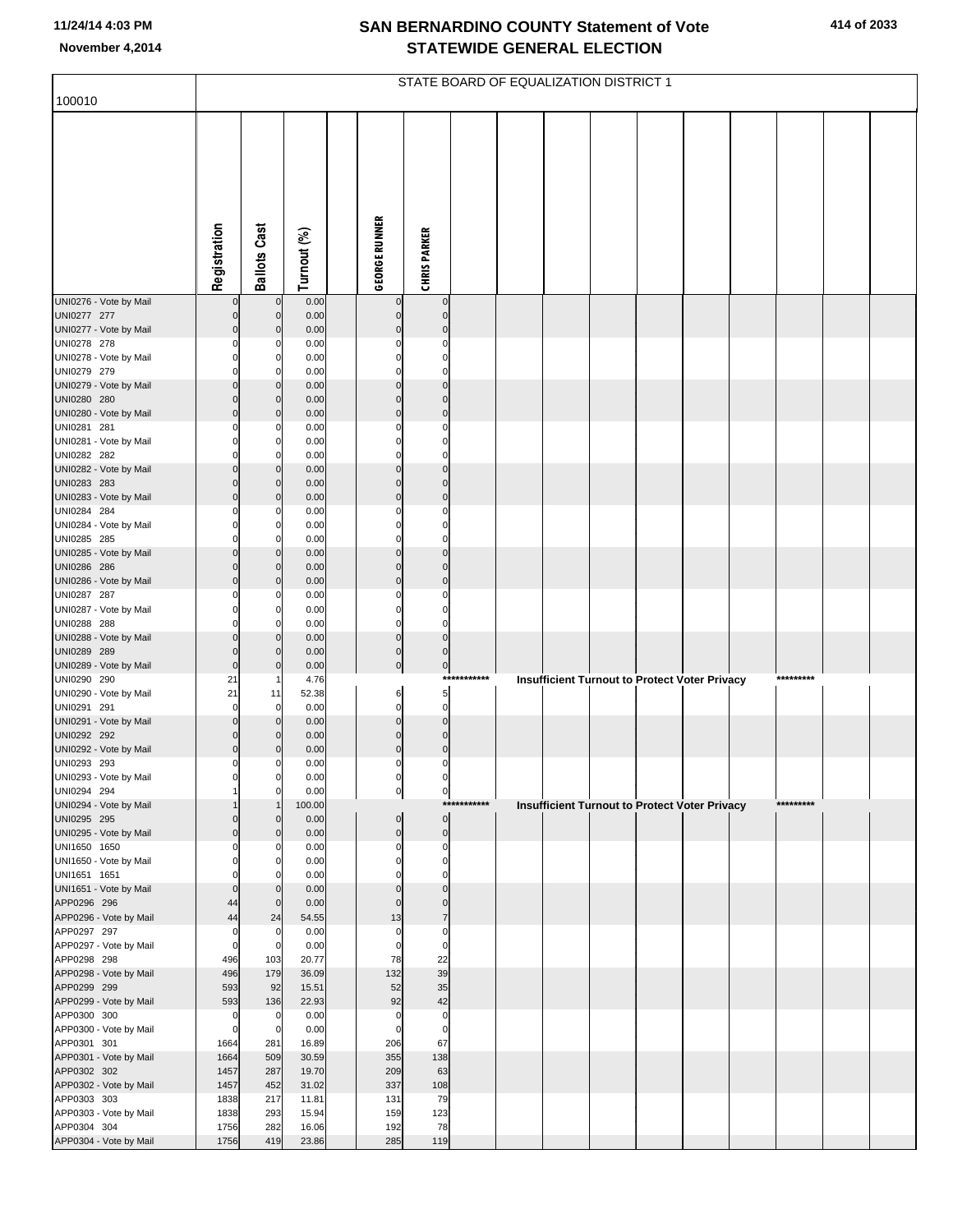| 100010                                 |                         |                            |                |                        |                                  |             | STATE BOARD OF EQUALIZATION DISTRICT 1 |  |                                                      |           |  |
|----------------------------------------|-------------------------|----------------------------|----------------|------------------------|----------------------------------|-------------|----------------------------------------|--|------------------------------------------------------|-----------|--|
|                                        |                         |                            |                |                        |                                  |             |                                        |  |                                                      |           |  |
|                                        | Registration            | <b>Ballots Cast</b>        | Turnout (%)    | <b>GEORGE RUNNER</b>   | <b>CHRIS PARKER</b>              |             |                                        |  |                                                      |           |  |
| UNI0276 - Vote by Mail                 | $\Omega$                | $\mathbf 0$                | 0.00           | 0                      | $\mathbf 0$                      |             |                                        |  |                                                      |           |  |
| UNI0277 277                            | $\Omega$                | $\mathbf 0$                | 0.00           | $\pmb{0}$              | $\mathbf 0$                      |             |                                        |  |                                                      |           |  |
| UNI0277 - Vote by Mail                 | $\Omega$                | $\mathbf 0$                | 0.00           | $\mathbf 0$            | $\mathbf 0$                      |             |                                        |  |                                                      |           |  |
| UNI0278 278<br>UNI0278 - Vote by Mail  | $\Omega$                | C<br>$\Omega$              | 0.00<br>0.00   | $\Omega$<br>$\Omega$   | $\mathbf 0$<br>$\mathbf 0$       |             |                                        |  |                                                      |           |  |
| UNI0279 279                            | $\Omega$                | C                          | 0.00           | $\Omega$               | $\mathbf 0$                      |             |                                        |  |                                                      |           |  |
| UNI0279 - Vote by Mail                 | $\Omega$                | $\mathbf 0$                | 0.00           | $\pmb{0}$              | $\mathbf 0$                      |             |                                        |  |                                                      |           |  |
| UNI0280 280                            | $\Omega$                | $\mathbf 0$                | 0.00           | $\pmb{0}$              | $\mathbf 0$                      |             |                                        |  |                                                      |           |  |
| UNI0280 - Vote by Mail<br>UNI0281 281  | $\Omega$<br>$\Omega$    | $\Omega$<br>C              | 0.00<br>0.00   | $\pmb{0}$<br>$\Omega$  | $\mathbf 0$<br>$\mathbf 0$       |             |                                        |  |                                                      |           |  |
| UNI0281 - Vote by Mail                 |                         | 0                          | 0.00           | $\Omega$               | $\mathbf 0$                      |             |                                        |  |                                                      |           |  |
| UNI0282 282                            | $\Omega$                | C                          | 0.00           | $\Omega$               | $\mathbf 0$                      |             |                                        |  |                                                      |           |  |
| UNI0282 - Vote by Mail                 | $\Omega$                | $\mathbf 0$                | 0.00           | $\mathbf 0$            | $\mathbf 0$                      |             |                                        |  |                                                      |           |  |
| UNI0283 283                            | $\Omega$<br>$\Omega$    | $\Omega$                   | 0.00           | $\mathbf 0$            | $\mathbf 0$<br>$\mathbf 0$       |             |                                        |  |                                                      |           |  |
| UNI0283 - Vote by Mail<br>UNI0284 284  | $\Omega$                | $\mathbf 0$<br>C           | 0.00<br>0.00   | $\pmb{0}$<br>$\Omega$  | $\mathbf 0$                      |             |                                        |  |                                                      |           |  |
| UNI0284 - Vote by Mail                 |                         | $\Omega$                   | 0.00           | $\Omega$               | $\mathbf 0$                      |             |                                        |  |                                                      |           |  |
| UNI0285 285                            | $\Omega$                | C                          | 0.00           | $\Omega$               | $\mathbf 0$                      |             |                                        |  |                                                      |           |  |
| UNI0285 - Vote by Mail                 | $\Omega$<br>$\Omega$    | $\mathbf 0$                | 0.00           | $\pmb{0}$              | $\mathbf 0$<br>$\mathbf 0$       |             |                                        |  |                                                      |           |  |
| UNI0286 286<br>UNI0286 - Vote by Mail  | $\Omega$                | $\mathbf 0$<br>$\Omega$    | 0.00<br>0.00   | $\pmb{0}$<br>$\pmb{0}$ | $\mathbf 0$                      |             |                                        |  |                                                      |           |  |
| UNI0287 287                            |                         | C                          | 0.00           | $\Omega$               | $\mathbf 0$                      |             |                                        |  |                                                      |           |  |
| UNI0287 - Vote by Mail                 |                         | $\Omega$                   | 0.00           | 0                      | $\mathbf 0$                      |             |                                        |  |                                                      |           |  |
| UNI0288 288                            | $\Omega$                | C                          | 0.00           | $\mathbf 0$            | $\mathbf 0$                      |             |                                        |  |                                                      |           |  |
| UNI0288 - Vote by Mail<br>UNI0289 289  | $\Omega$<br>$\Omega$    | $\Omega$<br>$\mathcal{C}$  | 0.00<br>0.00   | $\pmb{0}$<br>$\pmb{0}$ | $\mathbf 0$<br>$\overline{0}$    |             |                                        |  |                                                      |           |  |
| UNI0289 - Vote by Mail                 | $\Omega$                | $\mathbf 0$                | 0.00           | $\mathbf 0$            | $\circ$                          |             |                                        |  |                                                      |           |  |
| UNI0290 290                            | 21                      |                            | 4.76           |                        |                                  | *********** |                                        |  | <b>Insufficient Turnout to Protect Voter Privacy</b> | ********* |  |
| UNI0290 - Vote by Mail                 | 21                      | 11                         | 52.38          | 6<br>$\mathbf 0$       | 5 <sub>5</sub><br>$\overline{0}$ |             |                                        |  |                                                      |           |  |
| UNI0291 291<br>UNI0291 - Vote by Mail  | $\mathbf 0$<br>$\Omega$ | $\mathbf 0$<br>$\mathbf 0$ | 0.00<br>0.00   | $\pmb{0}$              | $\pmb{0}$                        |             |                                        |  |                                                      |           |  |
| UNI0292 292                            | $\Omega$                | C                          | 0.00           | $\mathbf 0$            | $\mathbf 0$                      |             |                                        |  |                                                      |           |  |
| UNI0292 - Vote by Mail                 | $\Omega$                | C                          | 0.00           | $\mathbf 0$            | $\pmb{0}$                        |             |                                        |  |                                                      |           |  |
| UNI0293 293<br>UNI0293 - Vote by Mail  | 0                       | C                          | 0.00           | 0                      | $\mathbf 0$                      |             |                                        |  |                                                      |           |  |
| UNI0294 294                            |                         | $\mathbf 0$                | 0.00<br>0.00   | $\overline{0}$         | $\overline{0}$                   |             |                                        |  |                                                      |           |  |
| UNI0294 - Vote by Mail                 |                         |                            | 100.00         |                        |                                  | *********** |                                        |  | <b>Insufficient Turnout to Protect Voter Privacy</b> | ********* |  |
| UNI0295 295                            | $\Omega$                | $\Omega$                   | 0.00           | $\mathbf 0$            | $\overline{0}$                   |             |                                        |  |                                                      |           |  |
| UNI0295 - Vote by Mail<br>UNI1650 1650 | $\Omega$<br>$\Omega$    | $\mathbf 0$<br>0           | 0.00<br>0.00   | $\pmb{0}$<br>0         | $\overline{0}$<br>$\overline{0}$ |             |                                        |  |                                                      |           |  |
| UNI1650 - Vote by Mail                 | $\Omega$                | 0                          | 0.00           | 0                      | $\mathbf 0$                      |             |                                        |  |                                                      |           |  |
| UNI1651 1651                           | $\Omega$                | C                          | 0.00           | $\Omega$               | $\mathbf 0$                      |             |                                        |  |                                                      |           |  |
| UNI1651 - Vote by Mail                 | $\Omega$                | $\mathbf 0$                | 0.00           | $\mathbf 0$            | $\pmb{0}$                        |             |                                        |  |                                                      |           |  |
| APP0296 296<br>APP0296 - Vote by Mail  | 44<br>44                | $\mathbf 0$<br>24          | 0.00<br>54.55  | $\pmb{0}$<br>13        | $\mathbf 0$<br>$\overline{7}$    |             |                                        |  |                                                      |           |  |
| APP0297 297                            | $\mathbf 0$             | $\mathbf 0$                | 0.00           | 0                      | $\pmb{0}$                        |             |                                        |  |                                                      |           |  |
| APP0297 - Vote by Mail                 | $\mathbf 0$             | $\mathbf 0$                | 0.00           | 0                      | $\mathbf 0$                      |             |                                        |  |                                                      |           |  |
| APP0298 298                            | 496                     | 103                        | 20.77          | 78                     | 22<br>39                         |             |                                        |  |                                                      |           |  |
| APP0298 - Vote by Mail<br>APP0299 299  | 496<br>593              | 179<br>92                  | 36.09<br>15.51 | 132<br>52              | 35                               |             |                                        |  |                                                      |           |  |
| APP0299 - Vote by Mail                 | 593                     | 136                        | 22.93          | 92                     | 42                               |             |                                        |  |                                                      |           |  |
| APP0300 300                            | $\mathbf 0$             | 0                          | 0.00           | 0                      | $\pmb{0}$                        |             |                                        |  |                                                      |           |  |
| APP0300 - Vote by Mail                 | $\mathbf 0$             | 0                          | 0.00           | 0                      | $\mathbf 0$                      |             |                                        |  |                                                      |           |  |
| APP0301 301<br>APP0301 - Vote by Mail  | 1664<br>1664            | 281<br>509                 | 16.89<br>30.59 | 206<br>355             | 67<br>138                        |             |                                        |  |                                                      |           |  |
| APP0302 302                            | 1457                    | 287                        | 19.70          | 209                    | 63                               |             |                                        |  |                                                      |           |  |
| APP0302 - Vote by Mail                 | 1457                    | 452                        | 31.02          | 337                    | 108                              |             |                                        |  |                                                      |           |  |
| APP0303 303                            | 1838                    | 217                        | 11.81          | 131                    | 79                               |             |                                        |  |                                                      |           |  |
| APP0303 - Vote by Mail<br>APP0304 304  | 1838<br>1756            | 293<br>282                 | 15.94<br>16.06 | 159<br>192             | 123<br>78                        |             |                                        |  |                                                      |           |  |
| APP0304 - Vote by Mail                 | 1756                    | 419                        | 23.86          | 285                    | 119                              |             |                                        |  |                                                      |           |  |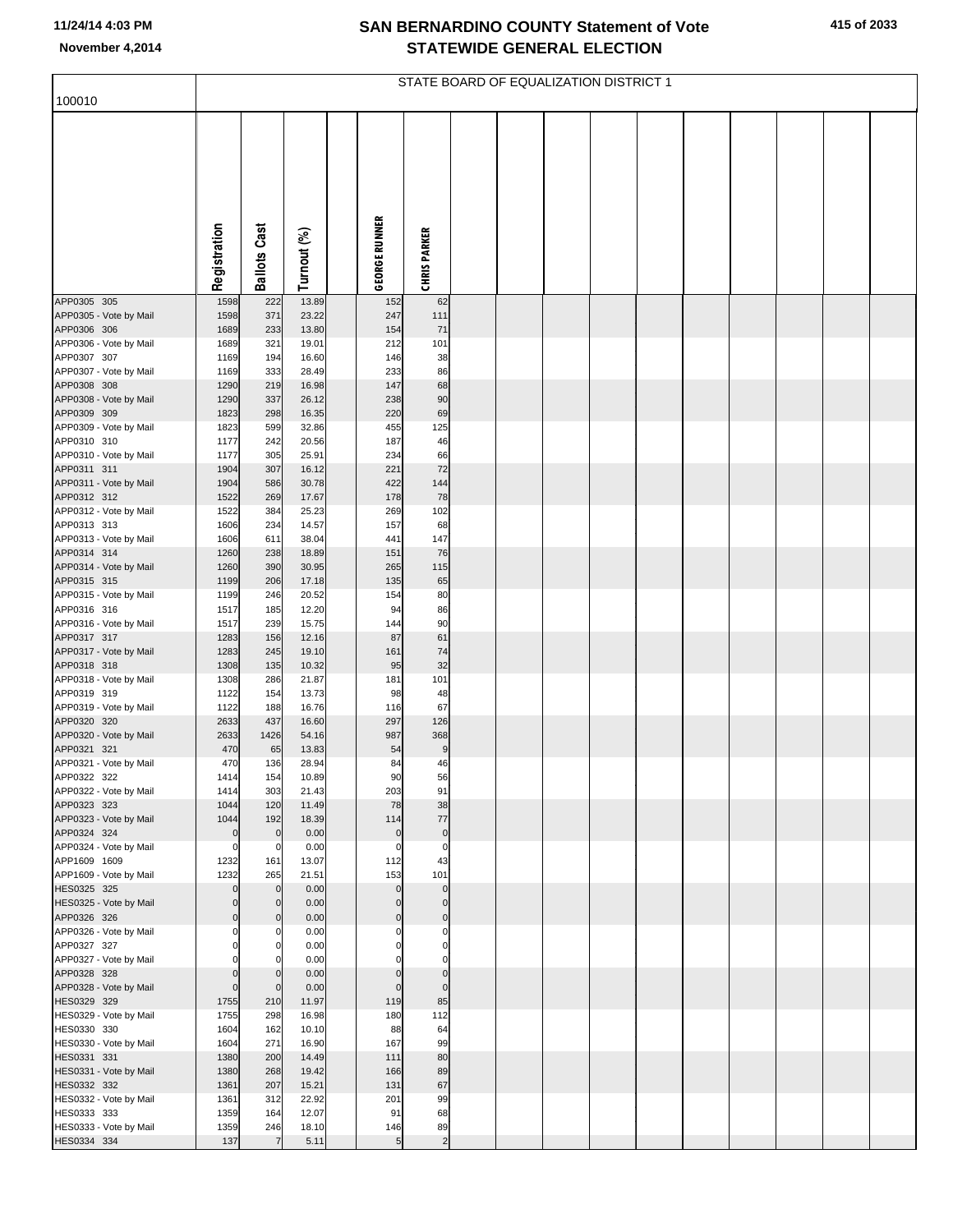| 100010                                 |                  |                      |                |                      |                      | STATE BOARD OF EQUALIZATION DISTRICT 1 |  |  |  |  |
|----------------------------------------|------------------|----------------------|----------------|----------------------|----------------------|----------------------------------------|--|--|--|--|
|                                        |                  |                      |                |                      |                      |                                        |  |  |  |  |
|                                        |                  |                      |                |                      |                      |                                        |  |  |  |  |
|                                        |                  |                      |                |                      |                      |                                        |  |  |  |  |
|                                        |                  |                      |                |                      |                      |                                        |  |  |  |  |
|                                        |                  |                      |                |                      |                      |                                        |  |  |  |  |
|                                        |                  |                      |                |                      |                      |                                        |  |  |  |  |
|                                        |                  |                      |                |                      |                      |                                        |  |  |  |  |
|                                        |                  |                      |                |                      |                      |                                        |  |  |  |  |
|                                        | Registration     | <b>Ballots Cast</b>  | Turnout (%)    | <b>GEORGE RUNNER</b> | <b>CHRISPARKER</b>   |                                        |  |  |  |  |
| APP0305 305                            | 1598             | 222                  | 13.89          | 152                  | 62                   |                                        |  |  |  |  |
| APP0305 - Vote by Mail                 | 1598             | 371                  | 23.22          | 247                  | 111                  |                                        |  |  |  |  |
| APP0306 306                            | 1689             | 233                  | 13.80          | 154                  | 71                   |                                        |  |  |  |  |
| APP0306 - Vote by Mail<br>APP0307 307  | 1689<br>1169     | 321<br>194           | 19.01<br>16.60 | 212<br>146           | 101<br>38            |                                        |  |  |  |  |
| APP0307 - Vote by Mail                 | 1169             | 333                  | 28.49          | 233                  | 86                   |                                        |  |  |  |  |
| APP0308 308                            | 1290             | 219                  | 16.98          | 147                  | 68                   |                                        |  |  |  |  |
| APP0308 - Vote by Mail<br>APP0309 309  | 1290<br>1823     | 337<br>298           | 26.12<br>16.35 | 238<br>220           | 90<br>69             |                                        |  |  |  |  |
| APP0309 - Vote by Mail                 | 1823             | 599                  | 32.86          | 455                  | 125                  |                                        |  |  |  |  |
| APP0310 310                            | 1177             | 242                  | 20.56          | 187                  | 46                   |                                        |  |  |  |  |
| APP0310 - Vote by Mail<br>APP0311 311  | 1177<br>1904     | 305<br>307           | 25.91<br>16.12 | 234<br>221           | 66<br>72             |                                        |  |  |  |  |
| APP0311 - Vote by Mail                 | 1904             | 586                  | 30.78          | 422                  | 144                  |                                        |  |  |  |  |
| APP0312 312                            | 1522             | 269                  | 17.67          | 178                  | 78                   |                                        |  |  |  |  |
| APP0312 - Vote by Mail<br>APP0313 313  | 1522<br>1606     | 384<br>234           | 25.23<br>14.57 | 269<br>157           | 102<br>68            |                                        |  |  |  |  |
| APP0313 - Vote by Mail                 | 1606             | 611                  | 38.04          | 441                  | 147                  |                                        |  |  |  |  |
| APP0314 314                            | 1260             | 238                  | 18.89          | 151                  | 76                   |                                        |  |  |  |  |
| APP0314 - Vote by Mail<br>APP0315 315  | 1260<br>1199     | 390<br>206           | 30.95<br>17.18 | 265<br>135           | 115<br>65            |                                        |  |  |  |  |
| APP0315 - Vote by Mail                 | 1199             | 246                  | 20.52          | 154                  | 80                   |                                        |  |  |  |  |
| APP0316 316                            | 1517             | 185                  | 12.20          | 94                   | 86                   |                                        |  |  |  |  |
| APP0316 - Vote by Mail<br>APP0317 317  | 1517<br>1283     | 239<br>156           | 15.75<br>12.16 | 144<br>87            | 90<br>61             |                                        |  |  |  |  |
| APP0317 - Vote by Mail                 | 1283             | 245                  | 19.10          | 161                  | 74                   |                                        |  |  |  |  |
| APP0318 318                            | 1308             | 135                  | 10.32          | 95                   | 32                   |                                        |  |  |  |  |
| APP0318 - Vote by Mail<br>APP0319 319  | 1308<br>1122     | 286<br>154           | 21.87<br>13.73 | 181<br>98            | 101<br>48            |                                        |  |  |  |  |
| APP0319 - Vote by Mail                 | 1122             | 188                  | 16.76          | 116                  | 67                   |                                        |  |  |  |  |
| APP0320 320                            | 2633             | 437                  | 16.60          | 297                  | 126                  |                                        |  |  |  |  |
| APP0320 - Vote by Mail<br>APP0321 321  | 2633<br>470      | 1426<br>65           | 54.16<br>13.83 | 987<br>54            | 368<br>9             |                                        |  |  |  |  |
| APP0321 - Vote by Mail                 | 470              | 136                  | 28.94          | 84                   | 46                   |                                        |  |  |  |  |
| APP0322 322                            | 1414             | 154                  | 10.89          | 90                   | 56                   |                                        |  |  |  |  |
| APP0322 - Vote by Mail<br>APP0323 323  | 1414<br>1044     | 303<br>120           | 21.43<br>11.49 | 203<br>78            | 91<br>38             |                                        |  |  |  |  |
| APP0323 - Vote by Mail                 | 1044             | 192                  | 18.39          | 114                  | 77                   |                                        |  |  |  |  |
| APP0324 324                            | $\Omega$         | $\mathbf 0$          | 0.00           | $\mathbf 0$          | $\mathbf 0$          |                                        |  |  |  |  |
| APP0324 - Vote by Mail<br>APP1609 1609 | $\Omega$<br>1232 | 0<br>161             | 0.00<br>13.07  | $\mathbf 0$<br>112   | $\mathbf 0$<br>43    |                                        |  |  |  |  |
| APP1609 - Vote by Mail                 | 1232             | 265                  | 21.51          | 153                  | 101                  |                                        |  |  |  |  |
| HES0325 325                            | $\Omega$         | $\mathbf 0$          | 0.00           | $\Omega$             | $\mathbf 0$          |                                        |  |  |  |  |
| HES0325 - Vote by Mail<br>APP0326 326  |                  | $\Omega$<br>$\Omega$ | 0.00<br>0.00   | C<br>C               | $\Omega$<br>$\Omega$ |                                        |  |  |  |  |
| APP0326 - Vote by Mail                 |                  |                      | 0.00           |                      | 0                    |                                        |  |  |  |  |
| APP0327 327                            |                  | 0                    | 0.00           |                      | $\Omega$             |                                        |  |  |  |  |
| APP0327 - Vote by Mail<br>APP0328 328  | $\Omega$         | $\Omega$             | 0.00<br>0.00   | C                    | C<br>$\mathbf 0$     |                                        |  |  |  |  |
| APP0328 - Vote by Mail                 | $\Omega$         | $\Omega$             | 0.00           | O                    | $\Omega$             |                                        |  |  |  |  |
| HES0329 329                            | 1755             | 210                  | 11.97          | 119                  | 85                   |                                        |  |  |  |  |
| HES0329 - Vote by Mail<br>HES0330 330  | 1755<br>1604     | 298<br>162           | 16.98<br>10.10 | 180<br>88            | 112<br>64            |                                        |  |  |  |  |
| HES0330 - Vote by Mail                 | 1604             | 271                  | 16.90          | 167                  | 99                   |                                        |  |  |  |  |
| HES0331 331                            | 1380             | 200                  | 14.49          | 111                  | 80                   |                                        |  |  |  |  |
| HES0331 - Vote by Mail<br>HES0332 332  | 1380<br>1361     | 268<br>207           | 19.42<br>15.21 | 166<br>131           | 89<br>67             |                                        |  |  |  |  |
| HES0332 - Vote by Mail                 | 1361             | 312                  | 22.92          | 201                  | 99                   |                                        |  |  |  |  |
| HES0333 333                            | 1359             | 164                  | 12.07          | 91                   | 68                   |                                        |  |  |  |  |
| HES0333 - Vote by Mail<br>HES0334 334  | 1359<br>137      | 246                  | 18.10<br>5.11  | 146<br>5             | 89<br>$\overline{c}$ |                                        |  |  |  |  |
|                                        |                  |                      |                |                      |                      |                                        |  |  |  |  |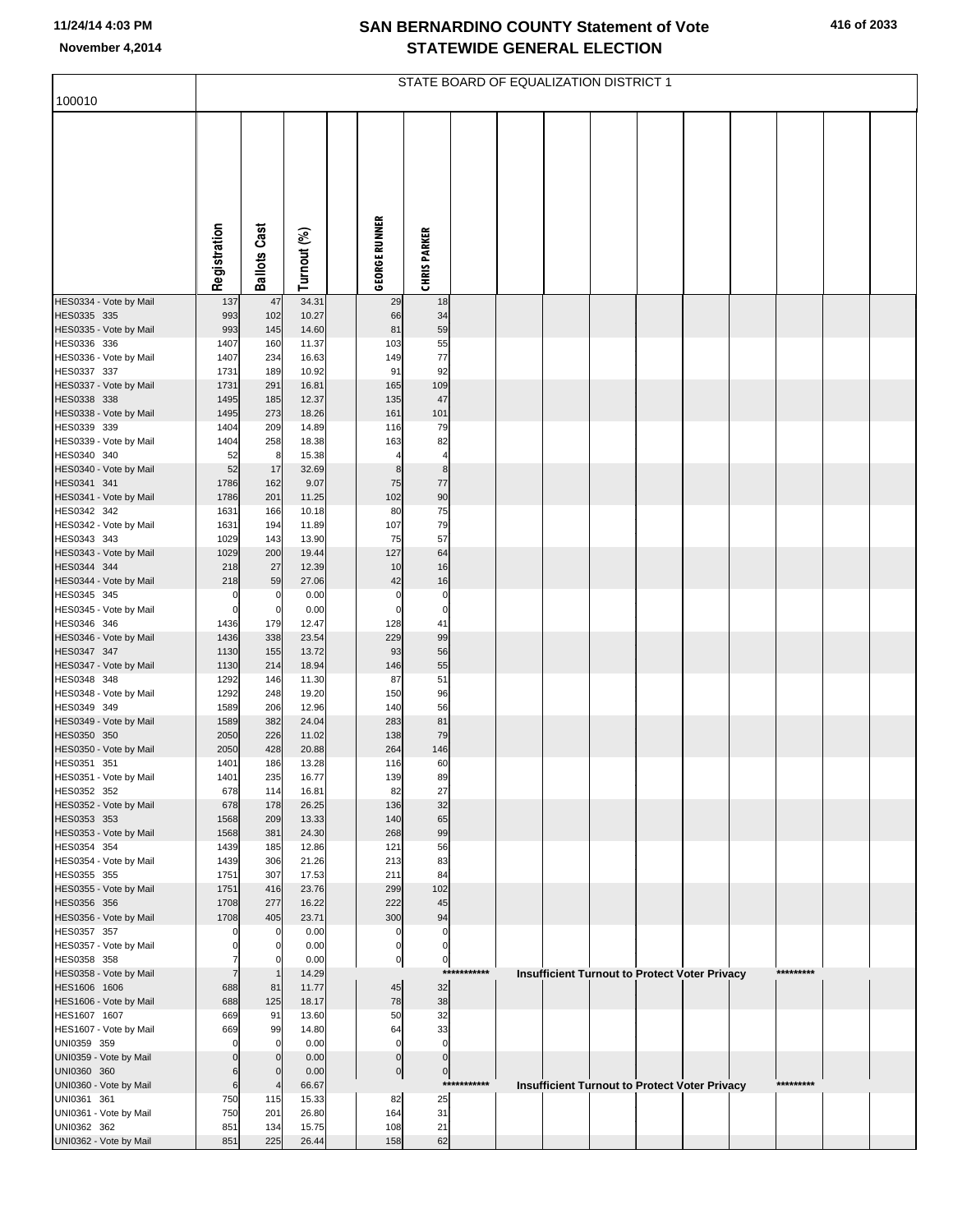| 100010                                 |                  |                             |                |                              |                            |             | STATE BOARD OF EQUALIZATION DISTRICT 1 |  |                                                      |           |  |
|----------------------------------------|------------------|-----------------------------|----------------|------------------------------|----------------------------|-------------|----------------------------------------|--|------------------------------------------------------|-----------|--|
|                                        |                  |                             |                |                              |                            |             |                                        |  |                                                      |           |  |
|                                        |                  |                             |                |                              |                            |             |                                        |  |                                                      |           |  |
|                                        |                  |                             |                |                              |                            |             |                                        |  |                                                      |           |  |
|                                        |                  |                             |                |                              |                            |             |                                        |  |                                                      |           |  |
|                                        |                  |                             |                |                              |                            |             |                                        |  |                                                      |           |  |
|                                        |                  |                             |                |                              |                            |             |                                        |  |                                                      |           |  |
|                                        |                  |                             |                |                              |                            |             |                                        |  |                                                      |           |  |
|                                        |                  |                             |                |                              |                            |             |                                        |  |                                                      |           |  |
|                                        | Registration     | <b>Ballots Cast</b>         | Turnout (%)    | <b>GEORGE RUNNER</b>         | <b>CHRISPARKER</b>         |             |                                        |  |                                                      |           |  |
|                                        |                  |                             |                |                              |                            |             |                                        |  |                                                      |           |  |
| HES0334 - Vote by Mail<br>HES0335 335  | 137<br>993       | 47<br>102                   | 34.31<br>10.27 | 29<br>66                     | 18<br>34                   |             |                                        |  |                                                      |           |  |
| HES0335 - Vote by Mail                 | 993              | 145                         | 14.60          | 81                           | 59                         |             |                                        |  |                                                      |           |  |
| HES0336 336                            | 1407             | 160                         | 11.37          | 103                          | 55                         |             |                                        |  |                                                      |           |  |
| HES0336 - Vote by Mail<br>HES0337 337  | 1407<br>1731     | 234<br>189                  | 16.63<br>10.92 | 149<br>91                    | 77<br>92                   |             |                                        |  |                                                      |           |  |
| HES0337 - Vote by Mail                 | 1731             | 291                         | 16.81          | 165                          | 109                        |             |                                        |  |                                                      |           |  |
| HES0338 338                            | 1495             | 185                         | 12.37          | 135                          | 47                         |             |                                        |  |                                                      |           |  |
| HES0338 - Vote by Mail<br>HES0339 339  | 1495<br>1404     | 273<br>209                  | 18.26<br>14.89 | 161<br>116                   | 101<br>79                  |             |                                        |  |                                                      |           |  |
| HES0339 - Vote by Mail                 | 1404             | 258                         | 18.38          | 163                          | 82                         |             |                                        |  |                                                      |           |  |
| HES0340 340                            | 52               | 8                           | 15.38          | 4                            | $\overline{4}$             |             |                                        |  |                                                      |           |  |
| HES0340 - Vote by Mail<br>HES0341 341  | 52<br>1786       | 17<br>162                   | 32.69<br>9.07  | 8<br>75                      | 8<br>77                    |             |                                        |  |                                                      |           |  |
| HES0341 - Vote by Mail                 | 1786             | 201                         | 11.25          | 102                          | 90                         |             |                                        |  |                                                      |           |  |
| HES0342 342                            | 1631             | 166                         | 10.18          | 80                           | 75                         |             |                                        |  |                                                      |           |  |
| HES0342 - Vote by Mail                 | 1631             | 194                         | 11.89          | 107                          | 79                         |             |                                        |  |                                                      |           |  |
| HES0343 343<br>HES0343 - Vote by Mail  | 1029<br>1029     | 143<br>200                  | 13.90<br>19.44 | 75<br>127                    | 57<br>64                   |             |                                        |  |                                                      |           |  |
| HES0344 344                            | 218              | 27                          | 12.39          | 10                           | 16                         |             |                                        |  |                                                      |           |  |
| HES0344 - Vote by Mail                 | 218              | 59                          | 27.06          | 42                           | 16                         |             |                                        |  |                                                      |           |  |
| HES0345 345<br>HES0345 - Vote by Mail  | 0<br>$\mathbf 0$ | 0<br>$\overline{0}$         | 0.00<br>0.00   | $\mathbf 0$<br>$\mathcal{C}$ | $\mathbf 0$<br>$\mathbf 0$ |             |                                        |  |                                                      |           |  |
| HES0346 346                            | 1436             | 179                         | 12.47          | 128                          | 41                         |             |                                        |  |                                                      |           |  |
| HES0346 - Vote by Mail                 | 1436             | 338                         | 23.54          | 229                          | 99                         |             |                                        |  |                                                      |           |  |
| HES0347 347<br>HES0347 - Vote by Mail  | 1130<br>1130     | 155<br>214                  | 13.72<br>18.94 | 93<br>146                    | 56<br>55                   |             |                                        |  |                                                      |           |  |
| HES0348 348                            | 1292             | 146                         | 11.30          | 87                           | 51                         |             |                                        |  |                                                      |           |  |
| HES0348 - Vote by Mail                 | 1292             | 248                         | 19.20          | 150                          | 96                         |             |                                        |  |                                                      |           |  |
| HES0349 349<br>HES0349 - Vote by Mail  | 1589<br>1589     | 206<br>382                  | 12.96<br>24.04 | 140<br>283                   | 56<br>81                   |             |                                        |  |                                                      |           |  |
| HES0350 350                            | 2050             | 226                         | 11.02          | 138                          | 79                         |             |                                        |  |                                                      |           |  |
| HES0350 - Vote by Mail                 | 2050             | 428                         | 20.88          | 264<br>116                   | 146                        |             |                                        |  |                                                      |           |  |
| HES0351 351<br>HES0351 - Vote by Mail  | 1401<br>1401     | 186<br>235                  | 13.28<br>16.77 | 139                          | 60<br>89                   |             |                                        |  |                                                      |           |  |
| HES0352 352                            | 678              | 114                         | 16.81          | 82                           | 27                         |             |                                        |  |                                                      |           |  |
| HES0352 - Vote by Mail                 | 678              | 178                         | 26.25          | 136                          | 32                         |             |                                        |  |                                                      |           |  |
| HES0353 353<br>HES0353 - Vote by Mail  | 1568<br>1568     | 209<br>381                  | 13.33<br>24.30 | 140<br>268                   | 65<br>99                   |             |                                        |  |                                                      |           |  |
| HES0354 354                            | 1439             | 185                         | 12.86          | 121                          | 56                         |             |                                        |  |                                                      |           |  |
| HES0354 - Vote by Mail<br>HES0355 355  | 1439<br>1751     | 306<br>307                  | 21.26<br>17.53 | 213<br>211                   | 83<br>84                   |             |                                        |  |                                                      |           |  |
| HES0355 - Vote by Mail                 | 1751             | 416                         | 23.76          | 299                          | 102                        |             |                                        |  |                                                      |           |  |
| HES0356 356                            | 1708             | 277                         | 16.22          | 222                          | 45                         |             |                                        |  |                                                      |           |  |
| HES0356 - Vote by Mail<br>HES0357 357  | 1708             | 405<br>$\mathbf 0$          | 23.71<br>0.00  | 300<br>C                     | 94<br>0                    |             |                                        |  |                                                      |           |  |
| HES0357 - Vote by Mail                 |                  | $\mathbf 0$                 | 0.00           | C                            | 0                          |             |                                        |  |                                                      |           |  |
| HES0358 358                            | $\overline{7}$   | $\Omega$                    | 0.00           | 0                            | $\mathbf 0$                |             |                                        |  |                                                      |           |  |
| HES0358 - Vote by Mail<br>HES1606 1606 | 7<br>688         | 81                          | 14.29<br>11.77 | 45                           | 32                         | *********** |                                        |  | Insufficient Turnout to Protect Voter Privacy        | ********* |  |
| HES1606 - Vote by Mail                 | 688              | 125                         | 18.17          | 78                           | 38                         |             |                                        |  |                                                      |           |  |
| HES1607 1607                           | 669              | 91                          | 13.60          | 50                           | 32                         |             |                                        |  |                                                      |           |  |
| HES1607 - Vote by Mail                 | 669              | 99                          | 14.80          | 64<br>$\Omega$               | 33<br>$\mathbf 0$          |             |                                        |  |                                                      |           |  |
| UNI0359 359<br>UNI0359 - Vote by Mail  | 0                | $\mathbf 0$<br>$\mathbf{0}$ | 0.00<br>0.00   | $\mathbf 0$                  | $\mathbf 0$                |             |                                        |  |                                                      |           |  |
| UNI0360 360                            | 6                | $\mathbf{0}$                | 0.00           | $\pmb{0}$                    | $\pmb{0}$                  |             |                                        |  |                                                      |           |  |
| UNI0360 - Vote by Mail                 | 6                |                             | 66.67          |                              |                            | *********** |                                        |  | <b>Insufficient Turnout to Protect Voter Privacy</b> | ********* |  |
| UNI0361 361<br>UNI0361 - Vote by Mail  | 750<br>750       | 115<br>201                  | 15.33<br>26.80 | 82<br>164                    | 25<br>31                   |             |                                        |  |                                                      |           |  |
| UNI0362 362                            | 851              | 134                         | 15.75          | 108                          | 21                         |             |                                        |  |                                                      |           |  |
| UNI0362 - Vote by Mail                 | 851              | 225                         | 26.44          | 158                          | 62                         |             |                                        |  |                                                      |           |  |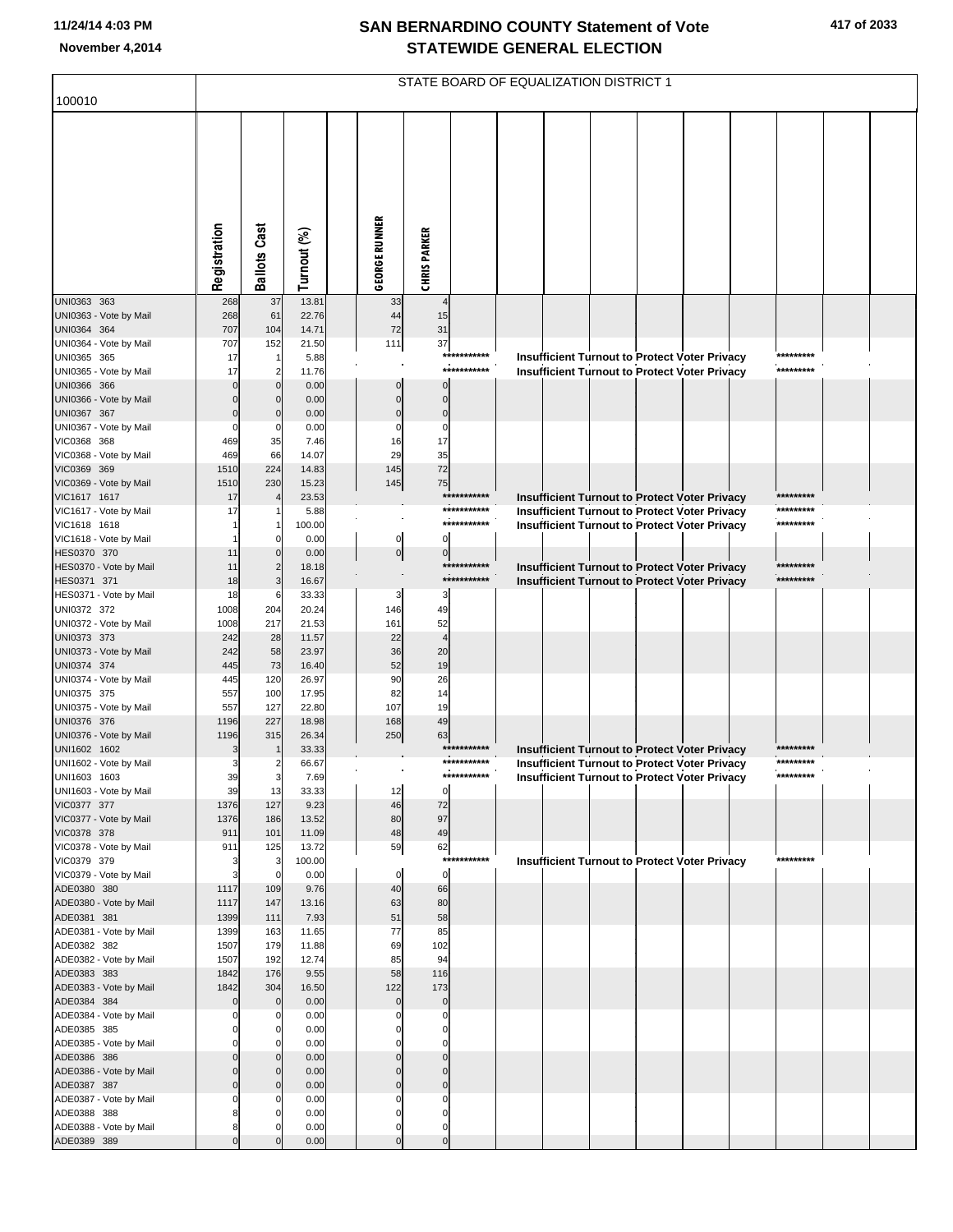|                                       |              |                     |                |                      |                      |             |  | STATE BOARD OF EQUALIZATION DISTRICT 1                                                         |  |           |  |
|---------------------------------------|--------------|---------------------|----------------|----------------------|----------------------|-------------|--|------------------------------------------------------------------------------------------------|--|-----------|--|
| 100010                                |              |                     |                |                      |                      |             |  |                                                                                                |  |           |  |
|                                       |              |                     |                |                      |                      |             |  |                                                                                                |  |           |  |
|                                       | Registration | <b>Ballots Cast</b> | Turnout (%)    | <b>GEORGE RUNNER</b> | <b>CHRISPARKER</b>   |             |  |                                                                                                |  |           |  |
|                                       |              |                     |                |                      |                      |             |  |                                                                                                |  |           |  |
| UNI0363 363<br>UNI0363 - Vote by Mail | 268          | 37<br>61            | 13.81<br>22.76 | 33<br>44             | 15                   |             |  |                                                                                                |  |           |  |
| UNI0364 364                           | 268<br>707   | 104                 | 14.71          | 72                   | 31                   |             |  |                                                                                                |  |           |  |
| UNI0364 - Vote by Mail                | 707          | 152                 | 21.50          | 111                  | 37                   |             |  |                                                                                                |  |           |  |
| UNI0365 365                           | 17           |                     | 5.88           |                      |                      | *********** |  | Insufficient Turnout to Protect Voter Privacy                                                  |  | ********* |  |
| UNI0365 - Vote by Mail                | 17           | 2                   | 11.76          |                      |                      | *********** |  | Insufficient Turnout to Protect Voter Privacy                                                  |  | ********* |  |
| UNI0366 366<br>UNI0366 - Vote by Mail |              |                     | 0.00<br>0.00   |                      | $\Omega$<br>$\Omega$ |             |  |                                                                                                |  |           |  |
| UNI0367 367                           |              |                     | 0.00           |                      | $\Omega$             |             |  |                                                                                                |  |           |  |
| UNI0367 - Vote by Mail                |              |                     | 0.00           |                      | $\Omega$             |             |  |                                                                                                |  |           |  |
| VIC0368 368                           | 469          | 35                  | 7.46           | 16                   | 17                   |             |  |                                                                                                |  |           |  |
| VIC0368 - Vote by Mail                | 469          | 66                  | 14.07          | 29                   | 35                   |             |  |                                                                                                |  |           |  |
| VIC0369 369<br>VIC0369 - Vote by Mail | 1510<br>1510 | 224<br>230          | 14.83<br>15.23 | 145<br>145           | 72<br>75             |             |  |                                                                                                |  |           |  |
| VIC1617 1617                          | 17           |                     | 23.53          |                      |                      | *********** |  | <b>Insufficient Turnout to Protect Voter Privacy</b>                                           |  |           |  |
| VIC1617 - Vote by Mail                | 17           |                     | 5.88           |                      |                      | *********** |  | Insufficient Turnout to Protect Voter Privacy                                                  |  | ********* |  |
| VIC1618 1618                          |              |                     | 100.00         |                      |                      | *********** |  | Insufficient Turnout to Protect Voter Privacy                                                  |  | ********* |  |
| VIC1618 - Vote by Mail                |              |                     | 0.00           | 0                    | $\mathbf{0}$         |             |  |                                                                                                |  |           |  |
| HES0370 370<br>HES0370 - Vote by Mail | 11<br>11     | 2                   | 0.00<br>18.18  | $\mathbf 0$          | $\overline{0}$       | *********** |  |                                                                                                |  | ********* |  |
| HES0371 371                           | 18           |                     | 16.67          |                      |                      | *********** |  | Insufficient Turnout to Protect Voter Privacy<br>Insufficient Turnout to Protect Voter Privacy |  | ********* |  |
| HES0371 - Vote by Mail                | 18           | 6                   | 33.33          |                      | 3                    |             |  |                                                                                                |  |           |  |
| UNI0372 372                           | 1008         | 204                 | 20.24          | 146                  | 49                   |             |  |                                                                                                |  |           |  |
| UNI0372 - Vote by Mail                | 1008         | 217                 | 21.53          | 161                  | 52<br>$\overline{A}$ |             |  |                                                                                                |  |           |  |
| UNI0373 373<br>UNI0373 - Vote by Mail | 242<br>242   | 28<br>58            | 11.57<br>23.97 | 22<br>36             | 20                   |             |  |                                                                                                |  |           |  |
| UNI0374 374                           | 445          | 73                  | 16.40          | 52                   | 19                   |             |  |                                                                                                |  |           |  |
| UNI0374 - Vote by Mail                | 445          | 120                 | 26.97          | 90                   | 26                   |             |  |                                                                                                |  |           |  |
| UNI0375 375                           | 557          | 100                 | 17.95          | 82                   | 14                   |             |  |                                                                                                |  |           |  |
| UNI0375 - Vote by Mail<br>UNI0376 376 | 557<br>1196  | 127<br>227          | 22.80<br>18.98 | 107<br>168           | 19<br>49             |             |  |                                                                                                |  |           |  |
| UNI0376 - Vote by Mail                | 1196         | 315                 | 26.34          | 250                  | 63                   |             |  |                                                                                                |  |           |  |
| UNI1602 1602                          | З            |                     | 33.33          |                      |                      | *********** |  | <b>Insufficient Turnout to Protect Voter Privacy</b>                                           |  | ********* |  |
| UNI1602 - Vote by Mail                | 3            | 2                   | 66.67          |                      |                      | *********** |  | <b>Insufficient Turnout to Protect Voter Privacy</b>                                           |  | ********* |  |
| UNI1603 1603                          | 39           | 3                   | 7.69           |                      |                      | *********** |  | <b>Insufficient Turnout to Protect Voter Privacy</b>                                           |  | ********* |  |
| UNI1603 - Vote by Mail<br>VIC0377 377 | 39<br>1376   | 13<br>127           | 33.33<br>9.23  | 12<br>46             | $\overline{0}$<br>72 |             |  |                                                                                                |  |           |  |
| VIC0377 - Vote by Mail                | 1376         | 186                 | 13.52          | 80                   | 97                   |             |  |                                                                                                |  |           |  |
| VIC0378 378                           | 911          | 101                 | 11.09          | 48                   | 49                   |             |  |                                                                                                |  |           |  |
| VIC0378 - Vote by Mail                | 911          | 125                 | 13.72          | 59                   | 62<br>$***$          |             |  |                                                                                                |  | ********* |  |
| VIC0379 379<br>VIC0379 - Vote by Mail | 3<br>3       | 3<br>0              | 100.00<br>0.00 | 0                    | $\overline{0}$       |             |  | <b>Insufficient Turnout to Protect Voter Privacy</b>                                           |  |           |  |
| ADE0380 380                           | 1117         | 109                 | 9.76           | 40                   | 66                   |             |  |                                                                                                |  |           |  |
| ADE0380 - Vote by Mail                | 1117         | 147                 | 13.16          | 63                   | 80                   |             |  |                                                                                                |  |           |  |
| ADE0381 381                           | 1399         | 111                 | 7.93           | 51                   | 58                   |             |  |                                                                                                |  |           |  |
| ADE0381 - Vote by Mail                | 1399         | 163                 | 11.65          | 77                   | 85                   |             |  |                                                                                                |  |           |  |
| ADE0382 382<br>ADE0382 - Vote by Mail | 1507<br>1507 | 179<br>192          | 11.88<br>12.74 | 69<br>85             | 102<br>94            |             |  |                                                                                                |  |           |  |
| ADE0383 383                           | 1842         | 176                 | 9.55           | 58                   | 116                  |             |  |                                                                                                |  |           |  |
| ADE0383 - Vote by Mail                | 1842         | 304                 | 16.50          | 122                  | 173                  |             |  |                                                                                                |  |           |  |
| ADE0384 384                           | $\Omega$     | $\Omega$            | 0.00           | $\Omega$             | $\pmb{0}$            |             |  |                                                                                                |  |           |  |
| ADE0384 - Vote by Mail<br>ADE0385 385 |              | 0                   | 0.00<br>0.00   |                      | $\Omega$<br>$\Omega$ |             |  |                                                                                                |  |           |  |
| ADE0385 - Vote by Mail                |              |                     | 0.00           |                      | $\Omega$             |             |  |                                                                                                |  |           |  |
| ADE0386 386                           |              |                     | 0.00           |                      | $\Omega$             |             |  |                                                                                                |  |           |  |
| ADE0386 - Vote by Mail                |              |                     | 0.00           | C                    | $\Omega$             |             |  |                                                                                                |  |           |  |
| ADE0387 387                           |              |                     | 0.00           | C                    | $\Omega$             |             |  |                                                                                                |  |           |  |
| ADE0387 - Vote by Mail<br>ADE0388 388 |              |                     | 0.00<br>0.00   | C                    | $\Omega$             |             |  |                                                                                                |  |           |  |
| ADE0388 - Vote by Mail                | 8            |                     | 0.00           | 0                    | $\mathbf 0$          |             |  |                                                                                                |  |           |  |
| ADE0389 389                           | $\mathbf 0$  |                     | 0.00           | $\mathbf 0$          | $\overline{0}$       |             |  |                                                                                                |  |           |  |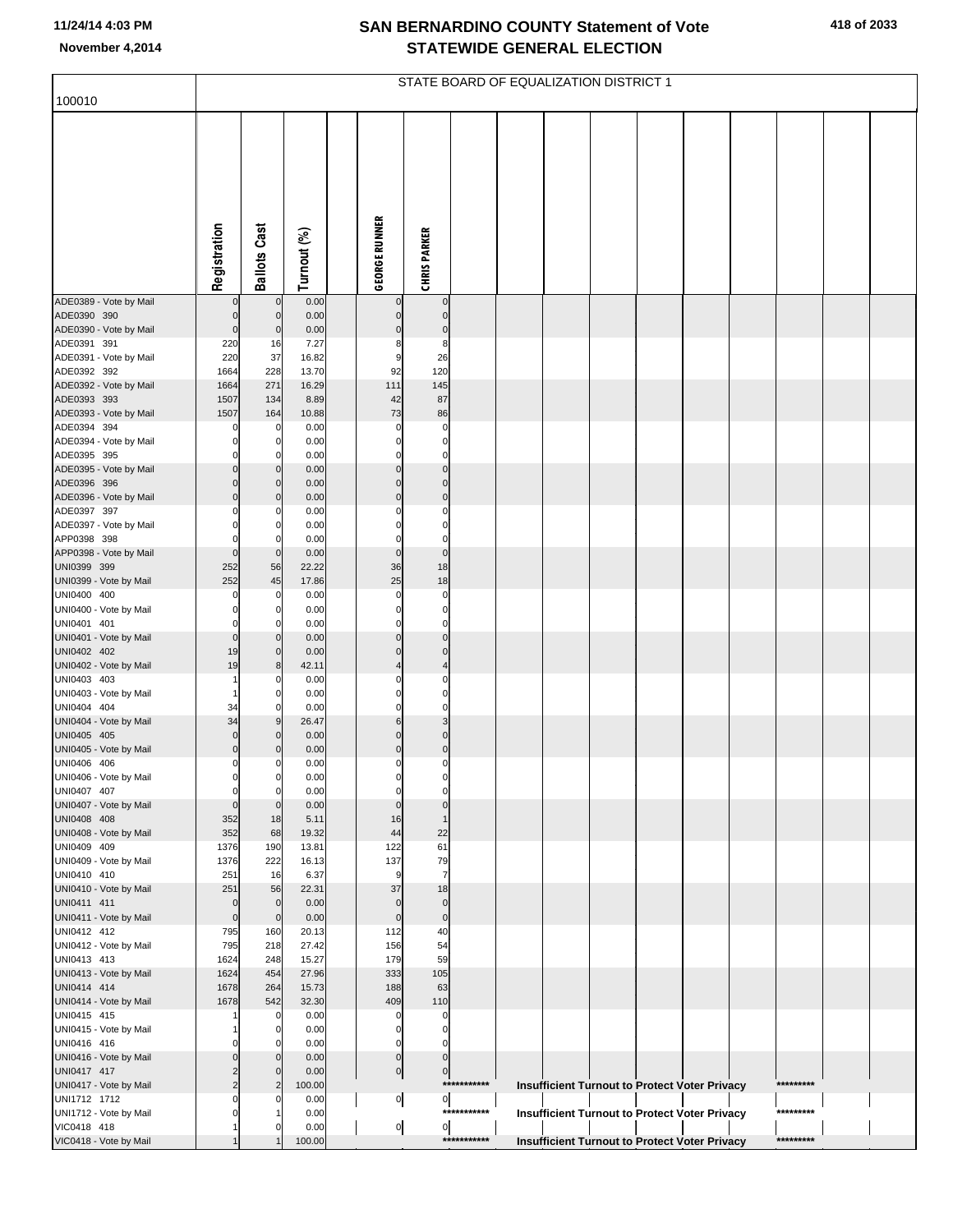| 100010                                |                         |                            |                |                      |                            |             | STATE BOARD OF EQUALIZATION DISTRICT 1 |  |                                                      |                                                      |           |  |
|---------------------------------------|-------------------------|----------------------------|----------------|----------------------|----------------------------|-------------|----------------------------------------|--|------------------------------------------------------|------------------------------------------------------|-----------|--|
|                                       |                         |                            |                |                      |                            |             |                                        |  |                                                      |                                                      |           |  |
|                                       |                         |                            |                |                      |                            |             |                                        |  |                                                      |                                                      |           |  |
|                                       |                         |                            |                |                      |                            |             |                                        |  |                                                      |                                                      |           |  |
|                                       |                         |                            |                |                      |                            |             |                                        |  |                                                      |                                                      |           |  |
|                                       |                         |                            |                |                      |                            |             |                                        |  |                                                      |                                                      |           |  |
|                                       |                         |                            |                |                      |                            |             |                                        |  |                                                      |                                                      |           |  |
|                                       |                         |                            |                |                      |                            |             |                                        |  |                                                      |                                                      |           |  |
|                                       | Registration            | <b>Ballots Cast</b>        | Turnout (%)    | <b>GEORGE RUNNER</b> | <b>CHRIS PARKER</b>        |             |                                        |  |                                                      |                                                      |           |  |
| ADE0389 - Vote by Mail                |                         | $\Omega$                   | 0.00           |                      | $\mathbf 0$                |             |                                        |  |                                                      |                                                      |           |  |
| ADE0390 390<br>ADE0390 - Vote by Mail | $\mathbf 0$<br>$\Omega$ | $\mathbf 0$<br>$\mathbf 0$ | 0.00<br>0.00   | $\Omega$             | $\mathbf 0$<br>$\mathbf 0$ |             |                                        |  |                                                      |                                                      |           |  |
| ADE0391 391                           | 220                     | 16                         | 7.27           |                      | 8                          |             |                                        |  |                                                      |                                                      |           |  |
| ADE0391 - Vote by Mail<br>ADE0392 392 | 220<br>1664             | 37<br>228                  | 16.82<br>13.70 | 9<br>92              | 26<br>120                  |             |                                        |  |                                                      |                                                      |           |  |
| ADE0392 - Vote by Mail                | 1664                    | 271                        | 16.29          | 111                  | 145                        |             |                                        |  |                                                      |                                                      |           |  |
| ADE0393 393<br>ADE0393 - Vote by Mail | 1507                    | 134                        | 8.89           | 42<br>73             | 87                         |             |                                        |  |                                                      |                                                      |           |  |
| ADE0394 394                           | 1507<br>C               | 164<br>0                   | 10.88<br>0.00  | $\Omega$             | 86<br>$\Omega$             |             |                                        |  |                                                      |                                                      |           |  |
| ADE0394 - Vote by Mail                |                         | 0                          | 0.00           | C                    | $\Omega$                   |             |                                        |  |                                                      |                                                      |           |  |
| ADE0395 395<br>ADE0395 - Vote by Mail |                         | n<br>$\mathbf 0$           | 0.00<br>0.00   | 0                    | $\Omega$<br>$\mathbf 0$    |             |                                        |  |                                                      |                                                      |           |  |
| ADE0396 396                           |                         | $\Omega$                   | 0.00           | $\Omega$             | $\Omega$                   |             |                                        |  |                                                      |                                                      |           |  |
| ADE0396 - Vote by Mail<br>ADE0397 397 |                         | $\Omega$                   | 0.00<br>0.00   | C                    | $\Omega$<br>$\Omega$       |             |                                        |  |                                                      |                                                      |           |  |
| ADE0397 - Vote by Mail                |                         | $\Omega$                   | 0.00           |                      | $\Omega$                   |             |                                        |  |                                                      |                                                      |           |  |
| APP0398 398<br>APP0398 - Vote by Mail | $\Omega$<br>$\Omega$    | $\Omega$<br>$\mathbf 0$    | 0.00<br>0.00   | C<br>$\mathbf{0}$    | $\Omega$<br>$\mathbf 0$    |             |                                        |  |                                                      |                                                      |           |  |
| UNI0399 399                           | 252                     | 56                         | 22.22          | 36                   | 18                         |             |                                        |  |                                                      |                                                      |           |  |
| UNI0399 - Vote by Mail<br>UNI0400 400 | 252<br>C                | 45                         | 17.86<br>0.00  | 25<br>$\mathcal{C}$  | 18<br>$\Omega$             |             |                                        |  |                                                      |                                                      |           |  |
| UNI0400 - Vote by Mail                |                         | 0<br>0                     | 0.00           | C                    | 0                          |             |                                        |  |                                                      |                                                      |           |  |
| UNI0401 401                           | $\Omega$                |                            | 0.00           |                      | $\sqrt{ }$                 |             |                                        |  |                                                      |                                                      |           |  |
| UNI0401 - Vote by Mail<br>UNI0402 402 | $\Omega$<br>19          | $\mathbf 0$<br>$\mathbf 0$ | 0.00<br>0.00   | 0<br>$\Omega$        | $\Omega$<br>$\Omega$       |             |                                        |  |                                                      |                                                      |           |  |
| UNI0402 - Vote by Mail                | 19                      | 8                          | 42.11          |                      | 4                          |             |                                        |  |                                                      |                                                      |           |  |
| UNI0403 403<br>UNI0403 - Vote by Mail |                         | $\Omega$                   | 0.00<br>0.00   |                      | ſ<br>$\Omega$              |             |                                        |  |                                                      |                                                      |           |  |
| UNI0404 404                           | 34                      | $\Omega$                   | 0.00           |                      | $\Omega$                   |             |                                        |  |                                                      |                                                      |           |  |
| UNI0404 - Vote by Mail<br>UNI0405 405 | 34<br>$\Omega$          | 9                          | 26.47<br>0.00  |                      | 3<br>$\Omega$              |             |                                        |  |                                                      |                                                      |           |  |
| UNI0405 - Vote by Mail                | $\Omega$                |                            | 0.00           | $\Omega$             | $\Omega$                   |             |                                        |  |                                                      |                                                      |           |  |
| UNI0406 406<br>UNI0406 - Vote by Mail | C                       |                            | 0.00<br>0.00   | C                    | $\Omega$                   |             |                                        |  |                                                      |                                                      |           |  |
| UNI0407 407                           | $\mathbf 0$             | 0                          | 0.00           | $\Omega$             | $\Omega$                   |             |                                        |  |                                                      |                                                      |           |  |
| UNI0407 - Vote by Mail<br>UNI0408 408 | $\mathbf 0$<br>352      | $\mathbf 0$<br>18          | 0.00<br>5.11   | $\Omega$<br>16       | $\mathbf 0$<br>$\mathbf 1$ |             |                                        |  |                                                      |                                                      |           |  |
| UNI0408 - Vote by Mail                | 352                     | 68                         | 19.32          | 44                   | 22                         |             |                                        |  |                                                      |                                                      |           |  |
| UNI0409 409<br>UNI0409 - Vote by Mail | 1376<br>1376            | 190<br>222                 | 13.81<br>16.13 | 122<br>137           | 61<br>79                   |             |                                        |  |                                                      |                                                      |           |  |
| UNI0410 410                           | 251                     | 16                         | 6.37           | 9                    | $\overline{7}$             |             |                                        |  |                                                      |                                                      |           |  |
| UNI0410 - Vote by Mail<br>UNI0411 411 | 251<br>$\mathbf 0$      | 56<br>$\mathbf 0$          | 22.31<br>0.00  | 37<br>$\Omega$       | 18<br>$\mathbf{0}$         |             |                                        |  |                                                      |                                                      |           |  |
| UNI0411 - Vote by Mail                | $\Omega$                | $\mathbf 0$                | 0.00           | $\Omega$             | $\mathbf 0$                |             |                                        |  |                                                      |                                                      |           |  |
| UNI0412 412                           | 795                     | 160                        | 20.13          | 112                  | 40                         |             |                                        |  |                                                      |                                                      |           |  |
| UNI0412 - Vote by Mail<br>UNI0413 413 | 795<br>1624             | 218<br>248                 | 27.42<br>15.27 | 156<br>179           | 54<br>59                   |             |                                        |  |                                                      |                                                      |           |  |
| UNI0413 - Vote by Mail                | 1624                    | 454                        | 27.96          | 333                  | 105                        |             |                                        |  |                                                      |                                                      |           |  |
| UNI0414 414<br>UNI0414 - Vote by Mail | 1678<br>1678            | 264<br>542                 | 15.73<br>32.30 | 188<br>409           | 63<br>110                  |             |                                        |  |                                                      |                                                      |           |  |
| UNI0415 415                           |                         | 0                          | 0.00           | $\Omega$             | $\Omega$                   |             |                                        |  |                                                      |                                                      |           |  |
| UNI0415 - Vote by Mail<br>UNI0416 416 |                         | 0                          | 0.00<br>0.00   | C<br>O               | 0<br>O                     |             |                                        |  |                                                      |                                                      |           |  |
| UNI0416 - Vote by Mail                |                         | $\Omega$                   | 0.00           | $\pmb{0}$            | $\mathbf 0$                |             |                                        |  |                                                      |                                                      |           |  |
| UNI0417 417<br>UNI0417 - Vote by Mail |                         | $\Omega$<br>$\overline{2}$ | 0.00<br>100.00 | $\overline{0}$       | $\overline{0}$             | *********** |                                        |  |                                                      | Insufficient Turnout to Protect Voter Privacy        | ********* |  |
| UNI1712 1712                          |                         |                            | 0.00           | 이                    | $\overline{0}$             |             |                                        |  |                                                      |                                                      |           |  |
| UNI1712 - Vote by Mail<br>VIC0418 418 |                         |                            | 0.00<br>0.00   |                      | $\overline{0}$             | *********** |                                        |  |                                                      | <b>Insufficient Turnout to Protect Voter Privacy</b> | ********* |  |
| VIC0418 - Vote by Mail                |                         |                            | 100.00         | $\overline{0}$       |                            | *********** |                                        |  | <b>Insufficient Turnout to Protect Voter Privacy</b> |                                                      | ********* |  |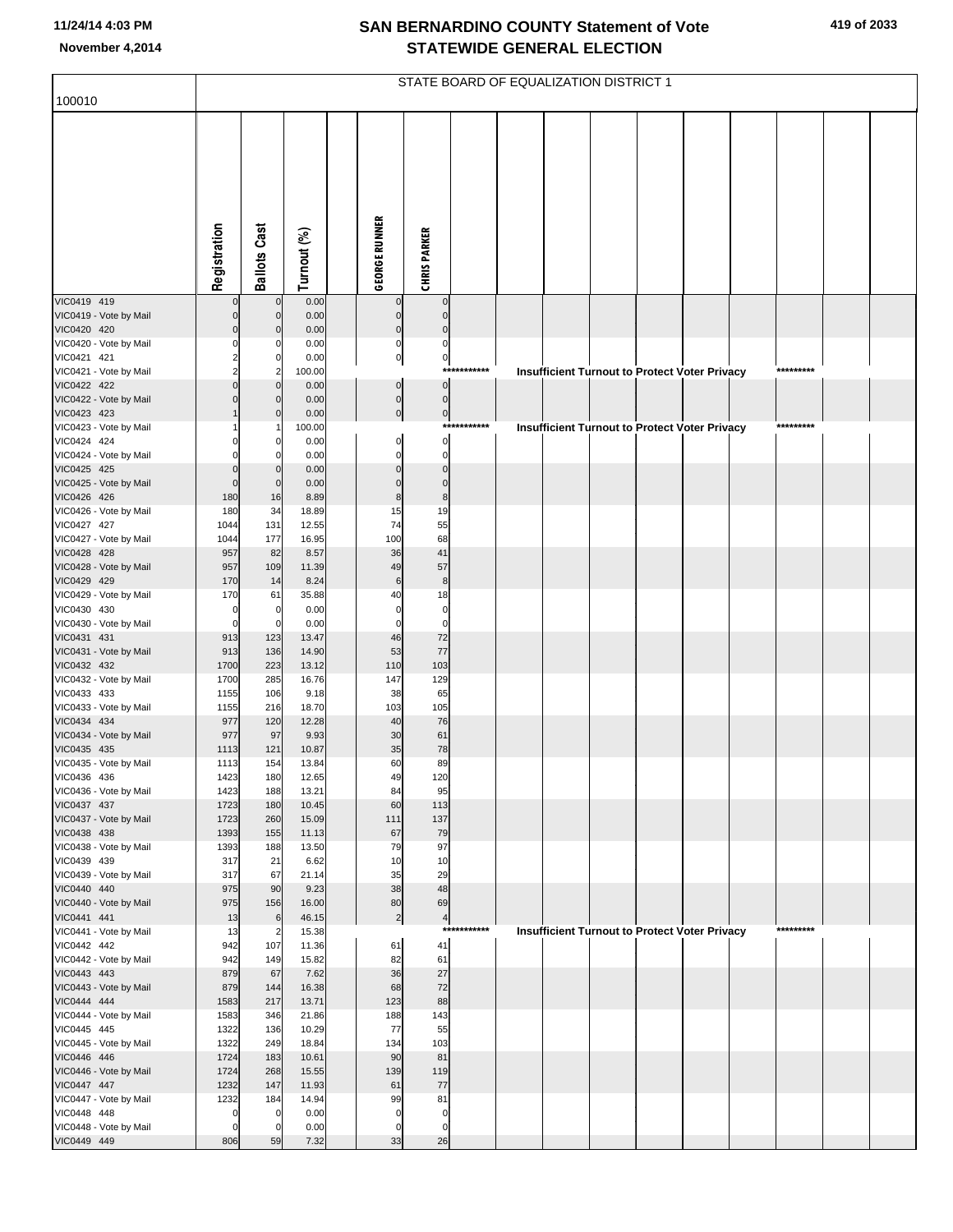| 100010                                |                               |                                  |                |                            |                            |             | STATE BOARD OF EQUALIZATION DISTRICT 1 |  |                                                      |  |           |  |
|---------------------------------------|-------------------------------|----------------------------------|----------------|----------------------------|----------------------------|-------------|----------------------------------------|--|------------------------------------------------------|--|-----------|--|
|                                       |                               |                                  |                |                            |                            |             |                                        |  |                                                      |  |           |  |
|                                       | Registration                  | <b>Ballots Cast</b>              | Turnout (%)    | <b>GEORGE RUNNER</b>       | <b>CHRIS PARKER</b>        |             |                                        |  |                                                      |  |           |  |
| VIC0419 419                           |                               | $\mathbf{0}$                     | 0.00           | 0                          | $\mathbf 0$                |             |                                        |  |                                                      |  |           |  |
| VIC0419 - Vote by Mail<br>VIC0420 420 | $\mathbf{0}$<br>$\mathbf 0$   | $\overline{0}$<br>$\overline{0}$ | 0.00<br>0.00   | $\mathbf 0$<br>$\mathbf 0$ | $\mathbf 0$<br>$\mathbf 0$ |             |                                        |  |                                                      |  |           |  |
| VIC0420 - Vote by Mail                | $\Omega$                      | 0                                | 0.00           | $\mathbf 0$                | $\mathbf 0$                |             |                                        |  |                                                      |  |           |  |
| VIC0421 421                           | $\overline{\mathbf{c}}$       | $\overline{0}$                   | 0.00           | $\bf 0$                    | $\overline{0}$             |             |                                        |  |                                                      |  |           |  |
| VIC0421 - Vote by Mail<br>VIC0422 422 | $\overline{2}$<br>$\mathbf 0$ | 2<br>$\overline{0}$              | 100.00<br>0.00 | $\mathbf 0$                | ***<br>$\pmb{0}$           | *******     |                                        |  | <b>Insufficient Turnout to Protect Voter Privacy</b> |  | ********* |  |
| VIC0422 - Vote by Mail                | $\Omega$                      | $\overline{0}$                   | 0.00           | $\pmb{0}$                  | $\overline{0}$             |             |                                        |  |                                                      |  |           |  |
| VIC0423 423                           | 1                             | $\overline{0}$                   | 0.00           | $\pmb{0}$                  | 0                          |             |                                        |  |                                                      |  |           |  |
| VIC0423 - Vote by Mail                |                               |                                  | 100.00         |                            |                            | *********** |                                        |  | <b>Insufficient Turnout to Protect Voter Privacy</b> |  | ********* |  |
| VIC0424 424                           | $\Omega$                      | $\mathbf 0$                      | 0.00           | $\mathbf 0$                | $\overline{0}$             |             |                                        |  |                                                      |  |           |  |
| VIC0424 - Vote by Mail<br>VIC0425 425 | $\mathbf 0$                   | 0<br>$\overline{0}$              | 0.00<br>0.00   | $\Omega$<br>0              | $\mathbf 0$<br>$\mathbf 0$ |             |                                        |  |                                                      |  |           |  |
| VIC0425 - Vote by Mail                | $\mathbf 0$                   | $\mathbf{0}$                     | 0.00           | $\Omega$                   | $\mathbf 0$                |             |                                        |  |                                                      |  |           |  |
| VIC0426 426                           | 180                           | 16                               | 8.89           | 8                          | 8                          |             |                                        |  |                                                      |  |           |  |
| VIC0426 - Vote by Mail                | 180                           | 34                               | 18.89          | 15                         | 19                         |             |                                        |  |                                                      |  |           |  |
| VIC0427 427<br>VIC0427 - Vote by Mail | 1044<br>1044                  | 131<br>177                       | 12.55<br>16.95 | 74<br>100                  | 55<br>68                   |             |                                        |  |                                                      |  |           |  |
| VIC0428 428                           | 957                           | 82                               | 8.57           | 36                         | 41                         |             |                                        |  |                                                      |  |           |  |
| VIC0428 - Vote by Mail                | 957                           | 109                              | 11.39          | 49                         | 57                         |             |                                        |  |                                                      |  |           |  |
| VIC0429 429                           | 170                           | 14                               | 8.24           | $6\phantom{1}6$            | 8                          |             |                                        |  |                                                      |  |           |  |
| VIC0429 - Vote by Mail                | 170                           | 61                               | 35.88          | 40                         | 18                         |             |                                        |  |                                                      |  |           |  |
| VIC0430 430<br>VIC0430 - Vote by Mail | $\pmb{0}$<br>$\mathbf 0$      | 0<br>$\mathbf 0$                 | 0.00<br>0.00   | $\mathbf 0$<br>$\mathbf 0$ | $\mathbf 0$<br>$\mathbf 0$ |             |                                        |  |                                                      |  |           |  |
| VIC0431 431                           | 913                           | 123                              | 13.47          | 46                         | 72                         |             |                                        |  |                                                      |  |           |  |
| VIC0431 - Vote by Mail                | 913                           | 136                              | 14.90          | 53                         | 77                         |             |                                        |  |                                                      |  |           |  |
| VIC0432 432                           | 1700                          | 223                              | 13.12          | 110                        | 103                        |             |                                        |  |                                                      |  |           |  |
| VIC0432 - Vote by Mail<br>VIC0433 433 | 1700<br>1155                  | 285<br>106                       | 16.76<br>9.18  | 147<br>38                  | 129<br>65                  |             |                                        |  |                                                      |  |           |  |
| VIC0433 - Vote by Mail                | 1155                          | 216                              | 18.70          | 103                        | 105                        |             |                                        |  |                                                      |  |           |  |
| VIC0434 434                           | 977                           | 120                              | 12.28          | 40                         | 76                         |             |                                        |  |                                                      |  |           |  |
| VIC0434 - Vote by Mail                | 977                           | 97                               | 9.93           | 30                         | 61                         |             |                                        |  |                                                      |  |           |  |
| VIC0435 435                           | 1113                          | 121                              | 10.87          | 35<br>60                   | 78                         |             |                                        |  |                                                      |  |           |  |
| VIC0435 - Vote by Mail<br>VIC0436 436 | 1113<br>1423                  | 154<br>180                       | 13.84<br>12.65 | 49                         | 89<br>120                  |             |                                        |  |                                                      |  |           |  |
| VIC0436 - Vote by Mail                | 1423                          | 188                              | 13.21          | 84                         | 95                         |             |                                        |  |                                                      |  |           |  |
| VIC0437 437                           | 1723                          | 180                              | 10.45          | 60                         | 113                        |             |                                        |  |                                                      |  |           |  |
| VIC0437 - Vote by Mail<br>VIC0438 438 | 1723                          | 260                              | 15.09          | 111                        | 137                        |             |                                        |  |                                                      |  |           |  |
| VIC0438 - Vote by Mail                | 1393<br>1393                  | 155<br>188                       | 11.13<br>13.50 | 67<br>79                   | 79<br>97                   |             |                                        |  |                                                      |  |           |  |
| VIC0439 439                           | 317                           | 21                               | 6.62           | 10                         | 10                         |             |                                        |  |                                                      |  |           |  |
| VIC0439 - Vote by Mail                | 317                           | 67                               | 21.14          | 35                         | 29                         |             |                                        |  |                                                      |  |           |  |
| VIC0440 440<br>VIC0440 - Vote by Mail | 975<br>975                    | 90<br>156                        | 9.23<br>16.00  | 38<br>80                   | 48<br>69                   |             |                                        |  |                                                      |  |           |  |
| VIC0441 441                           | 13                            | 6                                | 46.15          | $\overline{\mathbf{c}}$    | $\overline{a}$             |             |                                        |  |                                                      |  |           |  |
| VIC0441 - Vote by Mail                | 13                            | 2                                | 15.38          |                            | $***$                      | *******     |                                        |  | <b>Insufficient Turnout to Protect Voter Privacy</b> |  | ********* |  |
| VIC0442 442                           | 942                           | 107                              | 11.36          | 61                         | 41                         |             |                                        |  |                                                      |  |           |  |
| VIC0442 - Vote by Mail                | 942                           | 149                              | 15.82          | 82                         | 61                         |             |                                        |  |                                                      |  |           |  |
| VIC0443 443<br>VIC0443 - Vote by Mail | 879<br>879                    | 67<br>144                        | 7.62<br>16.38  | 36<br>68                   | 27<br>72                   |             |                                        |  |                                                      |  |           |  |
| VIC0444 444                           | 1583                          | 217                              | 13.71          | 123                        | 88                         |             |                                        |  |                                                      |  |           |  |
| VIC0444 - Vote by Mail                | 1583                          | 346                              | 21.86          | 188                        | 143                        |             |                                        |  |                                                      |  |           |  |
| VIC0445 445                           | 1322                          | 136                              | 10.29          | 77                         | 55                         |             |                                        |  |                                                      |  |           |  |
| VIC0445 - Vote by Mail<br>VIC0446 446 | 1322<br>1724                  | 249<br>183                       | 18.84<br>10.61 | 134<br>90                  | 103<br>81                  |             |                                        |  |                                                      |  |           |  |
| VIC0446 - Vote by Mail                | 1724                          | 268                              | 15.55          | 139                        | 119                        |             |                                        |  |                                                      |  |           |  |
| VIC0447 447                           | 1232                          | 147                              | 11.93          | 61                         | 77                         |             |                                        |  |                                                      |  |           |  |
| VIC0447 - Vote by Mail                | 1232                          | 184                              | 14.94          | 99                         | 81                         |             |                                        |  |                                                      |  |           |  |
| VIC0448 448                           | 0                             | $\mathbf 0$                      | 0.00           | $\mathbf 0$                | $\mathbf 0$                |             |                                        |  |                                                      |  |           |  |
| VIC0448 - Vote by Mail<br>VIC0449 449 | 0<br>806                      | 0<br>59                          | 0.00<br>7.32   | 0<br>33                    | 0<br>26                    |             |                                        |  |                                                      |  |           |  |
|                                       |                               |                                  |                |                            |                            |             |                                        |  |                                                      |  |           |  |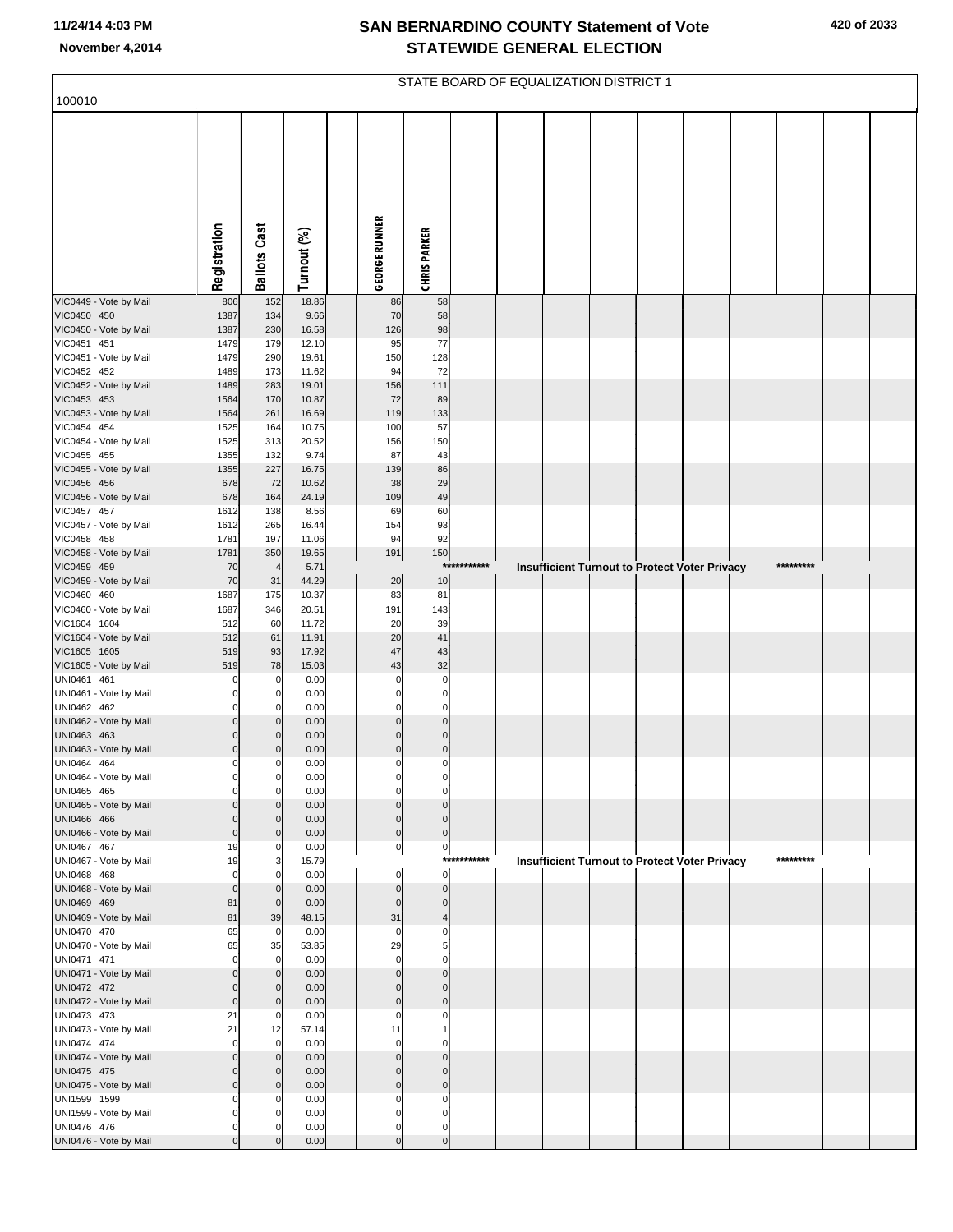| 100010                                 |                         |                            |                |                            |                               |             | STATE BOARD OF EQUALIZATION DISTRICT 1 |  |                                                      |           |  |
|----------------------------------------|-------------------------|----------------------------|----------------|----------------------------|-------------------------------|-------------|----------------------------------------|--|------------------------------------------------------|-----------|--|
|                                        |                         |                            |                |                            |                               |             |                                        |  |                                                      |           |  |
|                                        | Registration            | <b>Ballots Cast</b>        | Turnout (%)    | <b>GEORGE RUNNER</b>       | <b>CHRIS PARKER</b>           |             |                                        |  |                                                      |           |  |
|                                        |                         |                            |                |                            |                               |             |                                        |  |                                                      |           |  |
| VIC0449 - Vote by Mail                 | 806                     | 152                        | 18.86          | 86                         | 58                            |             |                                        |  |                                                      |           |  |
| VIC0450 450<br>VIC0450 - Vote by Mail  | 1387<br>1387            | 134<br>230                 | 9.66<br>16.58  | 70<br>126                  | 58<br>98                      |             |                                        |  |                                                      |           |  |
| VIC0451 451                            | 1479                    | 179                        | 12.10          | 95                         | 77                            |             |                                        |  |                                                      |           |  |
| VIC0451 - Vote by Mail<br>VIC0452 452  | 1479<br>1489            | 290<br>173                 | 19.61<br>11.62 | 150<br>94                  | 128<br>72                     |             |                                        |  |                                                      |           |  |
| VIC0452 - Vote by Mail                 | 1489                    | 283                        | 19.01          | 156                        | 111                           |             |                                        |  |                                                      |           |  |
| VIC0453 453                            | 1564                    | 170                        | 10.87          | 72                         | 89                            |             |                                        |  |                                                      |           |  |
| VIC0453 - Vote by Mail<br>VIC0454 454  | 1564<br>1525            | 261<br>164                 | 16.69<br>10.75 | 119<br>100                 | 133<br>57                     |             |                                        |  |                                                      |           |  |
| VIC0454 - Vote by Mail                 | 1525                    | 313                        | 20.52          | 156                        | 150                           |             |                                        |  |                                                      |           |  |
| VIC0455 455                            | 1355                    | 132                        | 9.74           | 87                         | 43                            |             |                                        |  |                                                      |           |  |
| VIC0455 - Vote by Mail<br>VIC0456 456  | 1355<br>678             | 227<br>72                  | 16.75<br>10.62 | 139<br>38                  | 86<br>29                      |             |                                        |  |                                                      |           |  |
| VIC0456 - Vote by Mail                 | 678                     | 164                        | 24.19          | 109                        | 49                            |             |                                        |  |                                                      |           |  |
| VIC0457 457                            | 1612                    | 138                        | 8.56           | 69                         | 60                            |             |                                        |  |                                                      |           |  |
| VIC0457 - Vote by Mail<br>VIC0458 458  | 1612<br>1781            | 265<br>197                 | 16.44<br>11.06 | 154<br>94                  | 93<br>92                      |             |                                        |  |                                                      |           |  |
| VIC0458 - Vote by Mail                 | 1781                    | 350                        | 19.65          | 191                        | 150                           |             |                                        |  |                                                      |           |  |
| VIC0459 459<br>VIC0459 - Vote by Mail  | 70<br>70                | $\overline{4}$<br>31       | 5.71<br>44.29  | 20                         | ***                           | *******     |                                        |  | Insufficient Turnout to Protect Voter Privacy        | ********* |  |
| VIC0460 460                            | 1687                    | 175                        | 10.37          | 83                         | 10<br>81                      |             |                                        |  |                                                      |           |  |
| VIC0460 - Vote by Mail                 | 1687                    | 346                        | 20.51          | 191                        | 143                           |             |                                        |  |                                                      |           |  |
| VIC1604 1604<br>VIC1604 - Vote by Mail | 512<br>512              | 60<br>61                   | 11.72<br>11.91 | 20<br>20                   | 39<br>41                      |             |                                        |  |                                                      |           |  |
| VIC1605 1605                           | 519                     | 93                         | 17.92          | 47                         | 43                            |             |                                        |  |                                                      |           |  |
| VIC1605 - Vote by Mail                 | 519                     | 78                         | 15.03          | 43                         | 32                            |             |                                        |  |                                                      |           |  |
| UNI0461 461<br>UNI0461 - Vote by Mail  | 0<br>0                  | 0<br>0                     | 0.00<br>0.00   | $\Omega$<br>C              | $\mathbf 0$<br>0              |             |                                        |  |                                                      |           |  |
| UNI0462 462                            | $\Omega$                | 0                          | 0.00           | O                          | $\mathbf 0$                   |             |                                        |  |                                                      |           |  |
| UNI0462 - Vote by Mail                 | $\Omega$                | $\mathbf 0$                | 0.00           | 0                          | $\mathbf 0$                   |             |                                        |  |                                                      |           |  |
| UNI0463 463<br>UNI0463 - Vote by Mail  | $\Omega$<br>$\Omega$    | $\Omega$<br>$\Omega$       | 0.00<br>0.00   | $\Omega$<br>$\mathbf 0$    | $\mathbf 0$<br>$\mathbf 0$    |             |                                        |  |                                                      |           |  |
| UNI0464 464                            | 0                       |                            | 0.00           | 0                          | $\Omega$                      |             |                                        |  |                                                      |           |  |
| UNI0464 - Vote by Mail<br>UNI0465 465  | $\Omega$                | 0                          | 0.00<br>0.00   | $\Omega$                   | O                             |             |                                        |  |                                                      |           |  |
| UNI0465 - Vote by Mail                 | $\Omega$                | $\mathbf{0}$               | 0.00           | $\mathbf 0$                | $\mathbf 0$                   |             |                                        |  |                                                      |           |  |
| UNI0466 466                            | $\Omega$                | $\Omega$                   | 0.00           | $\mathbf 0$                | $\mathbf 0$                   |             |                                        |  |                                                      |           |  |
| UNI0466 - Vote by Mail<br>UNI0467 467  | $\overline{0}$<br>19    | $\mathbf 0$<br>0           | 0.00<br>0.00   | $\mathbf 0$<br>$\pmb{0}$   | $\mathbf 0$<br>$\overline{0}$ |             |                                        |  |                                                      |           |  |
| UNI0467 - Vote by Mail                 | 19                      | 3                          | 15.79          |                            |                               | *********** |                                        |  | <b>Insufficient Turnout to Protect Voter Privacy</b> | ********* |  |
| UNI0468 468                            | $\mathbf 0$             | 0                          | 0.00           | $\mathbf 0$                | $\mathbf 0$                   |             |                                        |  |                                                      |           |  |
| UNI0468 - Vote by Mail<br>UNI0469 469  | $\mathbf 0$<br>81       | $\mathbf 0$<br>$\mathbf 0$ | 0.00<br>0.00   | $\mathbf 0$<br>$\mathbf 0$ | $\mathbf 0$<br>$\mathbf 0$    |             |                                        |  |                                                      |           |  |
| UNI0469 - Vote by Mail                 | 81                      | 39                         | 48.15          | 31                         | 4                             |             |                                        |  |                                                      |           |  |
| UNI0470 470                            | 65                      | 0                          | 0.00           | $\mathbf 0$                | $\Omega$                      |             |                                        |  |                                                      |           |  |
| UNI0470 - Vote by Mail<br>UNI0471 471  | 65<br>$\mathbf 0$       | 35<br>0                    | 53.85<br>0.00  | 29<br>$\Omega$             | 5<br>C                        |             |                                        |  |                                                      |           |  |
| UNI0471 - Vote by Mail                 | $\Omega$                | $\Omega$                   | 0.00           | $\Omega$                   | $\Omega$                      |             |                                        |  |                                                      |           |  |
| UNI0472 472<br>UNI0472 - Vote by Mail  | $\Omega$<br>$\mathbf 0$ | $\mathbf 0$<br>$\mathbf 0$ | 0.00<br>0.00   | C<br>$\mathbf 0$           | $\Omega$<br>$\Omega$          |             |                                        |  |                                                      |           |  |
| UNI0473 473                            | 21                      | 0                          | 0.00           | $\Omega$                   |                               |             |                                        |  |                                                      |           |  |
| UNI0473 - Vote by Mail                 | 21                      | 12                         | 57.14          | 11                         |                               |             |                                        |  |                                                      |           |  |
| UNI0474 474<br>UNI0474 - Vote by Mail  | $\mathbf 0$<br>$\Omega$ | 0<br>$\mathbf 0$           | 0.00<br>0.00   | $\mathbf 0$<br>$\Omega$    | $\Omega$                      |             |                                        |  |                                                      |           |  |
| UNI0475 475                            | $\Omega$                | $\Omega$                   | 0.00           | $\Omega$                   | $\Omega$                      |             |                                        |  |                                                      |           |  |
| UNI0475 - Vote by Mail                 | $\Omega$                | $\mathbf 0$                | 0.00           | $\Omega$                   | $\Omega$                      |             |                                        |  |                                                      |           |  |
| UNI1599 1599<br>UNI1599 - Vote by Mail | C<br>0                  | 0                          | 0.00<br>0.00   | 0                          | U<br>0                        |             |                                        |  |                                                      |           |  |
| UNI0476 476                            | $\Omega$                | n                          | 0.00           | 0                          | $\Omega$                      |             |                                        |  |                                                      |           |  |
| UNI0476 - Vote by Mail                 | $\Omega$                |                            | 0.00           | $\Omega$                   | $\mathbf 0$                   |             |                                        |  |                                                      |           |  |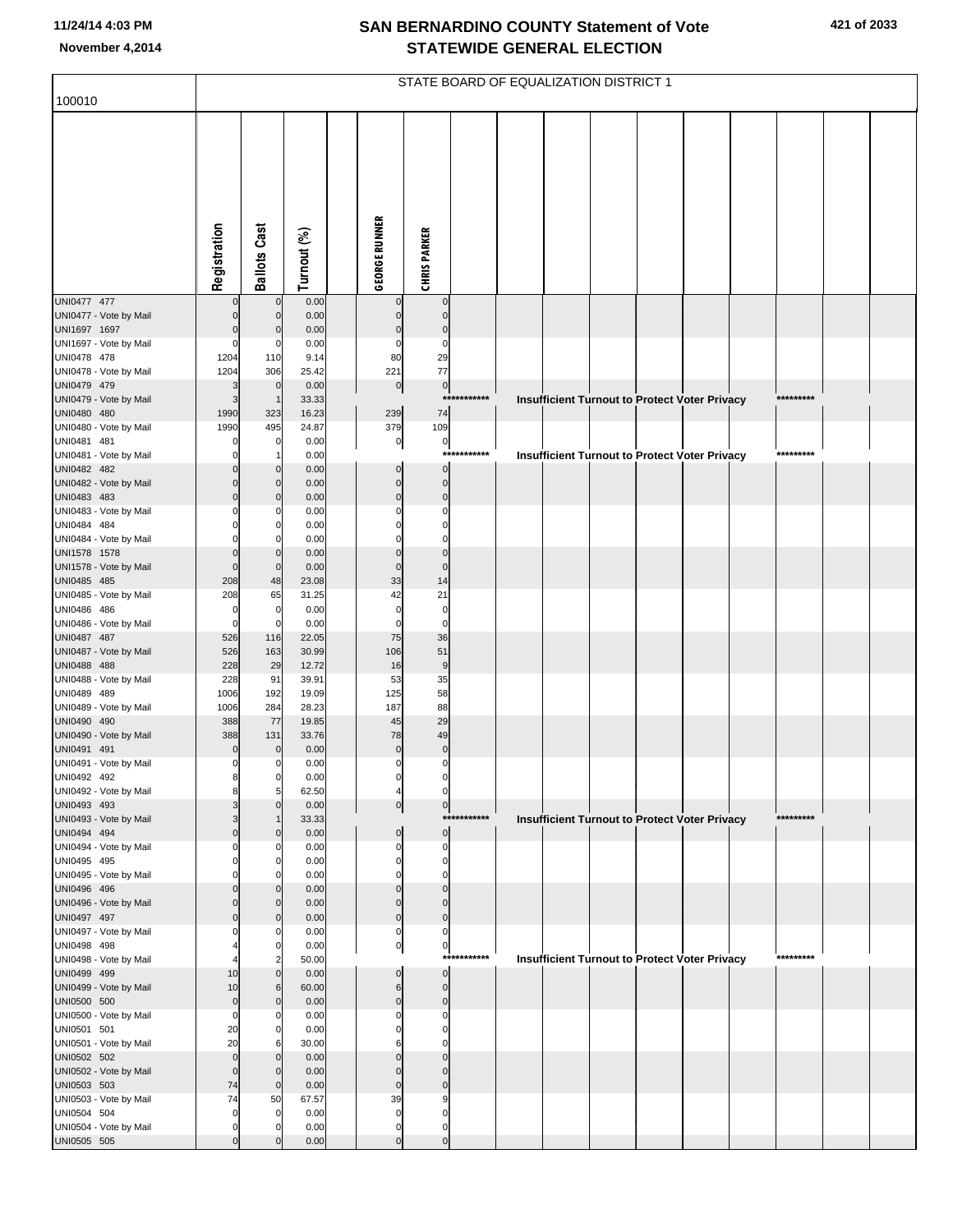|                                        |                    |                                  |                |                            |                            |             | STATE BOARD OF EQUALIZATION DISTRICT 1 |  |                                                      |  |           |  |
|----------------------------------------|--------------------|----------------------------------|----------------|----------------------------|----------------------------|-------------|----------------------------------------|--|------------------------------------------------------|--|-----------|--|
| 100010                                 |                    |                                  |                |                            |                            |             |                                        |  |                                                      |  |           |  |
|                                        | Registration       | <b>Ballots Cast</b>              | Turnout (%)    | <b>GEORGE RUNNER</b>       | <b>CHRIS PARKER</b>        |             |                                        |  |                                                      |  |           |  |
|                                        |                    |                                  |                |                            |                            |             |                                        |  |                                                      |  |           |  |
| UNI0477 477                            |                    | $\mathbf 0$                      | 0.00           |                            | $\mathbf 0$                |             |                                        |  |                                                      |  |           |  |
| UNI0477 - Vote by Mail<br>UNI1697 1697 | $\mathbf 0$        | $\overline{0}$<br>$\mathbf{0}$   | 0.00<br>0.00   | $\mathcal{C}$              | $\mathbf 0$<br>$\mathbf 0$ |             |                                        |  |                                                      |  |           |  |
| UNI1697 - Vote by Mail                 | $\Omega$           | $\Omega$                         | 0.00           | C                          | $\mathbf 0$                |             |                                        |  |                                                      |  |           |  |
| UNI0478 478                            | 1204               | 110                              | 9.14           | 80                         | 29                         |             |                                        |  |                                                      |  |           |  |
| UNI0478 - Vote by Mail                 | 1204               | 306                              | 25.42          | 221                        | 77                         |             |                                        |  |                                                      |  |           |  |
| UNI0479 479                            | 3                  | $\mathbf 0$                      | 0.00           | $\pmb{0}$                  | $\overline{0}$             | *********** |                                        |  |                                                      |  |           |  |
| UNI0479 - Vote by Mail<br>UNI0480 480  | 3<br>1990          | 323                              | 33.33<br>16.23 | 239                        | 74                         |             |                                        |  | <b>Insufficient Turnout to Protect Voter Privacy</b> |  | ********* |  |
| UNI0480 - Vote by Mail                 | 1990               | 495                              | 24.87          | 379                        | 109                        |             |                                        |  |                                                      |  |           |  |
| UNI0481 481                            | $\Omega$           | 0                                | 0.00           | $\pmb{0}$                  | $\overline{0}$             |             |                                        |  |                                                      |  |           |  |
| UNI0481 - Vote by Mail                 |                    |                                  | 0.00           |                            |                            | *********** |                                        |  | <b>Insufficient Turnout to Protect Voter Privacy</b> |  | ********* |  |
| UNI0482 482                            |                    | $\mathbf 0$                      | 0.00           |                            | $\Omega$                   |             |                                        |  |                                                      |  |           |  |
| UNI0482 - Vote by Mail                 | $\Omega$           | $\mathbf 0$                      | 0.00           | $\mathbf 0$<br>$\mathbf 0$ | $\mathbf 0$                |             |                                        |  |                                                      |  |           |  |
| UNI0483 483<br>UNI0483 - Vote by Mail  |                    | $\mathbf 0$<br>0                 | 0.00<br>0.00   | C                          | $\mathbf 0$<br>0           |             |                                        |  |                                                      |  |           |  |
| UNI0484 484                            |                    | $\mathbf 0$                      | 0.00           |                            | $\Omega$                   |             |                                        |  |                                                      |  |           |  |
| UNI0484 - Vote by Mail                 |                    | $\Omega$                         | 0.00           |                            | $\Omega$                   |             |                                        |  |                                                      |  |           |  |
| UNI1578 1578                           | $\Omega$           | $\mathbf 0$                      | 0.00           | C                          | $\Omega$                   |             |                                        |  |                                                      |  |           |  |
| UNI1578 - Vote by Mail                 | $\overline{0}$     | $\mathbf 0$                      | 0.00           | $\mathsf{C}$<br>33         | $\mathbf 0$                |             |                                        |  |                                                      |  |           |  |
| UNI0485 485<br>UNI0485 - Vote by Mail  | 208<br>208         | 48<br>65                         | 23.08<br>31.25 | 42                         | 14<br>21                   |             |                                        |  |                                                      |  |           |  |
| UNI0486 486                            | $\mathbf 0$        | $\overline{0}$                   | 0.00           | $\mathbf 0$                | $\mathbf 0$                |             |                                        |  |                                                      |  |           |  |
| UNI0486 - Vote by Mail                 | $\Omega$           | $\Omega$                         | 0.00           | 0                          | $\mathbf 0$                |             |                                        |  |                                                      |  |           |  |
| UNI0487 487                            | 526                | 116                              | 22.05          | 75                         | 36                         |             |                                        |  |                                                      |  |           |  |
| UNI0487 - Vote by Mail<br>UNI0488 488  | 526<br>228         | 163<br>29                        | 30.99<br>12.72 | 106<br>16                  | 51<br>$\boldsymbol{9}$     |             |                                        |  |                                                      |  |           |  |
| UNI0488 - Vote by Mail                 | 228                | 91                               | 39.91          | 53                         | 35                         |             |                                        |  |                                                      |  |           |  |
| UNI0489 489                            | 1006               | 192                              | 19.09          | 125                        | 58                         |             |                                        |  |                                                      |  |           |  |
| UNI0489 - Vote by Mail                 | 1006               | 284                              | 28.23          | 187                        | 88                         |             |                                        |  |                                                      |  |           |  |
| UNI0490 490                            | 388                | 77                               | 19.85          | 45                         | 29                         |             |                                        |  |                                                      |  |           |  |
| UNI0490 - Vote by Mail<br>UNI0491 491  | 388<br>$\mathbf 0$ | 131<br>$\mathbf 0$               | 33.76<br>0.00  | 78<br>$\pmb{0}$            | 49<br>$\pmb{0}$            |             |                                        |  |                                                      |  |           |  |
| UNI0491 - Vote by Mail                 | $\mathbf 0$        | $\overline{0}$                   | 0.00           | $\mathbf 0$                | $\mathbf 0$                |             |                                        |  |                                                      |  |           |  |
| UNI0492 492                            | 8                  | $\overline{0}$                   | 0.00           | 0                          | $\Omega$                   |             |                                        |  |                                                      |  |           |  |
| UNI0492 - Vote by Mail                 | 8                  | 5                                | 62.50          | 4                          | $\Omega$                   |             |                                        |  |                                                      |  |           |  |
| UNI0493 493<br>UNI0493 - Vote by Mail  | 3                  | $\mathbf{0}$                     | 0.00<br>33.33  | $\pmb{0}$                  | $\overline{0}$             | *********** |                                        |  | <b>Insufficient Turnout to Protect Voter Privacy</b> |  | ********* |  |
| UNI0494 494                            | $\Omega$           | $\overline{0}$                   | 0.00           | $\mathbf 0$                | $\mathbf 0$                |             |                                        |  |                                                      |  |           |  |
| UNI0494 - Vote by Mail                 |                    | 0                                | 0.00           | $\mathsf{C}$               | $\mathbf 0$                |             |                                        |  |                                                      |  |           |  |
| UNI0495 495                            | $\Omega$           | $\mathbf 0$                      | 0.00           | $\mathsf{C}$               | $\mathbf 0$                |             |                                        |  |                                                      |  |           |  |
| UNI0495 - Vote by Mail                 |                    | $\mathbf 0$                      | 0.00           | C                          | $\Omega$                   |             |                                        |  |                                                      |  |           |  |
| UNI0496 496<br>UNI0496 - Vote by Mail  | $\Omega$           | $\mathbf 0$<br>$\overline{0}$    | 0.00<br>0.00   | C<br>$\mathcal{C}$         | $\Omega$<br>$\Omega$       |             |                                        |  |                                                      |  |           |  |
| UNI0497 497                            | $\Omega$           | $\overline{0}$                   | 0.00           | $\Omega$                   | $\mathbf 0$                |             |                                        |  |                                                      |  |           |  |
| UNI0497 - Vote by Mail                 | 0                  | 0                                | 0.00           | 0                          | $\mathbf 0$                |             |                                        |  |                                                      |  |           |  |
| UNI0498 498                            |                    | $\mathbf 0$                      | 0.00           | $\pmb{0}$                  | $\overline{0}$             |             |                                        |  |                                                      |  |           |  |
| UNI0498 - Vote by Mail<br>UNI0499 499  | 4<br>10            | $\overline{2}$<br>$\overline{0}$ | 50.00<br>0.00  | C                          | $\overline{0}$             | *********** |                                        |  | <b>Insufficient Turnout to Protect Voter Privacy</b> |  | ********* |  |
| UNI0499 - Vote by Mail                 | 10                 | 6                                | 60.00          | 6                          | $\mathbf 0$                |             |                                        |  |                                                      |  |           |  |
| UNI0500 500                            | $\mathbf 0$        | $\overline{0}$                   | 0.00           | $\mathbf 0$                | $\mathbf 0$                |             |                                        |  |                                                      |  |           |  |
| UNI0500 - Vote by Mail                 | $\mathbf 0$        | 0                                | 0.00           | C                          | $\mathbf 0$                |             |                                        |  |                                                      |  |           |  |
| UNI0501 501                            | 20                 | $\mathbf 0$                      | 0.00           | C                          | $\Omega$                   |             |                                        |  |                                                      |  |           |  |
| UNI0501 - Vote by Mail<br>UNI0502 502  | 20<br>$\mathbf 0$  | 6<br>$\mathbf 0$                 | 30.00<br>0.00  | ſ                          | 0<br>$\Omega$              |             |                                        |  |                                                      |  |           |  |
| UNI0502 - Vote by Mail                 | $\mathbf 0$        | $\overline{0}$                   | 0.00           | C                          | $\Omega$                   |             |                                        |  |                                                      |  |           |  |
| UNI0503 503                            | 74                 | $\overline{0}$                   | 0.00           | $\mathbf 0$                | $\Omega$                   |             |                                        |  |                                                      |  |           |  |
| UNI0503 - Vote by Mail                 | 74                 | 50                               | 67.57          | 39                         | 9                          |             |                                        |  |                                                      |  |           |  |
| UNI0504 504                            | $\mathbf 0$        | $\mathbf 0$                      | 0.00           | $\mathbf 0$                | $\Omega$                   |             |                                        |  |                                                      |  |           |  |
| UNI0504 - Vote by Mail<br>UNI0505 505  | $\mathbf 0$        | 0                                | 0.00<br>0.00   | 0<br>$\mathcal{C}$         | 0<br>$\mathbf 0$           |             |                                        |  |                                                      |  |           |  |
|                                        |                    |                                  |                |                            |                            |             |                                        |  |                                                      |  |           |  |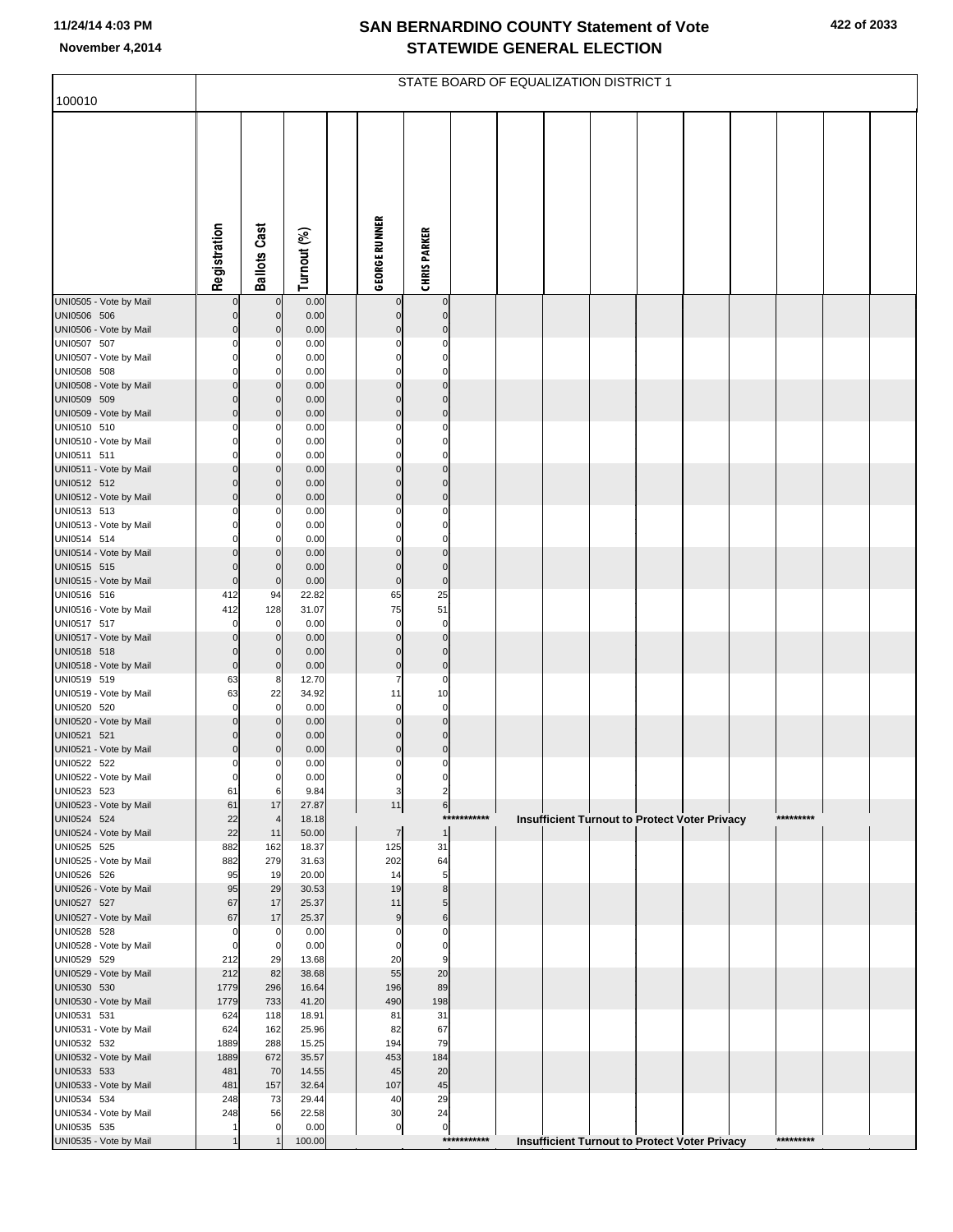| 100010                                |                            |                                  |                |                         |                                    |             | STATE BOARD OF EQUALIZATION DISTRICT 1 |  |                                                      |           |  |
|---------------------------------------|----------------------------|----------------------------------|----------------|-------------------------|------------------------------------|-------------|----------------------------------------|--|------------------------------------------------------|-----------|--|
|                                       |                            |                                  |                |                         |                                    |             |                                        |  |                                                      |           |  |
|                                       |                            |                                  |                |                         |                                    |             |                                        |  |                                                      |           |  |
|                                       |                            |                                  |                |                         |                                    |             |                                        |  |                                                      |           |  |
|                                       |                            |                                  |                |                         |                                    |             |                                        |  |                                                      |           |  |
|                                       |                            |                                  |                |                         |                                    |             |                                        |  |                                                      |           |  |
|                                       |                            |                                  |                |                         |                                    |             |                                        |  |                                                      |           |  |
|                                       |                            |                                  |                |                         |                                    |             |                                        |  |                                                      |           |  |
|                                       |                            |                                  |                |                         |                                    |             |                                        |  |                                                      |           |  |
|                                       |                            |                                  |                |                         |                                    |             |                                        |  |                                                      |           |  |
|                                       | Registration               | <b>Ballots Cast</b>              | Turnout (%)    | <b>GEORGE RUNNER</b>    | <b>CHRISPARKER</b>                 |             |                                        |  |                                                      |           |  |
|                                       |                            |                                  |                |                         |                                    |             |                                        |  |                                                      |           |  |
| UNI0505 - Vote by Mail<br>UNI0506 506 | $\Omega$                   | $\mathbf{0}$<br>$\overline{0}$   | 0.00<br>0.00   | $\Omega$<br>$\mathbf 0$ | $\bf{0}$<br>$\mathbf 0$            |             |                                        |  |                                                      |           |  |
| UNI0506 - Vote by Mail                | $\Omega$                   | $\overline{0}$                   | 0.00           | $\Omega$                | $\Omega$                           |             |                                        |  |                                                      |           |  |
| UNI0507 507                           |                            | 0                                | 0.00           | $\Omega$                | $\Omega$                           |             |                                        |  |                                                      |           |  |
| UNI0507 - Vote by Mail                | 0                          | $\overline{0}$                   | 0.00           | 0                       | 0                                  |             |                                        |  |                                                      |           |  |
| UNI0508 508<br>UNI0508 - Vote by Mail | $\Omega$<br>$\Omega$       | $\Omega$<br>$\overline{0}$       | 0.00<br>0.00   | $\Omega$<br>$\Omega$    | $\Omega$<br>$\Omega$               |             |                                        |  |                                                      |           |  |
| UNI0509 509                           | $\Omega$                   | $\overline{0}$                   | 0.00           | $\Omega$                | $\Omega$                           |             |                                        |  |                                                      |           |  |
| UNI0509 - Vote by Mail                | $\mathbf 0$                | $\overline{0}$                   | 0.00           | $\mathbf 0$             | $\mathbf 0$                        |             |                                        |  |                                                      |           |  |
| UNI0510 510                           | C                          | $\mathbf 0$                      | 0.00           | $\Omega$                | $\Omega$                           |             |                                        |  |                                                      |           |  |
| UNI0510 - Vote by Mail<br>UNI0511 511 | $\Omega$<br>$\Omega$       | $\overline{0}$<br>$\mathbf 0$    | 0.00<br>0.00   | 0<br>$\Omega$           | 0<br>$\Omega$                      |             |                                        |  |                                                      |           |  |
| UNI0511 - Vote by Mail                | $\mathbf 0$                | $\overline{0}$                   | 0.00           | $\Omega$                | $\Omega$                           |             |                                        |  |                                                      |           |  |
| UNI0512 512                           | $\Omega$                   | $\overline{0}$                   | 0.00           | $\Omega$                | $\Omega$                           |             |                                        |  |                                                      |           |  |
| UNI0512 - Vote by Mail                | $\Omega$                   | $\overline{0}$                   | 0.00           | $\Omega$                | $\mathbf 0$                        |             |                                        |  |                                                      |           |  |
| UNI0513 513                           | C<br>O                     | 0<br>$\overline{0}$              | 0.00           | $\Omega$<br>0           | $\Omega$<br>$\mathbf 0$            |             |                                        |  |                                                      |           |  |
| UNI0513 - Vote by Mail<br>UNI0514 514 | $\Omega$                   | $\mathbf 0$                      | 0.00<br>0.00   | $\Omega$                | $\Omega$                           |             |                                        |  |                                                      |           |  |
| UNI0514 - Vote by Mail                | $\Omega$                   | $\overline{0}$                   | 0.00           | $\Omega$                | $\Omega$                           |             |                                        |  |                                                      |           |  |
| UNI0515 515                           | $\Omega$                   | $\overline{0}$                   | 0.00           | $\Omega$                | $\Omega$                           |             |                                        |  |                                                      |           |  |
| UNI0515 - Vote by Mail                | $\mathbf 0$                | $\overline{0}$                   | 0.00           | $\pmb{0}$<br>65         | $\pmb{0}$                          |             |                                        |  |                                                      |           |  |
| UNI0516 516<br>UNI0516 - Vote by Mail | 412<br>412                 | 94<br>128                        | 22.82<br>31.07 | 75                      | 25<br>51                           |             |                                        |  |                                                      |           |  |
| UNI0517 517                           | $\mathbf 0$                | $\mathbf{0}$                     | 0.00           | $\mathbf 0$             | $\mathbf 0$                        |             |                                        |  |                                                      |           |  |
| UNI0517 - Vote by Mail                | $\Omega$                   | $\overline{0}$                   | 0.00           | $\Omega$                | $\Omega$                           |             |                                        |  |                                                      |           |  |
| UNI0518 518                           | $\mathbf 0$<br>$\bf 0$     | $\overline{0}$<br>$\overline{0}$ | 0.00<br>0.00   | $\Omega$<br>$\pmb{0}$   | $\Omega$<br>$\pmb{0}$              |             |                                        |  |                                                      |           |  |
| UNI0518 - Vote by Mail<br>UNI0519 519 | 63                         | 8                                | 12.70          | $\overline{7}$          | $\mathbf 0$                        |             |                                        |  |                                                      |           |  |
| UNI0519 - Vote by Mail                | 63                         | 22                               | 34.92          | 11                      | 10                                 |             |                                        |  |                                                      |           |  |
| UNI0520 520                           | $\mathbf 0$                | $\mathbf 0$                      | 0.00           | $\mathbf 0$             | $\Omega$                           |             |                                        |  |                                                      |           |  |
| UNI0520 - Vote by Mail<br>UNI0521 521 | $\mathbf 0$<br>$\mathbf 0$ | $\mathbf{0}$<br>$\overline{0}$   | 0.00<br>0.00   | $\Omega$<br>$\Omega$    | $\Omega$<br>$\Omega$               |             |                                        |  |                                                      |           |  |
| UNI0521 - Vote by Mail                | $\mathbf 0$                | $\mathbf{0}$                     | 0.00           | $\mathbf 0$             | $\mathbf 0$                        |             |                                        |  |                                                      |           |  |
| UNI0522 522                           | 0                          | $\mathbf{0}$                     | 0.00           | $\Omega$                | $\Omega$                           |             |                                        |  |                                                      |           |  |
| UNI0522 - Vote by Mail                |                            | U                                | 0.00           |                         |                                    |             |                                        |  |                                                      |           |  |
| UNI0523 523<br>UNI0523 - Vote by Mail | 61<br>61                   | 6<br>17                          | 9.84<br>27.87  | 3<br>11                 | $\overline{2}$<br>$6 \overline{6}$ |             |                                        |  |                                                      |           |  |
| UNI0524 524                           | 22                         | 4                                | 18.18          |                         |                                    | *********** |                                        |  | Insufficient Turnout to Protect Voter Privacy        | ********* |  |
| UNI0524 - Vote by Mail                | 22                         | 11                               | 50.00          | $\overline{7}$          | $\mathbf{1}$                       |             |                                        |  |                                                      |           |  |
| UNI0525 525                           | 882                        | 162                              | 18.37          | 125                     | 31                                 |             |                                        |  |                                                      |           |  |
| UNI0525 - Vote by Mail<br>UNI0526 526 | 882<br>95                  | 279<br>19                        | 31.63<br>20.00 | 202<br>14               | 64<br>5                            |             |                                        |  |                                                      |           |  |
| UNI0526 - Vote by Mail                | 95                         | 29                               | 30.53          | 19                      | 8                                  |             |                                        |  |                                                      |           |  |
| UNI0527 527                           | 67                         | 17                               | 25.37          | 11                      | 5                                  |             |                                        |  |                                                      |           |  |
| UNI0527 - Vote by Mail<br>UNI0528 528 | 67<br>0                    | 17<br>$\overline{0}$             | 25.37<br>0.00  | 9<br>$\Omega$           | 6<br>C                             |             |                                        |  |                                                      |           |  |
| UNI0528 - Vote by Mail                | 0                          | $\overline{0}$                   | 0.00           | $\mathbf 0$             | 0                                  |             |                                        |  |                                                      |           |  |
| UNI0529 529                           | 212                        | 29                               | 13.68          | 20                      | 9                                  |             |                                        |  |                                                      |           |  |
| UNI0529 - Vote by Mail                | 212                        | 82                               | 38.68          | 55                      | 20                                 |             |                                        |  |                                                      |           |  |
| UNI0530 530<br>UNI0530 - Vote by Mail | 1779<br>1779               | 296<br>733                       | 16.64<br>41.20 | 196<br>490              | 89<br>198                          |             |                                        |  |                                                      |           |  |
| UNI0531 531                           | 624                        | 118                              | 18.91          | 81                      | 31                                 |             |                                        |  |                                                      |           |  |
| UNI0531 - Vote by Mail                | 624                        | 162                              | 25.96          | 82                      | 67                                 |             |                                        |  |                                                      |           |  |
| UNI0532 532                           | 1889                       | 288                              | 15.25          | 194                     | 79                                 |             |                                        |  |                                                      |           |  |
| UNI0532 - Vote by Mail<br>UNI0533 533 | 1889<br>481                | 672<br>70                        | 35.57<br>14.55 | 453<br>45               | 184<br>20                          |             |                                        |  |                                                      |           |  |
| UNI0533 - Vote by Mail                | 481                        | 157                              | 32.64          | 107                     | 45                                 |             |                                        |  |                                                      |           |  |
| UNI0534 534                           | 248                        | 73                               | 29.44          | 40                      | 29                                 |             |                                        |  |                                                      |           |  |
| UNI0534 - Vote by Mail                | 248                        | 56                               | 22.58          | 30                      | 24                                 |             |                                        |  |                                                      |           |  |
| UNI0535 535<br>UNI0535 - Vote by Mail | -1                         | 0                                | 0.00<br>100.00 | $\pmb{0}$               | $\pmb{0}$                          | *********** |                                        |  | <b>Insufficient Turnout to Protect Voter Privacy</b> | ********* |  |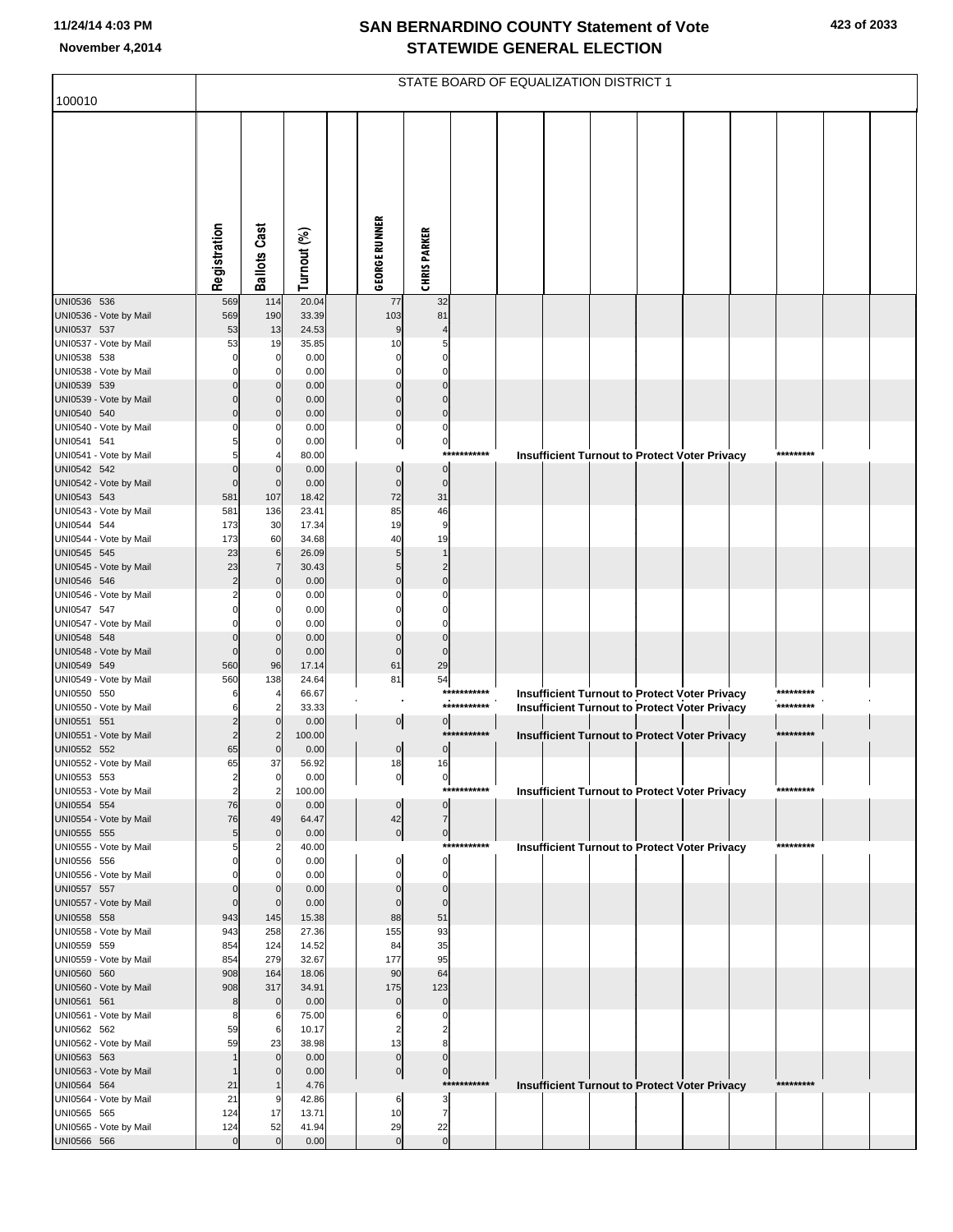|                                       |                                  |                     |                |                          |                            |             | STATE BOARD OF EQUALIZATION DISTRICT 1 |  |                                                                                                              |            |  |
|---------------------------------------|----------------------------------|---------------------|----------------|--------------------------|----------------------------|-------------|----------------------------------------|--|--------------------------------------------------------------------------------------------------------------|------------|--|
| 100010                                |                                  |                     |                |                          |                            |             |                                        |  |                                                                                                              |            |  |
|                                       | Registration                     | <b>Ballots Cast</b> | Turnout (%)    | <b>GEORGE RUNNER</b>     | <b>CHRIS PARKER</b>        |             |                                        |  |                                                                                                              |            |  |
| UNI0536 536                           | 569                              | 114                 | 20.04          | 77                       | 32                         |             |                                        |  |                                                                                                              |            |  |
| UNI0536 - Vote by Mail<br>UNI0537 537 | 569<br>53                        | 190<br>13           | 33.39<br>24.53 | 103<br>9                 | 81                         |             |                                        |  |                                                                                                              |            |  |
| UNI0537 - Vote by Mail                | 53                               | 19                  | 35.85          | 10                       |                            |             |                                        |  |                                                                                                              |            |  |
| UNI0538 538                           | $\Omega$                         | 0                   | 0.00           | $\Omega$                 |                            |             |                                        |  |                                                                                                              |            |  |
| UNI0538 - Vote by Mail                | $\Omega$                         |                     | 0.00           | 0                        |                            |             |                                        |  |                                                                                                              |            |  |
| UNI0539 539                           | $\Omega$<br>$\Omega$             |                     | 0.00           | $\Omega$<br>$\mathbf 0$  | C                          |             |                                        |  |                                                                                                              |            |  |
| UNI0539 - Vote by Mail<br>UNI0540 540 | $\Omega$                         |                     | 0.00<br>0.00   | $\mathbf 0$              | $\mathbf 0$                |             |                                        |  |                                                                                                              |            |  |
| UNI0540 - Vote by Mail                |                                  |                     | 0.00           | 0                        | C                          |             |                                        |  |                                                                                                              |            |  |
| UNI0541 541                           |                                  |                     | 0.00           | $\overline{0}$           | $\pmb{0}$                  |             |                                        |  |                                                                                                              |            |  |
| UNI0541 - Vote by Mail                |                                  |                     | 80.00          |                          | ****                       | ********    |                                        |  | <b>Insufficient Turnout to Protect Voter Privacy</b>                                                         | *********  |  |
| UNI0542 542<br>UNI0542 - Vote by Mail | $\overline{0}$<br>$\overline{0}$ | $\mathbf 0$         | 0.00<br>0.00   | $\mathbf 0$<br>$\pmb{0}$ | $\mathbf 0$<br>$\mathbf 0$ |             |                                        |  |                                                                                                              |            |  |
| UNI0543 543                           | 581                              | 107                 | 18.42          | 72                       | 31                         |             |                                        |  |                                                                                                              |            |  |
| UNI0543 - Vote by Mail                | 581                              | 136                 | 23.41          | 85                       | 46                         |             |                                        |  |                                                                                                              |            |  |
| UNI0544 544                           | 173                              | 30                  | 17.34          | 19                       | 9                          |             |                                        |  |                                                                                                              |            |  |
| UNI0544 - Vote by Mail<br>UNI0545 545 | 173<br>23                        | 60<br>6             | 34.68<br>26.09 | 40<br>5                  | 19                         |             |                                        |  |                                                                                                              |            |  |
| UNI0545 - Vote by Mail                | 23                               | 7                   | 30.43          | 5                        | $\overline{2}$             |             |                                        |  |                                                                                                              |            |  |
| UNI0546 546                           | $\overline{2}$                   | $\Omega$            | 0.00           | $\Omega$                 | $\mathbf 0$                |             |                                        |  |                                                                                                              |            |  |
| UNI0546 - Vote by Mail                | $\overline{2}$                   |                     | 0.00           |                          |                            |             |                                        |  |                                                                                                              |            |  |
| UNI0547 547                           | $\Omega$                         |                     | 0.00           | O                        | C                          |             |                                        |  |                                                                                                              |            |  |
| UNI0547 - Vote by Mail<br>UNI0548 548 | $\Omega$                         |                     | 0.00<br>0.00   | $\mathbf 0$              | $\mathcal{C}$              |             |                                        |  |                                                                                                              |            |  |
| UNI0548 - Vote by Mail                | $\overline{0}$                   | $\mathbf 0$         | 0.00           | $\mathbf 0$              | $\mathcal{C}$              |             |                                        |  |                                                                                                              |            |  |
| UNI0549 549                           | 560                              | 96                  | 17.14          | 61                       | 29                         |             |                                        |  |                                                                                                              |            |  |
| UNI0549 - Vote by Mail                | 560                              | 138                 | 24.64          | 81                       | 54                         | *********** |                                        |  |                                                                                                              | *********  |  |
| UNI0550 550<br>UNI0550 - Vote by Mail | 6<br>6                           |                     | 66.67<br>33.33 |                          |                            | *********** |                                        |  | <b>Insufficient Turnout to Protect Voter Privacy</b><br><b>Insufficient Turnout to Protect Voter Privacy</b> | *********  |  |
| UNI0551 551                           | $\overline{2}$                   | $\Omega$            | 0.00           | $\overline{0}$           | $\overline{0}$             |             |                                        |  |                                                                                                              |            |  |
| UNI0551 - Vote by Mail                | $\overline{2}$                   |                     | 100.00         |                          |                            | *********** |                                        |  | <b>Insufficient Turnout to Protect Voter Privacy</b>                                                         | ********** |  |
| UNI0552 552                           | 65                               |                     | 0.00           | $\overline{0}$           | $\pmb{0}$                  |             |                                        |  |                                                                                                              |            |  |
| UNI0552 - Vote by Mail<br>UNI0553 553 | 65<br>2                          | 37<br>0             | 56.92<br>0.00  | 18<br>$\mathbf{0}$       | 16<br>$\mathbf{0}$         |             |                                        |  |                                                                                                              |            |  |
| UNI0553 - Vote by Mail                | $\overline{\mathbf{c}}$          | $\overline{2}$      | 100.00         |                          |                            | *********** |                                        |  | <b>Insufficient Turnout to Protect Voter Privacy</b>                                                         | *********  |  |
| UNI0554 554                           | 76                               | $\mathbf 0$         | 0.00           | $\mathbf 0$              | $\mathbf 0$                |             |                                        |  |                                                                                                              |            |  |
| UNI0554 - Vote by Mail                | 76                               | 49                  | 64.47          | 42                       | $\overline{7}$             |             |                                        |  |                                                                                                              |            |  |
| UNI0555 555<br>UNI0555 - Vote by Mail | 5<br>5                           | $\mathbf 0$         | 0.00<br>40.00  | $\pmb{0}$                | $\pmb{0}$                  | *********** |                                        |  | <b>Insufficient Turnout to Protect Voter Privacy</b>                                                         | *********  |  |
| UNI0556 556                           | $\Omega$                         |                     | 0.00           | $\mathbf 0$              | $\mathbf 0$                |             |                                        |  |                                                                                                              |            |  |
| UNI0556 - Vote by Mail                |                                  |                     | 0.00           | $\Omega$                 | $\mathbf 0$                |             |                                        |  |                                                                                                              |            |  |
| UNI0557 557                           | $\Omega$<br>$\Omega$             |                     | 0.00           | $\Omega$                 | $\mathbf 0$                |             |                                        |  |                                                                                                              |            |  |
| UNI0557 - Vote by Mail<br>UNI0558 558 | 943                              | $\mathbf 0$<br>145  | 0.00<br>15.38  | $\Omega$<br>88           | $\mathbf 0$<br>51          |             |                                        |  |                                                                                                              |            |  |
| UNI0558 - Vote by Mail                | 943                              | 258                 | 27.36          | 155                      | 93                         |             |                                        |  |                                                                                                              |            |  |
| UNI0559 559                           | 854                              | 124                 | 14.52          | 84                       | 35                         |             |                                        |  |                                                                                                              |            |  |
| UNI0559 - Vote by Mail                | 854                              | 279                 | 32.67          | 177                      | 95                         |             |                                        |  |                                                                                                              |            |  |
| UNI0560 560<br>UNI0560 - Vote by Mail | 908<br>908                       | 164<br>317          | 18.06<br>34.91 | 90<br>175                | 64<br>123                  |             |                                        |  |                                                                                                              |            |  |
| UNI0561 561                           | 8                                | $\mathbf 0$         | 0.00           | $\mathbf 0$              | $\mathbf 0$                |             |                                        |  |                                                                                                              |            |  |
| UNI0561 - Vote by Mail                | 8                                | 6                   | 75.00          | 6                        | $\mathsf{C}$               |             |                                        |  |                                                                                                              |            |  |
| UNI0562 562                           | 59                               | 6                   | 10.17          | $\overline{2}$           | 2                          |             |                                        |  |                                                                                                              |            |  |
| UNI0562 - Vote by Mail<br>UNI0563 563 | 59                               | 23<br>$\Omega$      | 38.98<br>0.00  | 13<br>$\mathbf 0$        | 8<br>$\Omega$              |             |                                        |  |                                                                                                              |            |  |
| UNI0563 - Vote by Mail                |                                  |                     | 0.00           | $\overline{0}$           | $\mathbf 0$                |             |                                        |  |                                                                                                              |            |  |
| UNI0564 564                           | 21                               |                     | 4.76           |                          |                            | *********** |                                        |  | <b>Insufficient Turnout to Protect Voter Privacy</b>                                                         | *********  |  |
| UNI0564 - Vote by Mail                | 21                               | c                   | 42.86          | 6                        | 3                          |             |                                        |  |                                                                                                              |            |  |
| UNI0565 565<br>UNI0565 - Vote by Mail | 124<br>124                       | 17<br>52            | 13.71<br>41.94 | 10<br>29                 | $\overline{7}$<br>22       |             |                                        |  |                                                                                                              |            |  |
| UNI0566 566                           | $\overline{0}$                   | $\mathbf 0$         | 0.00           | $\mathbf 0$              | $\mathbf 0$                |             |                                        |  |                                                                                                              |            |  |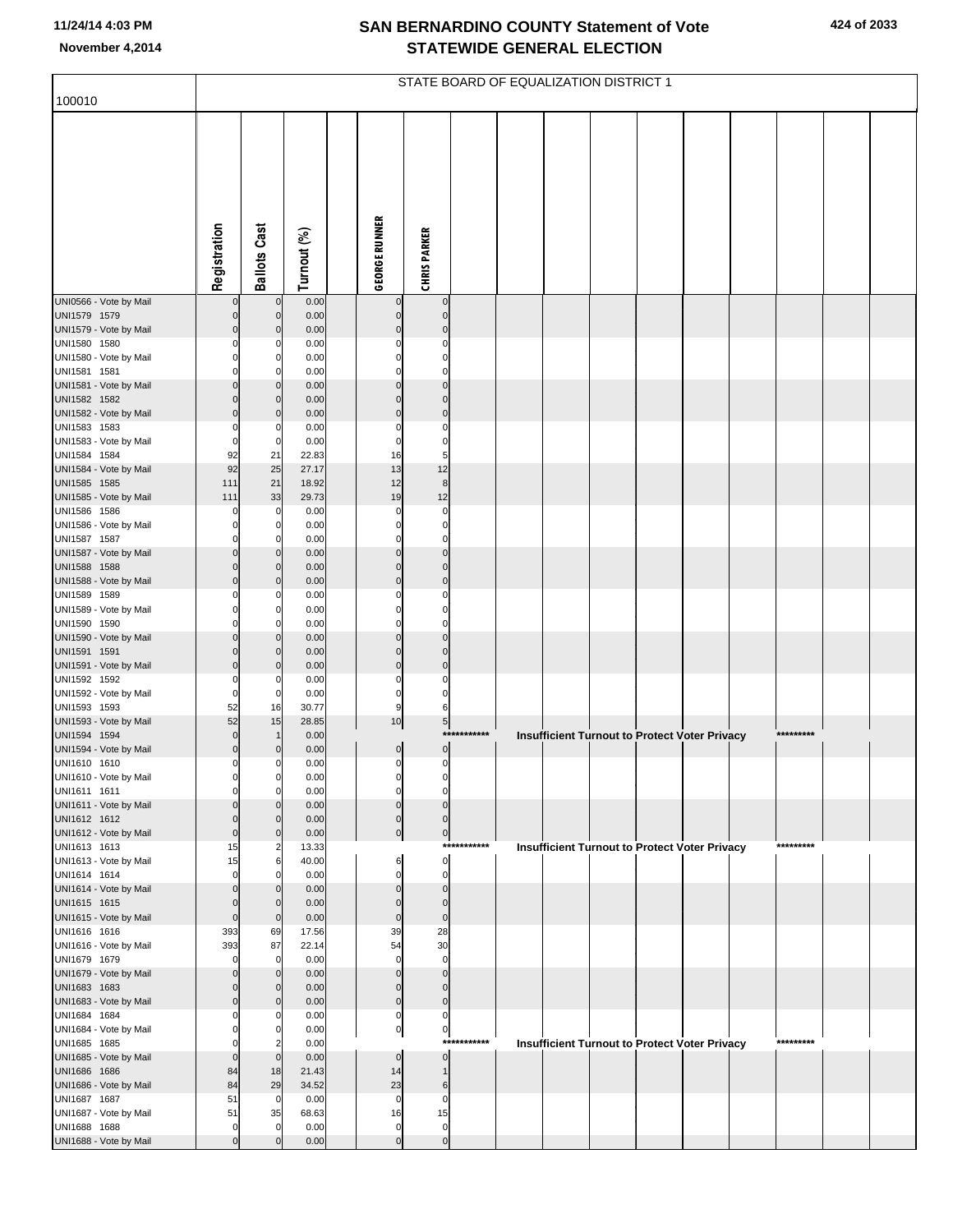|                                        |                            |                                  |                |                            |                             |             | STATE BOARD OF EQUALIZATION DISTRICT 1               |  |  |           |  |
|----------------------------------------|----------------------------|----------------------------------|----------------|----------------------------|-----------------------------|-------------|------------------------------------------------------|--|--|-----------|--|
| 100010                                 |                            |                                  |                |                            |                             |             |                                                      |  |  |           |  |
|                                        | Registration               | <b>Ballots Cast</b>              | Turnout (%)    | <b>GEORGE RUNNER</b>       | <b>CHRIS PARKER</b>         |             |                                                      |  |  |           |  |
|                                        |                            |                                  |                |                            |                             |             |                                                      |  |  |           |  |
| UNI0566 - Vote by Mail                 | 0                          | $\mathbf 0$                      | 0.00           |                            | $\mathbf 0$                 |             |                                                      |  |  |           |  |
| UNI1579 1579                           | $\Omega$                   | $\overline{0}$                   | 0.00           | $\Omega$                   | $\mathbf 0$                 |             |                                                      |  |  |           |  |
| UNI1579 - Vote by Mail                 | $\mathbf 0$                | $\overline{0}$                   | 0.00           | $\Omega$                   | $\Omega$                    |             |                                                      |  |  |           |  |
| UNI1580 1580<br>UNI1580 - Vote by Mail | $\Omega$<br>$\mathbf 0$    | 0<br>$\mathbf{0}$                | 0.00<br>0.00   | 0<br>$\Omega$              | 0<br>$\Omega$               |             |                                                      |  |  |           |  |
| UNI1581 1581                           | $\Omega$                   | O                                | 0.00           | 0                          | $\Omega$                    |             |                                                      |  |  |           |  |
| UNI1581 - Vote by Mail                 | $\Omega$                   | $\overline{0}$                   | 0.00           | $\Omega$                   | $\Omega$                    |             |                                                      |  |  |           |  |
| UNI1582 1582                           | $\Omega$                   | $\overline{0}$                   | 0.00           | $\Omega$                   | $\Omega$                    |             |                                                      |  |  |           |  |
| UNI1582 - Vote by Mail<br>UNI1583 1583 | $\mathbf 0$<br>$\Omega$    | $\overline{0}$<br>0              | 0.00<br>0.00   | $\Omega$<br>0              | $\mathbf 0$<br>$\Omega$     |             |                                                      |  |  |           |  |
| UNI1583 - Vote by Mail                 | $\mathbf 0$                | $\mathbf 0$                      | 0.00           | 0                          | $\mathbf 0$                 |             |                                                      |  |  |           |  |
| UNI1584 1584                           | 92                         | 21                               | 22.83          | 16                         | 5                           |             |                                                      |  |  |           |  |
| UNI1584 - Vote by Mail                 | 92                         | 25                               | 27.17          | 13                         | 12                          |             |                                                      |  |  |           |  |
| UNI1585 1585<br>UNI1585 - Vote by Mail | 111<br>111                 | 21<br>33                         | 18.92<br>29.73 | 12<br>19                   | 8<br>12                     |             |                                                      |  |  |           |  |
| UNI1586 1586                           | $\Omega$                   | 0                                | 0.00           | $\Omega$                   | $\Omega$                    |             |                                                      |  |  |           |  |
| UNI1586 - Vote by Mail                 | $\Omega$                   | $\overline{0}$                   | 0.00           | $\Omega$                   | $\mathbf 0$                 |             |                                                      |  |  |           |  |
| UNI1587 1587                           | $\Omega$                   | $\Omega$                         | 0.00           | $\Omega$                   | $\Omega$                    |             |                                                      |  |  |           |  |
| UNI1587 - Vote by Mail<br>UNI1588 1588 | $\mathbf 0$<br>$\Omega$    | $\overline{0}$<br>$\overline{0}$ | 0.00<br>0.00   | $\Omega$<br>$\Omega$       | $\mathbf{0}$<br>$\Omega$    |             |                                                      |  |  |           |  |
| UNI1588 - Vote by Mail                 | $\mathbf 0$                | $\overline{0}$                   | 0.00           | $\mathbf 0$                | $\mathbf 0$                 |             |                                                      |  |  |           |  |
| UNI1589 1589                           | $\Omega$                   | 0                                | 0.00           | 0                          | 0                           |             |                                                      |  |  |           |  |
| UNI1589 - Vote by Mail                 | $\mathbf 0$                | $\mathbf{0}$                     | 0.00           | $\Omega$                   | $\Omega$                    |             |                                                      |  |  |           |  |
| UNI1590 1590<br>UNI1590 - Vote by Mail | $\Omega$<br>$\mathbf 0$    | O<br>$\overline{0}$              | 0.00<br>0.00   | $\Omega$<br>$\Omega$       | $\Omega$<br>$\mathbf{0}$    |             |                                                      |  |  |           |  |
| UNI1591 1591                           | $\Omega$                   | $\overline{0}$                   | 0.00           | $\Omega$                   | $\Omega$                    |             |                                                      |  |  |           |  |
| UNI1591 - Vote by Mail                 | $\mathbf 0$                | $\overline{0}$                   | 0.00           | $\Omega$                   | $\mathbf 0$                 |             |                                                      |  |  |           |  |
| UNI1592 1592                           | $\Omega$                   | 0                                | 0.00           | 0                          | $\Omega$                    |             |                                                      |  |  |           |  |
| UNI1592 - Vote by Mail<br>UNI1593 1593 | $\mathbf 0$<br>52          | $\overline{0}$<br>16             | 0.00<br>30.77  | $\mathbf 0$<br>9           | $\Omega$<br>6               |             |                                                      |  |  |           |  |
| UNI1593 - Vote by Mail                 | 52                         | 15                               | 28.85          | 10                         | $5\overline{)}$             |             |                                                      |  |  |           |  |
| UNI1594 1594                           | $\mathbf 0$                |                                  | 0.00           |                            |                             | *********** | <b>Insufficient Turnout to Protect Voter Privacy</b> |  |  | ********* |  |
| UNI1594 - Vote by Mail                 | $\mathbf 0$                | 0                                | 0.00           | $\bf{0}$                   | $\pmb{0}$                   |             |                                                      |  |  |           |  |
| UNI1610 1610                           | $\mathbf 0$                | 0<br>$\mathbf{0}$                | 0.00           | $\pmb{0}$                  | $\pmb{0}$                   |             |                                                      |  |  |           |  |
| UNI1610 - Vote by Mail<br>UNI1611 1611 | $\Omega$                   | $\mathbf{0}$                     | 0.00<br>0.00   | $\mathbf 0$                | $\Omega$                    |             |                                                      |  |  |           |  |
| UNI1611 - Vote by Mail                 | $\mathbf 0$                | $\overline{0}$                   | 0.00           | $\mathbf 0$                | $\mathbf{0}$                |             |                                                      |  |  |           |  |
| UNI1612 1612                           | $\mathbf 0$                | $\Omega$                         | 0.00           | $\mathbf 0$                | $\mathbf 0$                 |             |                                                      |  |  |           |  |
| UNI1612 - Vote by Mail<br>UNI1613 1613 | $\mathbf 0$<br>15          | $\overline{0}$                   | 0.00<br>13.33  | $\mathbf 0$                | $\overline{0}$              | *********** | <b>Insufficient Turnout to Protect Voter Privacy</b> |  |  | ********* |  |
| UNI1613 - Vote by Mail                 | 15                         | 6                                | 40.00          | 6                          | $\overline{0}$              |             |                                                      |  |  |           |  |
| UNI1614 1614                           | $\mathbf 0$                | O                                | 0.00           | $\mathbf 0$                | $\mathbf 0$                 |             |                                                      |  |  |           |  |
| UNI1614 - Vote by Mail                 | $\mathbf 0$                | $\overline{0}$                   | 0.00           | $\mathbf 0$                | $\mathbf 0$                 |             |                                                      |  |  |           |  |
| UNI1615 1615<br>UNI1615 - Vote by Mail | $\mathbf 0$<br>$\mathbf 0$ | $\mathbf{0}$<br>$\overline{0}$   | 0.00<br>0.00   | $\mathbf 0$<br>$\mathbf 0$ | $\mathbf{0}$<br>$\mathbf 0$ |             |                                                      |  |  |           |  |
| UNI1616 1616                           | 393                        | 69                               | 17.56          | 39                         | 28                          |             |                                                      |  |  |           |  |
| UNI1616 - Vote by Mail                 | 393                        | 87                               | 22.14          | 54                         | 30                          |             |                                                      |  |  |           |  |
| UNI1679 1679                           | $\Omega$                   | $\mathbf{0}$                     | 0.00           | $\Omega$                   | $\Omega$<br>$\mathbf{0}$    |             |                                                      |  |  |           |  |
| UNI1679 - Vote by Mail<br>UNI1683 1683 | $\mathbf 0$<br>$\mathbf 0$ | $\overline{0}$<br>$\overline{0}$ | 0.00<br>0.00   | $\Omega$<br>$\mathbf 0$    | $\Omega$                    |             |                                                      |  |  |           |  |
| UNI1683 - Vote by Mail                 | $\mathbf 0$                | $\overline{0}$                   | 0.00           | $\mathbf 0$                | $\mathbf 0$                 |             |                                                      |  |  |           |  |
| UNI1684 1684                           | $\Omega$                   | 0                                | 0.00           | 0                          | $\mathbf 0$                 |             |                                                      |  |  |           |  |
| UNI1684 - Vote by Mail                 | $\mathbf 0$<br>$\Omega$    | $\mathbf{0}$                     | 0.00           | $\mathbf 0$                | $\overline{0}$              | *********** |                                                      |  |  | ********* |  |
| UNI1685 1685<br>UNI1685 - Vote by Mail | $\mathbf 0$                | $\overline{0}$                   | 0.00<br>0.00   | $\mathbf 0$                | $\mathbf 0$                 |             | <b>Insufficient Turnout to Protect Voter Privacy</b> |  |  |           |  |
| UNI1686 1686                           | 84                         | 18                               | 21.43          | 14                         | $\mathbf{1}$                |             |                                                      |  |  |           |  |
| UNI1686 - Vote by Mail                 | 84                         | 29                               | 34.52          | 23                         | $\,6$                       |             |                                                      |  |  |           |  |
| UNI1687 1687                           | 51                         | $\overline{0}$                   | 0.00           | $\mathbf 0$                | $\mathbf 0$                 |             |                                                      |  |  |           |  |
| UNI1687 - Vote by Mail<br>UNI1688 1688 | 51<br>$\mathbf 0$          | 35<br>0                          | 68.63<br>0.00  | 16<br>0                    | 15<br>$\mathbf 0$           |             |                                                      |  |  |           |  |
| UNI1688 - Vote by Mail                 | $\mathbf 0$                | $\Omega$                         | 0.00           | $\mathbf{0}$               | $\mathbf 0$                 |             |                                                      |  |  |           |  |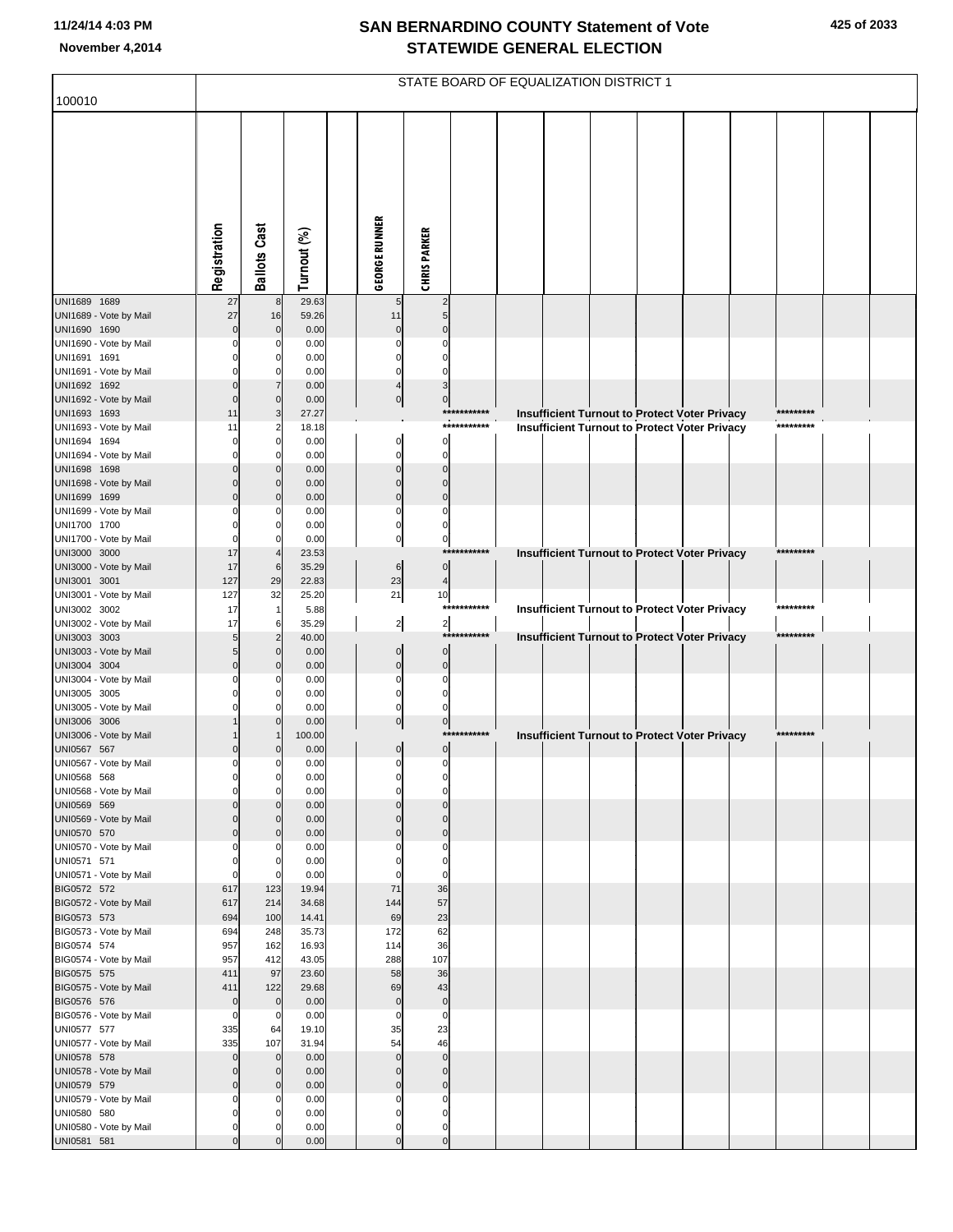|                                        |                            |                            |                |                               | STATE BOARD OF EQUALIZATION DISTRICT 1 |             |  |                                                      |  |           |  |
|----------------------------------------|----------------------------|----------------------------|----------------|-------------------------------|----------------------------------------|-------------|--|------------------------------------------------------|--|-----------|--|
| 100010                                 |                            |                            |                |                               |                                        |             |  |                                                      |  |           |  |
|                                        | Registration               | <b>Ballots Cast</b>        | Turnout (%)    | <b>GEORGE RUNNER</b>          | <b>CHRIS PARKER</b>                    |             |  |                                                      |  |           |  |
| UNI1689 1689                           | 27                         | 8                          | 29.63          |                               | 2                                      |             |  |                                                      |  |           |  |
| UNI1689 - Vote by Mail<br>UNI1690 1690 | 27<br>$\overline{0}$       | 16<br>$\mathbf 0$          | 59.26<br>0.00  | 11<br>$\Omega$                | 5                                      |             |  |                                                      |  |           |  |
| UNI1690 - Vote by Mail                 | $\Omega$                   | 0                          | 0.00           | 0                             |                                        |             |  |                                                      |  |           |  |
| UNI1691 1691                           |                            | $\Omega$                   | 0.00           | 0                             |                                        |             |  |                                                      |  |           |  |
| UNI1691 - Vote by Mail<br>UNI1692 1692 | $\Omega$                   | 0                          | 0.00<br>0.00   | $\Omega$                      |                                        |             |  |                                                      |  |           |  |
| UNI1692 - Vote by Mail                 | $\Omega$                   | $\overline{0}$             | 0.00           | $\boldsymbol{0}$              | $\boldsymbol{0}$                       |             |  |                                                      |  |           |  |
| UNI1693 1693                           | 11                         | 3                          | 27.27          |                               |                                        | *********** |  | <b>Insufficient Turnout to Protect Voter Privacy</b> |  | ********* |  |
| UNI1693 - Vote by Mail<br>UNI1694 1694 | 11<br>$\Omega$             | 2<br>0                     | 18.18<br>0.00  | 0                             | $\Omega$                               | *********** |  | Insufficient Turnout to Protect Voter Privacy        |  | ********* |  |
| UNI1694 - Vote by Mail                 | $\Omega$                   | 0                          | 0.00           | $\mathbf 0$                   | $\mathbf 0$                            |             |  |                                                      |  |           |  |
| UNI1698 1698                           |                            | $\Omega$                   | 0.00           | $\Omega$                      | $\Omega$                               |             |  |                                                      |  |           |  |
| UNI1698 - Vote by Mail                 | $\Omega$                   | $\mathbf{0}$               | 0.00           | $\mathbf 0$                   | $\Omega$                               |             |  |                                                      |  |           |  |
| UNI1699 1699<br>UNI1699 - Vote by Mail |                            | $\mathbf{0}$<br>0          | 0.00<br>0.00   | $\Omega$<br>$\Omega$          | $\Omega$<br>O                          |             |  |                                                      |  |           |  |
| UNI1700 1700                           |                            |                            | 0.00           | 0                             |                                        |             |  |                                                      |  |           |  |
| UNI1700 - Vote by Mail                 | $\Omega$                   | 0                          | 0.00           | $\pmb{0}$                     | $\pmb{0}$                              |             |  |                                                      |  |           |  |
| UNI3000 3000<br>UNI3000 - Vote by Mail | 17<br>17                   | 6                          | 23.53<br>35.29 |                               | $\overline{0}$                         | *********** |  | Insufficient Turnout to Protect Voter Privacy        |  | ********* |  |
| UNI3001 3001                           | 127                        | 29                         | 22.83          | 6<br>23                       | $\overline{4}$                         |             |  |                                                      |  |           |  |
| UNI3001 - Vote by Mail                 | 127                        | 32                         | 25.20          | 21                            | 10                                     |             |  |                                                      |  |           |  |
| UNI3002 3002                           | 17                         |                            | 5.88           |                               |                                        | *********** |  | <b>Insufficient Turnout to Protect Voter Privacy</b> |  | ********* |  |
| UNI3002 - Vote by Mail<br>UNI3003 3003 | 17<br>5                    | 6                          | 35.29<br>40.00 | $\overline{2}$                | $\overline{2}$                         | *********** |  | <b>Insufficient Turnout to Protect Voter Privacy</b> |  | ********* |  |
| UNI3003 - Vote by Mail                 | 5                          | $\mathbf{0}$               | 0.00           | $\bf{0}$                      | $\mathbf 0$                            |             |  |                                                      |  |           |  |
| UNI3004 3004                           | $\Omega$                   | $\mathbf{0}$               | 0.00           | $\pmb{0}$                     | $\mathbf{0}$                           |             |  |                                                      |  |           |  |
| UNI3004 - Vote by Mail<br>UNI3005 3005 |                            | 0                          | 0.00<br>0.00   | 0<br>0                        | 0                                      |             |  |                                                      |  |           |  |
| UNI3005 - Vote by Mail                 |                            | $\Omega$                   | 0.00           | $\Omega$                      |                                        |             |  |                                                      |  |           |  |
| UNI3006 3006                           |                            |                            | 0.00           | $\mathbf 0$                   | $\pmb{0}$                              |             |  |                                                      |  |           |  |
| UNI3006 - Vote by Mail<br>UNI0567 567  |                            | $\Omega$                   | 100.00         |                               |                                        | *********** |  | Insufficient Turnout to Protect Voter Privacy        |  | ********* |  |
| UNI0567 - Vote by Mail                 | $\mathbf 0$                | $\overline{0}$             | 0.00<br>0.00   | $\boldsymbol{0}$<br>$\pmb{0}$ | $\pmb{0}$<br>$\mathbf 0$               |             |  |                                                      |  |           |  |
| UNI0568 568                            | $\Omega$                   | $\mathbf{0}$               | 0.00           |                               |                                        |             |  |                                                      |  |           |  |
| UNI0568 - Vote by Mail                 | $\mathbf 0$                | 0                          | 0.00           | $\Omega$                      | $\Omega$                               |             |  |                                                      |  |           |  |
| UNI0569 569<br>UNI0569 - Vote by Mail  | $\Omega$<br>$\mathbf 0$    | $\Omega$<br>$\overline{0}$ | 0.00<br>0.00   | $\Omega$<br>$\Omega$          | $\Omega$<br>$\mathbf{0}$               |             |  |                                                      |  |           |  |
| UNI0570 570                            | $\mathbf 0$                | $\mathbf 0$                | 0.00           | $\Omega$                      | $\mathbf{0}$                           |             |  |                                                      |  |           |  |
| UNI0570 - Vote by Mail                 | $\Omega$                   | $\mathbf{0}$               | 0.00           | $\Omega$                      | 0                                      |             |  |                                                      |  |           |  |
| UNI0571 571<br>UNI0571 - Vote by Mail  | $\mathbf 0$<br>$\mathbf 0$ | 0<br>$\mathbf 0$           | 0.00<br>0.00   | $\Omega$<br>$\Omega$          | $\mathbf 0$<br>$\mathbf 0$             |             |  |                                                      |  |           |  |
| BIG0572 572                            | 617                        | 123                        | 19.94          | 71                            | 36                                     |             |  |                                                      |  |           |  |
| BIG0572 - Vote by Mail                 | 617                        | 214                        | 34.68          | 144                           | 57                                     |             |  |                                                      |  |           |  |
| BIG0573 573<br>BIG0573 - Vote by Mail  | 694<br>694                 | 100<br>248                 | 14.41<br>35.73 | 69<br>172                     | 23<br>62                               |             |  |                                                      |  |           |  |
| BIG0574 574                            | 957                        | 162                        | 16.93          | 114                           | 36                                     |             |  |                                                      |  |           |  |
| BIG0574 - Vote by Mail                 | 957                        | 412                        | 43.05          | 288                           | 107                                    |             |  |                                                      |  |           |  |
| BIG0575 575<br>BIG0575 - Vote by Mail  | 411<br>411                 | 97<br>122                  | 23.60<br>29.68 | 58<br>69                      | 36<br>43                               |             |  |                                                      |  |           |  |
| BIG0576 576                            | $\pmb{0}$                  | $\overline{0}$             | 0.00           | $\mathbf 0$                   | $\pmb{0}$                              |             |  |                                                      |  |           |  |
| BIG0576 - Vote by Mail                 | 0                          | $\overline{0}$             | 0.00           | 0                             | $\pmb{0}$                              |             |  |                                                      |  |           |  |
| UNI0577 577                            | 335<br>335                 | 64<br>107                  | 19.10<br>31.94 | 35<br>54                      | 23<br>46                               |             |  |                                                      |  |           |  |
| UNI0577 - Vote by Mail<br>UNI0578 578  | $\mathbf 0$                | $\overline{0}$             | 0.00           | $\mathbf{0}$                  | $\mathbf{0}$                           |             |  |                                                      |  |           |  |
| UNI0578 - Vote by Mail                 | $\mathbf 0$                | $\overline{0}$             | 0.00           | $\mathbf 0$                   | $\mathbf{0}$                           |             |  |                                                      |  |           |  |
| UNI0579 579                            | $\mathbf 0$                | $\mathbf 0$                | 0.00           | $\mathbf 0$                   | $\mathbf 0$                            |             |  |                                                      |  |           |  |
| UNI0579 - Vote by Mail<br>UNI0580 580  | $\mathbf 0$<br>$\mathbf 0$ | 0                          | 0.00<br>0.00   | $\Omega$<br>$\Omega$          | $\Omega$<br>$\Omega$                   |             |  |                                                      |  |           |  |
| UNI0580 - Vote by Mail                 | $\mathbf 0$                | O                          | 0.00           | $\mathbf 0$                   | $\mathbf 0$                            |             |  |                                                      |  |           |  |
| UNI0581 581                            | $\mathbf 0$                | $\Omega$                   | 0.00           | $\mathbf{0}$                  | $\mathbf 0$                            |             |  |                                                      |  |           |  |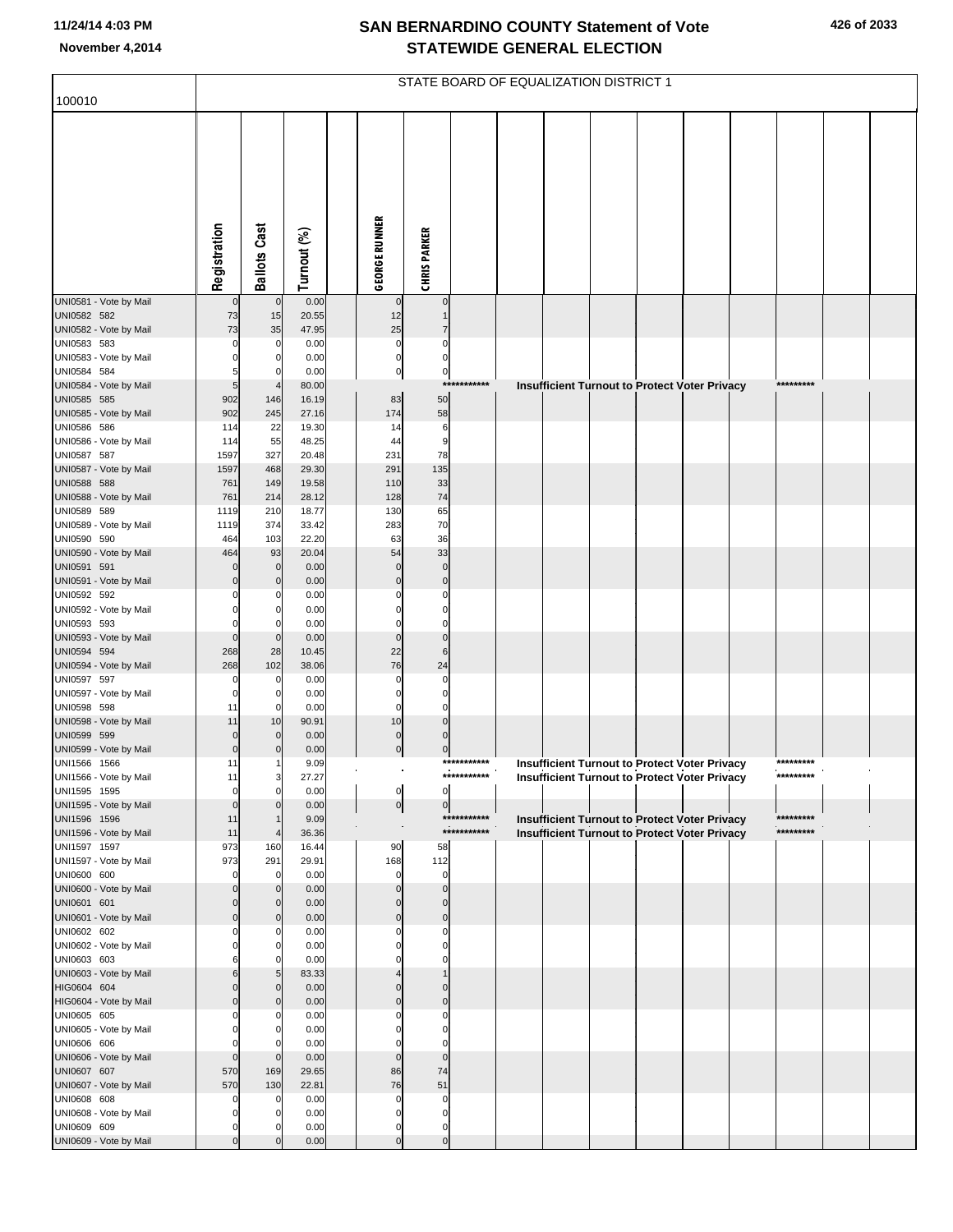|                                        |                      |                                |                |                      |                          |                            | STATE BOARD OF EQUALIZATION DISTRICT 1                                                                       |  |  |                        |  |
|----------------------------------------|----------------------|--------------------------------|----------------|----------------------|--------------------------|----------------------------|--------------------------------------------------------------------------------------------------------------|--|--|------------------------|--|
| 100010                                 |                      |                                |                |                      |                          |                            |                                                                                                              |  |  |                        |  |
|                                        | Registration         | <b>Ballots Cast</b>            | Turnout (%)    | <b>GEORGE RUNNER</b> | <b>CHRIS PARKER</b>      |                            |                                                                                                              |  |  |                        |  |
| UNI0581 - Vote by Mail                 |                      | $\mathbf 0$                    | 0.00           | $\mathsf{C}$         | $\mathbf 0$              |                            |                                                                                                              |  |  |                        |  |
| UNI0582 582<br>UNI0582 - Vote by Mail  | 73<br>73             | 15<br>35                       | 20.55<br>47.95 | 12<br>25             | $\overline{7}$           |                            |                                                                                                              |  |  |                        |  |
| UNI0583 583                            | 0                    | $\mathbf 0$                    | 0.00           | $\mathbf 0$          | $\Omega$                 |                            |                                                                                                              |  |  |                        |  |
| UNI0583 - Vote by Mail                 |                      |                                | 0.00           | 0                    | 0                        |                            |                                                                                                              |  |  |                        |  |
| UNI0584 584                            | 5                    | 0                              | 0.00           | $\pmb{0}$            | $\overline{0}$<br>***    | *******                    |                                                                                                              |  |  | *********              |  |
| UNI0584 - Vote by Mail<br>UNI0585 585  | 5<br>902             | 146                            | 80.00<br>16.19 | 83                   | 50                       |                            | <b>Insufficient Turnout to Protect Voter Privacy</b>                                                         |  |  |                        |  |
| UNI0585 - Vote by Mail                 | 902                  | 245                            | 27.16          | 174                  | 58                       |                            |                                                                                                              |  |  |                        |  |
| UNI0586 586                            | 114                  | 22                             | 19.30          | 14                   | 6                        |                            |                                                                                                              |  |  |                        |  |
| UNI0586 - Vote by Mail                 | 114                  | 55                             | 48.25          | 44                   | 9                        |                            |                                                                                                              |  |  |                        |  |
| UNI0587 587                            | 1597                 | 327                            | 20.48          | 231                  | 78                       |                            |                                                                                                              |  |  |                        |  |
| UNI0587 - Vote by Mail<br>UNI0588 588  | 1597<br>761          | 468<br>149                     | 29.30<br>19.58 | 291<br>110           | 135<br>33                |                            |                                                                                                              |  |  |                        |  |
| UNI0588 - Vote by Mail                 | 761                  | 214                            | 28.12          | 128                  | 74                       |                            |                                                                                                              |  |  |                        |  |
| UNI0589 589                            | 1119                 | 210                            | 18.77          | 130                  | 65                       |                            |                                                                                                              |  |  |                        |  |
| UNI0589 - Vote by Mail                 | 1119                 | 374                            | 33.42          | 283                  | 70                       |                            |                                                                                                              |  |  |                        |  |
| UNI0590 590<br>UNI0590 - Vote by Mail  | 464<br>464           | 103<br>93                      | 22.20<br>20.04 | 63<br>54             | 36<br>33                 |                            |                                                                                                              |  |  |                        |  |
| UNI0591 591                            |                      | $\mathbf 0$                    | 0.00           | $\Omega$             | $\mathbf 0$              |                            |                                                                                                              |  |  |                        |  |
| UNI0591 - Vote by Mail                 |                      | $\mathbf 0$                    | 0.00           |                      | $\mathbf 0$              |                            |                                                                                                              |  |  |                        |  |
| UNI0592 592                            |                      |                                | 0.00           |                      | 0                        |                            |                                                                                                              |  |  |                        |  |
| UNI0592 - Vote by Mail<br>UNI0593 593  |                      | 0                              | 0.00<br>0.00   |                      | $\Omega$<br>0            |                            |                                                                                                              |  |  |                        |  |
| UNI0593 - Vote by Mail                 | $\Omega$             | $\mathbf 0$                    | 0.00           | $\mathbf 0$          | $\Omega$                 |                            |                                                                                                              |  |  |                        |  |
| UNI0594 594                            | 268                  | 28                             | 10.45          | 22                   | 6                        |                            |                                                                                                              |  |  |                        |  |
| UNI0594 - Vote by Mail                 | 268                  | 102                            | 38.06          | 76                   | 24                       |                            |                                                                                                              |  |  |                        |  |
| UNI0597 597<br>UNI0597 - Vote by Mail  | $\Omega$<br>$\Omega$ | 0<br>$\Omega$                  | 0.00           | C<br>$\mathsf{C}$    | $\Omega$<br>$\Omega$     |                            |                                                                                                              |  |  |                        |  |
| UNI0598 598                            | 11                   | 0                              | 0.00<br>0.00   | 0                    | 0                        |                            |                                                                                                              |  |  |                        |  |
| UNI0598 - Vote by Mail                 | 11                   | 10                             | 90.91          | 10                   | $\mathbf 0$              |                            |                                                                                                              |  |  |                        |  |
| UNI0599 599                            | $\mathbf 0$          | $\mathbf 0$                    | 0.00           | $\mathbf 0$          | $\Omega$                 |                            |                                                                                                              |  |  |                        |  |
| UNI0599 - Vote by Mail                 | $\mathbf 0$          |                                | 0.00           | $\mathbf 0$          | 0                        | ***********                |                                                                                                              |  |  | *********              |  |
| UNI1566 1566<br>UNI1566 - Vote by Mail | 11<br>11             | 3                              | 9.09<br>27.27  |                      |                          | ***********                | <b>Insufficient Turnout to Protect Voter Privacy</b><br><b>Insufficient Turnout to Protect Voter Privacy</b> |  |  | *********              |  |
| UNI1595 1595                           | $\mathbf 0$          | $\mathbf{0}$                   | 0.00           | 0                    | $\overline{0}$           |                            |                                                                                                              |  |  |                        |  |
| UNI1595 - Vote by Mail                 | $\Omega$             |                                | 0.00           | $\overline{0}$       | $\overline{0}$           |                            |                                                                                                              |  |  |                        |  |
| UNI1596 1596                           | 11<br>11             |                                | 9.09           |                      |                          | ***********<br>*********** | <b>Insufficient Turnout to Protect Voter Privacy</b>                                                         |  |  | *********<br>********* |  |
| UNI1596 - Vote by Mail<br>UNI1597 1597 | 973                  | 160                            | 36.36<br>16.44 | 90                   | 58                       |                            | <b>Insufficient Turnout to Protect Voter Privacy</b>                                                         |  |  |                        |  |
| UNI1597 - Vote by Mail                 | 973                  | 291                            | 29.91          | 168                  | 112                      |                            |                                                                                                              |  |  |                        |  |
| UNI0600 600                            | $\Omega$             | $\mathbf 0$                    | 0.00           | $\mathsf{C}$         | $\mathbf 0$              |                            |                                                                                                              |  |  |                        |  |
| UNI0600 - Vote by Mail                 |                      | $\mathbf{0}$                   | 0.00           | C                    | $\mathbf 0$              |                            |                                                                                                              |  |  |                        |  |
| UNI0601 601<br>UNI0601 - Vote by Mail  | O<br>$\Omega$        | $\mathbf{0}$<br>$\overline{0}$ | 0.00<br>0.00   | C                    | $\Omega$<br>$\Omega$     |                            |                                                                                                              |  |  |                        |  |
| UNI0602 602                            |                      | 0                              | 0.00           | C                    | $\Omega$                 |                            |                                                                                                              |  |  |                        |  |
| UNI0602 - Vote by Mail                 |                      | $\mathbf 0$                    | 0.00           |                      | 0                        |                            |                                                                                                              |  |  |                        |  |
| UNI0603 603                            | 6                    | $\mathbf 0$                    | 0.00           |                      | 0                        |                            |                                                                                                              |  |  |                        |  |
| UNI0603 - Vote by Mail<br>HIG0604 604  | 6<br>$\Omega$        | 5<br>$\overline{0}$            | 83.33<br>0.00  |                      | $\Omega$                 |                            |                                                                                                              |  |  |                        |  |
| HIG0604 - Vote by Mail                 | $\Omega$             | $\mathbf 0$                    | 0.00           | $\mathcal{C}$        | $\Omega$                 |                            |                                                                                                              |  |  |                        |  |
| UNI0605 605                            |                      | 0                              | 0.00           |                      | $\Omega$                 |                            |                                                                                                              |  |  |                        |  |
| UNI0605 - Vote by Mail                 |                      | $\mathbf 0$                    | 0.00           |                      | $\Omega$                 |                            |                                                                                                              |  |  |                        |  |
| UNI0606 606                            | $\mathbf{0}$         | 0<br>$\mathbf 0$               | 0.00<br>0.00   | $\Omega$             | $\Omega$<br>$\mathbf{0}$ |                            |                                                                                                              |  |  |                        |  |
| UNI0606 - Vote by Mail<br>UNI0607 607  | 570                  | 169                            | 29.65          | 86                   | 74                       |                            |                                                                                                              |  |  |                        |  |
| UNI0607 - Vote by Mail                 | 570                  | 130                            | 22.81          | 76                   | 51                       |                            |                                                                                                              |  |  |                        |  |
| UNI0608 608                            |                      | 0                              | 0.00           | C                    | 0                        |                            |                                                                                                              |  |  |                        |  |
| UNI0608 - Vote by Mail<br>UNI0609 609  | 0                    | 0                              | 0.00<br>0.00   | C                    | 0                        |                            |                                                                                                              |  |  |                        |  |
| UNI0609 - Vote by Mail                 |                      |                                | 0.00           | $\mathcal{C}$        | 0<br>$\bf{0}$            |                            |                                                                                                              |  |  |                        |  |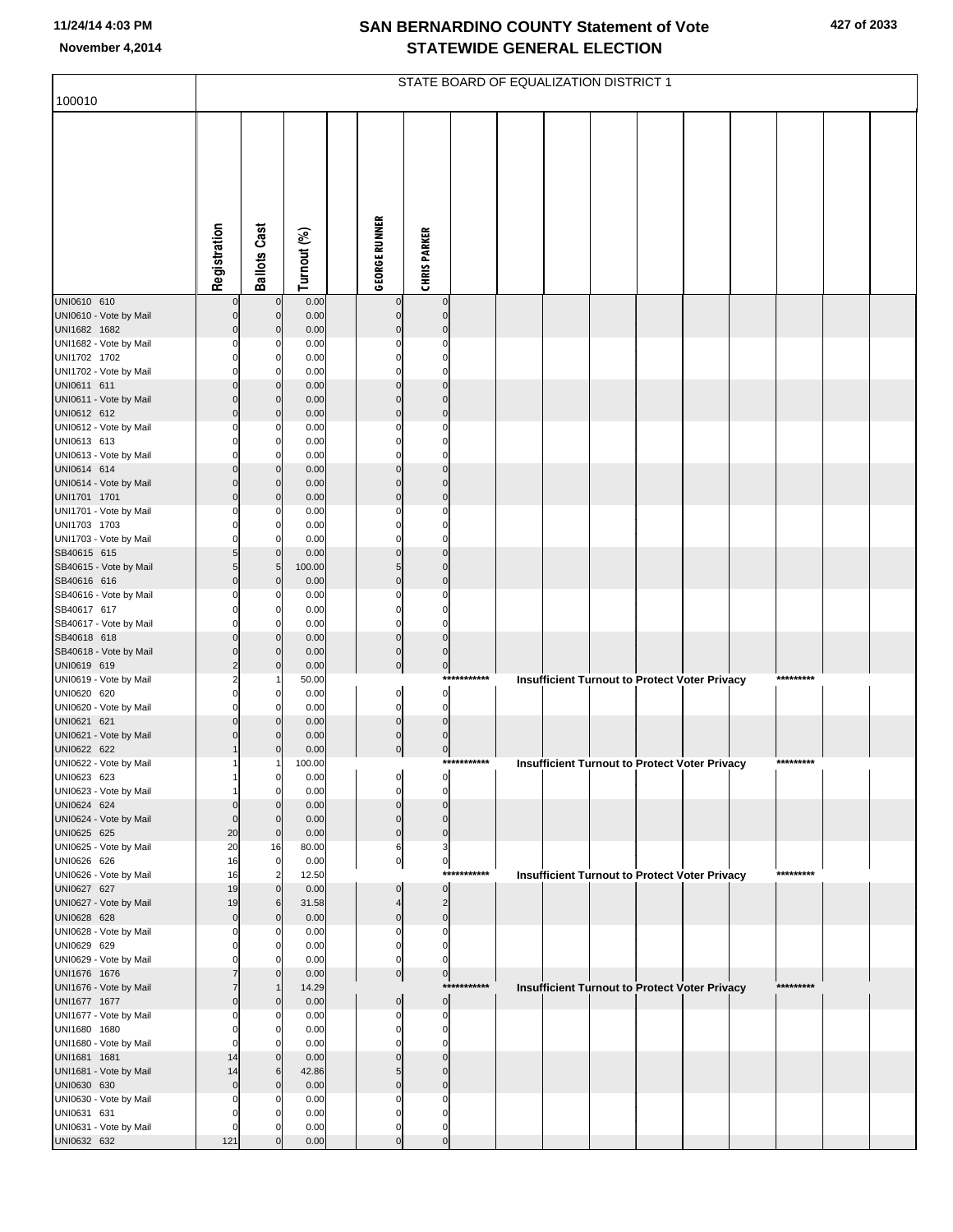| 100010                                 |                      |                            |                |              |                               |                                           |             | STATE BOARD OF EQUALIZATION DISTRICT 1 |  |                                                      |              |  |
|----------------------------------------|----------------------|----------------------------|----------------|--------------|-------------------------------|-------------------------------------------|-------------|----------------------------------------|--|------------------------------------------------------|--------------|--|
|                                        |                      |                            |                |              |                               |                                           |             |                                        |  |                                                      |              |  |
|                                        |                      |                            |                |              |                               |                                           |             |                                        |  |                                                      |              |  |
|                                        |                      |                            |                |              |                               |                                           |             |                                        |  |                                                      |              |  |
|                                        |                      |                            |                |              |                               |                                           |             |                                        |  |                                                      |              |  |
|                                        |                      |                            |                |              |                               |                                           |             |                                        |  |                                                      |              |  |
|                                        |                      |                            |                |              |                               |                                           |             |                                        |  |                                                      |              |  |
|                                        |                      |                            |                |              |                               |                                           |             |                                        |  |                                                      |              |  |
|                                        |                      |                            |                |              |                               |                                           |             |                                        |  |                                                      |              |  |
|                                        | Registration         | <b>Ballots Cast</b>        | Turnout (%)    |              | <b>GEORGE RUNNER</b>          | <b>CHRIS PARKER</b>                       |             |                                        |  |                                                      |              |  |
| UNI0610 610                            |                      | $\mathbf 0$                | 0.00           |              | 0                             | $\pmb{0}$                                 |             |                                        |  |                                                      |              |  |
| UNI0610 - Vote by Mail                 | $\Omega$             | $\mathbf 0$                | 0.00           |              | $\mathbf 0$                   | $\pmb{0}$                                 |             |                                        |  |                                                      |              |  |
| UNI1682 1682<br>UNI1682 - Vote by Mail | $\Omega$             | $\mathbf 0$<br>C           | 0.00<br>0.00   |              | $\mathbf 0$                   | $\mathbf 0$<br>$\mathbf 0$                |             |                                        |  |                                                      |              |  |
| UNI1702 1702                           |                      | 0                          | 0.00           |              | 0                             | $\mathbf 0$                               |             |                                        |  |                                                      |              |  |
| UNI1702 - Vote by Mail                 | $\Omega$             | 0                          | 0.00           |              | 0                             | $\mathbf 0$<br>$\mathbf 0$                |             |                                        |  |                                                      |              |  |
| UNI0611 611<br>UNI0611 - Vote by Mail  | $\Omega$             | $\mathbf 0$<br>$\mathbf 0$ | 0.00<br>0.00   |              | $\mathbf 0$<br>$\mathbf 0$    | $\mathbf 0$                               |             |                                        |  |                                                      |              |  |
| UNI0612 612                            | $\Omega$             | $\mathbf 0$                | 0.00           |              | $\pmb{0}$                     | $\mathbf 0$                               |             |                                        |  |                                                      |              |  |
| UNI0612 - Vote by Mail                 |                      | C                          | 0.00           |              |                               | $\mathbf 0$<br>$\mathbf 0$                |             |                                        |  |                                                      |              |  |
| UNI0613 613<br>UNI0613 - Vote by Mail  |                      | 0<br>C                     | 0.00<br>0.00   |              | 0<br>ŋ                        | $\mathbf 0$                               |             |                                        |  |                                                      |              |  |
| UNI0614 614                            | $\Omega$             | $\mathbf 0$                | 0.00           |              | $\mathbf 0$                   | $\mathbf 0$                               |             |                                        |  |                                                      |              |  |
| UNI0614 - Vote by Mail                 | $\Omega$             | $\mathbf 0$                | 0.00           |              | $\mathbf 0$                   | $\mathbf 0$<br>$\mathbf 0$                |             |                                        |  |                                                      |              |  |
| UNI1701 1701<br>UNI1701 - Vote by Mail | $\Omega$             | $\mathbf 0$<br>C           | 0.00<br>0.00   |              | $\pmb{0}$                     | $\mathbf 0$                               |             |                                        |  |                                                      |              |  |
| UNI1703 1703                           |                      | 0                          | 0.00           |              | 0                             | $\mathbf 0$                               |             |                                        |  |                                                      |              |  |
| UNI1703 - Vote by Mail<br>SB40615 615  | 5                    | C<br>$\mathbf 0$           | 0.00<br>0.00   |              | $\Omega$<br>$\pmb{0}$         | $\mathbf 0$<br>$\mathbf 0$                |             |                                        |  |                                                      |              |  |
| SB40615 - Vote by Mail                 | 5                    | 5                          | 100.00         |              | 5                             | $\mathbf 0$                               |             |                                        |  |                                                      |              |  |
| SB40616 616                            | $\Omega$             | $\mathbf 0$                | 0.00           |              | $\mathbf 0$                   | $\mathbf 0$                               |             |                                        |  |                                                      |              |  |
| SB40616 - Vote by Mail<br>SB40617 617  |                      | C<br>0                     | 0.00<br>0.00   |              | 0                             | $\mathbf 0$<br>$\mathbf 0$                |             |                                        |  |                                                      |              |  |
| SB40617 - Vote by Mail                 |                      | C                          | 0.00           |              | $\Omega$                      | $\mathbf 0$                               |             |                                        |  |                                                      |              |  |
| SB40618 618                            | $\Omega$             | 0                          | 0.00           |              | $\pmb{0}$                     | $\overline{0}$                            |             |                                        |  |                                                      |              |  |
| SB40618 - Vote by Mail<br>UNI0619 619  | $\Omega$             | 0<br>$\mathbf 0$           | 0.00<br>0.00   |              | $\pmb{0}$<br>$\overline{0}$   | $\overline{0}$<br>$\overline{0}$          |             |                                        |  |                                                      |              |  |
| UNI0619 - Vote by Mail                 |                      |                            | 50.00          |              |                               | $***$                                     | *******     |                                        |  | <b>Insufficient Turnout to Protect Voter Privacy</b> | *********    |  |
| UNI0620 620<br>UNI0620 - Vote by Mail  | O                    | 0<br>C                     | 0.00<br>0.00   |              | $\overline{0}$<br>$\mathbf 0$ | $\overline{0}$<br>$\overline{0}$          |             |                                        |  |                                                      |              |  |
| UNI0621 621                            | $\Omega$             | 0                          | 0.00           |              | $\overline{0}$                | $\circ$                                   |             |                                        |  |                                                      |              |  |
| UNI0621 - Vote by Mail                 |                      | C                          | 0.00           |              | $\pmb{0}$                     | $\overline{0}$                            |             |                                        |  |                                                      |              |  |
| UNI0622 622<br>UNI0622 - Vote by Mail  |                      | C                          | 0.00<br>100.00 |              | $\overline{0}$                | $\overline{0}$                            | *********** |                                        |  | Insufficient Turnout to Protect Voter Privacy        | *********    |  |
| UNI0623 623                            |                      | 0                          | 0.00           | $\mathbf{I}$ | $\sim$                        | $\mathsf{d}$                              |             |                                        |  |                                                      | $\mathbf{I}$ |  |
| UNI0623 - Vote by Mail                 |                      | 0                          | 0.00           |              | 0                             | 0                                         |             |                                        |  |                                                      |              |  |
| UNI0624 624<br>UNI0624 - Vote by Mail  | $\Omega$<br>$\Omega$ | $\Omega$<br>0              | 0.00<br>0.00   |              | $\pmb{0}$<br>$\pmb{0}$        | $\mathbf 0$<br>$\mathbf 0$                |             |                                        |  |                                                      |              |  |
| UNI0625 625                            | 20                   | $\mathbf 0$                | 0.00           |              | $\pmb{0}$                     | $\mathbf 0$                               |             |                                        |  |                                                      |              |  |
| UNI0625 - Vote by Mail<br>UNI0626 626  | 20<br>16             | 16<br>0                    | 80.00<br>0.00  |              | 6<br>$\overline{0}$           | $\overline{\mathbf{3}}$<br>$\overline{0}$ |             |                                        |  |                                                      |              |  |
| UNI0626 - Vote by Mail                 | 16                   | $\overline{2}$             | 12.50          |              |                               | $***$                                     | *******     |                                        |  | <b>Insufficient Turnout to Protect Voter Privacy</b> | *********    |  |
| UNI0627 627                            | 19                   | $\mathbf 0$                | 0.00           |              | $\mathbf 0$                   | $\pmb{0}$                                 |             |                                        |  |                                                      |              |  |
| UNI0627 - Vote by Mail<br>UNI0628 628  | 19<br>$\Omega$       | 6<br>$\Omega$              | 31.58<br>0.00  |              | $\overline{4}$<br>$\pmb{0}$   | $\overline{c}$<br>$\overline{0}$          |             |                                        |  |                                                      |              |  |
| UNI0628 - Vote by Mail                 | O                    | C                          | 0.00           |              | 0                             | $\mathbf 0$                               |             |                                        |  |                                                      |              |  |
| UNI0629 629                            |                      | 0                          | 0.00           |              | $\mathbf 0$                   | $\overline{0}$                            |             |                                        |  |                                                      |              |  |
| UNI0629 - Vote by Mail<br>UNI1676 1676 |                      | $\Omega$                   | 0.00<br>0.00   |              | $\mathbf 0$<br>$\overline{0}$ | $\mathbf 0$<br>$\overline{0}$             |             |                                        |  |                                                      |              |  |
| UNI1676 - Vote by Mail                 |                      |                            | 14.29          |              |                               |                                           | *********** |                                        |  | <b>Insufficient Turnout to Protect Voter Privacy</b> | *********    |  |
| UNI1677 1677<br>UNI1677 - Vote by Mail | $\Omega$             | $\Omega$<br>0              | 0.00<br>0.00   |              | $\pmb{0}$<br>$\Omega$         | $\overline{0}$<br>$\mathbf 0$             |             |                                        |  |                                                      |              |  |
| UNI1680 1680                           | 0                    | 0                          | 0.00           |              | 0                             | $\pmb{0}$                                 |             |                                        |  |                                                      |              |  |
| UNI1680 - Vote by Mail                 | $\Omega$             |                            | 0.00           |              | ŋ                             | $\mathbf 0$                               |             |                                        |  |                                                      |              |  |
| UNI1681 1681<br>UNI1681 - Vote by Mail | 14<br>14             | $\mathbf 0$<br>6           | 0.00<br>42.86  |              | $\mathbf 0$<br>5              | $\pmb{0}$<br>$\mathbf 0$                  |             |                                        |  |                                                      |              |  |
| UNI0630 630                            | $\Omega$             | $\Omega$                   | 0.00           |              | $\pmb{0}$                     | $\pmb{0}$                                 |             |                                        |  |                                                      |              |  |
| UNI0630 - Vote by Mail                 |                      |                            | 0.00           |              | 0                             | $\mathbf 0$                               |             |                                        |  |                                                      |              |  |
| UNI0631 631<br>UNI0631 - Vote by Mail  | 0                    |                            | 0.00<br>0.00   |              | $\Omega$<br>0                 | $\mathbf 0$<br>$\mathbf 0$                |             |                                        |  |                                                      |              |  |
| UNI0632 632                            | 121                  |                            | 0.00           |              | $\mathbf 0$                   | $\overline{0}$                            |             |                                        |  |                                                      |              |  |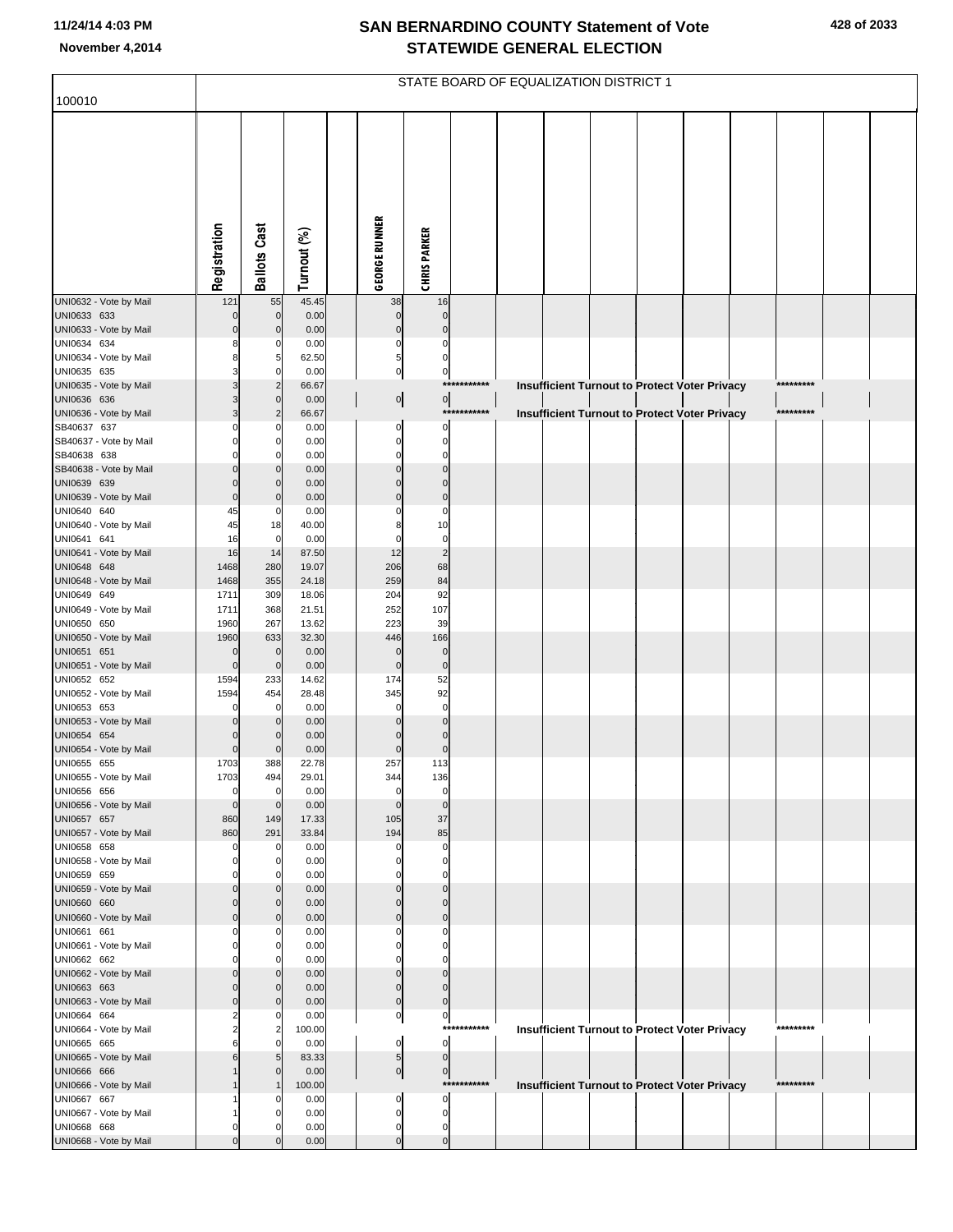|                                       |                      |                                  |                |                      |                         |                               |             | STATE BOARD OF EQUALIZATION DISTRICT 1 |                                                      |  |           |  |
|---------------------------------------|----------------------|----------------------------------|----------------|----------------------|-------------------------|-------------------------------|-------------|----------------------------------------|------------------------------------------------------|--|-----------|--|
| 100010                                |                      |                                  |                |                      |                         |                               |             |                                        |                                                      |  |           |  |
|                                       | Registration         | <b>Ballots Cast</b>              | Turnout (%)    | <b>GEORGE RUNNER</b> |                         | <b>CHRISPARKER</b>            |             |                                        |                                                      |  |           |  |
| UNI0632 - Vote by Mail                | 121                  | 55                               | 45.45          |                      | 38                      | 16                            |             |                                        |                                                      |  |           |  |
| UNI0633 633<br>UNI0633 - Vote by Mail |                      | $\overline{0}$<br>$\mathbf{0}$   | 0.00<br>0.00   |                      | $\mathbf 0$<br>$\Omega$ | $\mathbf{0}$<br>$\mathbf 0$   |             |                                        |                                                      |  |           |  |
| UNI0634 634                           |                      | 0                                | 0.00           |                      | $\Omega$                | $\mathbf 0$                   |             |                                        |                                                      |  |           |  |
| UNI0634 - Vote by Mail                |                      | 5                                | 62.50          |                      | 5                       | $\mathbf 0$                   |             |                                        |                                                      |  |           |  |
| UNI0635 635                           |                      | <sup>0</sup>                     | 0.00           |                      | $\overline{0}$          | $\overline{0}$                | *********** |                                        |                                                      |  | ********* |  |
| UNI0635 - Vote by Mail<br>UNI0636 636 |                      | $\mathbf{0}$                     | 66.67<br>0.00  |                      | $\circ$                 | $\overline{0}$                |             |                                        | <b>Insufficient Turnout to Protect Voter Privacy</b> |  |           |  |
| UNI0636 - Vote by Mail                | 3                    | $\overline{2}$                   | 66.67          |                      |                         |                               | *********** |                                        | <b>Insufficient Turnout to Protect Voter Privacy</b> |  | ********* |  |
| SB40637 637                           |                      | O                                | 0.00           |                      | $\Omega$                | $\mathbf 0$                   |             |                                        |                                                      |  |           |  |
| SB40637 - Vote by Mail                |                      | 0                                | 0.00           |                      | $\Omega$                | $\mathbf 0$                   |             |                                        |                                                      |  |           |  |
| SB40638 638<br>SB40638 - Vote by Mail | $\Omega$             | O<br>$\mathbf{0}$                | 0.00<br>0.00   |                      | C<br>$\Omega$           | $\Omega$<br>$\Omega$          |             |                                        |                                                      |  |           |  |
| UNI0639 639                           |                      | $\mathbf{0}$                     | 0.00           |                      | ſ                       | $\Omega$                      |             |                                        |                                                      |  |           |  |
| UNI0639 - Vote by Mail                | $\mathbf{0}$         | $\mathbf{0}$                     | 0.00           |                      | $\Omega$                | $\mathbf 0$                   |             |                                        |                                                      |  |           |  |
| UNI0640 640                           | 45                   | 0                                | 0.00           |                      | C                       | $\Omega$                      |             |                                        |                                                      |  |           |  |
| UNI0640 - Vote by Mail                | 45                   | 18                               | 40.00          |                      |                         | 10                            |             |                                        |                                                      |  |           |  |
| UNI0641 641<br>UNI0641 - Vote by Mail | 16<br>16             | 0<br>14                          | 0.00<br>87.50  |                      | C<br>12                 | $\mathbf 0$<br>$\overline{2}$ |             |                                        |                                                      |  |           |  |
| UNI0648 648                           | 1468                 | 280                              | 19.07          |                      | 206                     | 68                            |             |                                        |                                                      |  |           |  |
| UNI0648 - Vote by Mail                | 1468                 | 355                              | 24.18          |                      | 259                     | 84                            |             |                                        |                                                      |  |           |  |
| UNI0649 649                           | 1711                 | 309                              | 18.06          |                      | 204                     | 92                            |             |                                        |                                                      |  |           |  |
| UNI0649 - Vote by Mail<br>UNI0650 650 | 1711<br>1960         | 368<br>267                       | 21.51<br>13.62 |                      | 252<br>223              | 107<br>39                     |             |                                        |                                                      |  |           |  |
| UNI0650 - Vote by Mail                | 1960                 | 633                              | 32.30          |                      | 446                     | 166                           |             |                                        |                                                      |  |           |  |
| UNI0651 651                           | $\Omega$             | $\mathbf 0$                      | 0.00           |                      | $\Omega$                | $\mathbf 0$                   |             |                                        |                                                      |  |           |  |
| UNI0651 - Vote by Mail                | $\mathbf 0$          | $\mathbf 0$                      | 0.00           |                      | $\mathbf 0$             | $\pmb{0}$                     |             |                                        |                                                      |  |           |  |
| UNI0652 652<br>UNI0652 - Vote by Mail | 1594<br>1594         | 233                              | 14.62<br>28.48 |                      | 174<br>345              | 52<br>92                      |             |                                        |                                                      |  |           |  |
| UNI0653 653                           |                      | 454<br>O                         | 0.00           |                      |                         | $\mathbf 0$                   |             |                                        |                                                      |  |           |  |
| UNI0653 - Vote by Mail                |                      | $\Omega$                         | 0.00           |                      |                         | $\Omega$                      |             |                                        |                                                      |  |           |  |
| UNI0654 654                           |                      | $\Omega$                         | 0.00           |                      |                         | $\Omega$                      |             |                                        |                                                      |  |           |  |
| UNI0654 - Vote by Mail                | $\Omega$             | $\mathbf 0$                      | 0.00           |                      | $\mathbf 0$             | $\pmb{0}$                     |             |                                        |                                                      |  |           |  |
| UNI0655 655<br>UNI0655 - Vote by Mail | 1703<br>1703         | 388<br>494                       | 22.78<br>29.01 |                      | 257<br>344              | 113<br>136                    |             |                                        |                                                      |  |           |  |
| UNI0656 656                           | $\mathbf 0$          | $\overline{0}$                   | 0.00           |                      | $\mathbf 0$             | $\mathbf 0$                   |             |                                        |                                                      |  |           |  |
| UNI0656 - Vote by Mail                | $\mathbf{0}$         | $\mathbf 0$                      | 0.00           |                      | $\Omega$                | $\mathbf 0$                   |             |                                        |                                                      |  |           |  |
| UNI0657 657                           | 860                  | 149                              | 17.33          |                      | 105                     | 37                            |             |                                        |                                                      |  |           |  |
| UNI0657 - Vote by Mail<br>UNI0658 658 | 860<br>$\Omega$      | 291<br>$\mathbf 0$               | 33.84<br>0.00  |                      | 194<br>$\mathcal{C}$    | 85<br>$\Omega$                |             |                                        |                                                      |  |           |  |
| UNI0658 - Vote by Mail                | $\Omega$             | 0                                | 0.00           |                      | C                       | $\mathbf 0$                   |             |                                        |                                                      |  |           |  |
| UNI0659 659                           |                      | O                                | 0.00           |                      |                         | $\Omega$                      |             |                                        |                                                      |  |           |  |
| UNI0659 - Vote by Mail                | $\Omega$<br>$\Omega$ | $\mathbf{0}$                     | 0.00           |                      | $\Omega$<br>$\Omega$    | $\Omega$<br>$\Omega$          |             |                                        |                                                      |  |           |  |
| UNI0660 660<br>UNI0660 - Vote by Mail | $\Omega$             | $\overline{0}$<br>$\overline{0}$ | 0.00<br>0.00   |                      | $\Omega$                | $\mathbf 0$                   |             |                                        |                                                      |  |           |  |
| UNI0661 661                           | O                    | 0                                | 0.00           |                      | C                       | $\Omega$                      |             |                                        |                                                      |  |           |  |
| UNI0661 - Vote by Mail                | $\Omega$             | $\mathbf 0$                      | 0.00           |                      | $\Omega$                | $\Omega$                      |             |                                        |                                                      |  |           |  |
| UNI0662 662                           |                      | <sup>0</sup>                     | 0.00           |                      | C                       | $\Omega$                      |             |                                        |                                                      |  |           |  |
| UNI0662 - Vote by Mail<br>UNI0663 663 | $\Omega$<br>$\Omega$ | $\overline{0}$<br>$\mathbf{0}$   | 0.00<br>0.00   |                      | $\Omega$<br>$\Omega$    | $\mathbf{0}$<br>$\mathbf 0$   |             |                                        |                                                      |  |           |  |
| UNI0663 - Vote by Mail                | $\mathbf{0}$         | $\overline{0}$                   | 0.00           |                      | $\mathbf 0$             | $\Omega$                      |             |                                        |                                                      |  |           |  |
| UNI0664 664                           | $\overline{2}$       | 0                                | 0.00           |                      | $\pmb{0}$               | $\overline{0}$                |             |                                        |                                                      |  |           |  |
| UNI0664 - Vote by Mail                | $\overline{2}$       | $\overline{2}$                   | 100.00         |                      |                         |                               | *********** |                                        | <b>Insufficient Turnout to Protect Voter Privacy</b> |  | ********* |  |
| UNI0665 665                           | 6                    | <sup>0</sup>                     | 0.00           |                      | $\Omega$                | $\mathbf 0$                   |             |                                        |                                                      |  |           |  |
| UNI0665 - Vote by Mail<br>UNI0666 666 | 6                    | 5<br>$\mathbf 0$                 | 83.33<br>0.00  |                      | 5<br>$\overline{0}$     | $\mathbf 0$<br>$\overline{0}$ |             |                                        |                                                      |  |           |  |
| UNI0666 - Vote by Mail                |                      |                                  | 100.00         |                      |                         |                               | *********** |                                        | <b>Insufficient Turnout to Protect Voter Privacy</b> |  | ********* |  |
| UNI0667 667                           |                      | $\Omega$                         | 0.00           |                      | $\Omega$                | $\mathbf 0$                   |             |                                        |                                                      |  |           |  |
| UNI0667 - Vote by Mail                |                      | <sup>0</sup>                     | 0.00           |                      | $\mathbf 0$             | $\mathbf 0$                   |             |                                        |                                                      |  |           |  |
| UNI0668 668<br>UNI0668 - Vote by Mail | $\Omega$             | $\Omega$                         | 0.00<br>0.00   |                      | $\Omega$<br>$\Omega$    | $\mathbf 0$<br>$\mathbf 0$    |             |                                        |                                                      |  |           |  |
|                                       |                      |                                  |                |                      |                         |                               |             |                                        |                                                      |  |           |  |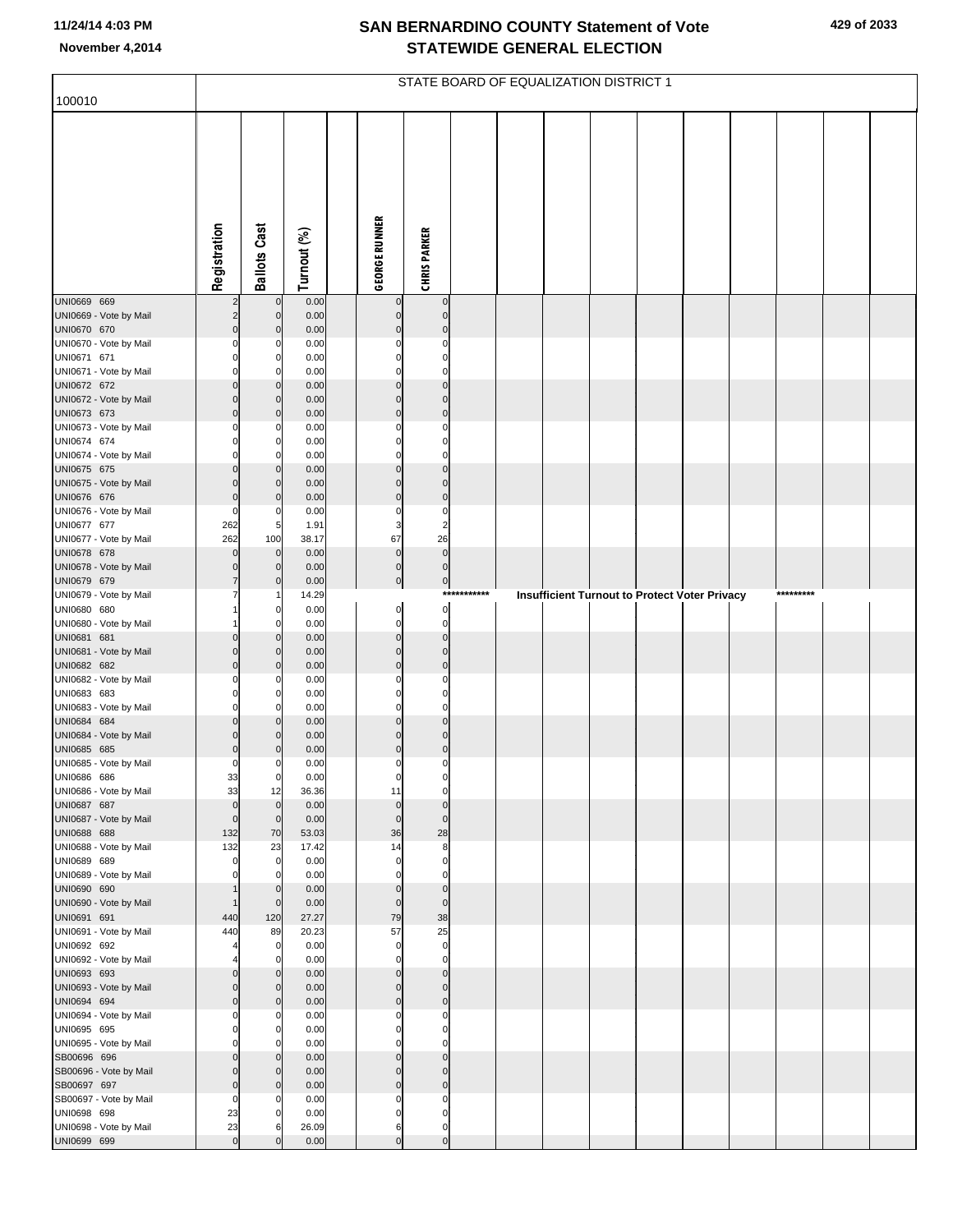|  |  | 429 of 2033 |
|--|--|-------------|
|--|--|-------------|

| 100010                                |                       |                             |               |                            |                               |             | STATE BOARD OF EQUALIZATION DISTRICT 1 |  |                                               |           |  |
|---------------------------------------|-----------------------|-----------------------------|---------------|----------------------------|-------------------------------|-------------|----------------------------------------|--|-----------------------------------------------|-----------|--|
|                                       |                       |                             |               |                            |                               |             |                                        |  |                                               |           |  |
|                                       | Registration          | <b>Ballots Cast</b>         | Turnout (%)   | <b>GEORGE RUNNER</b>       | <b>CHRIS PARKER</b>           |             |                                        |  |                                               |           |  |
| UNI0669 669                           | 2                     | $\mathbf 0$                 | 0.00          | $\Omega$                   | $\pmb{0}$                     |             |                                        |  |                                               |           |  |
| UNI0669 - Vote by Mail                | $\overline{2}$        | $\mathbf 0$                 | 0.00          | $\Omega$                   | $\pmb{0}$                     |             |                                        |  |                                               |           |  |
| UNI0670 670                           | $\overline{0}$        | $\mathbf 0$                 | 0.00          | $\Omega$                   | $\pmb{0}$                     |             |                                        |  |                                               |           |  |
| UNI0670 - Vote by Mail<br>UNI0671 671 | 0<br>0                | 0<br>0                      | 0.00<br>0.00  | 0<br>0                     | 0<br>$\mathbf 0$              |             |                                        |  |                                               |           |  |
| UNI0671 - Vote by Mail                |                       | 0                           | 0.00          | 0                          | $\Omega$                      |             |                                        |  |                                               |           |  |
| UNI0672 672                           | $\Omega$              | $\mathbf 0$                 | 0.00          | $\Omega$                   | $\pmb{0}$                     |             |                                        |  |                                               |           |  |
| UNI0672 - Vote by Mail<br>UNI0673 673 | $\Omega$<br>$\Omega$  | $\mathbf 0$<br>$\mathbf 0$  | 0.00<br>0.00  | $\mathbf 0$<br>$\mathbf 0$ | $\pmb{0}$<br>$\overline{0}$   |             |                                        |  |                                               |           |  |
| UNI0673 - Vote by Mail                | 0                     | 0                           | 0.00          | 0                          | 0                             |             |                                        |  |                                               |           |  |
| UNI0674 674                           | O                     | 0                           | 0.00          | 0                          | $\mathbf 0$                   |             |                                        |  |                                               |           |  |
| UNI0674 - Vote by Mail                |                       | $\Omega$                    | 0.00          | 0                          | $\Omega$                      |             |                                        |  |                                               |           |  |
| UNI0675 675<br>UNI0675 - Vote by Mail | $\Omega$<br>0         | $\mathbf 0$<br>$\mathbf 0$  | 0.00<br>0.00  | $\Omega$<br>$\Omega$       | $\pmb{0}$<br>$\mathbf 0$      |             |                                        |  |                                               |           |  |
| UNI0676 676                           | $\Omega$              | $\mathbf 0$                 | 0.00          | $\Omega$                   | $\mathbf 0$                   |             |                                        |  |                                               |           |  |
| UNI0676 - Vote by Mail                | $\Omega$              | 0                           | 0.00          | 0                          | $\mathbf 0$                   |             |                                        |  |                                               |           |  |
| UNI0677 677<br>UNI0677 - Vote by Mail | 262<br>262            | 5<br>100                    | 1.91<br>38.17 | 3<br>67                    | $\overline{c}$<br>26          |             |                                        |  |                                               |           |  |
| UNI0678 678                           | $\mathbf 0$           | $\pmb{0}$                   | 0.00          | $\mathbf 0$                | $\overline{0}$                |             |                                        |  |                                               |           |  |
| UNI0678 - Vote by Mail                | $\Omega$              | $\mathbf 0$                 | 0.00          | 0                          | $\overline{0}$                |             |                                        |  |                                               |           |  |
| UNI0679 679                           |                       | $\mathbf 0$<br>$\mathbf{1}$ | 0.00          | 이                          | $\overline{0}$                | *********** |                                        |  |                                               | ********* |  |
| UNI0679 - Vote by Mail<br>UNI0680 680 |                       | 0                           | 14.29<br>0.00 | 0                          | $\overline{0}$                |             |                                        |  | Insufficient Turnout to Protect Voter Privacy |           |  |
| UNI0680 - Vote by Mail                |                       | $\Omega$                    | 0.00          | 0                          | $\mathbf 0$                   |             |                                        |  |                                               |           |  |
| UNI0681 681                           | $\Omega$<br>$\Omega$  | $\mathbf 0$                 | 0.00          | $\mathbf 0$<br>$\mathbf 0$ | $\overline{0}$<br>$\pmb{0}$   |             |                                        |  |                                               |           |  |
| UNI0681 - Vote by Mail<br>UNI0682 682 | $\Omega$              | $\mathbf 0$<br>$\mathbf 0$  | 0.00<br>0.00  | $\Omega$                   | $\overline{0}$                |             |                                        |  |                                               |           |  |
| UNI0682 - Vote by Mail                | 0                     | 0                           | 0.00          | 0                          | 0                             |             |                                        |  |                                               |           |  |
| UNI0683 683                           | 0                     | 0                           | 0.00          | 0                          | 0                             |             |                                        |  |                                               |           |  |
| UNI0683 - Vote by Mail<br>UNI0684 684 | O<br>$\Omega$         | $\Omega$<br>$\mathbf 0$     | 0.00<br>0.00  | 0<br>$\Omega$              | $\Omega$<br>$\pmb{0}$         |             |                                        |  |                                               |           |  |
| UNI0684 - Vote by Mail                | $\mathbf 0$           | $\mathbf 0$                 | 0.00          | 0                          | $\pmb{0}$                     |             |                                        |  |                                               |           |  |
| UNI0685 685                           | $\overline{0}$        | $\Omega$                    | 0.00          | 0                          | $\overline{0}$                |             |                                        |  |                                               |           |  |
| UNI0685 - Vote by Mail<br>UNI0686 686 | 0<br>33               | 0<br> 0                     | 0.00<br>0.00  | 0<br>0                     | $\overline{0}$<br>0           |             |                                        |  |                                               |           |  |
| UNI0686 - Vote by Mail                | 33                    | 12                          | 36.36         | 11                         | $\mathbf 0$                   |             |                                        |  |                                               |           |  |
| UNI0687 687                           | $\mathbf 0$           | $\mathbf 0$                 | 0.00          | $\Omega$                   | $\pmb{0}$                     |             |                                        |  |                                               |           |  |
| UNI0687 - Vote by Mail<br>UNI0688 688 | $\overline{0}$<br>132 | $\mathbf 0$<br>70           | 0.00<br>53.03 | $\mathbf 0$<br>36          | $\pmb{0}$<br>28               |             |                                        |  |                                               |           |  |
| UNI0688 - Vote by Mail                | 132                   | 23                          | 17.42         | 14                         | 8                             |             |                                        |  |                                               |           |  |
| UNI0689 689                           | 0                     | $\pmb{0}$                   | 0.00          | 0                          | $\overline{0}$                |             |                                        |  |                                               |           |  |
| UNI0689 - Vote by Mail<br>UNI0690 690 |                       | 0<br>$\mathbf 0$            | 0.00<br>0.00  | n<br>$\mathbf 0$           | $\mathbf 0$<br>$\pmb{0}$      |             |                                        |  |                                               |           |  |
| UNI0690 - Vote by Mail                |                       | $\mathbf 0$                 | 0.00          | 0                          | $\pmb{0}$                     |             |                                        |  |                                               |           |  |
| UNI0691 691                           | 440                   | 120                         | 27.27         | 79                         | 38                            |             |                                        |  |                                               |           |  |
| UNI0691 - Vote by Mail<br>UNI0692 692 | 440                   | 89<br>0                     | 20.23<br>0.00 | 57<br>$\Omega$             | 25<br>$\mathbf 0$             |             |                                        |  |                                               |           |  |
| UNI0692 - Vote by Mail                |                       | 0                           | 0.00          | $\Omega$                   | $\mathbf 0$                   |             |                                        |  |                                               |           |  |
| UNI0693 693                           | $\Omega$              | $\mathbf 0$                 | 0.00          | $\Omega$                   | $\pmb{0}$                     |             |                                        |  |                                               |           |  |
| UNI0693 - Vote by Mail                | $\Omega$              | $\mathbf 0$                 | 0.00          | 0                          | $\overline{0}$                |             |                                        |  |                                               |           |  |
| UNI0694 694<br>UNI0694 - Vote by Mail | $\Omega$<br>0         | $\mathbf 0$<br>0            | 0.00<br>0.00  | $\mathbf 0$<br>$\Omega$    | $\overline{0}$<br>$\mathbf 0$ |             |                                        |  |                                               |           |  |
| UNI0695 695                           | O                     | 0                           | 0.00          | 0                          | $\overline{0}$                |             |                                        |  |                                               |           |  |
| UNI0695 - Vote by Mail                |                       | $\Omega$                    | 0.00          | 0                          | $\mathbf 0$                   |             |                                        |  |                                               |           |  |
| SB00696 696<br>SB00696 - Vote by Mail | $\Omega$<br>$\Omega$  | $\mathbf 0$<br>$\mathbf 0$  | 0.00<br>0.00  | $\Omega$<br>$\mathbf 0$    | $\pmb{0}$<br>$\mathbf 0$      |             |                                        |  |                                               |           |  |
| SB00697 697                           | $\overline{0}$        | $\mathbf 0$                 | 0.00          | $\mathbf 0$                | $\overline{0}$                |             |                                        |  |                                               |           |  |
| SB00697 - Vote by Mail                | $\Omega$              | 0                           | 0.00          | 0                          | 0                             |             |                                        |  |                                               |           |  |
| UNI0698 698<br>UNI0698 - Vote by Mail | 23<br>23              | 0<br>6                      | 0.00<br>26.09 | 0<br>6                     | $\mathbf 0$<br>$\overline{0}$ |             |                                        |  |                                               |           |  |
| UNI0699 699                           | $\mathbf 0$           | $\Omega$                    | 0.00          | $\mathbf 0$                | $\overline{0}$                |             |                                        |  |                                               |           |  |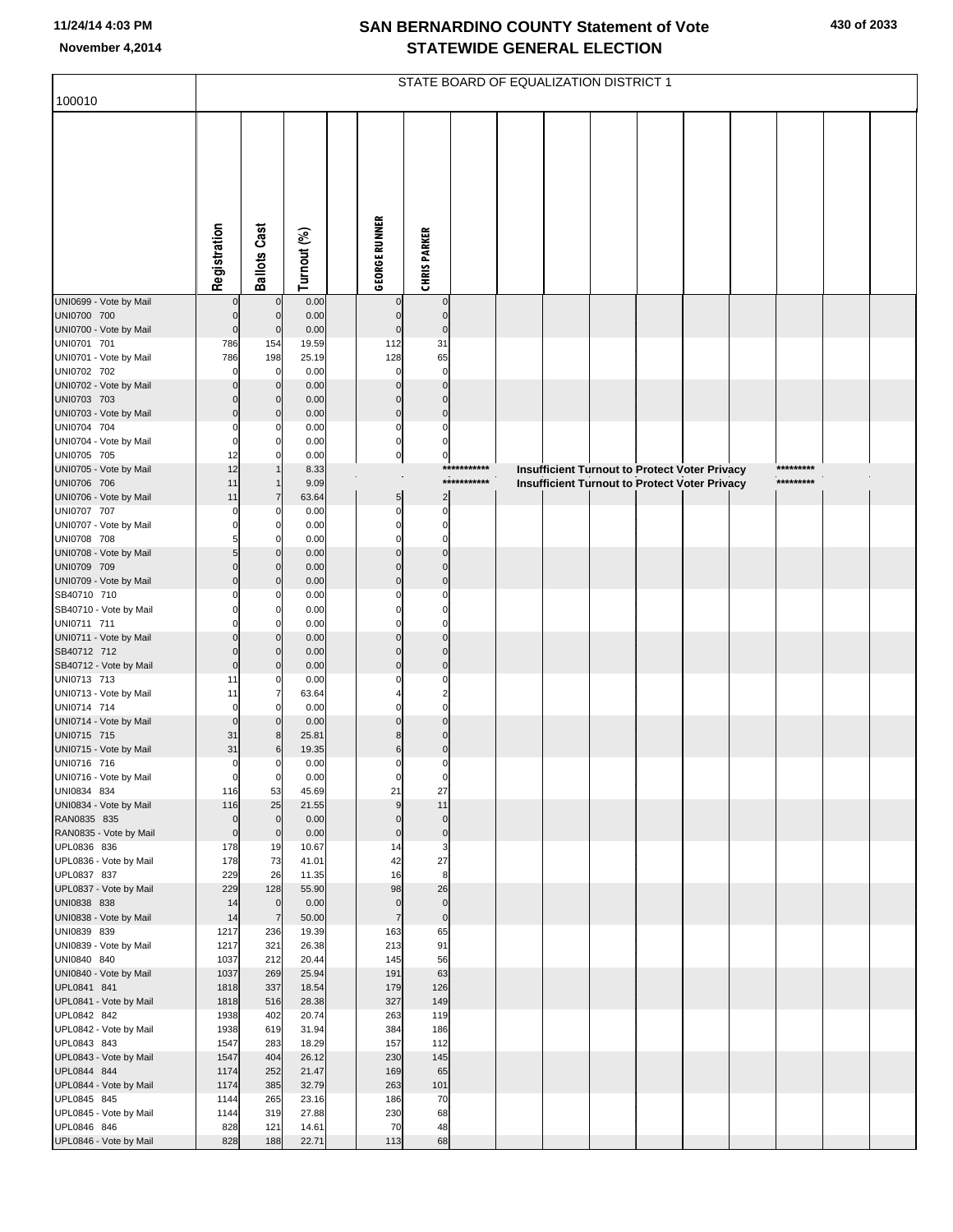| 100010                                |                               |                                  |                |                                  |                                        |             | STATE BOARD OF EQUALIZATION DISTRICT 1        |  |  |           |  |
|---------------------------------------|-------------------------------|----------------------------------|----------------|----------------------------------|----------------------------------------|-------------|-----------------------------------------------|--|--|-----------|--|
|                                       |                               |                                  |                |                                  |                                        |             |                                               |  |  |           |  |
|                                       |                               |                                  |                |                                  |                                        |             |                                               |  |  |           |  |
|                                       |                               |                                  |                |                                  |                                        |             |                                               |  |  |           |  |
|                                       |                               |                                  |                |                                  |                                        |             |                                               |  |  |           |  |
|                                       |                               |                                  |                |                                  |                                        |             |                                               |  |  |           |  |
|                                       |                               |                                  |                |                                  |                                        |             |                                               |  |  |           |  |
|                                       |                               |                                  |                |                                  |                                        |             |                                               |  |  |           |  |
|                                       |                               |                                  |                |                                  |                                        |             |                                               |  |  |           |  |
|                                       | Registration                  | <b>Ballots Cast</b>              | Turnout (%)    | <b>GEORGE RUNNER</b>             | <b>CHRIS PARKER</b>                    |             |                                               |  |  |           |  |
|                                       |                               |                                  |                |                                  |                                        |             |                                               |  |  |           |  |
| UNI0699 - Vote by Mail<br>UNI0700 700 | $\mathbf 0$<br>$\pmb{0}$      | $\mathbf 0$<br>$\mathbf 0$       | 0.00<br>0.00   | 0<br>$\overline{0}$              | $\bf{0}$<br>$\mathbf 0$                |             |                                               |  |  |           |  |
| UNI0700 - Vote by Mail                | $\pmb{0}$                     | $\mathbf 0$                      | 0.00           | $\overline{0}$                   | $\pmb{0}$                              |             |                                               |  |  |           |  |
| UNI0701 701<br>UNI0701 - Vote by Mail | 786<br>786                    | 154<br>198                       | 19.59<br>25.19 | 112<br>128                       | 31<br>65                               |             |                                               |  |  |           |  |
| UNI0702 702                           | $\mathbf 0$                   | 0                                | 0.00           | $\mathbf 0$                      | $\mathbf 0$                            |             |                                               |  |  |           |  |
| UNI0702 - Vote by Mail                | $\mathbf 0$                   | $\mathbf 0$                      | 0.00           | $\pmb{0}$                        | $\pmb{0}$                              |             |                                               |  |  |           |  |
| UNI0703 703<br>UNI0703 - Vote by Mail | $\mathbf 0$<br>$\mathbf 0$    | $\mathbf 0$<br>$\mathbf 0$       | 0.00<br>0.00   | $\mathbf 0$<br>$\overline{0}$    | $\mathbf 0$<br>$\mathbf{0}$            |             |                                               |  |  |           |  |
| UNI0704 704                           | 0                             | $\Omega$                         | 0.00           | $\overline{0}$                   | $\mathbf 0$                            |             |                                               |  |  |           |  |
| UNI0704 - Vote by Mail                | $\mathbf 0$                   | $\Omega$                         | 0.00           | $\overline{0}$                   | $\bf{0}$                               |             |                                               |  |  |           |  |
| UNI0705 705<br>UNI0705 - Vote by Mail | 12<br>12                      | $\Omega$                         | 0.00<br>8.33   | $\overline{0}$                   | $\overline{0}$                         | *********** | Insufficient Turnout to Protect Voter Privacy |  |  | ********* |  |
| UNI0706 706                           | 11                            |                                  | 9.09           |                                  |                                        | *********** | Insufficient Turnout to Protect Voter Privacy |  |  | ********* |  |
| UNI0706 - Vote by Mail<br>UNI0707 707 | 11<br>$\mathbf 0$             | $\overline{7}$<br>$\Omega$       | 63.64<br>0.00  | 5 <sub>5</sub><br>$\overline{0}$ | $\overline{\mathbf{c}}$<br>$\bf{0}$    |             |                                               |  |  |           |  |
| UNI0707 - Vote by Mail                | $\mathbf 0$                   | 0                                | 0.00           | $\mathbf{0}$                     | $\mathbf 0$                            |             |                                               |  |  |           |  |
| UNI0708 708                           | 5                             | 0                                | 0.00           | $\mathbf 0$                      | $\mathbf 0$                            |             |                                               |  |  |           |  |
| UNI0708 - Vote by Mail<br>UNI0709 709 | 5 <sub>5</sub><br>$\mathbf 0$ | 0<br>$\mathbf{0}$                | 0.00<br>0.00   | $\mathbf 0$<br>$\mathbf 0$       | $\mathbf 0$<br>$\mathbf 0$             |             |                                               |  |  |           |  |
| UNI0709 - Vote by Mail                | $\mathbf 0$                   | 0                                | 0.00           | $\mathbf 0$                      | $\mathbf{0}$                           |             |                                               |  |  |           |  |
| SB40710 710                           | 0                             | $\Omega$                         | 0.00           | $\mathbf 0$                      | $\mathbf 0$                            |             |                                               |  |  |           |  |
| SB40710 - Vote by Mail<br>UNI0711 711 | 0<br>$\Omega$                 | 0<br>$\Omega$                    | 0.00<br>0.00   | $\pmb{0}$<br>$\mathbf 0$         | $\mathbf 0$<br>$\mathbf 0$             |             |                                               |  |  |           |  |
| UNI0711 - Vote by Mail                | $\mathbf 0$                   | 0                                | 0.00           | $\pmb{0}$                        | $\mathbf 0$                            |             |                                               |  |  |           |  |
| SB40712 712<br>SB40712 - Vote by Mail | $\mathbf 0$<br>$\mathbf 0$    | $\mathbf 0$<br>$\mathbf 0$       | 0.00<br>0.00   | $\mathbf 0$<br>$\mathbf 0$       | $\mathbf 0$<br>$\mathbf 0$             |             |                                               |  |  |           |  |
| UNI0713 713                           | 11                            | 0                                | 0.00           | $\mathbf 0$                      | 0                                      |             |                                               |  |  |           |  |
| UNI0713 - Vote by Mail                | 11                            | $\overline{7}$                   | 63.64          |                                  | $\overline{\mathbf{c}}$<br>$\mathbf 0$ |             |                                               |  |  |           |  |
| UNI0714 714<br>UNI0714 - Vote by Mail | $\mathbf 0$<br>$\mathbf 0$    | $\Omega$<br>$\mathbf 0$          | 0.00<br>0.00   | $\mathbf 0$<br>$\pmb{0}$         | $\mathbf 0$                            |             |                                               |  |  |           |  |
| UNI0715 715                           | 31                            | 8                                | 25.81          | $\bf8$                           | $\mathbf 0$                            |             |                                               |  |  |           |  |
| UNI0715 - Vote by Mail<br>UNI0716 716 | 31<br>0                       | 6<br>0                           | 19.35<br>0.00  | $\mathbf 6$<br>$\mathbf 0$       | $\pmb{0}$<br>$\mathbf 0$               |             |                                               |  |  |           |  |
| UNI0716 - Vote by Mail                | U                             | - U                              | 0.00           |                                  |                                        |             |                                               |  |  |           |  |
| UNI0834 834                           | 116                           | 53                               | 45.69          | 21                               | 27                                     |             |                                               |  |  |           |  |
| UNI0834 - Vote by Mail<br>RAN0835 835 | 116<br>$\pmb{0}$              | 25<br>$\mathbf 0$                | 21.55<br>0.00  | $\boldsymbol{9}$<br>$\mathbf 0$  | 11<br>$\bf{0}$                         |             |                                               |  |  |           |  |
| RAN0835 - Vote by Mail                | $\overline{0}$                | $\mathbf 0$                      | 0.00           | $\pmb{0}$                        | $\mathbf 0$                            |             |                                               |  |  |           |  |
| UPL0836 836                           | 178                           | 19                               | 10.67          | 14                               | 3<br>27                                |             |                                               |  |  |           |  |
| UPL0836 - Vote by Mail<br>UPL0837 837 | 178<br>229                    | 73<br>26                         | 41.01<br>11.35 | 42<br>16                         | 8                                      |             |                                               |  |  |           |  |
| UPL0837 - Vote by Mail                | 229                           | 128                              | 55.90          | 98                               | 26                                     |             |                                               |  |  |           |  |
| UNI0838 838<br>UNI0838 - Vote by Mail | 14<br>14                      | $\overline{0}$<br>$\overline{7}$ | 0.00<br>50.00  | $\pmb{0}$<br>$\overline{7}$      | $\bf{0}$<br>$\mathbf{0}$               |             |                                               |  |  |           |  |
| UNI0839 839                           | 1217                          | 236                              | 19.39          | 163                              | 65                                     |             |                                               |  |  |           |  |
| UNI0839 - Vote by Mail                | 1217                          | 321                              | 26.38          | 213                              | 91                                     |             |                                               |  |  |           |  |
| UNI0840 840<br>UNI0840 - Vote by Mail | 1037<br>1037                  | 212<br>269                       | 20.44<br>25.94 | 145<br>191                       | 56<br>63                               |             |                                               |  |  |           |  |
| UPL0841 841                           | 1818                          | 337                              | 18.54          | 179                              | 126                                    |             |                                               |  |  |           |  |
| UPL0841 - Vote by Mail                | 1818                          | 516                              | 28.38<br>20.74 | 327<br>263                       | 149<br>119                             |             |                                               |  |  |           |  |
| UPL0842 842<br>UPL0842 - Vote by Mail | 1938<br>1938                  | 402<br>619                       | 31.94          | 384                              | 186                                    |             |                                               |  |  |           |  |
| UPL0843 843                           | 1547                          | 283                              | 18.29          | 157                              | 112                                    |             |                                               |  |  |           |  |
| UPL0843 - Vote by Mail<br>UPL0844 844 | 1547<br>1174                  | 404<br>252                       | 26.12<br>21.47 | 230<br>169                       | 145<br>65                              |             |                                               |  |  |           |  |
| UPL0844 - Vote by Mail                | 1174                          | 385                              | 32.79          | 263                              | 101                                    |             |                                               |  |  |           |  |
| UPL0845 845                           | 1144                          | 265                              | 23.16          | 186                              | 70                                     |             |                                               |  |  |           |  |
| UPL0845 - Vote by Mail<br>UPL0846 846 | 1144<br>828                   | 319<br>121                       | 27.88<br>14.61 | 230<br>70                        | 68<br>48                               |             |                                               |  |  |           |  |
| UPL0846 - Vote by Mail                | 828                           | 188                              | 22.71          | 113                              | 68                                     |             |                                               |  |  |           |  |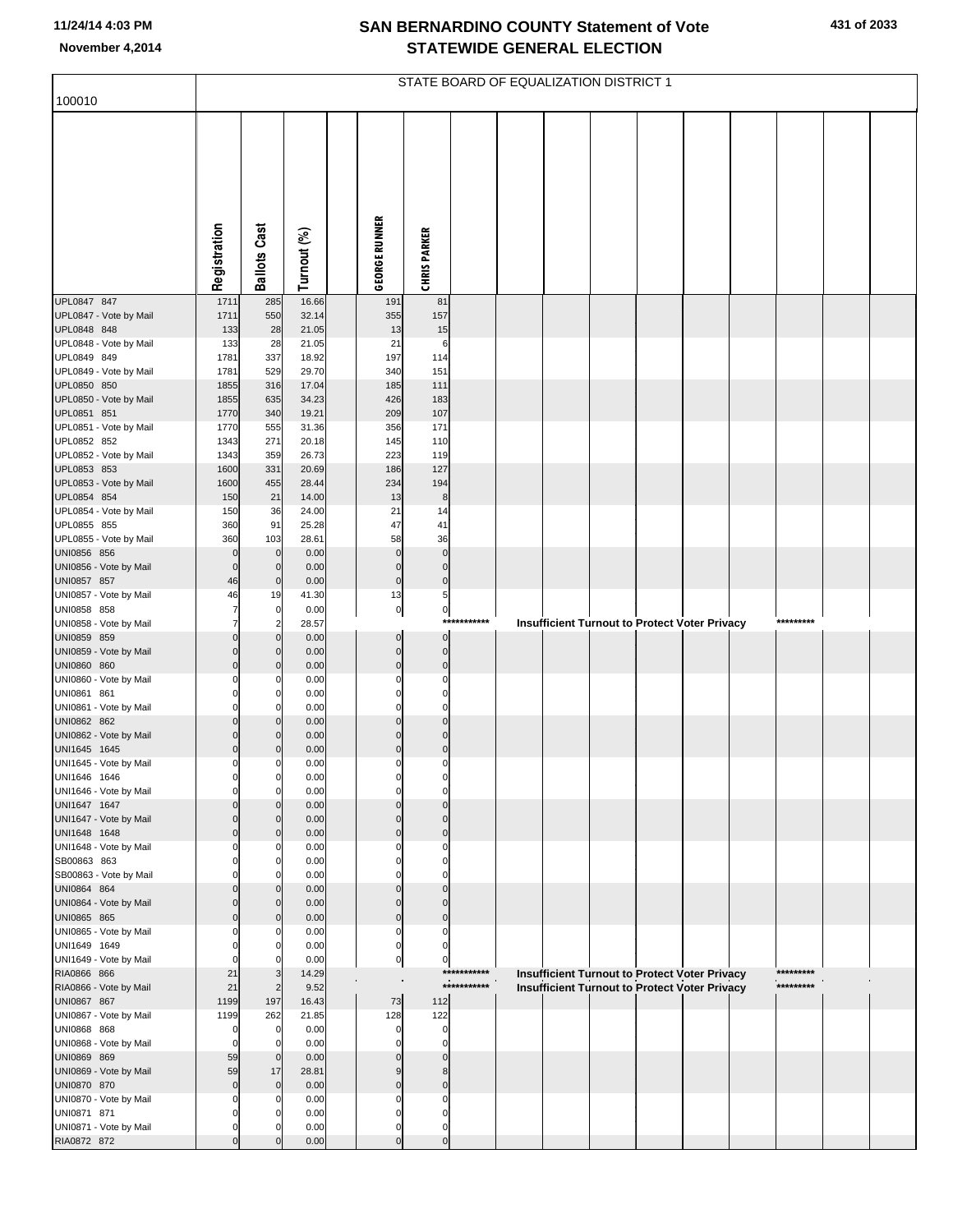| 100010                                 |                            |                                  |                |                               |                            |             | STATE BOARD OF EQUALIZATION DISTRICT 1 |  |                                                      |           |  |
|----------------------------------------|----------------------------|----------------------------------|----------------|-------------------------------|----------------------------|-------------|----------------------------------------|--|------------------------------------------------------|-----------|--|
|                                        |                            |                                  |                |                               |                            |             |                                        |  |                                                      |           |  |
|                                        | Registration               | <b>Ballots Cast</b>              | Turnout (%)    | <b>GEORGE RUNNER</b>          | <b>CHRIS PARKER</b>        |             |                                        |  |                                                      |           |  |
| UPL0847 847                            | 1711                       | 285                              | 16.66          | 191                           | 81                         |             |                                        |  |                                                      |           |  |
| UPL0847 - Vote by Mail                 | 1711                       | 550                              | 32.14          | 355                           | 157                        |             |                                        |  |                                                      |           |  |
| UPL0848 848<br>UPL0848 - Vote by Mail  | 133<br>133                 | 28<br>28                         | 21.05<br>21.05 | 13<br>21                      | 15<br>6                    |             |                                        |  |                                                      |           |  |
| UPL0849 849                            | 1781                       | 337                              | 18.92          | 197                           | 114                        |             |                                        |  |                                                      |           |  |
| UPL0849 - Vote by Mail                 | 1781                       | 529                              | 29.70          | 340                           | 151                        |             |                                        |  |                                                      |           |  |
| UPL0850 850                            | 1855                       | 316                              | 17.04          | 185                           | 111                        |             |                                        |  |                                                      |           |  |
| UPL0850 - Vote by Mail                 | 1855                       | 635                              | 34.23          | 426                           | 183                        |             |                                        |  |                                                      |           |  |
| UPL0851 851<br>UPL0851 - Vote by Mail  | 1770<br>1770               | 340<br>555                       | 19.21<br>31.36 | 209<br>356                    | 107<br>171                 |             |                                        |  |                                                      |           |  |
| UPL0852 852                            | 1343                       | 271                              | 20.18          | 145                           | 110                        |             |                                        |  |                                                      |           |  |
| UPL0852 - Vote by Mail                 | 1343                       | 359                              | 26.73          | 223                           | 119                        |             |                                        |  |                                                      |           |  |
| UPL0853 853                            | 1600                       | 331                              | 20.69          | 186                           | 127                        |             |                                        |  |                                                      |           |  |
| UPL0853 - Vote by Mail                 | 1600                       | 455                              | 28.44          | 234                           | 194                        |             |                                        |  |                                                      |           |  |
| UPL0854 854<br>UPL0854 - Vote by Mail  | 150<br>150                 | 21<br>36                         | 14.00<br>24.00 | 13<br>21                      | 8<br>14                    |             |                                        |  |                                                      |           |  |
| UPL0855 855                            | 360                        | 91                               | 25.28          | 47                            | 41                         |             |                                        |  |                                                      |           |  |
| UPL0855 - Vote by Mail                 | 360                        | 103                              | 28.61          | 58                            | 36                         |             |                                        |  |                                                      |           |  |
| UNI0856 856                            | $\mathbf 0$                | $\overline{0}$                   | 0.00           | $\mathbf 0$                   | $\mathbf 0$                |             |                                        |  |                                                      |           |  |
| UNI0856 - Vote by Mail<br>UNI0857 857  | $\mathbf 0$<br>46          | $\mathbf 0$<br>$\overline{0}$    | 0.00<br>0.00   | $\mathbf 0$<br>$\pmb{0}$      | $\mathbf 0$<br>$\pmb{0}$   |             |                                        |  |                                                      |           |  |
| UNI0857 - Vote by Mail                 | 46                         | 19                               | 41.30          | 13                            | 5                          |             |                                        |  |                                                      |           |  |
| UNI0858 858                            | $\overline{7}$             | $\overline{0}$                   | 0.00           | $\pmb{0}$                     | $\pmb{0}$                  |             |                                        |  |                                                      |           |  |
| UNI0858 - Vote by Mail                 | $\overline{7}$             | $\overline{2}$                   | 28.57          |                               |                            | *********** |                                        |  | <b>Insufficient Turnout to Protect Voter Privacy</b> | ********* |  |
| UNI0859 859<br>UNI0859 - Vote by Mail  | $\mathbf 0$<br>$\mathbf 0$ | $\overline{0}$<br>$\overline{0}$ | 0.00<br>0.00   | $\mathbf 0$<br>$\mathbf 0$    | $\Omega$<br>$\mathbf 0$    |             |                                        |  |                                                      |           |  |
| UNI0860 860                            | $\mathbf 0$                | $\overline{0}$                   | 0.00           | $\mathbf 0$                   | $\mathbf 0$                |             |                                        |  |                                                      |           |  |
| UNI0860 - Vote by Mail                 | $\Omega$                   | 0                                | 0.00           | $\Omega$                      | $\mathbf 0$                |             |                                        |  |                                                      |           |  |
| UNI0861 861                            | $\mathbf 0$                | $\overline{0}$                   | 0.00           | $\mathbf 0$                   | $\mathbf 0$                |             |                                        |  |                                                      |           |  |
| UNI0861 - Vote by Mail                 | $\mathbf 0$                | $\mathbf 0$                      | 0.00           | $\mathbf 0$<br>$\overline{0}$ | $\Omega$                   |             |                                        |  |                                                      |           |  |
| UNI0862 862<br>UNI0862 - Vote by Mail  | $\mathbf 0$<br>$\mathbf 0$ | $\overline{0}$<br>$\mathbf{0}$   | 0.00<br>0.00   | $\mathbf 0$                   | $\mathbf 0$<br>$\mathbf 0$ |             |                                        |  |                                                      |           |  |
| UNI1645 1645                           | $\mathbf 0$                | $\overline{0}$                   | 0.00           | $\mathbf 0$                   | $\mathbf 0$                |             |                                        |  |                                                      |           |  |
| UNI1645 - Vote by Mail                 | $\Omega$                   | 0                                | 0.00           | $\Omega$                      | 0                          |             |                                        |  |                                                      |           |  |
| UNI1646 1646                           |                            | 0                                | 0.00           |                               |                            |             |                                        |  |                                                      |           |  |
| UNI1646 - Vote by Mail<br>UNI1647 1647 | 0<br>$\Omega$              | $\mathbf 0$<br>$\mathbf 0$       | 0.00<br>0.00   | $\mathbf 0$<br>$\Omega$       | C<br>$\Omega$              |             |                                        |  |                                                      |           |  |
| UNI1647 - Vote by Mail                 | $\Omega$                   | $\mathbf{0}$                     | 0.00           | $\Omega$                      | $\Omega$                   |             |                                        |  |                                                      |           |  |
| UNI1648 1648                           | $\mathbf 0$                | $\overline{0}$                   | 0.00           | $\mathbf 0$                   | $\mathbf 0$                |             |                                        |  |                                                      |           |  |
| UNI1648 - Vote by Mail                 | 0                          | 0                                | 0.00           | C                             | C                          |             |                                        |  |                                                      |           |  |
| SB00863 863<br>SB00863 - Vote by Mail  | 0<br>O                     | $\overline{0}$<br>$\mathbf 0$    | 0.00<br>0.00   | $\Omega$<br>$\Omega$          | 0<br>C                     |             |                                        |  |                                                      |           |  |
| UNI0864 864                            | $\mathbf 0$                | $\overline{0}$                   | 0.00           | $\Omega$                      | $\Omega$                   |             |                                        |  |                                                      |           |  |
| UNI0864 - Vote by Mail                 | $\Omega$                   | $\mathbf 0$                      | 0.00           | $\Omega$                      | $\Omega$                   |             |                                        |  |                                                      |           |  |
| UNI0865 865                            | $\Omega$                   | $\overline{0}$                   | 0.00           | $\mathbf 0$                   | $\mathbf 0$                |             |                                        |  |                                                      |           |  |
| UNI0865 - Vote by Mail                 | 0<br>$\Omega$              | 0<br>$\mathbf 0$                 | 0.00           | 0<br>$\mathbf 0$              | $\Omega$<br>$\mathbf 0$    |             |                                        |  |                                                      |           |  |
| UNI1649 1649<br>UNI1649 - Vote by Mail | 0                          | 0                                | 0.00<br>0.00   | $\pmb{0}$                     | 0                          |             |                                        |  |                                                      |           |  |
| RIA0866 866                            | 21                         | 3                                | 14.29          | $\alpha$                      |                            | *********** |                                        |  | Insufficient Turnout to Protect Voter Privacy        | ********* |  |
| RIA0866 - Vote by Mail                 | 21                         | $\overline{2}$                   | 9.52           |                               |                            | *********** |                                        |  | <b>Insufficient Turnout to Protect Voter Privacy</b> | ********* |  |
| UNI0867 867                            | 1199                       | 197                              | 16.43          | 73                            | 112                        |             |                                        |  |                                                      |           |  |
| UNI0867 - Vote by Mail<br>UNI0868 868  | 1199<br>0                  | 262<br>0                         | 21.85<br>0.00  | 128<br>$\mathbf 0$            | 122<br>0                   |             |                                        |  |                                                      |           |  |
| UNI0868 - Vote by Mail                 | $\mathbf 0$                | 0                                | 0.00           | $\mathbf 0$                   | $\Omega$                   |             |                                        |  |                                                      |           |  |
| UNI0869 869                            | 59                         | $\mathbf 0$                      | 0.00           | $\Omega$                      | $\Omega$                   |             |                                        |  |                                                      |           |  |
| UNI0869 - Vote by Mail                 | 59                         | 17                               | 28.81          | 9                             | 8                          |             |                                        |  |                                                      |           |  |
| UNI0870 870<br>UNI0870 - Vote by Mail  | $\mathbf 0$<br>0           | $\overline{0}$<br>0              | 0.00<br>0.00   | $\mathbf 0$<br>$\Omega$       | $\mathbf 0$<br>C           |             |                                        |  |                                                      |           |  |
| UNI0871 871                            | $\mathbf 0$                | $\mathbf 0$                      | 0.00           | $\mathbf 0$                   | $\Omega$                   |             |                                        |  |                                                      |           |  |
| UNI0871 - Vote by Mail                 | $\mathbf 0$                | 0                                | 0.00           | 0                             | $\Omega$                   |             |                                        |  |                                                      |           |  |
| RIA0872 872                            | $\mathbf{0}$               | $\overline{0}$                   | 0.00           | $\Omega$                      | $\Omega$                   |             |                                        |  |                                                      |           |  |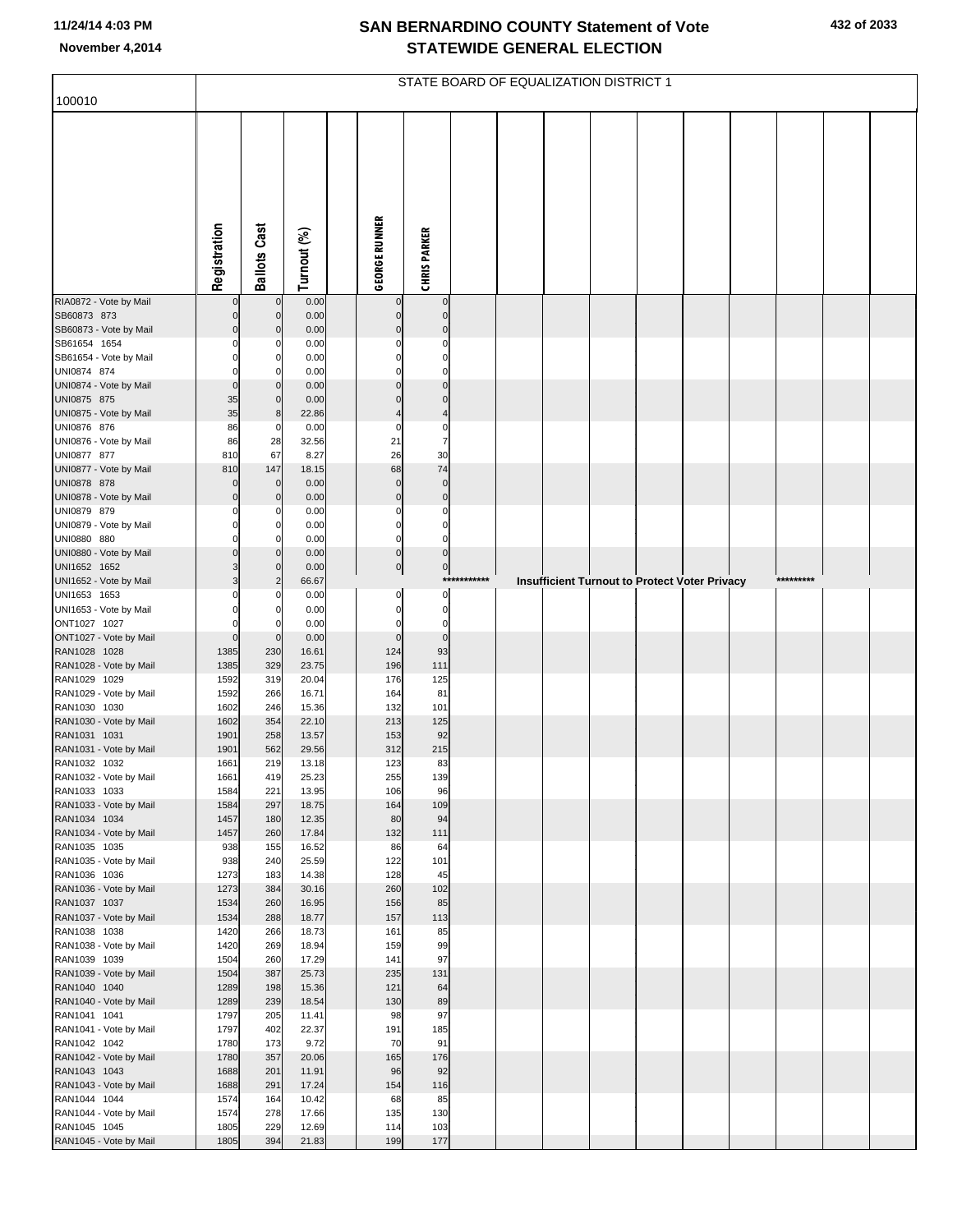| 100010                                 |              |                         |                |                             |                                  |             | STATE BOARD OF EQUALIZATION DISTRICT 1 |  |                                                      |  |           |  |
|----------------------------------------|--------------|-------------------------|----------------|-----------------------------|----------------------------------|-------------|----------------------------------------|--|------------------------------------------------------|--|-----------|--|
|                                        |              |                         |                |                             |                                  |             |                                        |  |                                                      |  |           |  |
|                                        |              |                         |                |                             |                                  |             |                                        |  |                                                      |  |           |  |
|                                        |              |                         |                |                             |                                  |             |                                        |  |                                                      |  |           |  |
|                                        |              |                         |                |                             |                                  |             |                                        |  |                                                      |  |           |  |
|                                        |              |                         |                |                             |                                  |             |                                        |  |                                                      |  |           |  |
|                                        |              |                         |                |                             |                                  |             |                                        |  |                                                      |  |           |  |
|                                        |              |                         |                |                             |                                  |             |                                        |  |                                                      |  |           |  |
|                                        |              |                         |                |                             |                                  |             |                                        |  |                                                      |  |           |  |
|                                        | Registration | <b>Ballots Cast</b>     | Turnout (%)    | <b>GEORGE RUNNER</b>        | <b>CHRIS PARKER</b>              |             |                                        |  |                                                      |  |           |  |
|                                        |              |                         |                |                             |                                  |             |                                        |  |                                                      |  |           |  |
| RIA0872 - Vote by Mail<br>SB60873 873  | $\Omega$     | $\Omega$<br>$\mathbf 0$ | 0.00<br>0.00   | 0<br>$\mathbf 0$            | $\mathbf 0$<br>$\mathbf 0$       |             |                                        |  |                                                      |  |           |  |
| SB60873 - Vote by Mail                 | $\Omega$     | $\mathbf 0$             | 0.00           | $\Omega$                    | $\Omega$                         |             |                                        |  |                                                      |  |           |  |
| SB61654 1654<br>SB61654 - Vote by Mail | C            | 0                       | 0.00<br>0.00   | C<br>$\Omega$               | $\Omega$<br>0                    |             |                                        |  |                                                      |  |           |  |
| UNI0874 874                            | O            | O                       | 0.00           | C                           | $\Omega$                         |             |                                        |  |                                                      |  |           |  |
| UNI0874 - Vote by Mail                 | $\mathbf 0$  | $\mathbf 0$             | 0.00           | $\Omega$                    | $\mathbf 0$                      |             |                                        |  |                                                      |  |           |  |
| UNI0875 875<br>UNI0875 - Vote by Mail  | 35<br>35     | $\mathbf 0$<br>8        | 0.00<br>22.86  | $\Omega$<br>4               | $\Omega$<br>4                    |             |                                        |  |                                                      |  |           |  |
| UNI0876 876                            | 86           | 0                       | 0.00           | $\Omega$                    | $\mathbf 0$                      |             |                                        |  |                                                      |  |           |  |
| UNI0876 - Vote by Mail                 | 86           | 28                      | 32.56          | 21<br>26                    | $\overline{7}$<br>30             |             |                                        |  |                                                      |  |           |  |
| UNI0877 877<br>UNI0877 - Vote by Mail  | 810<br>810   | 67<br>147               | 8.27<br>18.15  | 68                          | 74                               |             |                                        |  |                                                      |  |           |  |
| UNI0878 878                            | $\Omega$     | $\mathbf 0$             | 0.00           | $\mathbf 0$                 | $\mathbf 0$                      |             |                                        |  |                                                      |  |           |  |
| UNI0878 - Vote by Mail<br>UNI0879 879  | $\Omega$     | 0<br>0                  | 0.00<br>0.00   | $\mathbf 0$<br>$\Omega$     | $\mathbf 0$<br>$\Omega$          |             |                                        |  |                                                      |  |           |  |
| UNI0879 - Vote by Mail                 | C            | 0                       | 0.00           | $\mathbf 0$                 | $\mathbf 0$                      |             |                                        |  |                                                      |  |           |  |
| UNI0880 880                            |              | O                       | 0.00           | $\Omega$                    | $\mathbf 0$                      |             |                                        |  |                                                      |  |           |  |
| UNI0880 - Vote by Mail<br>UNI1652 1652 | $\Omega$     | $\mathbf 0$<br>$\Omega$ | 0.00<br>0.00   | $\pmb{0}$<br>$\overline{0}$ | $\overline{0}$<br>$\overline{0}$ |             |                                        |  |                                                      |  |           |  |
| UNI1652 - Vote by Mail                 | 3            | $\overline{2}$          | 66.67          |                             |                                  | *********** |                                        |  | <b>Insufficient Turnout to Protect Voter Privacy</b> |  | ********* |  |
| UNI1653 1653<br>UNI1653 - Vote by Mail |              | 0                       | 0.00<br>0.00   | $\Omega$<br>0               | 0<br>$\overline{0}$              |             |                                        |  |                                                      |  |           |  |
| ONT1027 1027                           |              |                         | 0.00           | $\Omega$                    | $\Omega$                         |             |                                        |  |                                                      |  |           |  |
| ONT1027 - Vote by Mail                 | $\mathbf 0$  | $\mathbf 0$             | 0.00           | $\mathbf 0$                 | $\mathbf 0$                      |             |                                        |  |                                                      |  |           |  |
| RAN1028 1028<br>RAN1028 - Vote by Mail | 1385<br>1385 | 230<br>329              | 16.61<br>23.75 | 124<br>196                  | 93<br>111                        |             |                                        |  |                                                      |  |           |  |
| RAN1029 1029                           | 1592         | 319                     | 20.04          | 176                         | 125                              |             |                                        |  |                                                      |  |           |  |
| RAN1029 - Vote by Mail<br>RAN1030 1030 | 1592<br>1602 | 266<br>246              | 16.71<br>15.36 | 164<br>132                  | 81<br>101                        |             |                                        |  |                                                      |  |           |  |
| RAN1030 - Vote by Mail                 | 1602         | 354                     | 22.10          | 213                         | 125                              |             |                                        |  |                                                      |  |           |  |
| RAN1031 1031<br>RAN1031 - Vote by Mail | 1901<br>1901 | 258<br>562              | 13.57<br>29.56 | 153<br>312                  | 92<br>215                        |             |                                        |  |                                                      |  |           |  |
| RAN1032 1032                           | 1661         | 219                     | 13.18          | 123                         | 83                               |             |                                        |  |                                                      |  |           |  |
| RAN1032 - Vote by Mail                 | 1661         | 419                     | 25.23          | 255                         | 139                              |             |                                        |  |                                                      |  |           |  |
| RAN1033 1033<br>RAN1033 - Vote by Mail | 1584<br>1584 | 221<br>297              | 13.95<br>18.75 | 106<br>164                  | 96<br>109                        |             |                                        |  |                                                      |  |           |  |
| RAN1034 1034                           | 1457         | 180                     | 12.35          | 80                          | 94                               |             |                                        |  |                                                      |  |           |  |
| RAN1034 - Vote by Mail<br>RAN1035 1035 | 1457<br>938  | 260<br>155              | 17.84<br>16.52 | 132<br>86                   | 111<br>64                        |             |                                        |  |                                                      |  |           |  |
| RAN1035 - Vote by Mail                 | 938          | 240                     | 25.59          | 122                         | 101                              |             |                                        |  |                                                      |  |           |  |
| RAN1036 1036                           | 1273         | 183                     | 14.38          | 128                         | 45                               |             |                                        |  |                                                      |  |           |  |
| RAN1036 - Vote by Mail<br>RAN1037 1037 | 1273<br>1534 | 384<br>260              | 30.16<br>16.95 | 260<br>156                  | 102<br>85                        |             |                                        |  |                                                      |  |           |  |
| RAN1037 - Vote by Mail                 | 1534         | 288                     | 18.77          | 157                         | 113                              |             |                                        |  |                                                      |  |           |  |
| RAN1038 1038<br>RAN1038 - Vote by Mail | 1420<br>1420 | 266<br>269              | 18.73<br>18.94 | 161<br>159                  | 85<br>99                         |             |                                        |  |                                                      |  |           |  |
| RAN1039 1039                           | 1504         | 260                     | 17.29          | 141                         | 97                               |             |                                        |  |                                                      |  |           |  |
| RAN1039 - Vote by Mail                 | 1504         | 387                     | 25.73          | 235                         | 131                              |             |                                        |  |                                                      |  |           |  |
| RAN1040 1040<br>RAN1040 - Vote by Mail | 1289<br>1289 | 198<br>239              | 15.36<br>18.54 | 121<br>130                  | 64<br>89                         |             |                                        |  |                                                      |  |           |  |
| RAN1041 1041                           | 1797         | 205                     | 11.41          | 98                          | 97                               |             |                                        |  |                                                      |  |           |  |
| RAN1041 - Vote by Mail<br>RAN1042 1042 | 1797<br>1780 | 402<br>173              | 22.37<br>9.72  | 191<br>70                   | 185<br>91                        |             |                                        |  |                                                      |  |           |  |
| RAN1042 - Vote by Mail                 | 1780         | 357                     | 20.06          | 165                         | 176                              |             |                                        |  |                                                      |  |           |  |
| RAN1043 1043                           | 1688         | 201                     | 11.91          | 96                          | 92                               |             |                                        |  |                                                      |  |           |  |
| RAN1043 - Vote by Mail<br>RAN1044 1044 | 1688<br>1574 | 291<br>164              | 17.24<br>10.42 | 154<br>68                   | 116<br>85                        |             |                                        |  |                                                      |  |           |  |
| RAN1044 - Vote by Mail                 | 1574         | 278                     | 17.66          | 135                         | 130                              |             |                                        |  |                                                      |  |           |  |
| RAN1045 1045<br>RAN1045 - Vote by Mail | 1805<br>1805 | 229<br>394              | 12.69<br>21.83 | 114<br>199                  | 103<br>177                       |             |                                        |  |                                                      |  |           |  |
|                                        |              |                         |                |                             |                                  |             |                                        |  |                                                      |  |           |  |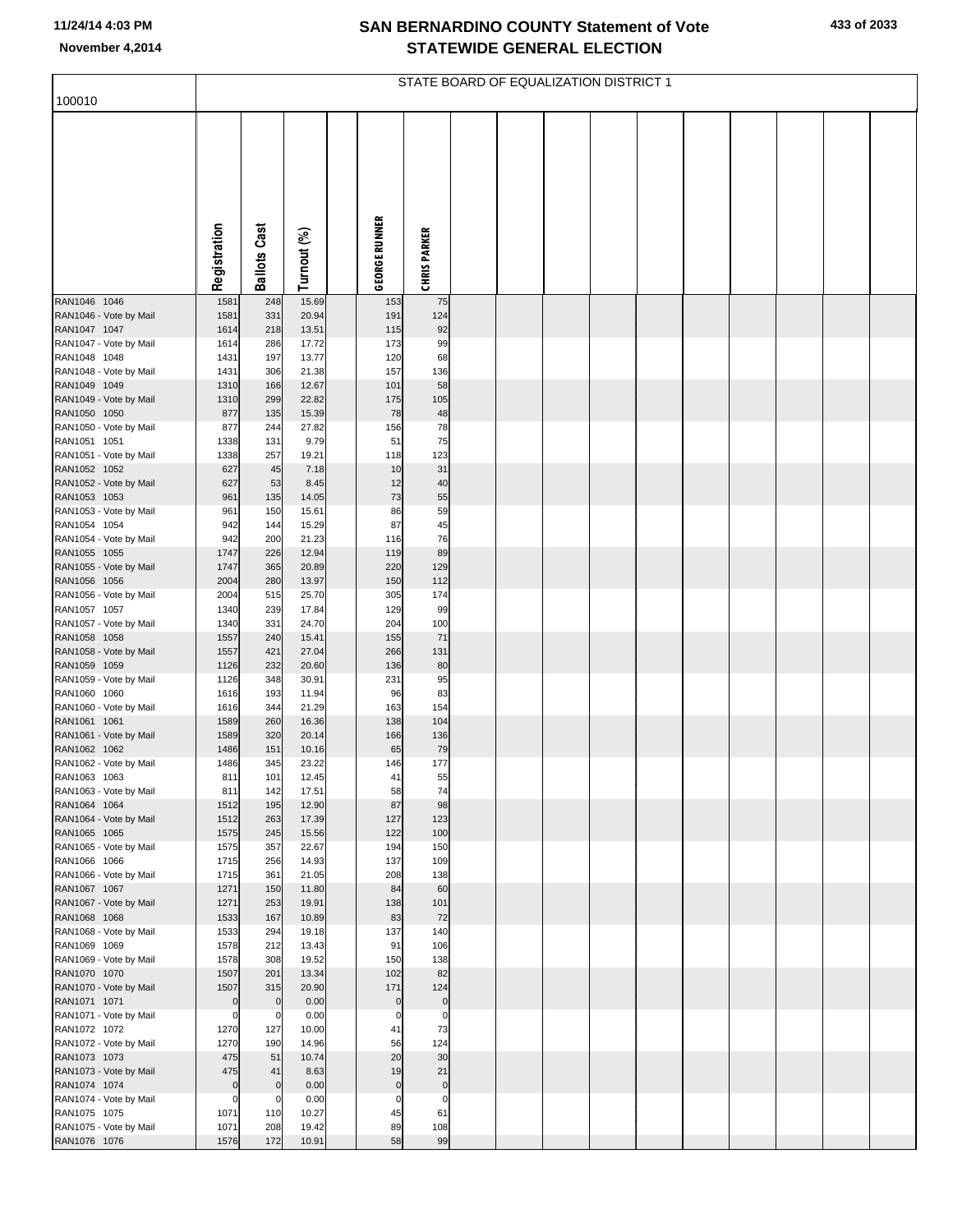| 100010                                 |                     |                        |                |                      |                    |  | STATE BOARD OF EQUALIZATION DISTRICT 1 |  |  |  |
|----------------------------------------|---------------------|------------------------|----------------|----------------------|--------------------|--|----------------------------------------|--|--|--|
|                                        |                     |                        |                |                      |                    |  |                                        |  |  |  |
|                                        |                     |                        |                |                      |                    |  |                                        |  |  |  |
|                                        |                     |                        |                |                      |                    |  |                                        |  |  |  |
|                                        |                     |                        |                |                      |                    |  |                                        |  |  |  |
|                                        |                     |                        |                |                      |                    |  |                                        |  |  |  |
|                                        |                     |                        |                |                      |                    |  |                                        |  |  |  |
|                                        |                     |                        |                |                      |                    |  |                                        |  |  |  |
|                                        |                     |                        |                |                      |                    |  |                                        |  |  |  |
|                                        | Registration        | <b>Ballots Cast</b>    | Turnout (%)    | <b>GEORGE RUNNER</b> | <b>CHRISPARKER</b> |  |                                        |  |  |  |
|                                        |                     |                        |                |                      |                    |  |                                        |  |  |  |
| RAN1046 1046<br>RAN1046 - Vote by Mail | 1581<br>1581        | 248<br>331             | 15.69<br>20.94 | 153<br>191           | 75<br>124          |  |                                        |  |  |  |
| RAN1047 1047                           | 1614                | 218                    | 13.51          | 115                  | 92                 |  |                                        |  |  |  |
| RAN1047 - Vote by Mail                 | 1614                | 286                    | 17.72          | 173                  | 99                 |  |                                        |  |  |  |
| RAN1048 1048<br>RAN1048 - Vote by Mail | 1431<br>1431        | 197<br>306             | 13.77<br>21.38 | 120<br>157           | 68<br>136          |  |                                        |  |  |  |
| RAN1049 1049                           | 1310                | 166                    | 12.67          | 101                  | 58                 |  |                                        |  |  |  |
| RAN1049 - Vote by Mail                 | 1310                | 299                    | 22.82          | 175                  | 105                |  |                                        |  |  |  |
| RAN1050 1050                           | 877                 | 135                    | 15.39          | 78                   | 48                 |  |                                        |  |  |  |
| RAN1050 - Vote by Mail<br>RAN1051 1051 | 877<br>1338         | 244<br>131             | 27.82<br>9.79  | 156<br>51            | 78<br>75           |  |                                        |  |  |  |
| RAN1051 - Vote by Mail                 | 1338                | 257                    | 19.21          | 118                  | 123                |  |                                        |  |  |  |
| RAN1052 1052                           | 627                 | 45                     | 7.18           | 10                   | 31                 |  |                                        |  |  |  |
| RAN1052 - Vote by Mail<br>RAN1053 1053 | 627<br>961          | 53<br>135              | 8.45<br>14.05  | 12<br>73             | 40<br>55           |  |                                        |  |  |  |
| RAN1053 - Vote by Mail                 | 961                 | 150                    | 15.61          | 86                   | 59                 |  |                                        |  |  |  |
| RAN1054 1054                           | 942                 | 144                    | 15.29          | 87                   | 45                 |  |                                        |  |  |  |
| RAN1054 - Vote by Mail<br>RAN1055 1055 | 942<br>1747         | 200<br>226             | 21.23<br>12.94 | 116<br>119           | 76<br>89           |  |                                        |  |  |  |
| RAN1055 - Vote by Mail                 | 1747                | 365                    | 20.89          | 220                  | 129                |  |                                        |  |  |  |
| RAN1056 1056                           | 2004                | 280                    | 13.97          | 150                  | 112                |  |                                        |  |  |  |
| RAN1056 - Vote by Mail<br>RAN1057 1057 | 2004<br>1340        | 515<br>239             | 25.70<br>17.84 | 305<br>129           | 174<br>99          |  |                                        |  |  |  |
| RAN1057 - Vote by Mail                 | 1340                | 331                    | 24.70          | 204                  | 100                |  |                                        |  |  |  |
| RAN1058 1058                           | 1557                | 240                    | 15.41          | 155                  | 71                 |  |                                        |  |  |  |
| RAN1058 - Vote by Mail<br>RAN1059 1059 | 1557<br>1126        | 421<br>232             | 27.04<br>20.60 | 266<br>136           | 131<br>80          |  |                                        |  |  |  |
| RAN1059 - Vote by Mail                 | 1126                | 348                    | 30.91          | 231                  | 95                 |  |                                        |  |  |  |
| RAN1060 1060                           | 1616                | 193                    | 11.94          | 96                   | 83                 |  |                                        |  |  |  |
| RAN1060 - Vote by Mail<br>RAN1061 1061 | 1616<br>1589        | 344<br>260             | 21.29<br>16.36 | 163<br>138           | 154<br>104         |  |                                        |  |  |  |
| RAN1061 - Vote by Mail                 | 1589                | 320                    | 20.14          | 166                  | 136                |  |                                        |  |  |  |
| RAN1062 1062                           | 1486                | 151                    | 10.16          | 65                   | 79                 |  |                                        |  |  |  |
| RAN1062 - Vote by Mail<br>RAN1063 1063 | 1486<br>811         | 345<br>10 <sup>1</sup> | 23.22<br>12.45 | 146<br>41            | 177<br>55          |  |                                        |  |  |  |
| RAN1063 - Vote by Mail                 | 811                 | 142                    | 17.51          | 58                   | 74                 |  |                                        |  |  |  |
| RAN1064 1064                           | 1512                | 195                    | 12.90          | 87                   | 98                 |  |                                        |  |  |  |
| RAN1064 - Vote by Mail<br>RAN1065 1065 | 1512<br>1575        | 263<br>245             | 17.39<br>15.56 | 127<br>122           | 123<br>100         |  |                                        |  |  |  |
| RAN1065 - Vote by Mail                 | 1575                | 357                    | 22.67          | 194                  | 150                |  |                                        |  |  |  |
| RAN1066 1066                           | 1715                | 256                    | 14.93          | 137                  | 109                |  |                                        |  |  |  |
| RAN1066 - Vote by Mail<br>RAN1067 1067 | 1715<br>1271        | 361<br>150             | 21.05<br>11.80 | 208<br>84            | 138<br>60          |  |                                        |  |  |  |
| RAN1067 - Vote by Mail                 | 1271                | 253                    | 19.91          | 138                  | 101                |  |                                        |  |  |  |
| RAN1068 1068                           | 1533                | 167                    | 10.89          | 83                   | 72                 |  |                                        |  |  |  |
| RAN1068 - Vote by Mail<br>RAN1069 1069 | 1533<br>1578        | 294<br>212             | 19.18<br>13.43 | 137<br>91            | 140<br>106         |  |                                        |  |  |  |
| RAN1069 - Vote by Mail                 | 1578                | 308                    | 19.52          | 150                  | 138                |  |                                        |  |  |  |
| RAN1070 1070                           | 1507                | 201                    | 13.34          | 102                  | 82                 |  |                                        |  |  |  |
| RAN1070 - Vote by Mail<br>RAN1071 1071 | 1507<br>$\mathbf 0$ | 315<br>$\mathbf 0$     | 20.90<br>0.00  | 171<br>$\mathbf 0$   | 124<br>$\mathbf 0$ |  |                                        |  |  |  |
| RAN1071 - Vote by Mail                 | 0                   | $\mathbf 0$            | 0.00           | $\Omega$             | $\Omega$           |  |                                        |  |  |  |
| RAN1072 1072                           | 1270                | 127                    | 10.00          | 41                   | 73                 |  |                                        |  |  |  |
| RAN1072 - Vote by Mail                 | 1270                | 190                    | 14.96          | 56                   | 124                |  |                                        |  |  |  |
| RAN1073 1073<br>RAN1073 - Vote by Mail | 475<br>475          | 51<br>41               | 10.74<br>8.63  | 20<br>19             | 30<br>21           |  |                                        |  |  |  |
| RAN1074 1074                           | $\mathbf 0$         | $\mathbf 0$            | 0.00           | $\mathbf 0$          | $\mathbf 0$        |  |                                        |  |  |  |
| RAN1074 - Vote by Mail                 | 0                   | $\Omega$               | 0.00           | $\mathbf 0$          | $\Omega$           |  |                                        |  |  |  |
| RAN1075 1075<br>RAN1075 - Vote by Mail | 1071<br>1071        | 110<br>208             | 10.27<br>19.42 | 45<br>89             | 61<br>108          |  |                                        |  |  |  |
| RAN1076 1076                           | 1576                | 172                    | 10.91          | 58                   | 99                 |  |                                        |  |  |  |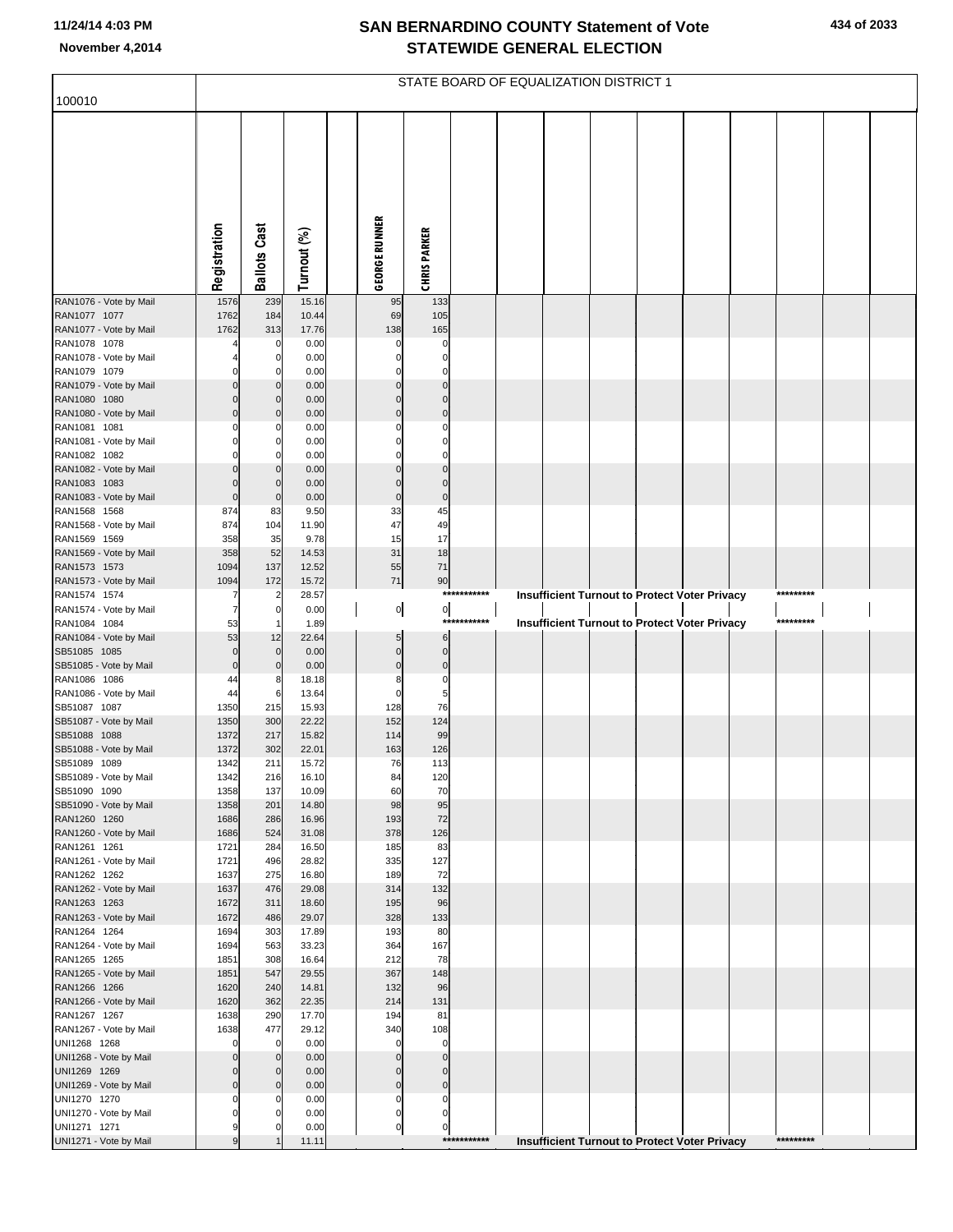| 100010                                 |                            |                         |                |                            |                            |             | STATE BOARD OF EQUALIZATION DISTRICT 1 |  |                                                      |           |  |
|----------------------------------------|----------------------------|-------------------------|----------------|----------------------------|----------------------------|-------------|----------------------------------------|--|------------------------------------------------------|-----------|--|
|                                        |                            |                         |                |                            |                            |             |                                        |  |                                                      |           |  |
|                                        |                            |                         |                |                            |                            |             |                                        |  |                                                      |           |  |
|                                        |                            |                         |                |                            |                            |             |                                        |  |                                                      |           |  |
|                                        |                            |                         |                |                            |                            |             |                                        |  |                                                      |           |  |
|                                        |                            |                         |                |                            |                            |             |                                        |  |                                                      |           |  |
|                                        |                            |                         |                |                            |                            |             |                                        |  |                                                      |           |  |
|                                        |                            |                         |                |                            |                            |             |                                        |  |                                                      |           |  |
|                                        |                            |                         |                |                            |                            |             |                                        |  |                                                      |           |  |
|                                        | Registration               | <b>Ballots Cast</b>     | Turnout (%)    | <b>GEORGE RUNNER</b>       | <b>CHRIS PARKER</b>        |             |                                        |  |                                                      |           |  |
| RAN1076 - Vote by Mail                 | 1576                       | 239                     | 15.16          | 95                         | 133                        |             |                                        |  |                                                      |           |  |
| RAN1077 1077                           | 1762                       | 184                     | 10.44          | 69                         | 105                        |             |                                        |  |                                                      |           |  |
| RAN1077 - Vote by Mail<br>RAN1078 1078 | 1762                       | 313<br>0                | 17.76<br>0.00  | 138<br>$\mathbf 0$         | 165<br>$\mathbf 0$         |             |                                        |  |                                                      |           |  |
| RAN1078 - Vote by Mail                 |                            | $\Omega$                | 0.00           | 0                          | $\mathbf 0$                |             |                                        |  |                                                      |           |  |
| RAN1079 1079                           |                            |                         | 0.00           |                            | $\Omega$                   |             |                                        |  |                                                      |           |  |
| RAN1079 - Vote by Mail<br>RAN1080 1080 | $\Omega$<br>$\Omega$       | $\Omega$<br>$\Omega$    | 0.00<br>0.00   | $\Omega$<br>$\Omega$       | $\Omega$<br>$\Omega$       |             |                                        |  |                                                      |           |  |
| RAN1080 - Vote by Mail                 | $\Omega$                   | $\mathbf 0$             | 0.00           | $\Omega$                   | $\mathbf 0$                |             |                                        |  |                                                      |           |  |
| RAN1081 1081                           |                            |                         | 0.00           |                            | $\Omega$                   |             |                                        |  |                                                      |           |  |
| RAN1081 - Vote by Mail<br>RAN1082 1082 | $\Omega$                   | 0                       | 0.00<br>0.00   | 0                          | $\Omega$<br>$\Omega$       |             |                                        |  |                                                      |           |  |
| RAN1082 - Vote by Mail                 | $\Omega$                   | $\Omega$                | 0.00           | $\Omega$                   | $\mathbf 0$                |             |                                        |  |                                                      |           |  |
| RAN1083 1083                           | $\Omega$<br>$\mathbf 0$    | $\Omega$<br>$\mathbf 0$ | 0.00<br>0.00   | $\Omega$<br>$\mathbf 0$    | $\Omega$<br>$\mathbf 0$    |             |                                        |  |                                                      |           |  |
| RAN1083 - Vote by Mail<br>RAN1568 1568 | 874                        | 83                      | 9.50           | 33                         | 45                         |             |                                        |  |                                                      |           |  |
| RAN1568 - Vote by Mail                 | 874                        | 104                     | 11.90          | 47                         | 49                         |             |                                        |  |                                                      |           |  |
| RAN1569 1569<br>RAN1569 - Vote by Mail | 358<br>358                 | 35<br>52                | 9.78<br>14.53  | 15<br>31                   | 17<br>18                   |             |                                        |  |                                                      |           |  |
| RAN1573 1573                           | 1094                       | 137                     | 12.52          | 55                         | 71                         |             |                                        |  |                                                      |           |  |
| RAN1573 - Vote by Mail                 | 1094                       | 172                     | 15.72          | 71                         | 90                         | *********** |                                        |  |                                                      |           |  |
| RAN1574 1574<br>RAN1574 - Vote by Mail | 7<br>7                     | 2<br>0                  | 28.57<br>0.00  | $\overline{0}$             | $\overline{0}$             |             |                                        |  | Insufficient Turnout to Protect Voter Privacy        | ********* |  |
| RAN1084 1084                           | 53                         |                         | 1.89           |                            |                            | *********** |                                        |  | <b>Insufficient Turnout to Protect Voter Privacy</b> | ********* |  |
| RAN1084 - Vote by Mail<br>SB51085 1085 | 53<br>$\mathbf 0$          | 12<br>$\mathbf 0$       | 22.64<br>0.00  | 5<br>$\mathbf 0$           | 6<br>$\mathbf 0$           |             |                                        |  |                                                      |           |  |
| SB51085 - Vote by Mail                 | $\mathbf 0$                | $\Omega$                | 0.00           | $\mathbf 0$                | $\mathbf 0$                |             |                                        |  |                                                      |           |  |
| RAN1086 1086                           | 44                         |                         | 18.18          | 8                          | $\Omega$                   |             |                                        |  |                                                      |           |  |
| RAN1086 - Vote by Mail<br>SB51087 1087 | 44<br>1350                 | 6<br>215                | 13.64<br>15.93 | $\Omega$<br>128            | 5<br>76                    |             |                                        |  |                                                      |           |  |
| SB51087 - Vote by Mail                 | 1350                       | 300                     | 22.22          | 152                        | 124                        |             |                                        |  |                                                      |           |  |
| SB51088 1088<br>SB51088 - Vote by Mail | 1372<br>1372               | 217<br>302              | 15.82<br>22.01 | 114<br>163                 | 99<br>126                  |             |                                        |  |                                                      |           |  |
| SB51089 1089                           | 1342                       | 211                     | 15.72          | 76                         | 113                        |             |                                        |  |                                                      |           |  |
| SB51089 - Vote by Mail                 | 1342                       | 216                     | 16.10          | 84                         | 120                        |             |                                        |  |                                                      |           |  |
| SB51090 1090<br>SB51090 - Vote by Mail | 1358<br>1358               | 137<br>201              | 10.09<br>14.80 | 60<br>98                   | 70<br>95                   |             |                                        |  |                                                      |           |  |
| RAN1260 1260                           | 1686                       | 286                     | 16.96          | 193                        | 72                         |             |                                        |  |                                                      |           |  |
| RAN1260 - Vote by Mail<br>RAN1261 1261 | 1686<br>1721               | 524<br>284              | 31.08<br>16.50 | 378<br>185                 | 126<br>83                  |             |                                        |  |                                                      |           |  |
| RAN1261 - Vote by Mail                 | 1721                       | 496                     | 28.82          | 335                        | 127                        |             |                                        |  |                                                      |           |  |
| RAN1262 1262                           | 1637                       | 275                     | 16.80          | 189                        | 72                         |             |                                        |  |                                                      |           |  |
| RAN1262 - Vote by Mail<br>RAN1263 1263 | 1637<br>1672               | 476<br>311              | 29.08<br>18.60 | 314<br>195                 | 132<br>96                  |             |                                        |  |                                                      |           |  |
| RAN1263 - Vote by Mail                 | 1672                       | 486                     | 29.07          | 328                        | 133                        |             |                                        |  |                                                      |           |  |
| RAN1264 1264                           | 1694                       | 303                     | 17.89          | 193                        | 80                         |             |                                        |  |                                                      |           |  |
| RAN1264 - Vote by Mail<br>RAN1265 1265 | 1694<br>1851               | 563<br>308              | 33.23<br>16.64 | 364<br>212                 | 167<br>78                  |             |                                        |  |                                                      |           |  |
| RAN1265 - Vote by Mail                 | 1851                       | 547                     | 29.55          | 367                        | 148                        |             |                                        |  |                                                      |           |  |
| RAN1266 1266<br>RAN1266 - Vote by Mail | 1620<br>1620               | 240<br>362              | 14.81<br>22.35 | 132<br>214                 | 96<br>131                  |             |                                        |  |                                                      |           |  |
| RAN1267 1267                           | 1638                       | 290                     | 17.70          | 194                        | 81                         |             |                                        |  |                                                      |           |  |
| RAN1267 - Vote by Mail                 | 1638                       | 477                     | 29.12          | 340                        | 108                        |             |                                        |  |                                                      |           |  |
| UNI1268 1268<br>UNI1268 - Vote by Mail | $\mathbf 0$<br>$\mathbf 0$ | 0<br>$\mathbf 0$        | 0.00<br>0.00   | $\Omega$<br>$\Omega$       | $\mathbf 0$<br>$\mathbf 0$ |             |                                        |  |                                                      |           |  |
| UNI1269 1269                           | $\Omega$                   | $\mathbf 0$             | 0.00           | $\mathbf 0$                | $\Omega$                   |             |                                        |  |                                                      |           |  |
| UNI1269 - Vote by Mail                 | $\mathbf 0$<br>$\Omega$    | $\mathbf 0$             | 0.00           | $\mathbf 0$<br>$\mathbf 0$ | $\mathbf 0$<br>$\Omega$    |             |                                        |  |                                                      |           |  |
| UNI1270 1270<br>UNI1270 - Vote by Mail | $\Omega$                   |                         | 0.00<br>0.00   | $\mathbf 0$                | $\mathbf 0$                |             |                                        |  |                                                      |           |  |
| UNI1271 1271                           | 9                          |                         | 0.00           | $\overline{0}$             | 0                          |             |                                        |  |                                                      |           |  |
| UNI1271 - Vote by Mail                 | 9                          |                         | 11.11          |                            |                            | *********** |                                        |  | <b>Insufficient Turnout to Protect Voter Privacy</b> | ********* |  |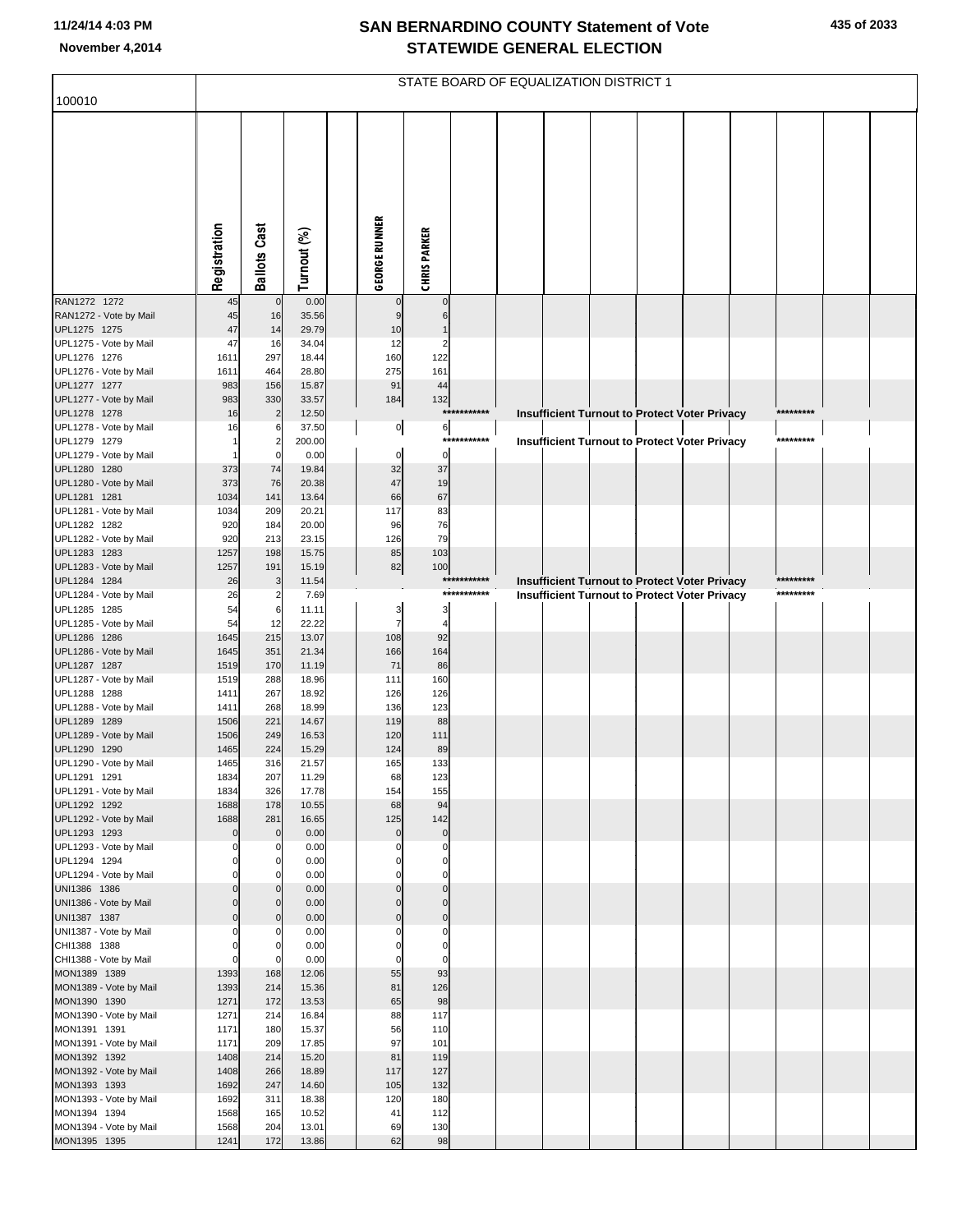| 100010                                 |              |                            |                |                       |                      |             | STATE BOARD OF EQUALIZATION DISTRICT 1                                                         |  |  |           |  |
|----------------------------------------|--------------|----------------------------|----------------|-----------------------|----------------------|-------------|------------------------------------------------------------------------------------------------|--|--|-----------|--|
|                                        |              |                            |                |                       |                      |             |                                                                                                |  |  |           |  |
|                                        |              |                            |                |                       |                      |             |                                                                                                |  |  |           |  |
|                                        |              |                            |                |                       |                      |             |                                                                                                |  |  |           |  |
|                                        |              |                            |                |                       |                      |             |                                                                                                |  |  |           |  |
|                                        |              |                            |                |                       |                      |             |                                                                                                |  |  |           |  |
|                                        |              |                            |                |                       |                      |             |                                                                                                |  |  |           |  |
|                                        |              |                            |                |                       |                      |             |                                                                                                |  |  |           |  |
|                                        |              |                            |                |                       |                      |             |                                                                                                |  |  |           |  |
|                                        |              |                            |                |                       |                      |             |                                                                                                |  |  |           |  |
|                                        | Registration | <b>Ballots Cast</b>        | Turnout (%)    | <b>GEORGE RUNNER</b>  | <b>CHRISPARKER</b>   |             |                                                                                                |  |  |           |  |
| RAN1272 1272                           | 45           | $\mathbf 0$                | 0.00           |                       | $\Omega$             |             |                                                                                                |  |  |           |  |
| RAN1272 - Vote by Mail                 | 45           | 16                         | 35.56          | 9                     | 6                    |             |                                                                                                |  |  |           |  |
| UPL1275 1275                           | 47           | 14                         | 29.79          | 10                    |                      |             |                                                                                                |  |  |           |  |
| UPL1275 - Vote by Mail<br>UPL1276 1276 | 47<br>1611   | 16<br>297                  | 34.04<br>18.44 | 12<br>160             | 2<br>122             |             |                                                                                                |  |  |           |  |
| UPL1276 - Vote by Mail                 | 1611         | 464                        | 28.80          | 275                   | 161                  |             |                                                                                                |  |  |           |  |
| UPL1277 1277                           | 983          | 156                        | 15.87          | 91                    | 44                   |             |                                                                                                |  |  |           |  |
| UPL1277 - Vote by Mail<br>UPL1278 1278 | 983<br>16    | 330<br>$\overline{2}$      | 33.57<br>12.50 | 184                   | 132                  | *********** | Insufficient Turnout to Protect Voter Privacy                                                  |  |  | ********* |  |
| UPL1278 - Vote by Mail                 | 16           | 6                          | 37.50          | $\circ$               | 6                    |             |                                                                                                |  |  |           |  |
| UPL1279 1279                           | 1            |                            | 200.00         |                       |                      | *********** | <b>Insufficient Turnout to Protect Voter Privacy</b>                                           |  |  | ********* |  |
| UPL1279 - Vote by Mail<br>UPL1280 1280 | 373          | $\mathbf 0$<br>74          | 0.00<br>19.84  | $\pmb{0}$<br>32       | $\mathbf 0$<br>37    |             |                                                                                                |  |  |           |  |
| UPL1280 - Vote by Mail                 | 373          | 76                         | 20.38          | 47                    | 19                   |             |                                                                                                |  |  |           |  |
| UPL1281 1281                           | 1034         | 141                        | 13.64          | 66                    | 67                   |             |                                                                                                |  |  |           |  |
| UPL1281 - Vote by Mail<br>UPL1282 1282 | 1034<br>920  | 209<br>184                 | 20.21<br>20.00 | 117<br>96             | 83<br>76             |             |                                                                                                |  |  |           |  |
| UPL1282 - Vote by Mail                 | 920          | 213                        | 23.15          | 126                   | 79                   |             |                                                                                                |  |  |           |  |
| UPL1283 1283                           | 1257         | 198                        | 15.75          | 85                    | 103                  |             |                                                                                                |  |  |           |  |
| UPL1283 - Vote by Mail<br>UPL1284 1284 | 1257<br>26   | 191<br>3                   | 15.19<br>11.54 | 82                    | 100                  | *********** |                                                                                                |  |  | ********* |  |
| UPL1284 - Vote by Mail                 | 26           | $\overline{2}$             | 7.69           |                       |                      | *********** | Insufficient Turnout to Protect Voter Privacy<br>Insufficient Turnout to Protect Voter Privacy |  |  | ********* |  |
| UPL1285 1285                           | 54           | 6                          | 11.11          | 3                     | 3                    |             |                                                                                                |  |  |           |  |
| UPL1285 - Vote by Mail                 | 54           | 12<br>215                  | 22.22<br>13.07 | $\overline{7}$<br>108 | $\overline{4}$<br>92 |             |                                                                                                |  |  |           |  |
| UPL1286 1286<br>UPL1286 - Vote by Mail | 1645<br>1645 | 351                        | 21.34          | 166                   | 164                  |             |                                                                                                |  |  |           |  |
| UPL1287 1287                           | 1519         | 170                        | 11.19          | 71                    | 86                   |             |                                                                                                |  |  |           |  |
| UPL1287 - Vote by Mail<br>UPL1288 1288 | 1519<br>1411 | 288<br>267                 | 18.96<br>18.92 | 111<br>126            | 160<br>126           |             |                                                                                                |  |  |           |  |
| UPL1288 - Vote by Mail                 | 1411         | 268                        | 18.99          | 136                   | 123                  |             |                                                                                                |  |  |           |  |
| UPL1289 1289                           | 1506         | 221                        | 14.67          | 119                   | 88                   |             |                                                                                                |  |  |           |  |
| UPL1289 - Vote by Mail<br>UPL1290 1290 | 1506         | 249<br>224                 | 16.53          | 120                   | 111                  |             |                                                                                                |  |  |           |  |
| UPL1290 - Vote by Mail                 | 1465<br>1465 | 316                        | 15.29<br>21.57 | 124<br>165            | 89<br>133            |             |                                                                                                |  |  |           |  |
| UPL1291 1291                           | 1834         | 207                        | 11.29          | 68                    | 123                  |             |                                                                                                |  |  |           |  |
| UPL1291 - Vote by Mail                 | 1834         | 326                        | 17.78          | 154                   | 155                  |             |                                                                                                |  |  |           |  |
| UPL1292 1292<br>UPL1292 - Vote by Mail | 1688<br>1688 | 178<br>281                 | 10.55<br>16.65 | 68<br>125             | 94<br>142            |             |                                                                                                |  |  |           |  |
| UPL1293 1293                           | $\Omega$     | $\mathbf 0$                | 0.00           | $\mathbf 0$           | $\pmb{0}$            |             |                                                                                                |  |  |           |  |
| UPL1293 - Vote by Mail                 |              | 0                          | 0.00           | C                     | $\Omega$             |             |                                                                                                |  |  |           |  |
| UPL1294 1294<br>UPL1294 - Vote by Mail |              | $\mathbf 0$<br>$\mathbf 0$ | 0.00<br>0.00   | C                     | C<br>C               |             |                                                                                                |  |  |           |  |
| UNI1386 1386                           |              | $\mathbf 0$                | 0.00           | C                     | $\Omega$             |             |                                                                                                |  |  |           |  |
| UNI1386 - Vote by Mail                 |              | $\mathbf 0$                | 0.00           | $\mathcal{C}$         | $\Omega$             |             |                                                                                                |  |  |           |  |
| UNI1387 1387<br>UNI1387 - Vote by Mail |              | $\mathbf 0$<br>0           | 0.00<br>0.00   | $\mathcal{C}$<br>C    | $\mathbf 0$<br>C     |             |                                                                                                |  |  |           |  |
| CHI1388 1388                           | 0            | $\mathbf 0$                | 0.00           | C                     | $\Omega$             |             |                                                                                                |  |  |           |  |
| CHI1388 - Vote by Mail                 | $\Omega$     |                            | 0.00           | $\mathcal{C}$         | $\Omega$             |             |                                                                                                |  |  |           |  |
| MON1389 1389<br>MON1389 - Vote by Mail | 1393<br>1393 | 168<br>214                 | 12.06<br>15.36 | 55<br>81              | 93<br>126            |             |                                                                                                |  |  |           |  |
| MON1390 1390                           | 1271         | 172                        | 13.53          | 65                    | 98                   |             |                                                                                                |  |  |           |  |
| MON1390 - Vote by Mail                 | 1271         | 214                        | 16.84          | 88                    | 117                  |             |                                                                                                |  |  |           |  |
| MON1391 1391<br>MON1391 - Vote by Mail | 1171<br>1171 | 180<br>209                 | 15.37<br>17.85 | 56<br>97              | 110<br>101           |             |                                                                                                |  |  |           |  |
| MON1392 1392                           | 1408         | 214                        | 15.20          | 81                    | 119                  |             |                                                                                                |  |  |           |  |
| MON1392 - Vote by Mail                 | 1408         | 266                        | 18.89          | 117                   | 127                  |             |                                                                                                |  |  |           |  |
| MON1393 1393<br>MON1393 - Vote by Mail | 1692<br>1692 | 247<br>311                 | 14.60<br>18.38 | 105<br>120            | 132<br>180           |             |                                                                                                |  |  |           |  |
| MON1394 1394                           | 1568         | 165                        | 10.52          | 41                    | 112                  |             |                                                                                                |  |  |           |  |
| MON1394 - Vote by Mail                 | 1568         | 204                        | 13.01          | 69                    | 130                  |             |                                                                                                |  |  |           |  |
| MON1395 1395                           | 1241         | 172                        | 13.86          | 62                    | 98                   |             |                                                                                                |  |  |           |  |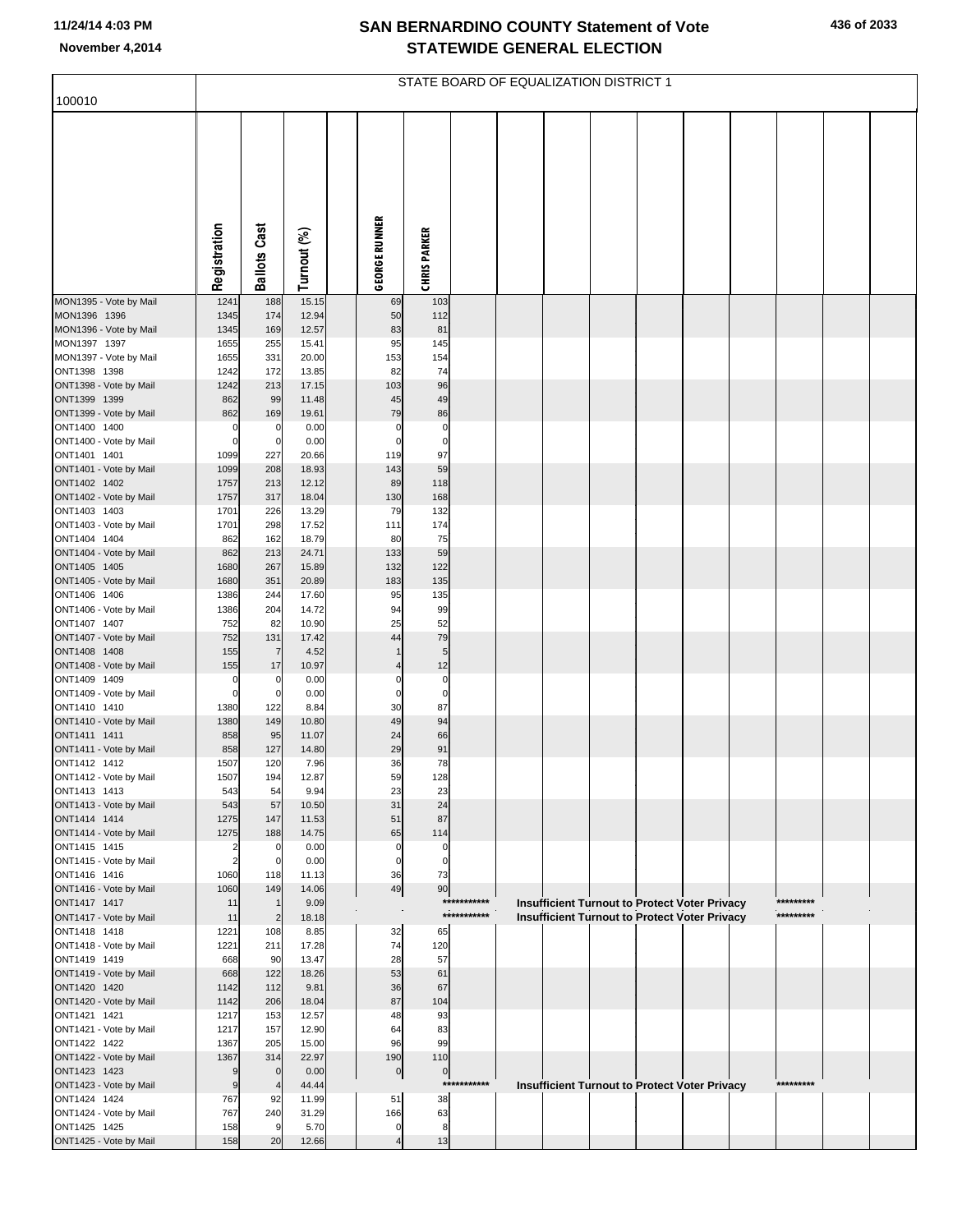|                                        |                                           |                            |                |                      |                       |                            | STATE BOARD OF EQUALIZATION DISTRICT 1 |  |                                                      |                        |  |
|----------------------------------------|-------------------------------------------|----------------------------|----------------|----------------------|-----------------------|----------------------------|----------------------------------------|--|------------------------------------------------------|------------------------|--|
| 100010                                 |                                           |                            |                |                      |                       |                            |                                        |  |                                                      |                        |  |
|                                        |                                           |                            |                |                      |                       |                            |                                        |  |                                                      |                        |  |
|                                        |                                           |                            |                |                      |                       |                            |                                        |  |                                                      |                        |  |
|                                        |                                           |                            |                |                      |                       |                            |                                        |  |                                                      |                        |  |
|                                        |                                           |                            |                |                      |                       |                            |                                        |  |                                                      |                        |  |
|                                        |                                           |                            |                |                      |                       |                            |                                        |  |                                                      |                        |  |
|                                        |                                           |                            |                |                      |                       |                            |                                        |  |                                                      |                        |  |
|                                        |                                           |                            |                |                      |                       |                            |                                        |  |                                                      |                        |  |
|                                        |                                           |                            |                |                      |                       |                            |                                        |  |                                                      |                        |  |
|                                        | Registration                              | <b>Ballots Cast</b>        | Turnout (%)    | <b>GEORGE RUNNER</b> | <b>CHRISPARKER</b>    |                            |                                        |  |                                                      |                        |  |
|                                        |                                           |                            |                |                      |                       |                            |                                        |  |                                                      |                        |  |
| MON1395 - Vote by Mail<br>MON1396 1396 | 1241<br>1345                              | 188<br>174                 | 15.15<br>12.94 | 69<br>50             | 103<br>112            |                            |                                        |  |                                                      |                        |  |
| MON1396 - Vote by Mail                 | 1345                                      | 169                        | 12.57          | 83                   | 81                    |                            |                                        |  |                                                      |                        |  |
| MON1397 1397                           | 1655                                      | 255                        | 15.41          | 95                   | 145                   |                            |                                        |  |                                                      |                        |  |
| MON1397 - Vote by Mail                 | 1655                                      | 331                        | 20.00          | 153                  | 154                   |                            |                                        |  |                                                      |                        |  |
| ONT1398 1398<br>ONT1398 - Vote by Mail | 1242<br>1242                              | 172<br>213                 | 13.85<br>17.15 | 82<br>103            | 74<br>96              |                            |                                        |  |                                                      |                        |  |
| ONT1399 1399                           | 862                                       | 99                         | 11.48          | 45                   | 49                    |                            |                                        |  |                                                      |                        |  |
| ONT1399 - Vote by Mail                 | 862                                       | 169                        | 19.61          | 79                   | 86                    |                            |                                        |  |                                                      |                        |  |
| ONT1400 1400                           | $\mathbf 0$                               | 0                          | 0.00           | $\mathsf{C}$         | $\pmb{0}$             |                            |                                        |  |                                                      |                        |  |
| ONT1400 - Vote by Mail<br>ONT1401 1401 | $\mathbf 0$<br>1099                       | $\mathbf 0$<br>227         | 0.00<br>20.66  | $\mathsf{C}$<br>119  | $\mathbf 0$<br>97     |                            |                                        |  |                                                      |                        |  |
| ONT1401 - Vote by Mail                 | 1099                                      | 208                        | 18.93          | 143                  | 59                    |                            |                                        |  |                                                      |                        |  |
| ONT1402 1402                           | 1757                                      | 213                        | 12.12          | 89                   | 118                   |                            |                                        |  |                                                      |                        |  |
| ONT1402 - Vote by Mail                 | 1757                                      | 317                        | 18.04          | 130                  | 168                   |                            |                                        |  |                                                      |                        |  |
| ONT1403 1403                           | 1701<br>1701                              | 226<br>298                 | 13.29<br>17.52 | 79<br>111            | 132<br>174            |                            |                                        |  |                                                      |                        |  |
| ONT1403 - Vote by Mail<br>ONT1404 1404 | 862                                       | 162                        | 18.79          | 80                   | 75                    |                            |                                        |  |                                                      |                        |  |
| ONT1404 - Vote by Mail                 | 862                                       | 213                        | 24.71          | 133                  | 59                    |                            |                                        |  |                                                      |                        |  |
| ONT1405 1405                           | 1680                                      | 267                        | 15.89          | 132                  | 122                   |                            |                                        |  |                                                      |                        |  |
| ONT1405 - Vote by Mail<br>ONT1406 1406 | 1680                                      | 351                        | 20.89<br>17.60 | 183<br>95            | 135                   |                            |                                        |  |                                                      |                        |  |
| ONT1406 - Vote by Mail                 | 1386<br>1386                              | 244<br>204                 | 14.72          | 94                   | 135<br>99             |                            |                                        |  |                                                      |                        |  |
| ONT1407 1407                           | 752                                       | 82                         | 10.90          | 25                   | 52                    |                            |                                        |  |                                                      |                        |  |
| ONT1407 - Vote by Mail                 | 752                                       | 131                        | 17.42          | 44                   | 79                    |                            |                                        |  |                                                      |                        |  |
| ONT1408 1408<br>ONT1408 - Vote by Mail | 155<br>155                                | $\overline{7}$<br>17       | 4.52<br>10.97  |                      | $\sqrt{5}$<br>12      |                            |                                        |  |                                                      |                        |  |
| ONT1409 1409                           | $\pmb{0}$                                 | 0                          | 0.00           | C                    | $\pmb{0}$             |                            |                                        |  |                                                      |                        |  |
| ONT1409 - Vote by Mail                 | $\mathbf 0$                               | $\mathbf 0$                | 0.00           | 0                    | $\mathbf 0$           |                            |                                        |  |                                                      |                        |  |
| ONT1410 1410                           | 1380                                      | 122                        | 8.84           | 30                   | 87                    |                            |                                        |  |                                                      |                        |  |
| ONT1410 - Vote by Mail<br>ONT1411 1411 | 1380<br>858                               | 149<br>95                  | 10.80<br>11.07 | 49<br>24             | 94<br>66              |                            |                                        |  |                                                      |                        |  |
| ONT1411 - Vote by Mail                 | 858                                       | 127                        | 14.80          | 29                   | 91                    |                            |                                        |  |                                                      |                        |  |
| ONT1412 1412                           | 1507                                      | 120                        | 7.96           | 36                   | 78                    |                            |                                        |  |                                                      |                        |  |
| ONT1412 - Vote by Mail<br>ONT1413 1413 | 1507                                      | 194                        | 12.87<br>9.94  | 59                   | 128                   |                            |                                        |  |                                                      |                        |  |
| ONT1413 - Vote by Mail                 | 543<br>543                                | 54<br>57                   | 10.50          | 23<br>31             | 23<br>24              |                            |                                        |  |                                                      |                        |  |
| ONT1414 1414                           | 1275                                      | 147                        | 11.53          | 51                   | 87                    |                            |                                        |  |                                                      |                        |  |
| ONT1414 - Vote by Mail                 | 1275                                      | 188                        | 14.75          | 65                   | 114                   |                            |                                        |  |                                                      |                        |  |
| ONT1415 1415<br>ONT1415 - Vote by Mail | $\overline{2}$<br>$\overline{\mathbf{c}}$ | $\mathbf 0$<br>$\mathbf 0$ | 0.00<br>0.00   | $\mathbf 0$<br>0     | 0<br>0                |                            |                                        |  |                                                      |                        |  |
| ONT1416 1416                           | 1060                                      | 118                        | 11.13          | 36                   | 73                    |                            |                                        |  |                                                      |                        |  |
| ONT1416 - Vote by Mail                 | 1060                                      | 149                        | 14.06          | 49                   | 90                    |                            |                                        |  |                                                      |                        |  |
| ONT1417 1417                           | 11                                        | $\mathbf{1}$               | 9.09           |                      |                       | ***********<br>*********** |                                        |  | <b>Insufficient Turnout to Protect Voter Privacy</b> | *********<br>********* |  |
| ONT1417 - Vote by Mail<br>ONT1418 1418 | 11<br>1221                                | $\overline{2}$<br>108      | 18.18<br>8.85  | 32                   | 65                    |                            |                                        |  | <b>Insufficient Turnout to Protect Voter Privacy</b> |                        |  |
| ONT1418 - Vote by Mail                 | 1221                                      | 211                        | 17.28          | 74                   | 120                   |                            |                                        |  |                                                      |                        |  |
| ONT1419 1419                           | 668                                       | 90                         | 13.47          | 28                   | 57                    |                            |                                        |  |                                                      |                        |  |
| ONT1419 - Vote by Mail                 | 668                                       | 122                        | 18.26          | 53                   | 61                    |                            |                                        |  |                                                      |                        |  |
| ONT1420 1420<br>ONT1420 - Vote by Mail | 1142<br>1142                              | 112<br>206                 | 9.81<br>18.04  | 36<br>87             | 67<br>104             |                            |                                        |  |                                                      |                        |  |
| ONT1421 1421                           | 1217                                      | 153                        | 12.57          | 48                   | 93                    |                            |                                        |  |                                                      |                        |  |
| ONT1421 - Vote by Mail                 | 1217                                      | 157                        | 12.90          | 64                   | 83                    |                            |                                        |  |                                                      |                        |  |
| ONT1422 1422                           | 1367                                      | 205                        | 15.00          | 96                   | 99                    |                            |                                        |  |                                                      |                        |  |
| ONT1422 - Vote by Mail<br>ONT1423 1423 | 1367<br>9                                 | 314<br>$\mathbf 0$         | 22.97<br>0.00  | 190<br>$\pmb{0}$     | 110<br>$\overline{0}$ |                            |                                        |  |                                                      |                        |  |
| ONT1423 - Vote by Mail                 | 9                                         |                            | 44.44          |                      |                       | ***********                |                                        |  | Insufficient Turnout to Protect Voter Privacy        | *********              |  |
| ONT1424 1424                           | 767                                       | 92                         | 11.99          | 51                   | 38                    |                            |                                        |  |                                                      |                        |  |
| ONT1424 - Vote by Mail<br>ONT1425 1425 | 767<br>158                                | 240<br>9                   | 31.29<br>5.70  | 166<br>0             | 63<br>8               |                            |                                        |  |                                                      |                        |  |
| ONT1425 - Vote by Mail                 | 158                                       | 20                         | 12.66          | 4                    | 13                    |                            |                                        |  |                                                      |                        |  |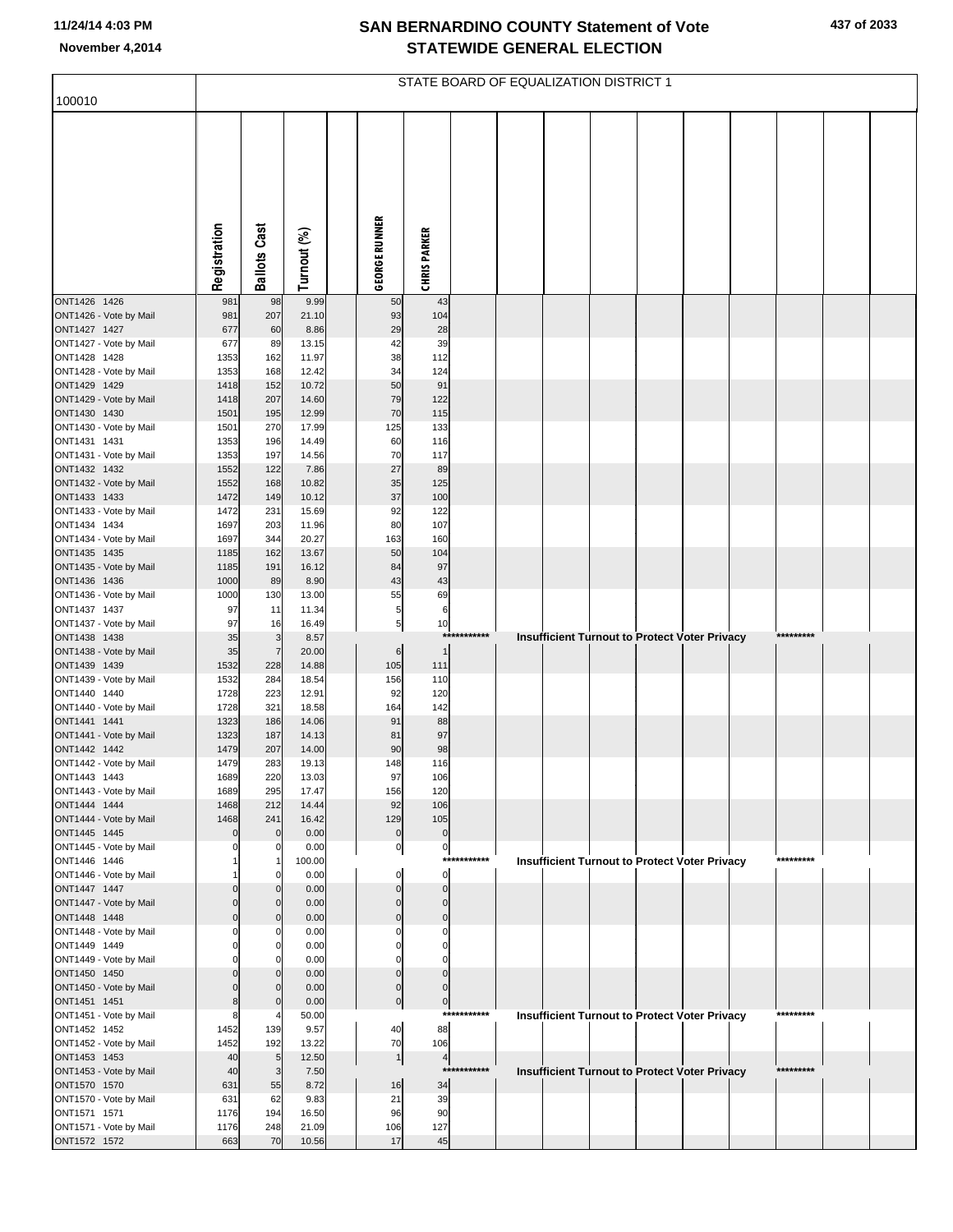| 100010                                 |                  |                       |                |                            |                                 |             | STATE BOARD OF EQUALIZATION DISTRICT 1 |  |                                                      |           |  |
|----------------------------------------|------------------|-----------------------|----------------|----------------------------|---------------------------------|-------------|----------------------------------------|--|------------------------------------------------------|-----------|--|
|                                        | Registration     | <b>Ballots Cast</b>   | Turnout (%)    | <b>GEORGE RUNNER</b>       | <b>CHRISPARKER</b>              |             |                                        |  |                                                      |           |  |
| ONT1426 1426<br>ONT1426 - Vote by Mail | 981<br>981       | 98<br>207             | 9.99<br>21.10  | 50<br>93                   | 43<br>104                       |             |                                        |  |                                                      |           |  |
| ONT1427 1427                           | 677              | 60                    | 8.86           | 29                         | 28                              |             |                                        |  |                                                      |           |  |
| ONT1427 - Vote by Mail                 | 677              | 89                    | 13.15          | 42                         | 39                              |             |                                        |  |                                                      |           |  |
| ONT1428 1428<br>ONT1428 - Vote by Mail | 1353<br>1353     | 162<br>168            | 11.97<br>12.42 | 38<br>34                   | 112<br>124                      |             |                                        |  |                                                      |           |  |
| ONT1429 1429                           | 1418             | 152                   | 10.72          | 50                         | 91                              |             |                                        |  |                                                      |           |  |
| ONT1429 - Vote by Mail                 | 1418             | 207                   | 14.60          | 79                         | 122                             |             |                                        |  |                                                      |           |  |
| ONT1430 1430<br>ONT1430 - Vote by Mail | 1501<br>1501     | 195<br>270            | 12.99<br>17.99 | 70<br>125                  | 115<br>133                      |             |                                        |  |                                                      |           |  |
| ONT1431 1431                           | 1353             | 196                   | 14.49          | 60                         | 116                             |             |                                        |  |                                                      |           |  |
| ONT1431 - Vote by Mail                 | 1353             | 197                   | 14.56          | 70                         | 117                             |             |                                        |  |                                                      |           |  |
| ONT1432 1432<br>ONT1432 - Vote by Mail | 1552<br>1552     | 122<br>168            | 7.86<br>10.82  | 27<br>35                   | 89<br>125                       |             |                                        |  |                                                      |           |  |
| ONT1433 1433                           | 1472             | 149                   | 10.12          | 37                         | 100                             |             |                                        |  |                                                      |           |  |
| ONT1433 - Vote by Mail                 | 1472             | 231                   | 15.69          | 92                         | 122                             |             |                                        |  |                                                      |           |  |
| ONT1434 1434                           | 1697             | 203                   | 11.96          | 80                         | 107                             |             |                                        |  |                                                      |           |  |
| ONT1434 - Vote by Mail<br>ONT1435 1435 | 1697<br>1185     | 344<br>162            | 20.27<br>13.67 | 163<br>50                  | 160<br>104                      |             |                                        |  |                                                      |           |  |
| ONT1435 - Vote by Mail                 | 1185             | 191                   | 16.12          | 84                         | 97                              |             |                                        |  |                                                      |           |  |
| ONT1436 1436                           | 1000             | 89                    | 8.90           | 43                         | 43                              |             |                                        |  |                                                      |           |  |
| ONT1436 - Vote by Mail<br>ONT1437 1437 | 1000<br>97       | 130<br>11             | 13.00<br>11.34 | 55<br>5                    | 69<br>6                         |             |                                        |  |                                                      |           |  |
| ONT1437 - Vote by Mail                 | 97               | 16                    | 16.49          | $\overline{5}$             | 10                              |             |                                        |  |                                                      |           |  |
| ONT1438 1438                           | 35               | 3                     | 8.57           |                            | $\mathbf{1}$                    | *********** |                                        |  | Insufficient Turnout to Protect Voter Privacy        | ********* |  |
| ONT1438 - Vote by Mail<br>ONT1439 1439 | 35<br>1532       | $\overline{7}$<br>228 | 20.00<br>14.88 | 6<br>105                   | 111                             |             |                                        |  |                                                      |           |  |
| ONT1439 - Vote by Mail                 | 1532             | 284                   | 18.54          | 156                        | 110                             |             |                                        |  |                                                      |           |  |
| ONT1440 1440                           | 1728             | 223                   | 12.91          | 92                         | 120                             |             |                                        |  |                                                      |           |  |
| ONT1440 - Vote by Mail<br>ONT1441 1441 | 1728<br>1323     | 321<br>186            | 18.58<br>14.06 | 164<br>91                  | 142<br>88                       |             |                                        |  |                                                      |           |  |
| ONT1441 - Vote by Mail                 | 1323             | 187                   | 14.13          | 81                         | 97                              |             |                                        |  |                                                      |           |  |
| ONT1442 1442                           | 1479             | 207                   | 14.00          | 90                         | 98                              |             |                                        |  |                                                      |           |  |
| ONT1442 - Vote by Mail<br>ONT1443 1443 | 1479<br>1689     | 283<br>220            | 19.13<br>13.03 | 148<br>97                  | 116<br>106                      |             |                                        |  |                                                      |           |  |
| ONT1443 - Vote by Mail                 | 1689             | 295                   | 17.47          | 156                        | 120                             |             |                                        |  |                                                      |           |  |
| ONT1444 1444                           | 1468             | 212                   | 14.44          | 92                         | 106                             |             |                                        |  |                                                      |           |  |
| ONT1444 - Vote by Mail<br>ONT1445 1445 | 1468<br>$\Omega$ | 241<br>$\mathbf{0}$   | 16.42<br>0.00  | 129<br>$\bf{0}$            | 105<br>$\bf{0}$                 |             |                                        |  |                                                      |           |  |
| ONT1445 - Vote by Mail                 |                  |                       | 0.00           | $\boldsymbol{0}$           | $\boldsymbol{0}$                |             |                                        |  |                                                      |           |  |
| ONT1446 1446                           |                  |                       | 100.00         |                            |                                 | *********** |                                        |  | <b>Insufficient Turnout to Protect Voter Privacy</b> | ********* |  |
| ONT1446 - Vote by Mail<br>ONT1447 1447 |                  | O<br>$\Omega$         | 0.00<br>0.00   | $\mathbf 0$<br>$\mathbf 0$ | $\mathbf 0$<br>$\mathbf 0$      |             |                                        |  |                                                      |           |  |
| ONT1447 - Vote by Mail                 | $\Omega$         | $\Omega$              | 0.00           | $\Omega$                   | $\mathbf 0$                     |             |                                        |  |                                                      |           |  |
| ONT1448 1448                           | $\Omega$         | $\Omega$              | 0.00           | $\Omega$                   | $\mathbf 0$                     |             |                                        |  |                                                      |           |  |
| ONT1448 - Vote by Mail<br>ONT1449 1449 |                  | $\Omega$              | 0.00<br>0.00   |                            | n                               |             |                                        |  |                                                      |           |  |
| ONT1449 - Vote by Mail                 |                  | O                     | 0.00           | O                          |                                 |             |                                        |  |                                                      |           |  |
| ONT1450 1450                           |                  | $\mathbf 0$           | 0.00           | $\Omega$                   | $\Omega$                        |             |                                        |  |                                                      |           |  |
| ONT1450 - Vote by Mail<br>ONT1451 1451 | 8                | $\Omega$<br>$\Omega$  | 0.00<br>0.00   | $\Omega$<br>$\pmb{0}$      | $\Omega$<br>$\mathbf 0$         |             |                                        |  |                                                      |           |  |
| ONT1451 - Vote by Mail                 |                  |                       | 50.00          |                            |                                 | *********** |                                        |  | Insufficient Turnout to Protect Voter Privacy        | ********* |  |
| ONT1452 1452                           | 1452             | 139                   | 9.57           | 40                         | 88                              |             |                                        |  |                                                      |           |  |
| ONT1452 - Vote by Mail<br>ONT1453 1453 | 1452<br>40       | 192<br>$\overline{5}$ | 13.22<br>12.50 | 70<br>$\mathbf{1}$         | 106<br>$\overline{\mathcal{A}}$ |             |                                        |  |                                                      |           |  |
| ONT1453 - Vote by Mail                 | 40               | 3                     | 7.50           |                            |                                 | *********** |                                        |  | Insufficient Turnout to Protect Voter Privacy        | ********* |  |
| ONT1570 1570                           | 631              | 55                    | 8.72           | 16                         | 34                              |             |                                        |  |                                                      |           |  |
| ONT1570 - Vote by Mail                 | 631              | 62                    | 9.83           | 21                         | 39                              |             |                                        |  |                                                      |           |  |
| ONT1571 1571<br>ONT1571 - Vote by Mail | 1176<br>1176     | 194<br>248            | 16.50<br>21.09 | 96<br>106                  | 90<br>127                       |             |                                        |  |                                                      |           |  |
| ONT1572 1572                           | 663              | 70                    | 10.56          | 17                         | 45                              |             |                                        |  |                                                      |           |  |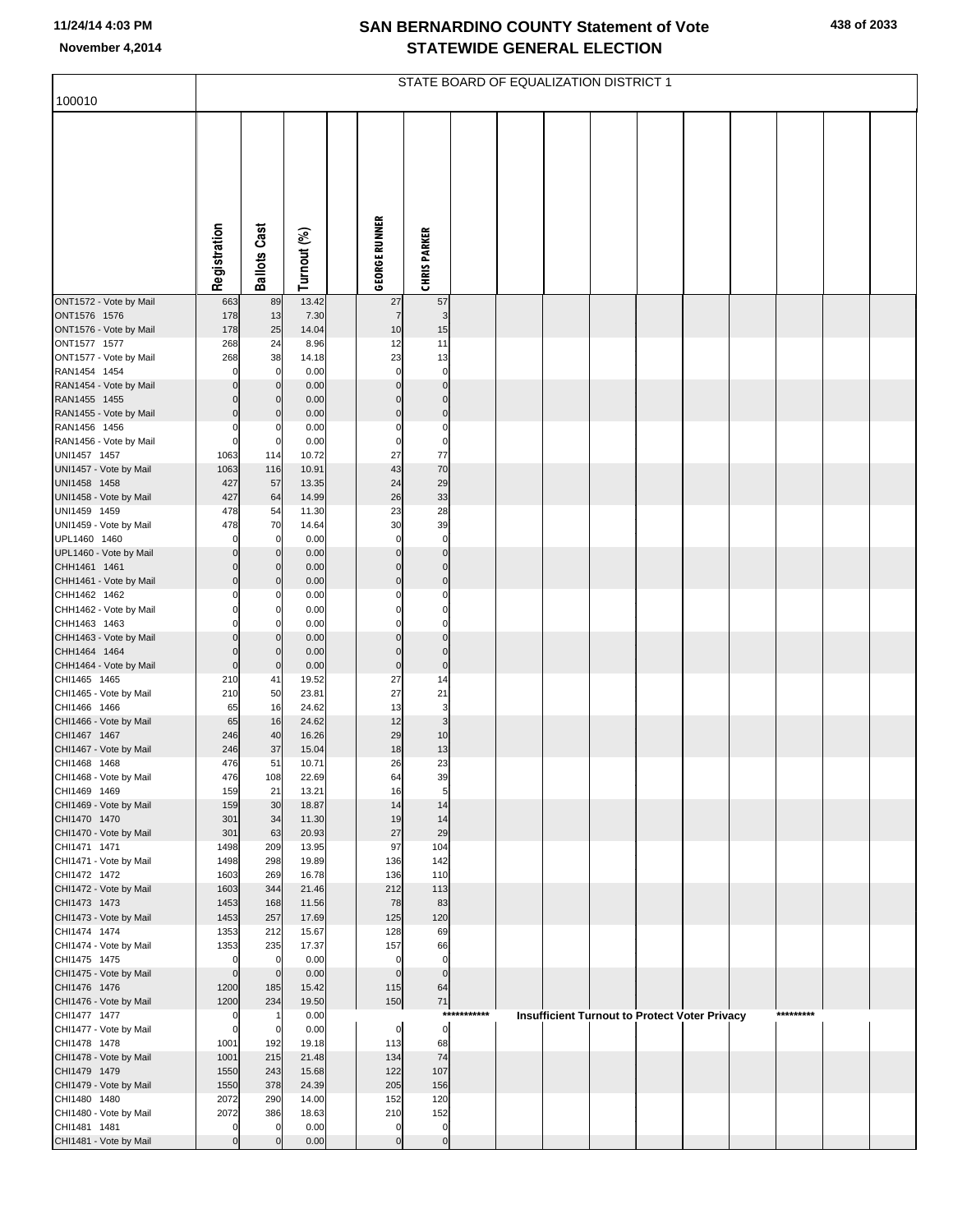| 100010                                 |                         |                         |                |                         |                            |             | STATE BOARD OF EQUALIZATION DISTRICT 1 |  |                                               |           |  |
|----------------------------------------|-------------------------|-------------------------|----------------|-------------------------|----------------------------|-------------|----------------------------------------|--|-----------------------------------------------|-----------|--|
|                                        |                         |                         |                |                         |                            |             |                                        |  |                                               |           |  |
|                                        |                         |                         |                |                         |                            |             |                                        |  |                                               |           |  |
|                                        |                         |                         |                |                         |                            |             |                                        |  |                                               |           |  |
|                                        |                         |                         |                |                         |                            |             |                                        |  |                                               |           |  |
|                                        |                         |                         |                |                         |                            |             |                                        |  |                                               |           |  |
|                                        |                         |                         |                |                         |                            |             |                                        |  |                                               |           |  |
|                                        |                         |                         |                |                         |                            |             |                                        |  |                                               |           |  |
|                                        |                         |                         |                |                         |                            |             |                                        |  |                                               |           |  |
|                                        | Registration            | <b>Ballots Cast</b>     | Turnout (%)    | <b>GEORGE RUNNER</b>    | <b>CHRISPARKER</b>         |             |                                        |  |                                               |           |  |
|                                        |                         |                         |                |                         |                            |             |                                        |  |                                               |           |  |
| ONT1572 - Vote by Mail                 | 663                     | 89                      | 13.42<br>7.30  | 27<br>$\overline{7}$    | 57<br>3                    |             |                                        |  |                                               |           |  |
| ONT1576 1576<br>ONT1576 - Vote by Mail | 178<br>178              | 13<br>25                | 14.04          | 10                      | 15                         |             |                                        |  |                                               |           |  |
| ONT1577 1577                           | 268                     | 24                      | 8.96           | 12                      | 11                         |             |                                        |  |                                               |           |  |
| ONT1577 - Vote by Mail                 | 268                     | 38                      | 14.18          | 23                      | 13                         |             |                                        |  |                                               |           |  |
| RAN1454 1454<br>RAN1454 - Vote by Mail | $\mathbf 0$             | 0<br>$\Omega$           | 0.00<br>0.00   | $\mathbf 0$<br>$\Omega$ | $\mathbf 0$<br>$\mathbf 0$ |             |                                        |  |                                               |           |  |
| RAN1455 1455                           |                         | $\Omega$                | 0.00           | $\Omega$                | $\Omega$                   |             |                                        |  |                                               |           |  |
| RAN1455 - Vote by Mail                 | $\Omega$                | $\mathbf 0$             | 0.00           | $\mathbf 0$             | $\mathbf 0$                |             |                                        |  |                                               |           |  |
| RAN1456 1456<br>RAN1456 - Vote by Mail | $\Omega$<br>$\Omega$    | $\Omega$<br>0           | 0.00<br>0.00   | $\Omega$<br>0           | $\Omega$<br>$\mathbf 0$    |             |                                        |  |                                               |           |  |
| UNI1457 1457                           | 1063                    | 114                     | 10.72          | 27                      | 77                         |             |                                        |  |                                               |           |  |
| UNI1457 - Vote by Mail                 | 1063                    | 116                     | 10.91          | 43                      | 70                         |             |                                        |  |                                               |           |  |
| UNI1458 1458<br>UNI1458 - Vote by Mail | 427<br>427              | 57<br>64                | 13.35<br>14.99 | 24<br>26                | 29<br>33                   |             |                                        |  |                                               |           |  |
| UNI1459 1459                           | 478                     | 54                      | 11.30          | 23                      | 28                         |             |                                        |  |                                               |           |  |
| UNI1459 - Vote by Mail                 | 478                     | 70                      | 14.64          | 30                      | 39                         |             |                                        |  |                                               |           |  |
| UPL1460 1460<br>UPL1460 - Vote by Mail | $\mathbf 0$<br>$\Omega$ | 0<br>$\mathbf 0$        | 0.00<br>0.00   | $\mathbf 0$<br>$\Omega$ | $\mathbf 0$<br>$\mathbf 0$ |             |                                        |  |                                               |           |  |
| CHH1461 1461                           | $\Omega$                | $\mathbf 0$             | 0.00           | $\Omega$                | $\Omega$                   |             |                                        |  |                                               |           |  |
| CHH1461 - Vote by Mail                 | $\Omega$                | $\mathbf 0$             | 0.00           | $\Omega$                | $\mathbf 0$                |             |                                        |  |                                               |           |  |
| CHH1462 1462<br>CHH1462 - Vote by Mail |                         | 0                       | 0.00<br>0.00   | C<br>$\Omega$           | C<br>0                     |             |                                        |  |                                               |           |  |
| CHH1463 1463                           |                         | O                       | 0.00           | $\Omega$                | $\Omega$                   |             |                                        |  |                                               |           |  |
| CHH1463 - Vote by Mail                 | $\Omega$                | $\mathbf 0$             | 0.00           | $\Omega$                | $\mathbf 0$                |             |                                        |  |                                               |           |  |
| CHH1464 1464                           | $\Omega$<br>$\Omega$    | $\Omega$<br>$\mathbf 0$ | 0.00<br>0.00   | $\Omega$<br>$\mathbf 0$ | $\Omega$<br>$\pmb{0}$      |             |                                        |  |                                               |           |  |
| CHH1464 - Vote by Mail<br>CHI1465 1465 | 210                     | 41                      | 19.52          | 27                      | 14                         |             |                                        |  |                                               |           |  |
| CHI1465 - Vote by Mail                 | 210                     | 50                      | 23.81          | 27                      | 21                         |             |                                        |  |                                               |           |  |
| CHI1466 1466<br>CHI1466 - Vote by Mail | 65<br>65                | 16                      | 24.62          | 13<br>12                | 3<br>3                     |             |                                        |  |                                               |           |  |
| CHI1467 1467                           | 246                     | 16<br>40                | 24.62<br>16.26 | 29                      | 10                         |             |                                        |  |                                               |           |  |
| CHI1467 - Vote by Mail                 | 246                     | 37                      | 15.04          | 18                      | 13                         |             |                                        |  |                                               |           |  |
| CHI1468 1468<br>CHI1468 - Vote by Mail | 476<br>476              | 51<br>108               | 10.71<br>22.69 | 26<br>64                | 23                         |             |                                        |  |                                               |           |  |
| CHI1469 1469                           | 159                     | 21                      | 13.21          | 16                      | 39<br>5 <sub>5</sub>       |             |                                        |  |                                               |           |  |
| CHI1469 - Vote by Mail                 | 159                     | 30                      | 18.87          | 14                      | 14                         |             |                                        |  |                                               |           |  |
| CHI1470 1470<br>CHI1470 - Vote by Mail | 301<br>301              | 34<br>63                | 11.30          | 19<br>27                | 14<br>29                   |             |                                        |  |                                               |           |  |
| CHI1471 1471                           | 1498                    | 209                     | 20.93<br>13.95 | 97                      | 104                        |             |                                        |  |                                               |           |  |
| CHI1471 - Vote by Mail                 | 1498                    | 298                     | 19.89          | 136                     | 142                        |             |                                        |  |                                               |           |  |
| CHI1472 1472                           | 1603                    | 269                     | 16.78          | 136                     | 110                        |             |                                        |  |                                               |           |  |
| CHI1472 - Vote by Mail<br>CHI1473 1473 | 1603<br>1453            | 344<br>168              | 21.46<br>11.56 | 212<br>78               | 113<br>83                  |             |                                        |  |                                               |           |  |
| CHI1473 - Vote by Mail                 | 1453                    | 257                     | 17.69          | 125                     | 120                        |             |                                        |  |                                               |           |  |
| CHI1474 1474                           | 1353                    | 212                     | 15.67          | 128                     | 69                         |             |                                        |  |                                               |           |  |
| CHI1474 - Vote by Mail<br>CHI1475 1475 | 1353<br>$\mathbf 0$     | 235<br>0                | 17.37<br>0.00  | 157<br>$\Omega$         | 66<br>$\mathbf 0$          |             |                                        |  |                                               |           |  |
| CHI1475 - Vote by Mail                 | $\mathbf 0$             | $\mathbf 0$             | 0.00           | $\mathbf 0$             | $\overline{0}$             |             |                                        |  |                                               |           |  |
| CHI1476 1476                           | 1200                    | 185                     | 15.42          | 115                     | 64                         |             |                                        |  |                                               |           |  |
| CHI1476 - Vote by Mail<br>CHI1477 1477 | 1200<br>$\mathbf 0$     | 234                     | 19.50<br>0.00  | 150                     | $71\,$                     | *********** |                                        |  | Insufficient Turnout to Protect Voter Privacy | ********* |  |
| CHI1477 - Vote by Mail                 | $\mathbf 0$             | 0                       | 0.00           | $\overline{0}$          | $\overline{0}$             |             |                                        |  |                                               |           |  |
| CHI1478 1478                           | 1001                    | 192                     | 19.18          | 113                     | 68                         |             |                                        |  |                                               |           |  |
| CHI1478 - Vote by Mail<br>CHI1479 1479 | 1001<br>1550            | 215<br>243              | 21.48<br>15.68 | 134<br>122              | 74<br>107                  |             |                                        |  |                                               |           |  |
| CHI1479 - Vote by Mail                 | 1550                    | 378                     | 24.39          | 205                     | 156                        |             |                                        |  |                                               |           |  |
| CHI1480 1480                           | 2072                    | 290                     | 14.00          | 152                     | 120                        |             |                                        |  |                                               |           |  |
| CHI1480 - Vote by Mail<br>CHI1481 1481 | 2072<br>$\mathbf 0$     | 386<br>0                | 18.63<br>0.00  | 210<br>$\pmb{0}$        | 152<br>$\pmb{0}$           |             |                                        |  |                                               |           |  |
| CHI1481 - Vote by Mail                 | $\mathbf 0$             |                         | 0.00           | $\overline{0}$          | $\overline{0}$             |             |                                        |  |                                               |           |  |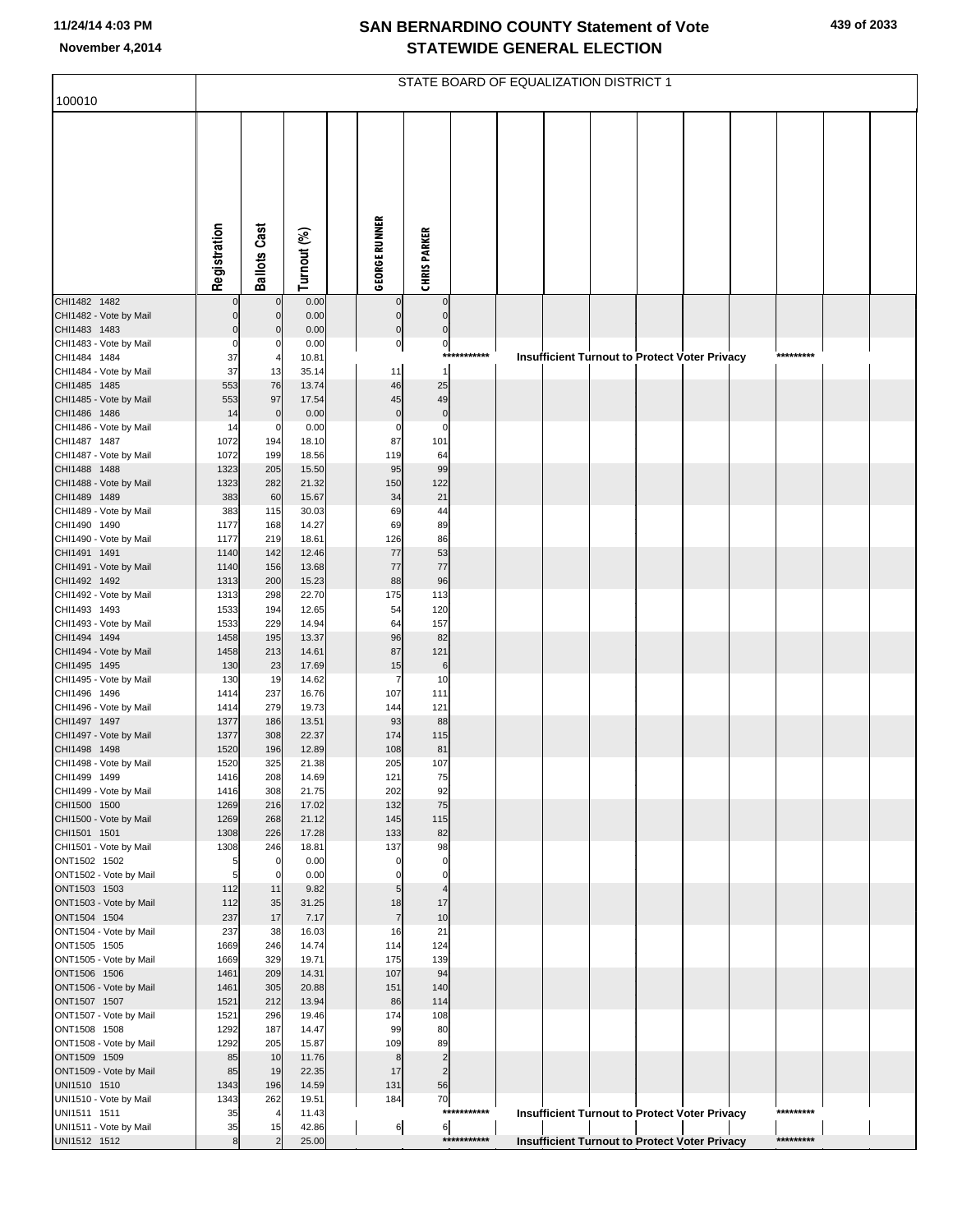|                                        |              |                     |                |                      | STATE BOARD OF EQUALIZATION DISTRICT 1        |                  |  |                                                      |  |           |  |
|----------------------------------------|--------------|---------------------|----------------|----------------------|-----------------------------------------------|------------------|--|------------------------------------------------------|--|-----------|--|
| 100010                                 |              |                     |                |                      |                                               |                  |  |                                                      |  |           |  |
|                                        | Registration | <b>Ballots Cast</b> | Turnout (%)    | <b>GEORGE RUNNER</b> | <b>CHRIS PARKER</b>                           |                  |  |                                                      |  |           |  |
| CHI1482 1482                           |              | $\mathbf 0$         | 0.00           |                      | $\pmb{0}$<br>$\mathbf 0$                      |                  |  |                                                      |  |           |  |
| CHI1482 - Vote by Mail                 |              | $\mathbf 0$         | 0.00           |                      | $\pmb{0}$<br>$\mathbf 0$                      |                  |  |                                                      |  |           |  |
| CHI1483 1483<br>CHI1483 - Vote by Mail | 0<br>0       | $\mathbf 0$<br>0    | 0.00<br>0.00   |                      | $\overline{0}$<br>$\pmb{0}$<br>$\overline{0}$ |                  |  |                                                      |  |           |  |
| CHI1484 1484                           | 37           | 4                   | 10.81          |                      | $\pmb{\mathsf{O}}$                            | ****<br>******** |  | <b>Insufficient Turnout to Protect Voter Privacy</b> |  | ********* |  |
| CHI1484 - Vote by Mail                 | 37           | 13                  | 35.14          | 11                   | $\mathbf{1}$                                  |                  |  |                                                      |  |           |  |
| CHI1485 1485                           | 553          | 76                  | 13.74          | 46                   | 25                                            |                  |  |                                                      |  |           |  |
| CHI1485 - Vote by Mail                 | 553          | 97                  | 17.54          | 45                   | 49                                            |                  |  |                                                      |  |           |  |
| CHI1486 1486                           | 14           | $\mathbf 0$         | 0.00           |                      | $\mathbf 0$<br>$\pmb{0}$                      |                  |  |                                                      |  |           |  |
| CHI1486 - Vote by Mail                 | 14           | $\mathbf 0$         | 0.00           |                      | $\pmb{0}$<br>$\mathbf 0$                      |                  |  |                                                      |  |           |  |
| CHI1487 1487<br>CHI1487 - Vote by Mail | 1072<br>1072 | 194<br>199          | 18.10<br>18.56 | 87<br>119            | 101<br>64                                     |                  |  |                                                      |  |           |  |
| CHI1488 1488                           | 1323         | 205                 | 15.50          | 95                   | 99                                            |                  |  |                                                      |  |           |  |
| CHI1488 - Vote by Mail                 | 1323         | 282                 | 21.32          | 150                  | 122                                           |                  |  |                                                      |  |           |  |
| CHI1489 1489                           | 383          | 60                  | 15.67          | 34                   | 21                                            |                  |  |                                                      |  |           |  |
| CHI1489 - Vote by Mail                 | 383          | 115                 | 30.03          | 69                   | 44                                            |                  |  |                                                      |  |           |  |
| CHI1490 1490                           | 1177         | 168                 | 14.27          | 69                   | 89                                            |                  |  |                                                      |  |           |  |
| CHI1490 - Vote by Mail<br>CHI1491 1491 | 1177<br>1140 | 219<br>142          | 18.61<br>12.46 | 126<br>77            | 86<br>53                                      |                  |  |                                                      |  |           |  |
| CHI1491 - Vote by Mail                 | 1140         | 156                 | 13.68          | 77                   | 77                                            |                  |  |                                                      |  |           |  |
| CHI1492 1492                           | 1313         | 200                 | 15.23          | 88                   | 96                                            |                  |  |                                                      |  |           |  |
| CHI1492 - Vote by Mail                 | 1313         | 298                 | 22.70          | 175                  | 113                                           |                  |  |                                                      |  |           |  |
| CHI1493 1493                           | 1533         | 194                 | 12.65          | 54                   | 120                                           |                  |  |                                                      |  |           |  |
| CHI1493 - Vote by Mail<br>CHI1494 1494 | 1533<br>1458 | 229<br>195          | 14.94<br>13.37 | 64<br>96             | 157<br>82                                     |                  |  |                                                      |  |           |  |
| CHI1494 - Vote by Mail                 | 1458         | 213                 | 14.61          | 87                   | 121                                           |                  |  |                                                      |  |           |  |
| CHI1495 1495                           | 130          | 23                  | 17.69          | 15                   | $\,6$                                         |                  |  |                                                      |  |           |  |
| CHI1495 - Vote by Mail                 | 130          | 19                  | 14.62          |                      | $\overline{7}$<br>10                          |                  |  |                                                      |  |           |  |
| CHI1496 1496                           | 1414         | 237                 | 16.76          | 107                  | 111                                           |                  |  |                                                      |  |           |  |
| CHI1496 - Vote by Mail                 | 1414         | 279                 | 19.73          | 144                  | 121                                           |                  |  |                                                      |  |           |  |
| CHI1497 1497<br>CHI1497 - Vote by Mail | 1377<br>1377 | 186<br>308          | 13.51<br>22.37 | 93<br>174            | 88<br>115                                     |                  |  |                                                      |  |           |  |
| CHI1498 1498                           | 1520         | 196                 | 12.89          | 108                  | 81                                            |                  |  |                                                      |  |           |  |
| CHI1498 - Vote by Mail                 | 1520         | 325                 | 21.38          | 205                  | 107                                           |                  |  |                                                      |  |           |  |
| CHI1499 1499                           | 1416         | 208                 | 14.69          | 121                  | 75                                            |                  |  |                                                      |  |           |  |
| CHI1499 - Vote by Mail                 | 1416         | 308                 | 21.75          | 202                  | 92<br>75                                      |                  |  |                                                      |  |           |  |
| CHI1500 1500<br>CHI1500 - Vote by Mail | 1269<br>1269 | 216<br>268          | 17.02<br>21.12 | 132<br>145           | 115                                           |                  |  |                                                      |  |           |  |
| CHI1501 1501                           | 1308         | 226                 | 17.28          | 133                  | 82                                            |                  |  |                                                      |  |           |  |
| CHI1501 - Vote by Mail                 | 1308         | 246                 | 18.81          | 137                  | 98                                            |                  |  |                                                      |  |           |  |
| ONT1502 1502                           | 5            | $\overline{0}$      | 0.00           |                      | $\mathbf 0$<br>$\pmb{0}$                      |                  |  |                                                      |  |           |  |
| ONT1502 - Vote by Mail                 | 5            | $\mathbf 0$         | 0.00           |                      | $\mathbf 0$<br>$\mathbf 0$                    |                  |  |                                                      |  |           |  |
| ONT1503 1503<br>ONT1503 - Vote by Mail | 112<br>112   | 11<br>35            | 9.82<br>31.25  | 18                   | $\overline{5}$<br>$\overline{4}$<br>17        |                  |  |                                                      |  |           |  |
| ONT1504 1504                           | 237          | 17                  | 7.17           |                      | $\overline{7}$<br>10                          |                  |  |                                                      |  |           |  |
| ONT1504 - Vote by Mail                 | 237          | 38                  | 16.03          | 16                   | 21                                            |                  |  |                                                      |  |           |  |
| ONT1505 1505                           | 1669         | 246                 | 14.74          | 114                  | 124                                           |                  |  |                                                      |  |           |  |
| ONT1505 - Vote by Mail                 | 1669         | 329                 | 19.71          | 175                  | 139                                           |                  |  |                                                      |  |           |  |
| ONT1506 1506<br>ONT1506 - Vote by Mail | 1461<br>1461 | 209<br>305          | 14.31<br>20.88 | 107<br>151           | 94<br>140                                     |                  |  |                                                      |  |           |  |
| ONT1507 1507                           | 1521         | 212                 | 13.94          | 86                   | 114                                           |                  |  |                                                      |  |           |  |
| ONT1507 - Vote by Mail                 | 1521         | 296                 | 19.46          | 174                  | 108                                           |                  |  |                                                      |  |           |  |
| ONT1508 1508                           | 1292         | 187                 | 14.47          | 99                   | 80                                            |                  |  |                                                      |  |           |  |
| ONT1508 - Vote by Mail                 | 1292         | 205                 | 15.87          | 109                  | 89                                            |                  |  |                                                      |  |           |  |
| ONT1509 1509                           | 85<br>85     | 10                  | 11.76<br>22.35 | 17                   | $\bf8$<br>$\overline{2}$<br>$\overline{2}$    |                  |  |                                                      |  |           |  |
| ONT1509 - Vote by Mail<br>UNI1510 1510 | 1343         | 19<br>196           | 14.59          | 131                  | 56                                            |                  |  |                                                      |  |           |  |
| UNI1510 - Vote by Mail                 | 1343         | 262                 | 19.51          | 184                  | 70                                            |                  |  |                                                      |  |           |  |
| UNI1511 1511                           | 35           | $\overline{4}$      | 11.43          |                      |                                               | ***********      |  | <b>Insufficient Turnout to Protect Voter Privacy</b> |  | ********* |  |
| UNI1511 - Vote by Mail                 | 35           | 15                  | 42.86          |                      | 6<br>6                                        |                  |  |                                                      |  |           |  |
| UNI1512 1512                           | 8            | $\overline{2}$      | 25.00          |                      |                                               | ***********      |  | <b>Insufficient Turnout to Protect Voter Privacy</b> |  | ********* |  |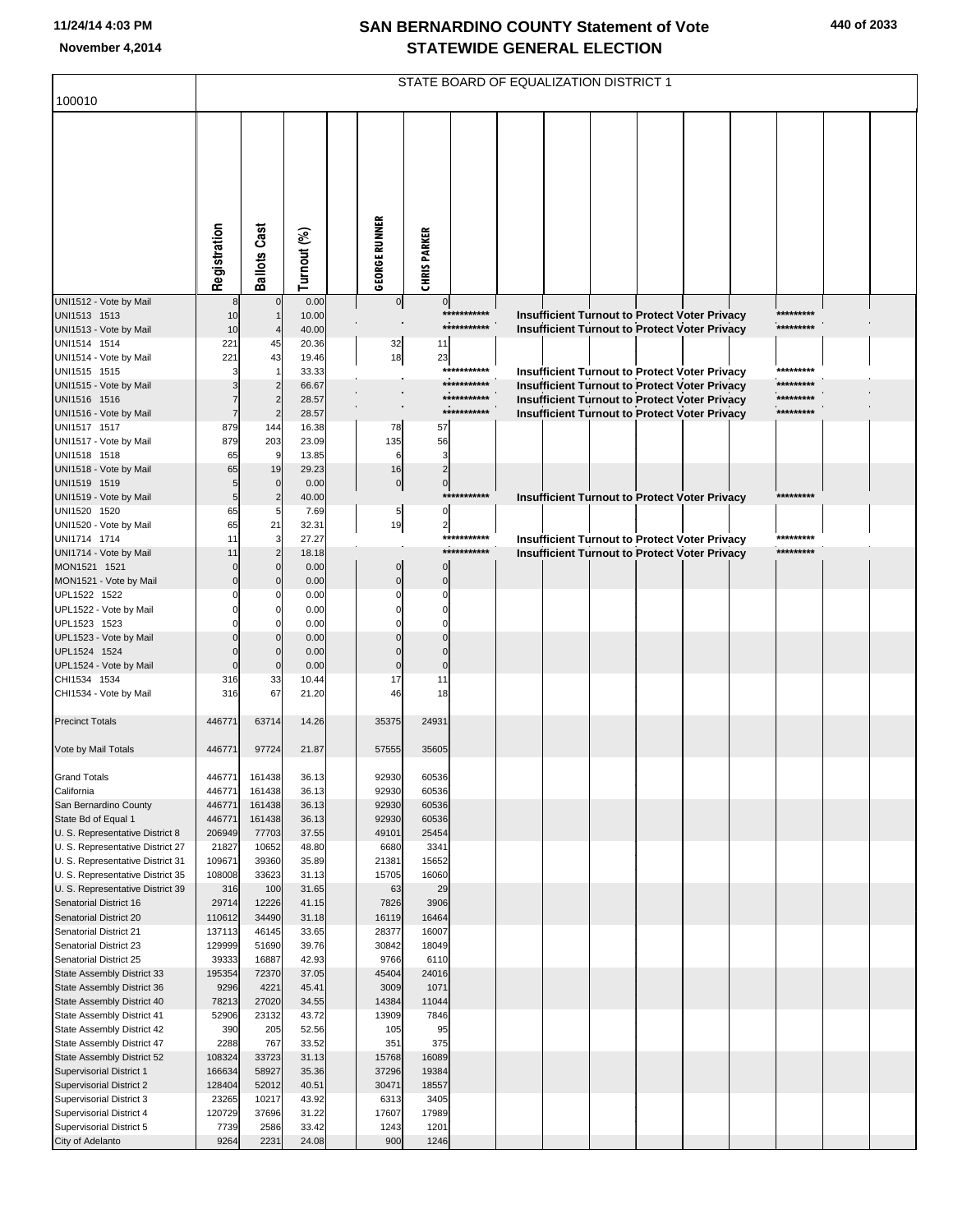| 100010                                                               | STATE BOARD OF EQUALIZATION DISTRICT 1 |                       |                |                      |                               |                            |  |  |  |  |                                                      |  |                        |  |
|----------------------------------------------------------------------|----------------------------------------|-----------------------|----------------|----------------------|-------------------------------|----------------------------|--|--|--|--|------------------------------------------------------|--|------------------------|--|
|                                                                      |                                        |                       |                |                      |                               |                            |  |  |  |  |                                                      |  |                        |  |
|                                                                      | Registration                           | <b>Ballots Cast</b>   | Turnout (%)    | <b>GEORGE RUNNER</b> | <b>CHRISPARKER</b>            |                            |  |  |  |  |                                                      |  |                        |  |
| UNI1512 - Vote by Mail<br>UNI1513 1513                               | 10                                     |                       | 0.00<br>10.00  | $\overline{0}$       | 0                             | ***********                |  |  |  |  | Insufficient Turnout to Protect Voter Privacy        |  |                        |  |
| UNI1513 - Vote by Mail                                               | 10                                     |                       | 40.00          |                      |                               | ***********                |  |  |  |  | <b>Insufficient Turnout to Protect Voter Privacy</b> |  | *********              |  |
| UNI1514 1514                                                         | 221                                    | 45                    | 20.36          | 32                   | 11                            |                            |  |  |  |  |                                                      |  |                        |  |
| UNI1514 - Vote by Mail<br>UNI1515 1515                               | 221                                    | 43                    | 19.46<br>33.33 | 18                   | 23                            | ***********                |  |  |  |  | Insufficient Turnout to Protect Voter Privacy        |  | ********               |  |
| UNI1515 - Vote by Mail                                               |                                        | $\overline{2}$        | 66.67          |                      |                               | ***********                |  |  |  |  | Insufficient Turnout to Protect Voter Privacy        |  | *********              |  |
| UNI1516 1516                                                         |                                        | $\overline{2}$        | 28.57<br>28.57 |                      |                               | ***********<br>*********** |  |  |  |  | Insufficient Turnout to Protect Voter Privacy        |  | *********<br>********* |  |
| UNI1516 - Vote by Mail<br>UNI1517 1517                               | 879                                    | $\overline{2}$<br>144 | 16.38          | 78                   | 57                            |                            |  |  |  |  | <b>Insufficient Turnout to Protect Voter Privacy</b> |  |                        |  |
| UNI1517 - Vote by Mail                                               | 879                                    | 203                   | 23.09          | 135                  | 56                            |                            |  |  |  |  |                                                      |  |                        |  |
| UNI1518 1518                                                         | 65                                     | 9                     | 13.85          | 6                    | 3                             |                            |  |  |  |  |                                                      |  |                        |  |
| UNI1518 - Vote by Mail<br>UNI1519 1519                               | 65                                     | 19<br>$\mathbf 0$     | 29.23<br>0.00  | 16<br>$\pmb{0}$      | $\overline{2}$<br>$\mathbf 0$ |                            |  |  |  |  |                                                      |  |                        |  |
| UNI1519 - Vote by Mail                                               | 5                                      | $\overline{2}$        | 40.00          |                      |                               | ***********                |  |  |  |  | Insufficient Turnout to Protect Voter Privacy        |  | *********              |  |
| UNI1520 1520                                                         | 65                                     | 5                     | 7.69           | 5                    | $\Omega$                      |                            |  |  |  |  |                                                      |  |                        |  |
| UNI1520 - Vote by Mail<br>UNI1714 1714                               | 65<br>11                               | 21<br>3               | 32.31<br>27.27 | 19                   | $\overline{\mathbf{c}}$       | ***********                |  |  |  |  | Insufficient Turnout to Protect Voter Privacy        |  |                        |  |
| UNI1714 - Vote by Mail                                               | 11                                     | $\overline{2}$        | 18.18          |                      |                               | ***********                |  |  |  |  | <b>Insufficient Turnout to Protect Voter Privacy</b> |  | *********              |  |
| MON1521 1521                                                         |                                        | $\Omega$              | 0.00           | $\Omega$             | $\sqrt{ }$                    |                            |  |  |  |  |                                                      |  |                        |  |
| MON1521 - Vote by Mail<br>UPL1522 1522                               | $\Omega$                               | $\Omega$              | 0.00<br>0.00   | C                    | $\Omega$                      |                            |  |  |  |  |                                                      |  |                        |  |
| UPL1522 - Vote by Mail                                               |                                        |                       | 0.00           |                      | C                             |                            |  |  |  |  |                                                      |  |                        |  |
| UPL1523 1523                                                         |                                        |                       | 0.00           |                      |                               |                            |  |  |  |  |                                                      |  |                        |  |
| UPL1523 - Vote by Mail<br>UPL1524 1524                               |                                        | $\Omega$              | 0.00<br>0.00   |                      | $\sqrt{ }$<br>$\sqrt{ }$      |                            |  |  |  |  |                                                      |  |                        |  |
| UPL1524 - Vote by Mail                                               |                                        | $\mathbf 0$           | 0.00           |                      | $\mathcal{C}$                 |                            |  |  |  |  |                                                      |  |                        |  |
| CHI1534 1534                                                         | 316                                    | 33                    | 10.44          | 17                   | 11                            |                            |  |  |  |  |                                                      |  |                        |  |
| CHI1534 - Vote by Mail                                               | 316                                    | 67                    | 21.20          | 46                   | 18                            |                            |  |  |  |  |                                                      |  |                        |  |
| <b>Precinct Totals</b>                                               | 446771                                 | 63714                 | 14.26          | 35375                | 24931                         |                            |  |  |  |  |                                                      |  |                        |  |
| Vote by Mail Totals                                                  | 446771                                 | 97724                 | 21.87          | 57555                | 35605                         |                            |  |  |  |  |                                                      |  |                        |  |
| Grand Totals                                                         | 446771                                 | 161438                | 36.13          | 92930                | 60536                         |                            |  |  |  |  |                                                      |  |                        |  |
| California                                                           | 446771                                 | 161438                | 36.13          | 92930<br>92930       | 60536<br>60536                |                            |  |  |  |  |                                                      |  |                        |  |
| San Bernardino County<br>State Bd of Equal 1                         | 446771<br>446771                       | 161438<br>161438      | 36.13<br>36.13 | 92930                | 60536                         |                            |  |  |  |  |                                                      |  |                        |  |
| U. S. Representative District 8                                      | 206949                                 | 77703                 | 37.55          | 49101                | 25454                         |                            |  |  |  |  |                                                      |  |                        |  |
| U. S. Representative District 27                                     | 21827                                  | 10652                 | 48.80          | 6680                 | 3341                          |                            |  |  |  |  |                                                      |  |                        |  |
| U. S. Representative District 31<br>U. S. Representative District 35 | 109671<br>108008                       | 39360<br>33623        | 35.89<br>31.13 | 21381<br>15705       | 15652<br>16060                |                            |  |  |  |  |                                                      |  |                        |  |
| U. S. Representative District 39                                     | 316                                    | 100                   | 31.65          | 63                   | 29                            |                            |  |  |  |  |                                                      |  |                        |  |
| Senatorial District 16                                               | 29714                                  | 12226                 | 41.15          | 7826                 | 3906                          |                            |  |  |  |  |                                                      |  |                        |  |
| Senatorial District 20<br>Senatorial District 21                     | 110612<br>137113                       | 34490<br>46145        | 31.18<br>33.65 | 16119<br>28377       | 16464<br>16007                |                            |  |  |  |  |                                                      |  |                        |  |
| Senatorial District 23                                               | 129999                                 | 51690                 | 39.76          | 30842                | 18049                         |                            |  |  |  |  |                                                      |  |                        |  |
| Senatorial District 25                                               | 39333                                  | 16887                 | 42.93          | 9766                 | 6110                          |                            |  |  |  |  |                                                      |  |                        |  |
| State Assembly District 33<br>State Assembly District 36             | 195354<br>9296                         | 72370<br>4221         | 37.05<br>45.41 | 45404<br>3009        | 24016<br>1071                 |                            |  |  |  |  |                                                      |  |                        |  |
| State Assembly District 40                                           | 78213                                  | 27020                 | 34.55          | 14384                | 11044                         |                            |  |  |  |  |                                                      |  |                        |  |
| State Assembly District 41                                           | 52906                                  | 23132                 | 43.72          | 13909                | 7846                          |                            |  |  |  |  |                                                      |  |                        |  |
| State Assembly District 42<br>State Assembly District 47             | 390                                    | 205<br>767            | 52.56<br>33.52 | 105<br>351           | 95<br>375                     |                            |  |  |  |  |                                                      |  |                        |  |
| State Assembly District 52                                           | 2288<br>108324                         | 33723                 | 31.13          | 15768                | 16089                         |                            |  |  |  |  |                                                      |  |                        |  |
| Supervisorial District 1                                             | 166634                                 | 58927                 | 35.36          | 37296                | 19384                         |                            |  |  |  |  |                                                      |  |                        |  |
| Supervisorial District 2                                             | 128404                                 | 52012                 | 40.51          | 30471                | 18557                         |                            |  |  |  |  |                                                      |  |                        |  |
| Supervisorial District 3<br>Supervisorial District 4                 | 23265<br>120729                        | 10217<br>37696        | 43.92<br>31.22 | 6313<br>17607        | 3405<br>17989                 |                            |  |  |  |  |                                                      |  |                        |  |
| Supervisorial District 5                                             | 7739                                   | 2586                  | 33.42          | 1243                 | 1201                          |                            |  |  |  |  |                                                      |  |                        |  |
| City of Adelanto                                                     | 9264                                   | 2231                  | 24.08          | 900                  | 1246                          |                            |  |  |  |  |                                                      |  |                        |  |